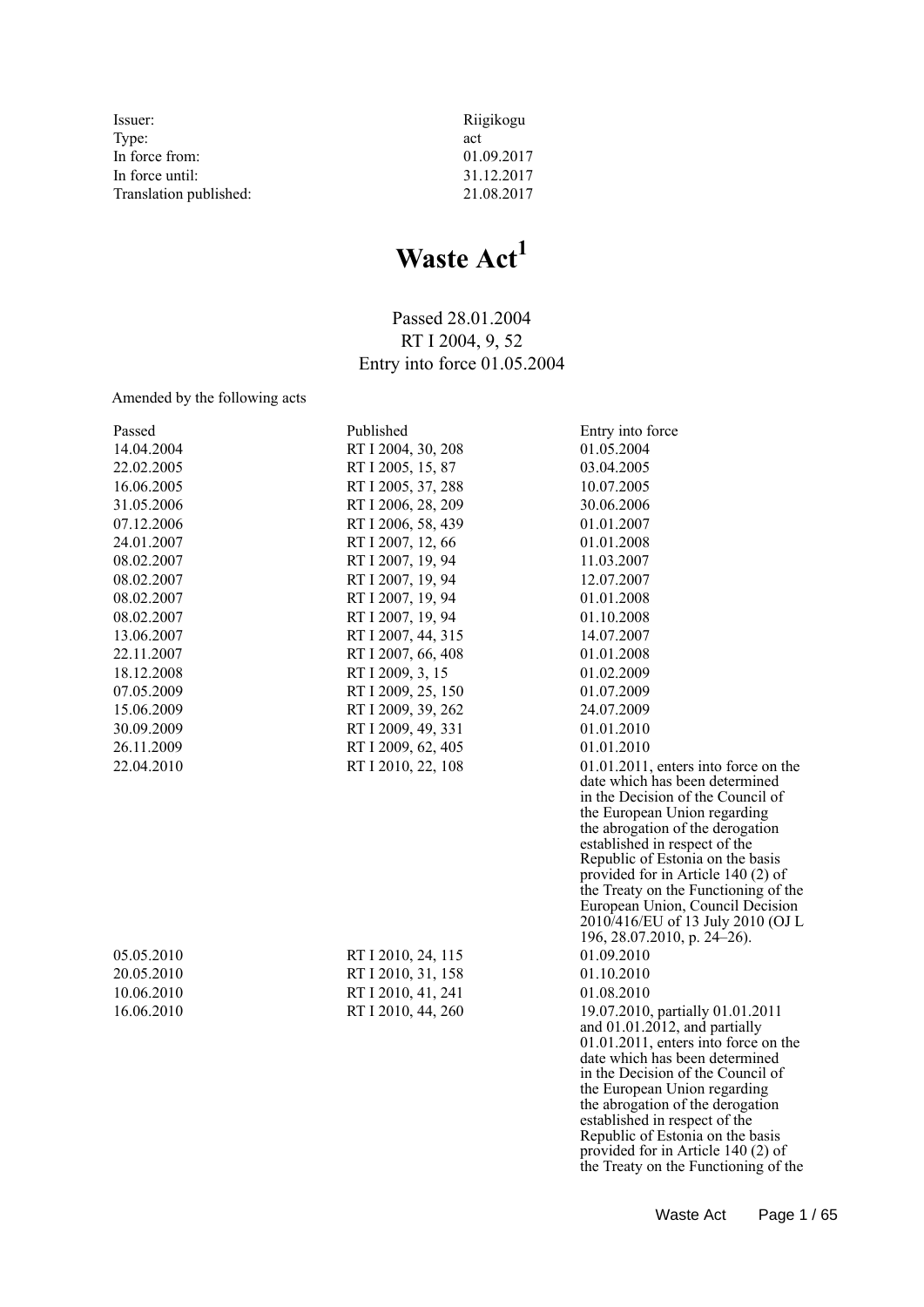Issuer:<br>Type: Riigikogu act Type: act<br>In force from: 01.09.2017 In force from: 01.09.2017<br>In force until: 01.09.2017 In force until: 31.12.2017<br>Translation published: 21.08.2017 Translation published:

# **Waste Act<sup>1</sup>**

Passed 28.01.2004 RT I 2004, 9, 52 Entry into force 01.05.2004

Amended by the following acts

| 14.04.2004<br>RT I 2004, 30, 208<br>01.05.2004<br>22.02.2005<br>RT I 2005, 15, 87<br>03.04.2005<br>RT I 2005, 37, 288<br>10.07.2005<br>16.06.2005<br>31.05.2006<br>RT I 2006, 28, 209<br>30.06.2006<br>07.12.2006<br>RT I 2006, 58, 439<br>01.01.2007<br>RT I 2007, 12, 66<br>01.01.2008<br>24.01.2007<br>RT I 2007, 19, 94<br>08.02.2007<br>11.03.2007<br>08.02.2007<br>RT I 2007, 19, 94<br>12.07.2007<br>RT I 2007, 19, 94<br>01.01.2008<br>08.02.2007<br>RT I 2007, 19, 94<br>08.02.2007<br>01.10.2008<br>RT I 2007, 44, 315<br>14.07.2007<br>13.06.2007<br>22.11.2007<br>RT I 2007, 66, 408<br>01.01.2008<br>18.12.2008<br>RT I 2009, 3, 15<br>01.02.2009<br>RT I 2009, 25, 150<br>07.05.2009<br>01.07.2009<br>RT I 2009, 39, 262<br>24.07.2009<br>15.06.2009<br>RT I 2009, 49, 331<br>01.01.2010<br>30.09.2009<br>RT I 2009, 62, 405<br>26.11.2009<br>01.01.2010<br>22.04.2010<br>RT I 2010, 22, 108<br>$01.01.2011$ , enters into force on the<br>date which has been determined<br>in the Decision of the Council of<br>the European Union regarding<br>the abrogation of the derogation<br>established in respect of the<br>Republic of Estonia on the basis<br>provided for in Article 140 (2) of<br>the Treaty on the Functioning of the<br>European Union, Council Decision<br>2010/416/EU of 13 July 2010 (OJ L<br>196, 28.07.2010, p. 24–26).<br>05.05.2010<br>01.09.2010<br>RT I 2010, 24, 115 | Passed     | Published          | Entry into force |
|---------------------------------------------------------------------------------------------------------------------------------------------------------------------------------------------------------------------------------------------------------------------------------------------------------------------------------------------------------------------------------------------------------------------------------------------------------------------------------------------------------------------------------------------------------------------------------------------------------------------------------------------------------------------------------------------------------------------------------------------------------------------------------------------------------------------------------------------------------------------------------------------------------------------------------------------------------------------------------------------------------------------------------------------------------------------------------------------------------------------------------------------------------------------------------------------------------------------------------------------------------------------------------------------------------------------------------------------------------------------------------------------------------------|------------|--------------------|------------------|
|                                                                                                                                                                                                                                                                                                                                                                                                                                                                                                                                                                                                                                                                                                                                                                                                                                                                                                                                                                                                                                                                                                                                                                                                                                                                                                                                                                                                               |            |                    |                  |
|                                                                                                                                                                                                                                                                                                                                                                                                                                                                                                                                                                                                                                                                                                                                                                                                                                                                                                                                                                                                                                                                                                                                                                                                                                                                                                                                                                                                               |            |                    |                  |
|                                                                                                                                                                                                                                                                                                                                                                                                                                                                                                                                                                                                                                                                                                                                                                                                                                                                                                                                                                                                                                                                                                                                                                                                                                                                                                                                                                                                               |            |                    |                  |
|                                                                                                                                                                                                                                                                                                                                                                                                                                                                                                                                                                                                                                                                                                                                                                                                                                                                                                                                                                                                                                                                                                                                                                                                                                                                                                                                                                                                               |            |                    |                  |
|                                                                                                                                                                                                                                                                                                                                                                                                                                                                                                                                                                                                                                                                                                                                                                                                                                                                                                                                                                                                                                                                                                                                                                                                                                                                                                                                                                                                               |            |                    |                  |
|                                                                                                                                                                                                                                                                                                                                                                                                                                                                                                                                                                                                                                                                                                                                                                                                                                                                                                                                                                                                                                                                                                                                                                                                                                                                                                                                                                                                               |            |                    |                  |
|                                                                                                                                                                                                                                                                                                                                                                                                                                                                                                                                                                                                                                                                                                                                                                                                                                                                                                                                                                                                                                                                                                                                                                                                                                                                                                                                                                                                               |            |                    |                  |
|                                                                                                                                                                                                                                                                                                                                                                                                                                                                                                                                                                                                                                                                                                                                                                                                                                                                                                                                                                                                                                                                                                                                                                                                                                                                                                                                                                                                               |            |                    |                  |
|                                                                                                                                                                                                                                                                                                                                                                                                                                                                                                                                                                                                                                                                                                                                                                                                                                                                                                                                                                                                                                                                                                                                                                                                                                                                                                                                                                                                               |            |                    |                  |
|                                                                                                                                                                                                                                                                                                                                                                                                                                                                                                                                                                                                                                                                                                                                                                                                                                                                                                                                                                                                                                                                                                                                                                                                                                                                                                                                                                                                               |            |                    |                  |
|                                                                                                                                                                                                                                                                                                                                                                                                                                                                                                                                                                                                                                                                                                                                                                                                                                                                                                                                                                                                                                                                                                                                                                                                                                                                                                                                                                                                               |            |                    |                  |
|                                                                                                                                                                                                                                                                                                                                                                                                                                                                                                                                                                                                                                                                                                                                                                                                                                                                                                                                                                                                                                                                                                                                                                                                                                                                                                                                                                                                               |            |                    |                  |
|                                                                                                                                                                                                                                                                                                                                                                                                                                                                                                                                                                                                                                                                                                                                                                                                                                                                                                                                                                                                                                                                                                                                                                                                                                                                                                                                                                                                               |            |                    |                  |
|                                                                                                                                                                                                                                                                                                                                                                                                                                                                                                                                                                                                                                                                                                                                                                                                                                                                                                                                                                                                                                                                                                                                                                                                                                                                                                                                                                                                               |            |                    |                  |
|                                                                                                                                                                                                                                                                                                                                                                                                                                                                                                                                                                                                                                                                                                                                                                                                                                                                                                                                                                                                                                                                                                                                                                                                                                                                                                                                                                                                               |            |                    |                  |
|                                                                                                                                                                                                                                                                                                                                                                                                                                                                                                                                                                                                                                                                                                                                                                                                                                                                                                                                                                                                                                                                                                                                                                                                                                                                                                                                                                                                               |            |                    |                  |
|                                                                                                                                                                                                                                                                                                                                                                                                                                                                                                                                                                                                                                                                                                                                                                                                                                                                                                                                                                                                                                                                                                                                                                                                                                                                                                                                                                                                               |            |                    |                  |
|                                                                                                                                                                                                                                                                                                                                                                                                                                                                                                                                                                                                                                                                                                                                                                                                                                                                                                                                                                                                                                                                                                                                                                                                                                                                                                                                                                                                               |            |                    |                  |
|                                                                                                                                                                                                                                                                                                                                                                                                                                                                                                                                                                                                                                                                                                                                                                                                                                                                                                                                                                                                                                                                                                                                                                                                                                                                                                                                                                                                               |            |                    |                  |
|                                                                                                                                                                                                                                                                                                                                                                                                                                                                                                                                                                                                                                                                                                                                                                                                                                                                                                                                                                                                                                                                                                                                                                                                                                                                                                                                                                                                               |            |                    |                  |
|                                                                                                                                                                                                                                                                                                                                                                                                                                                                                                                                                                                                                                                                                                                                                                                                                                                                                                                                                                                                                                                                                                                                                                                                                                                                                                                                                                                                               |            |                    |                  |
|                                                                                                                                                                                                                                                                                                                                                                                                                                                                                                                                                                                                                                                                                                                                                                                                                                                                                                                                                                                                                                                                                                                                                                                                                                                                                                                                                                                                               |            |                    |                  |
|                                                                                                                                                                                                                                                                                                                                                                                                                                                                                                                                                                                                                                                                                                                                                                                                                                                                                                                                                                                                                                                                                                                                                                                                                                                                                                                                                                                                               |            |                    |                  |
|                                                                                                                                                                                                                                                                                                                                                                                                                                                                                                                                                                                                                                                                                                                                                                                                                                                                                                                                                                                                                                                                                                                                                                                                                                                                                                                                                                                                               |            |                    |                  |
|                                                                                                                                                                                                                                                                                                                                                                                                                                                                                                                                                                                                                                                                                                                                                                                                                                                                                                                                                                                                                                                                                                                                                                                                                                                                                                                                                                                                               |            |                    |                  |
|                                                                                                                                                                                                                                                                                                                                                                                                                                                                                                                                                                                                                                                                                                                                                                                                                                                                                                                                                                                                                                                                                                                                                                                                                                                                                                                                                                                                               |            |                    |                  |
|                                                                                                                                                                                                                                                                                                                                                                                                                                                                                                                                                                                                                                                                                                                                                                                                                                                                                                                                                                                                                                                                                                                                                                                                                                                                                                                                                                                                               |            |                    |                  |
|                                                                                                                                                                                                                                                                                                                                                                                                                                                                                                                                                                                                                                                                                                                                                                                                                                                                                                                                                                                                                                                                                                                                                                                                                                                                                                                                                                                                               |            |                    |                  |
|                                                                                                                                                                                                                                                                                                                                                                                                                                                                                                                                                                                                                                                                                                                                                                                                                                                                                                                                                                                                                                                                                                                                                                                                                                                                                                                                                                                                               |            |                    |                  |
|                                                                                                                                                                                                                                                                                                                                                                                                                                                                                                                                                                                                                                                                                                                                                                                                                                                                                                                                                                                                                                                                                                                                                                                                                                                                                                                                                                                                               | 20.05.2010 | RT I 2010, 31, 158 | 01.10.2010       |
| 10.06.2010<br>RT I 2010, 41, 241<br>01.08.2010                                                                                                                                                                                                                                                                                                                                                                                                                                                                                                                                                                                                                                                                                                                                                                                                                                                                                                                                                                                                                                                                                                                                                                                                                                                                                                                                                                |            |                    |                  |
| 16.06.2010<br>RT I 2010, 44, 260<br>19.07.2010, partially 01.01.2011                                                                                                                                                                                                                                                                                                                                                                                                                                                                                                                                                                                                                                                                                                                                                                                                                                                                                                                                                                                                                                                                                                                                                                                                                                                                                                                                          |            |                    |                  |
| and $01.01.2012$ , and partially                                                                                                                                                                                                                                                                                                                                                                                                                                                                                                                                                                                                                                                                                                                                                                                                                                                                                                                                                                                                                                                                                                                                                                                                                                                                                                                                                                              |            |                    |                  |
| $01.01.2011$ , enters into force on the<br>date which has been determined                                                                                                                                                                                                                                                                                                                                                                                                                                                                                                                                                                                                                                                                                                                                                                                                                                                                                                                                                                                                                                                                                                                                                                                                                                                                                                                                     |            |                    |                  |
| in the Decision of the Council of                                                                                                                                                                                                                                                                                                                                                                                                                                                                                                                                                                                                                                                                                                                                                                                                                                                                                                                                                                                                                                                                                                                                                                                                                                                                                                                                                                             |            |                    |                  |
| the European Union regarding                                                                                                                                                                                                                                                                                                                                                                                                                                                                                                                                                                                                                                                                                                                                                                                                                                                                                                                                                                                                                                                                                                                                                                                                                                                                                                                                                                                  |            |                    |                  |
| the abrogation of the derogation                                                                                                                                                                                                                                                                                                                                                                                                                                                                                                                                                                                                                                                                                                                                                                                                                                                                                                                                                                                                                                                                                                                                                                                                                                                                                                                                                                              |            |                    |                  |
| established in respect of the                                                                                                                                                                                                                                                                                                                                                                                                                                                                                                                                                                                                                                                                                                                                                                                                                                                                                                                                                                                                                                                                                                                                                                                                                                                                                                                                                                                 |            |                    |                  |
| Republic of Estonia on the basis<br>provided for in Article 140 (2) of                                                                                                                                                                                                                                                                                                                                                                                                                                                                                                                                                                                                                                                                                                                                                                                                                                                                                                                                                                                                                                                                                                                                                                                                                                                                                                                                        |            |                    |                  |
| the Treaty on the Functioning of the                                                                                                                                                                                                                                                                                                                                                                                                                                                                                                                                                                                                                                                                                                                                                                                                                                                                                                                                                                                                                                                                                                                                                                                                                                                                                                                                                                          |            |                    |                  |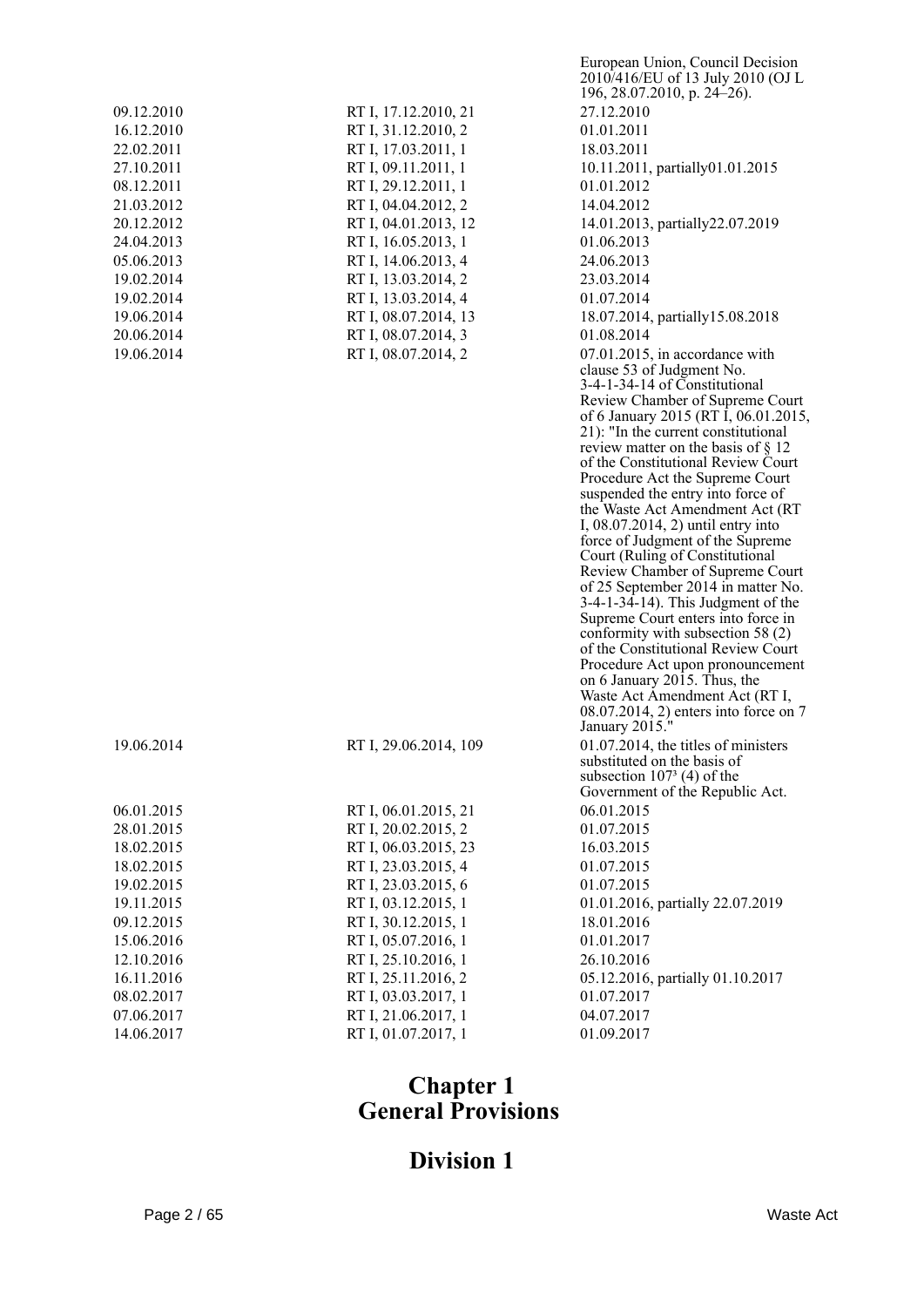|            |                       | 2010/416/EU of 13 July 2010 (OJ L<br>196, 28.07.2010, p. 24–26).            |
|------------|-----------------------|-----------------------------------------------------------------------------|
| 09.12.2010 | RT I, 17.12.2010, 21  | 27.12.2010                                                                  |
| 16.12.2010 | RT I, 31.12.2010, 2   | 01.01.2011                                                                  |
| 22.02.2011 | RT I, 17.03.2011, 1   | 18.03.2011                                                                  |
| 27.10.2011 | RT I, 09.11.2011, 1   | 10.11.2011, partially01.01.2015                                             |
| 08.12.2011 | RT I, 29.12.2011, 1   | 01.01.2012                                                                  |
| 21.03.2012 | RT I, 04.04.2012, 2   | 14.04.2012                                                                  |
| 20.12.2012 | RT I, 04.01.2013, 12  | 14.01.2013, partially 22.07.2019                                            |
| 24.04.2013 | RT I, 16.05.2013, 1   | 01.06.2013                                                                  |
| 05.06.2013 | RT I, 14.06.2013, 4   | 24.06.2013                                                                  |
| 19.02.2014 | RT I, 13.03.2014, 2   | 23.03.2014                                                                  |
| 19.02.2014 | RT I, 13.03.2014, 4   | 01.07.2014                                                                  |
| 19.06.2014 | RT I, 08.07.2014, 13  | 18.07.2014, partially 15.08.2018                                            |
| 20.06.2014 | RT I, 08.07.2014, 3   | 01.08.2014                                                                  |
| 19.06.2014 | RT I, 08.07.2014, 2   | 07.01.2015, in accordance with                                              |
|            |                       | clause 53 of Judgment No.                                                   |
|            |                       | 3-4-1-34-14 of Constitutional                                               |
|            |                       | Review Chamber of Supreme Court                                             |
|            |                       | of 6 January 2015 (RT I, 06.01.2015,                                        |
|            |                       | 21): "In the current constitutional                                         |
|            |                       | review matter on the basis of $\S$ 12<br>of the Constitutional Review Court |
|            |                       | Procedure Act the Supreme Court                                             |
|            |                       | suspended the entry into force of                                           |
|            |                       | the Waste Act Amendment Act (RT                                             |
|            |                       | I, 08.07.2014, 2) until entry into                                          |
|            |                       | force of Judgment of the Supreme<br>Court (Ruling of Constitutional         |
|            |                       | Review Chamber of Supreme Court                                             |
|            |                       | of 25 September 2014 in matter No.                                          |
|            |                       | $3-4-1-34-14$ ). This Judgment of the                                       |
|            |                       | Supreme Court enters into force in                                          |
|            |                       | conformity with subsection 58 (2)<br>of the Constitutional Review Court     |
|            |                       | Procedure Act upon pronouncement                                            |
|            |                       | on 6 January 2015. Thus, the                                                |
|            |                       | Waste Act Amendment Act (RT I,                                              |
|            |                       | 08.07.2014, 2) enters into force on 7                                       |
|            |                       | January 2015."                                                              |
| 19.06.2014 | RT I, 29.06.2014, 109 | 01.07.2014, the titles of ministers<br>substituted on the basis of          |
|            |                       | subsection $1073$ (4) of the                                                |
|            |                       | Government of the Republic Act.                                             |
| 06.01.2015 | RT I, 06.01.2015, 21  | 06.01.2015                                                                  |
| 28.01.2015 | RT I, 20.02.2015, 2   | 01.07.2015                                                                  |
| 18.02.2015 | RT I, 06.03.2015, 23  | 16.03.2015                                                                  |
| 18.02.2015 | RT I, 23.03.2015, 4   | 01.07.2015                                                                  |
| 19.02.2015 | RT I, 23.03.2015, 6   | 01.07.2015                                                                  |
| 19.11.2015 | RT I, 03.12.2015, 1   | 01.01.2016, partially 22.07.2019                                            |
| 09.12.2015 | RT I, 30.12.2015, 1   | 18.01.2016                                                                  |
| 15.06.2016 | RT I, 05.07.2016, 1   | 01.01.2017                                                                  |
| 12.10.2016 | RT I, 25.10.2016, 1   | 26.10.2016                                                                  |
| 16.11.2016 | RT I, 25.11.2016, 2   | 05.12.2016, partially 01.10.2017                                            |
| 08.02.2017 | RT I, 03.03.2017, 1   | 01.07.2017                                                                  |
| 07.06.2017 | RT I, 21.06.2017, 1   | 04.07.2017                                                                  |
| 14.06.2017 | RT I, 01.07.2017, 1   | 01.09.2017                                                                  |
|            |                       |                                                                             |

European Union, Council Decision

## **Chapter 1 General Provisions**

# **Division 1**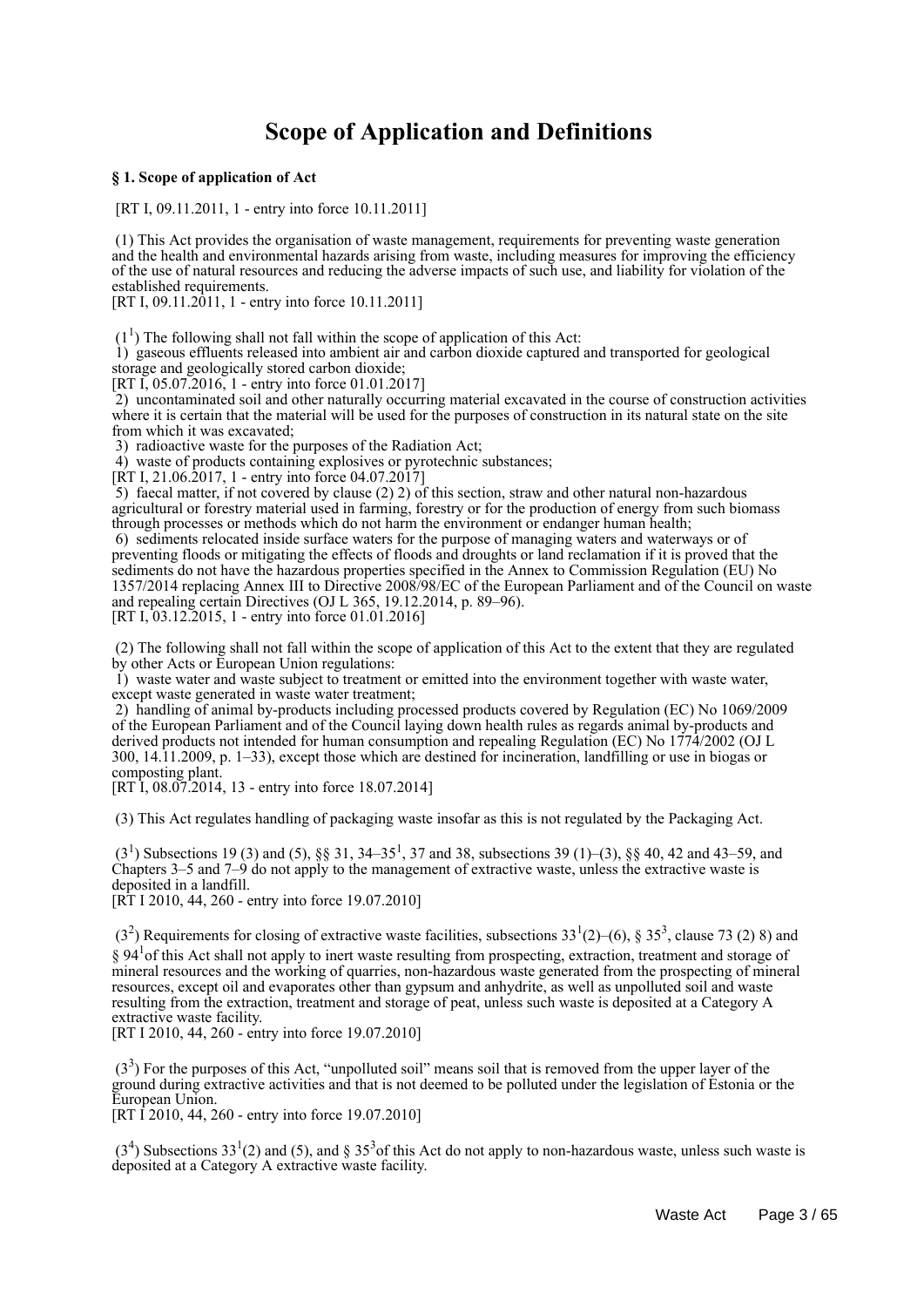## **Scope of Application and Definitions**

#### **§ 1. Scope of application of Act**

[RT I, 09.11.2011, 1 - entry into force 10.11.2011]

 (1) This Act provides the organisation of waste management, requirements for preventing waste generation and the health and environmental hazards arising from waste, including measures for improving the efficiency of the use of natural resources and reducing the adverse impacts of such use, and liability for violation of the established requirements.

[RT I, 09.11.2011, 1 - entry into force 10.11.2011]

 $(1<sup>1</sup>)$  The following shall not fall within the scope of application of this Act:

 1) gaseous effluents released into ambient air and carbon dioxide captured and transported for geological storage and geologically stored carbon dioxide;

[RT I, 05.07.2016, 1 - entry into force 01.01.2017]

 2) uncontaminated soil and other naturally occurring material excavated in the course of construction activities where it is certain that the material will be used for the purposes of construction in its natural state on the site from which it was excavated;

3) radioactive waste for the purposes of the Radiation Act;

4) waste of products containing explosives or pyrotechnic substances;

[RT I, 21.06.2017, 1 - entry into force 04.07.2017]

5) faecal matter, if not covered by clause  $(2)$  2) of this section, straw and other natural non-hazardous agricultural or forestry material used in farming, forestry or for the production of energy from such biomass through processes or methods which do not harm the environment or endanger human health;

 6) sediments relocated inside surface waters for the purpose of managing waters and waterways or of preventing floods or mitigating the effects of floods and droughts or land reclamation if it is proved that the sediments do not have the hazardous properties specified in the Annex to Commission Regulation (EU) No 1357/2014 replacing Annex III to Directive 2008/98/EC of the European Parliament and of the Council on waste and repealing certain Directives (OJ L 365, 19.12.2014, p. 89–96). [RT I, 03.12.2015, 1 - entry into force 01.01.2016]

 (2) The following shall not fall within the scope of application of this Act to the extent that they are regulated by other Acts or European Union regulations:

 1) waste water and waste subject to treatment or emitted into the environment together with waste water, except waste generated in waste water treatment;

 2) handling of animal by-products including processed products covered by Regulation (EC) No 1069/2009 of the European Parliament and of the Council laying down health rules as regards animal by-products and derived products not intended for human consumption and repealing Regulation (EC) No 1774/2002 (OJ L 300, 14.11.2009, p. 1–33), except those which are destined for incineration, landfilling or use in biogas or composting plant.

[RT I, 08.07.2014, 13 - entry into force 18.07.2014]

(3) This Act regulates handling of packaging waste insofar as this is not regulated by the Packaging Act.

 $(3<sup>1</sup>)$  Subsections 19 (3) and (5), §§ 31, 34–35<sup>1</sup>, 37 and 38, subsections 39 (1)–(3), §§ 40, 42 and 43–59, and Chapters 3–5 and 7–9 do not apply to the management of extractive waste, unless the extractive waste is deposited in a landfill.

[RT I 2010, 44, 260 - entry into force 19.07.2010]

 $(3<sup>2</sup>)$  Requirements for closing of extractive waste facilities, subsections  $33<sup>1</sup>(2)–(6)$ , §  $35<sup>3</sup>$ , clause 73 (2) 8) and § 94<sup>1</sup> of this Act shall not apply to inert waste resulting from prospecting, extraction, treatment and storage of mineral resources and the working of quarries, non-hazardous waste generated from the prospecting of mineral resources, except oil and evaporates other than gypsum and anhydrite, as well as unpolluted soil and waste resulting from the extraction, treatment and storage of peat, unless such waste is deposited at a Category A extractive waste facility.

[RT I 2010, 44, 260 - entry into force 19.07.2010]

 $(3<sup>3</sup>)$  For the purposes of this Act, "unpolluted soil" means soil that is removed from the upper layer of the ground during extractive activities and that is not deemed to be polluted under the legislation of Estonia or the European Union.

[RT I 2010, 44, 260 - entry into force 19.07.2010]

 $(3<sup>4</sup>)$  Subsections 33<sup>1</sup>(2) and (5), and § 35<sup>3</sup> of this Act do not apply to non-hazardous waste, unless such waste is deposited at a Category A extractive waste facility.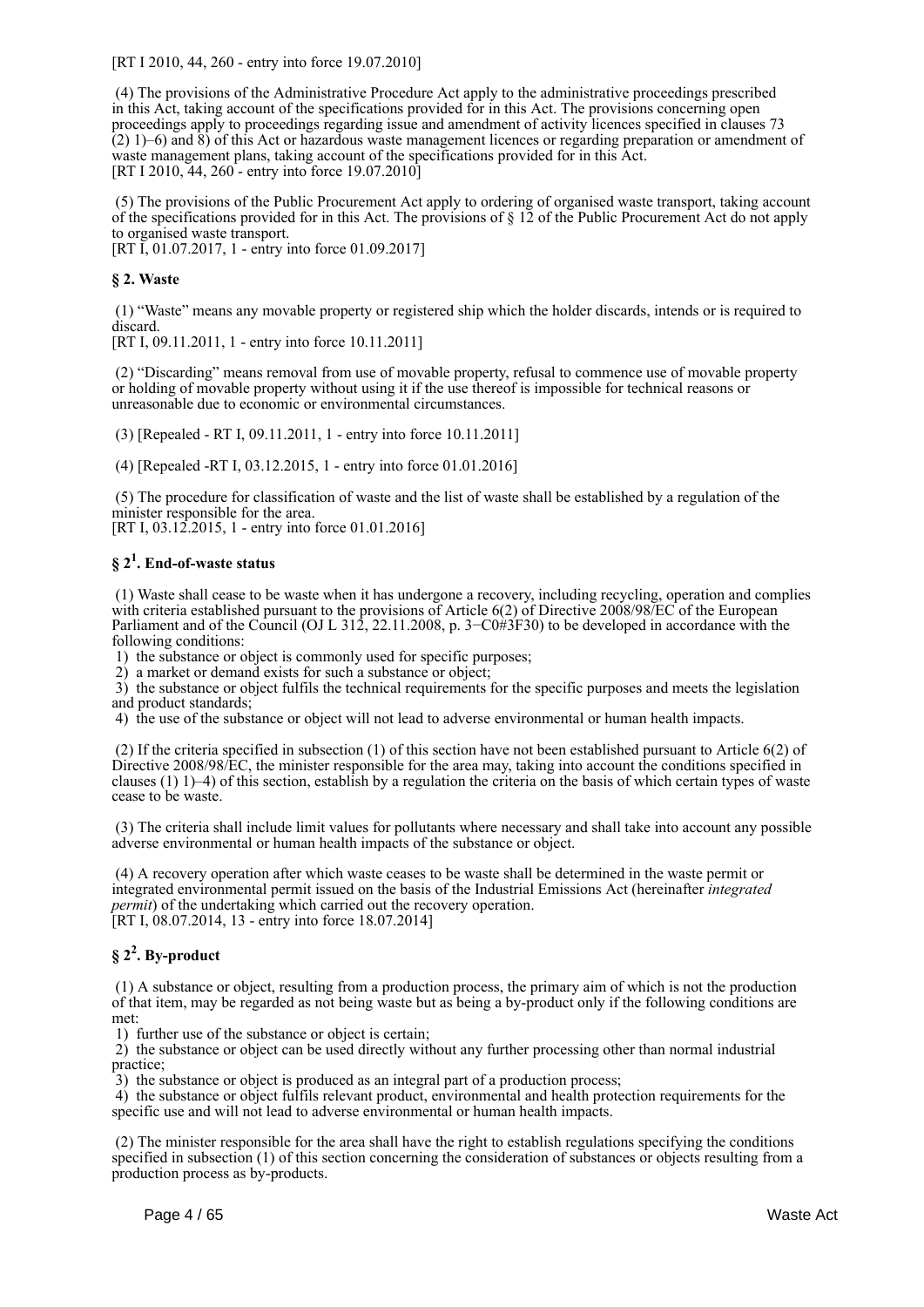[RT I 2010, 44, 260 - entry into force 19.07.2010]

 (4) The provisions of the Administrative Procedure Act apply to the administrative proceedings prescribed in this Act, taking account of the specifications provided for in this Act. The provisions concerning open proceedings apply to proceedings regarding issue and amendment of activity licences specified in clauses 73 (2) 1)–6) and 8) of this Act or hazardous waste management licences or regarding preparation or amendment of waste management plans, taking account of the specifications provided for in this Act. [RT I 2010, 44, 260 - entry into force 19.07.2010]

 (5) The provisions of the Public Procurement Act apply to ordering of organised waste transport, taking account of the specifications provided for in this Act. The provisions of § 12 of the Public Procurement Act do not apply to organised waste transport.

[RT I, 01.07.2017, 1 - entry into force 01.09.2017]

#### **§ 2. Waste**

 (1) "Waste" means any movable property or registered ship which the holder discards, intends or is required to discard.

[RT I, 09.11.2011, 1 - entry into force 10.11.2011]

 (2) "Discarding" means removal from use of movable property, refusal to commence use of movable property or holding of movable property without using it if the use thereof is impossible for technical reasons or unreasonable due to economic or environmental circumstances.

(3) [Repealed - RT I, 09.11.2011, 1 - entry into force 10.11.2011]

(4) [Repealed -RT I, 03.12.2015, 1 - entry into force 01.01.2016]

 (5) The procedure for classification of waste and the list of waste shall be established by a regulation of the minister responsible for the area.

[RT I, 03.12.2015, 1 - entry into force 01.01.2016]

## **§ 2<sup>1</sup> . End-of-waste status**

 (1) Waste shall cease to be waste when it has undergone a recovery, including recycling, operation and complies with criteria established pursuant to the provisions of Article 6(2) of Directive 2008/98/EC of the European Parliament and of the Council (OJ L 312, 22.11.2008, p. 3–C0#3F30) to be developed in accordance with the following conditions:

1) the substance or object is commonly used for specific purposes;

2) a market or demand exists for such a substance or object;

 3) the substance or object fulfils the technical requirements for the specific purposes and meets the legislation and product standards;

4) the use of the substance or object will not lead to adverse environmental or human health impacts.

 (2) If the criteria specified in subsection (1) of this section have not been established pursuant to Article 6(2) of Directive 2008/98/EC, the minister responsible for the area may, taking into account the conditions specified in clauses (1) 1)–4) of this section, establish by a regulation the criteria on the basis of which certain types of waste cease to be waste.

 (3) The criteria shall include limit values for pollutants where necessary and shall take into account any possible adverse environmental or human health impacts of the substance or object.

 (4) A recovery operation after which waste ceases to be waste shall be determined in the waste permit or integrated environmental permit issued on the basis of the Industrial Emissions Act (hereinafter *integrated permit*) of the undertaking which carried out the recovery operation. [RT I, 08.07.2014, 13 - entry into force 18.07.2014]

## **§ 2<sup>2</sup> . By-product**

 (1) A substance or object, resulting from a production process, the primary aim of which is not the production of that item, may be regarded as not being waste but as being a by-product only if the following conditions are met:

1) further use of the substance or object is certain;

 2) the substance or object can be used directly without any further processing other than normal industrial practice;

3) the substance or object is produced as an integral part of a production process;

4) the substance or object fulfils relevant product, environmental and health protection requirements for the specific use and will not lead to adverse environmental or human health impacts.

 (2) The minister responsible for the area shall have the right to establish regulations specifying the conditions specified in subsection (1) of this section concerning the consideration of substances or objects resulting from a production process as by-products.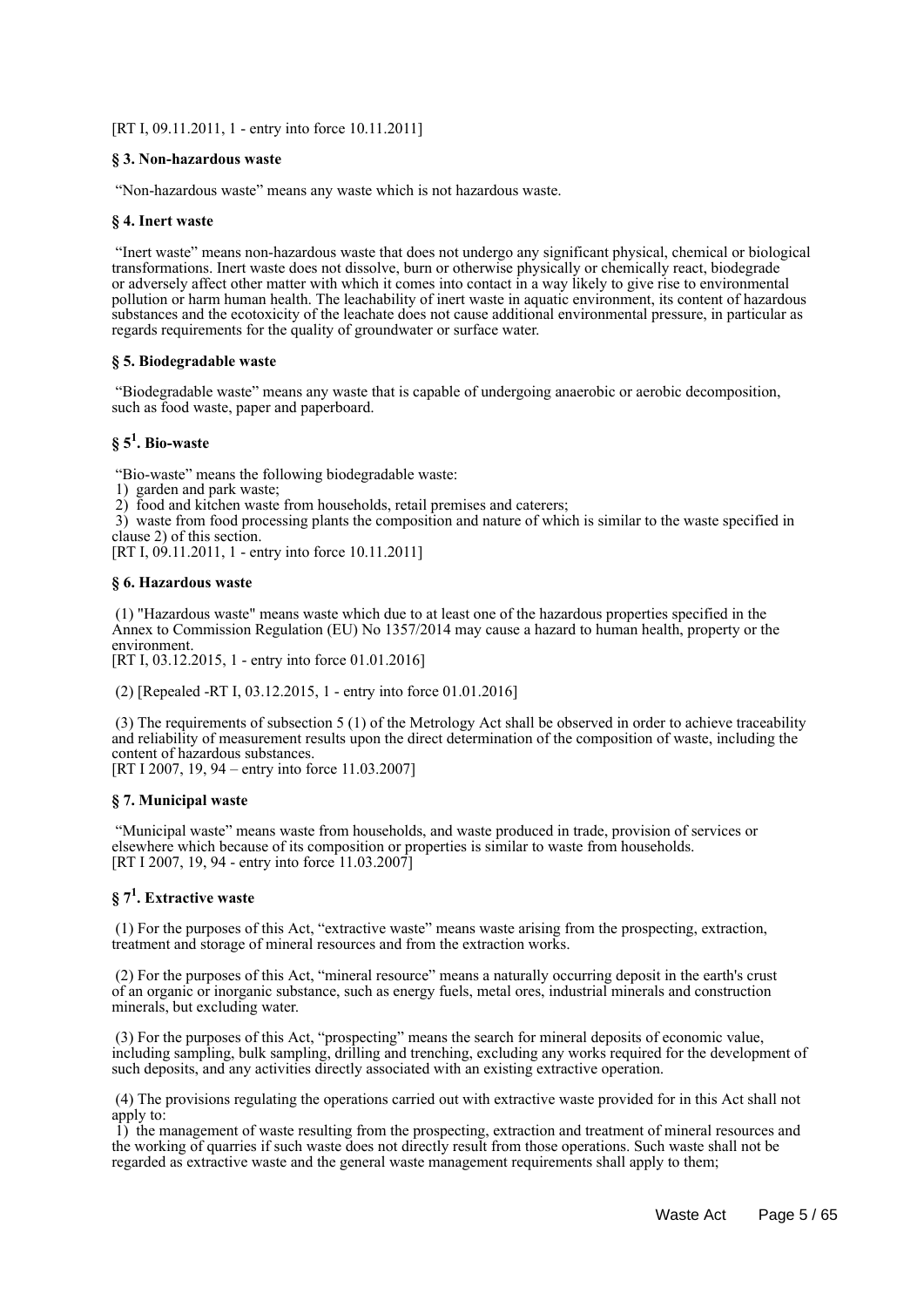[RT I, 09.11.2011, 1 - entry into force 10.11.2011]

#### **§ 3. Non-hazardous waste**

"Non-hazardous waste" means any waste which is not hazardous waste.

#### **§ 4. Inert waste**

 "Inert waste" means non-hazardous waste that does not undergo any significant physical, chemical or biological transformations. Inert waste does not dissolve, burn or otherwise physically or chemically react, biodegrade or adversely affect other matter with which it comes into contact in a way likely to give rise to environmental pollution or harm human health. The leachability of inert waste in aquatic environment, its content of hazardous substances and the ecotoxicity of the leachate does not cause additional environmental pressure, in particular as regards requirements for the quality of groundwater or surface water.

#### **§ 5. Biodegradable waste**

 "Biodegradable waste" means any waste that is capable of undergoing anaerobic or aerobic decomposition, such as food waste, paper and paperboard.

## **§ 5<sup>1</sup> . Bio-waste**

"Bio-waste" means the following biodegradable waste:

1) garden and park waste;

2) food and kitchen waste from households, retail premises and caterers;

 3) waste from food processing plants the composition and nature of which is similar to the waste specified in clause 2) of this section.

[RT I, 09.11.2011, 1 - entry into force 10.11.2011]

#### **§ 6. Hazardous waste**

 (1) "Hazardous waste" means waste which due to at least one of the hazardous properties specified in the Annex to Commission Regulation (EU) No 1357/2014 may cause a hazard to human health, property or the environment.

[RT I, 03.12.2015, 1 - entry into force 01.01.2016]

(2) [Repealed -RT I, 03.12.2015, 1 - entry into force 01.01.2016]

 (3) The requirements of subsection 5 (1) of the Metrology Act shall be observed in order to achieve traceability and reliability of measurement results upon the direct determination of the composition of waste, including the content of hazardous substances.

[RT I 2007, 19, 94 – entry into force 11.03.2007]

#### **§ 7. Municipal waste**

 "Municipal waste" means waste from households, and waste produced in trade, provision of services or elsewhere which because of its composition or properties is similar to waste from households. [RT I 2007, 19, 94 - entry into force 11.03.2007]

## **§ 7<sup>1</sup> . Extractive waste**

 (1) For the purposes of this Act, "extractive waste" means waste arising from the prospecting, extraction, treatment and storage of mineral resources and from the extraction works.

 (2) For the purposes of this Act, "mineral resource" means a naturally occurring deposit in the earth's crust of an organic or inorganic substance, such as energy fuels, metal ores, industrial minerals and construction minerals, but excluding water.

 (3) For the purposes of this Act, "prospecting" means the search for mineral deposits of economic value, including sampling, bulk sampling, drilling and trenching, excluding any works required for the development of such deposits, and any activities directly associated with an existing extractive operation.

 (4) The provisions regulating the operations carried out with extractive waste provided for in this Act shall not apply to:

 1) the management of waste resulting from the prospecting, extraction and treatment of mineral resources and the working of quarries if such waste does not directly result from those operations. Such waste shall not be regarded as extractive waste and the general waste management requirements shall apply to them;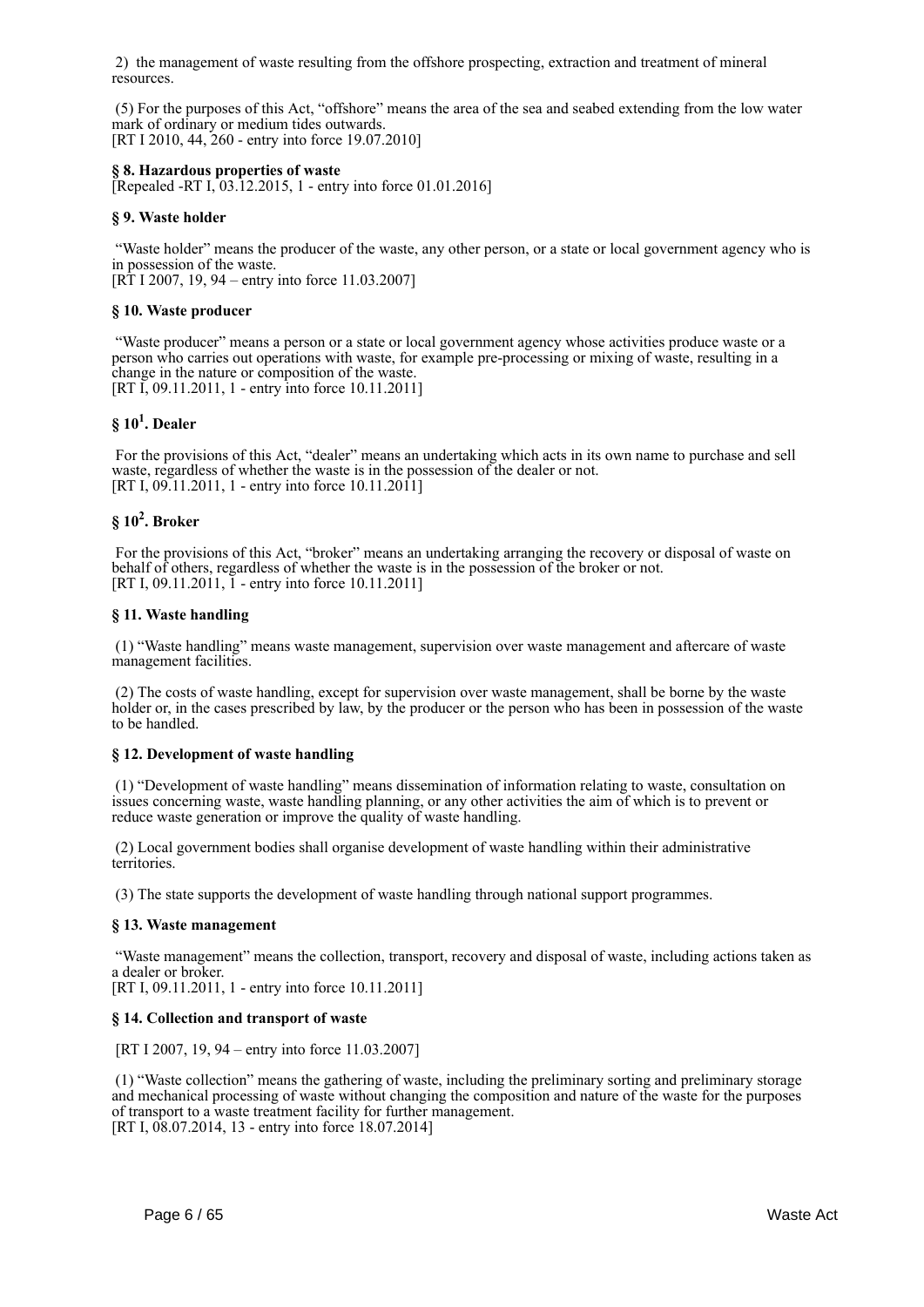2) the management of waste resulting from the offshore prospecting, extraction and treatment of mineral resources.

 (5) For the purposes of this Act, "offshore" means the area of the sea and seabed extending from the low water mark of ordinary or medium tides outwards. [RT I 2010, 44, 260 - entry into force 19.07.2010]

#### **§ 8. Hazardous properties of waste**

[Repealed -RT I, 03.12.2015, 1 - entry into force 01.01.2016]

#### **§ 9. Waste holder**

 "Waste holder" means the producer of the waste, any other person, or a state or local government agency who is in possession of the waste.

 $[R\dot{T}]$  I 2007, 19, 94 – entry into force 11.03.2007]

#### **§ 10. Waste producer**

 "Waste producer" means a person or a state or local government agency whose activities produce waste or a person who carries out operations with waste, for example pre-processing or mixing of waste, resulting in a change in the nature or composition of the waste. [RT I, 09.11.2011, 1 - entry into force 10.11.2011]

## **§ 10<sup>1</sup> . Dealer**

 For the provisions of this Act, "dealer" means an undertaking which acts in its own name to purchase and sell waste, regardless of whether the waste is in the possession of the dealer or not. [RT I, 09.11.2011, 1 - entry into force 10.11.2011]

## **§ 10<sup>2</sup> . Broker**

 For the provisions of this Act, "broker" means an undertaking arranging the recovery or disposal of waste on behalf of others, regardless of whether the waste is in the possession of the broker or not. [RT I, 09.11.2011, I - entry into force 10.11.2011]

#### **§ 11. Waste handling**

 (1) "Waste handling" means waste management, supervision over waste management and aftercare of waste management facilities.

 (2) The costs of waste handling, except for supervision over waste management, shall be borne by the waste holder or, in the cases prescribed by law, by the producer or the person who has been in possession of the waste to be handled.

#### **§ 12. Development of waste handling**

 (1) "Development of waste handling" means dissemination of information relating to waste, consultation on issues concerning waste, waste handling planning, or any other activities the aim of which is to prevent or reduce waste generation or improve the quality of waste handling.

 (2) Local government bodies shall organise development of waste handling within their administrative territories.

(3) The state supports the development of waste handling through national support programmes.

#### **§ 13. Waste management**

 "Waste management" means the collection, transport, recovery and disposal of waste, including actions taken as a dealer or broker.

[RT I, 09.11.2011, 1 - entry into force 10.11.2011]

#### **§ 14. Collection and transport of waste**

[RT I 2007, 19, 94 – entry into force 11.03.2007]

 (1) "Waste collection" means the gathering of waste, including the preliminary sorting and preliminary storage and mechanical processing of waste without changing the composition and nature of the waste for the purposes of transport to a waste treatment facility for further management. [RT I, 08.07.2014, 13 - entry into force 18.07.2014]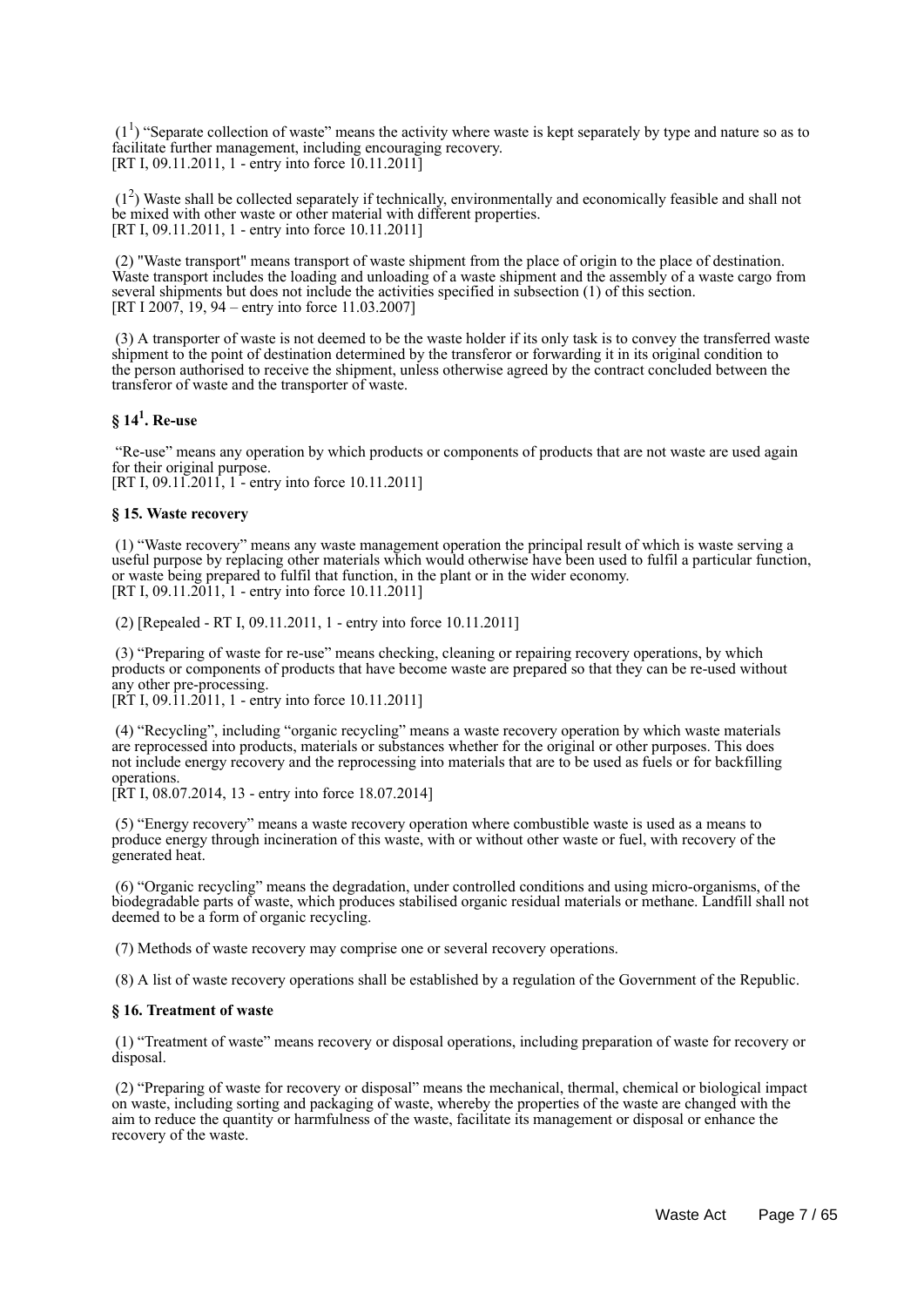$(1<sup>1</sup>)$  "Separate collection of waste" means the activity where waste is kept separately by type and nature so as to facilitate further management, including encouraging recovery. [RT I, 09.11.2011, 1 - entry into force 10.11.2011]

 (1<sup>2</sup> ) Waste shall be collected separately if technically, environmentally and economically feasible and shall not be mixed with other waste or other material with different properties. [RT I, 09.11.2011, 1 - entry into force 10.11.2011]

 (2) "Waste transport" means transport of waste shipment from the place of origin to the place of destination. Waste transport includes the loading and unloading of a waste shipment and the assembly of a waste cargo from several shipments but does not include the activities specified in subsection (1) of this section. [RT I 2007, 19, 94 – entry into force 11.03.2007]

 (3) A transporter of waste is not deemed to be the waste holder if its only task is to convey the transferred waste shipment to the point of destination determined by the transferor or forwarding it in its original condition to the person authorised to receive the shipment, unless otherwise agreed by the contract concluded between the transferor of waste and the transporter of waste.

## **§ 14<sup>1</sup> . Re-use**

 "Re-use" means any operation by which products or components of products that are not waste are used again for their original purpose.

[RT I, 09.11.2011, 1 - entry into force 10.11.2011]

#### **§ 15. Waste recovery**

 (1) "Waste recovery" means any waste management operation the principal result of which is waste serving a useful purpose by replacing other materials which would otherwise have been used to fulfil a particular function, or waste being prepared to fulfil that function, in the plant or in the wider economy. [RT I, 09.11.2011, 1 - entry into force 10.11.2011]

(2) [Repealed - RT I, 09.11.2011, 1 - entry into force 10.11.2011]

 (3) "Preparing of waste for re-use" means checking, cleaning or repairing recovery operations, by which products or components of products that have become waste are prepared so that they can be re-used without any other pre-processing. [RT I, 09.11.2011, 1 - entry into force 10.11.2011]

 (4) "Recycling", including "organic recycling" means a waste recovery operation by which waste materials are reprocessed into products, materials or substances whether for the original or other purposes. This does not include energy recovery and the reprocessing into materials that are to be used as fuels or for backfilling operations.

[RT I, 08.07.2014, 13 - entry into force 18.07.2014]

 (5) "Energy recovery" means a waste recovery operation where combustible waste is used as a means to produce energy through incineration of this waste, with or without other waste or fuel, with recovery of the generated heat.

 (6) "Organic recycling" means the degradation, under controlled conditions and using micro-organisms, of the biodegradable parts of waste, which produces stabilised organic residual materials or methane. Landfill shall not deemed to be a form of organic recycling.

(7) Methods of waste recovery may comprise one or several recovery operations.

(8) A list of waste recovery operations shall be established by a regulation of the Government of the Republic.

#### **§ 16. Treatment of waste**

 (1) "Treatment of waste" means recovery or disposal operations, including preparation of waste for recovery or disposal.

 (2) "Preparing of waste for recovery or disposal" means the mechanical, thermal, chemical or biological impact on waste, including sorting and packaging of waste, whereby the properties of the waste are changed with the aim to reduce the quantity or harmfulness of the waste, facilitate its management or disposal or enhance the recovery of the waste.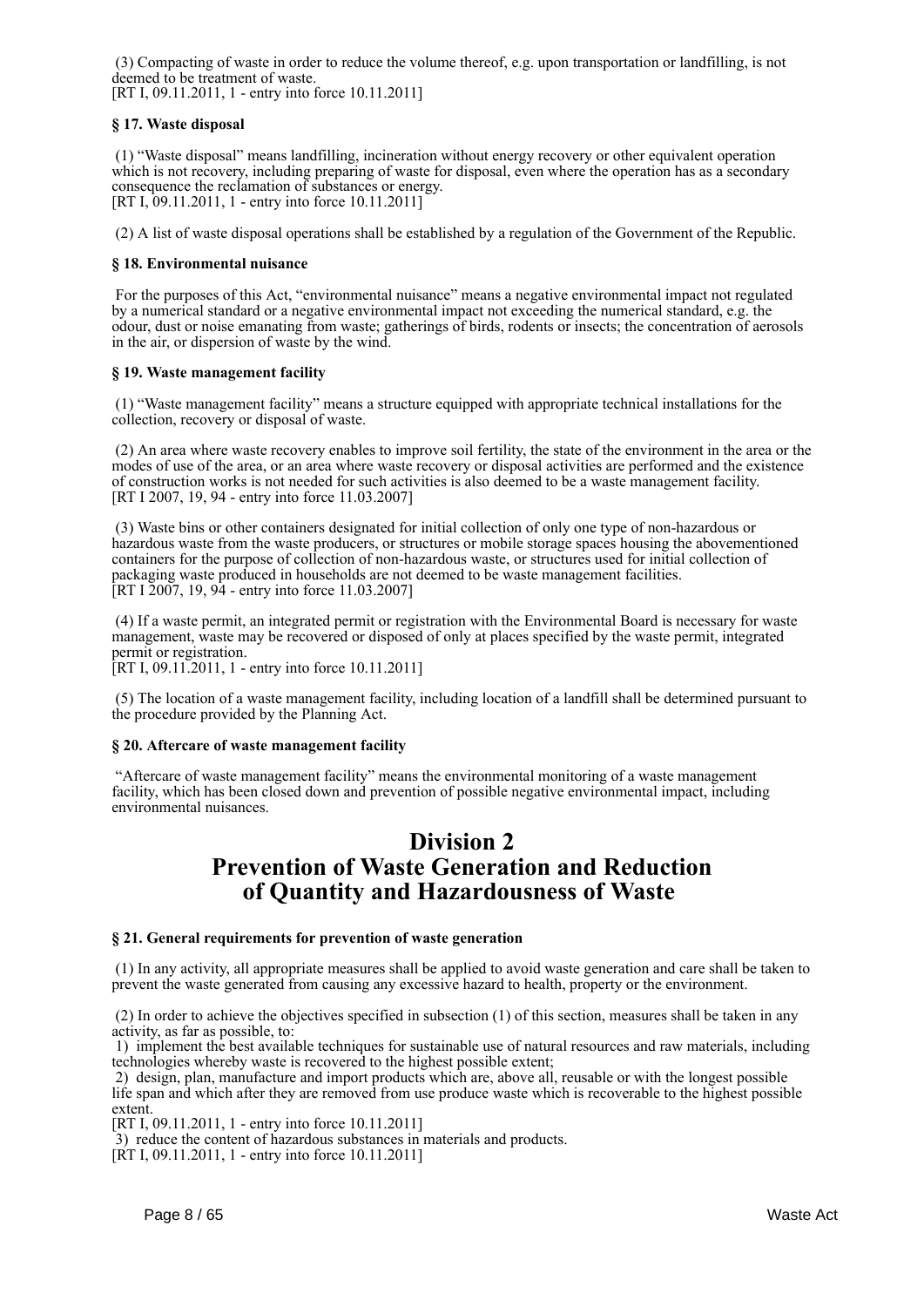(3) Compacting of waste in order to reduce the volume thereof, e.g. upon transportation or landfilling, is not deemed to be treatment of waste.

[RT I, 09.11.2011, 1 - entry into force 10.11.2011]

#### **§ 17. Waste disposal**

 (1) "Waste disposal" means landfilling, incineration without energy recovery or other equivalent operation which is not recovery, including preparing of waste for disposal, even where the operation has as a secondary consequence the reclamation of substances or energy. [RT I, 09.11.2011, 1 - entry into force 10.11.2011]

(2) A list of waste disposal operations shall be established by a regulation of the Government of the Republic.

#### **§ 18. Environmental nuisance**

 For the purposes of this Act, "environmental nuisance" means a negative environmental impact not regulated by a numerical standard or a negative environmental impact not exceeding the numerical standard, e.g. the odour, dust or noise emanating from waste; gatherings of birds, rodents or insects; the concentration of aerosols in the air, or dispersion of waste by the wind.

#### **§ 19. Waste management facility**

 (1) "Waste management facility" means a structure equipped with appropriate technical installations for the collection, recovery or disposal of waste.

 (2) An area where waste recovery enables to improve soil fertility, the state of the environment in the area or the modes of use of the area, or an area where waste recovery or disposal activities are performed and the existence of construction works is not needed for such activities is also deemed to be a waste management facility. [RT I 2007, 19, 94 - entry into force 11.03.2007]

 (3) Waste bins or other containers designated for initial collection of only one type of non-hazardous or hazardous waste from the waste producers, or structures or mobile storage spaces housing the abovementioned containers for the purpose of collection of non-hazardous waste, or structures used for initial collection of packaging waste produced in households are not deemed to be waste management facilities. [RT I 2007, 19, 94 - entry into force 11.03.2007]

 (4) If a waste permit, an integrated permit or registration with the Environmental Board is necessary for waste management, waste may be recovered or disposed of only at places specified by the waste permit, integrated permit or registration.

[RT I, 09.11.2011, 1 - entry into force 10.11.2011]

 (5) The location of a waste management facility, including location of a landfill shall be determined pursuant to the procedure provided by the Planning Act.

#### **§ 20. Aftercare of waste management facility**

 "Aftercare of waste management facility" means the environmental monitoring of a waste management facility, which has been closed down and prevention of possible negative environmental impact, including environmental nuisances.

## **Division 2 Prevention of Waste Generation and Reduction of Quantity and Hazardousness of Waste**

#### **§ 21. General requirements for prevention of waste generation**

 (1) In any activity, all appropriate measures shall be applied to avoid waste generation and care shall be taken to prevent the waste generated from causing any excessive hazard to health, property or the environment.

 (2) In order to achieve the objectives specified in subsection (1) of this section, measures shall be taken in any activity, as far as possible, to:

 1) implement the best available techniques for sustainable use of natural resources and raw materials, including technologies whereby waste is recovered to the highest possible extent;

 2) design, plan, manufacture and import products which are, above all, reusable or with the longest possible life span and which after they are removed from use produce waste which is recoverable to the highest possible extent.

[RT I, 09.11.2011, 1 - entry into force 10.11.2011]

3) reduce the content of hazardous substances in materials and products.

[RT I, 09.11.2011, 1 - entry into force 10.11.2011]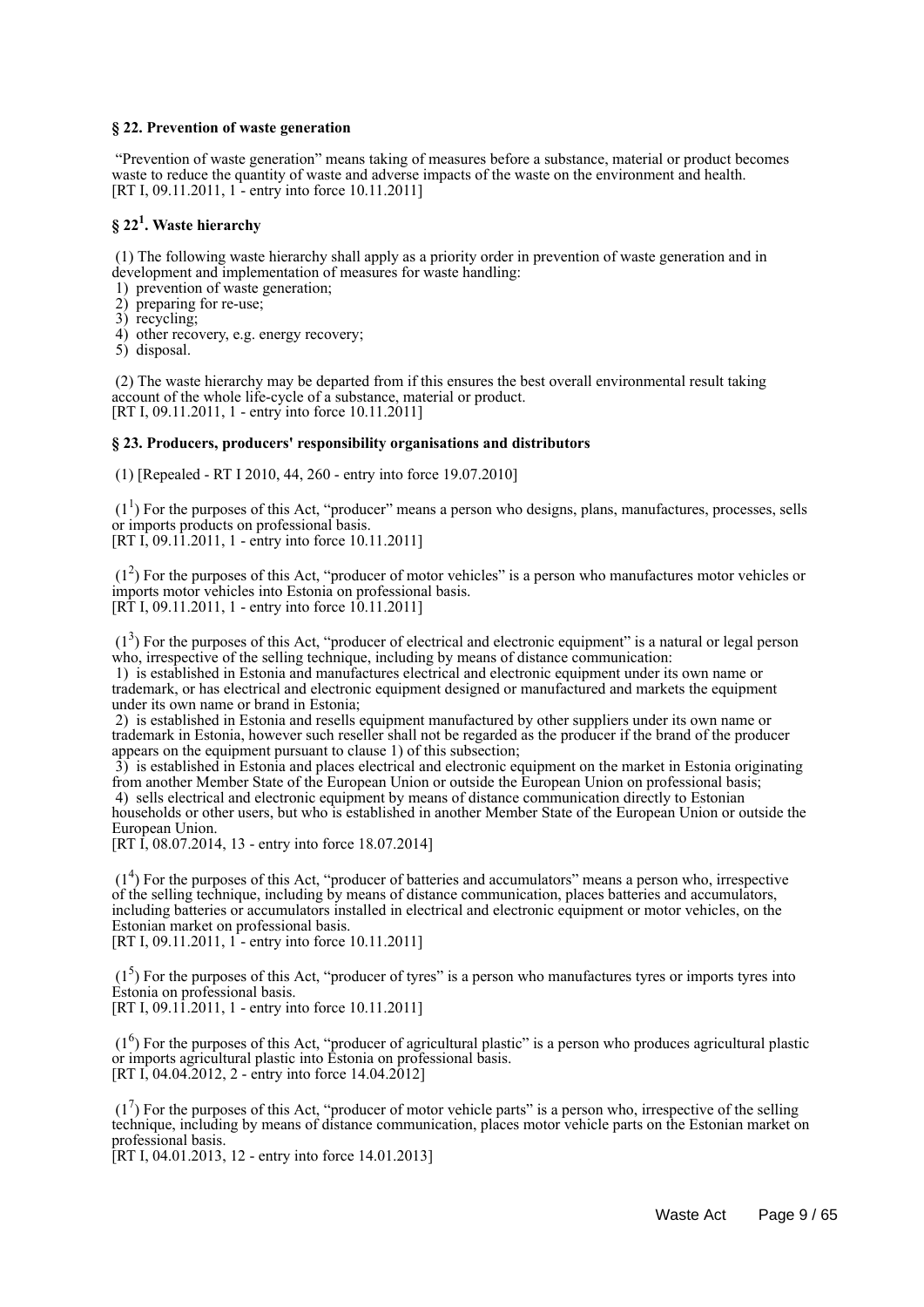#### **§ 22. Prevention of waste generation**

 "Prevention of waste generation" means taking of measures before a substance, material or product becomes waste to reduce the quantity of waste and adverse impacts of the waste on the environment and health. [RT I, 09.11.2011, 1 - entry into force 10.11.2011]

## **§ 22<sup>1</sup> . Waste hierarchy**

 (1) The following waste hierarchy shall apply as a priority order in prevention of waste generation and in development and implementation of measures for waste handling:

- 1) prevention of waste generation;
- 2) preparing for re-use;
- 3) recycling;
- 4) other recovery, e.g. energy recovery;
- 5) disposal.

 (2) The waste hierarchy may be departed from if this ensures the best overall environmental result taking account of the whole life-cycle of a substance, material or product. [RT I, 09.11.2011, 1 - entry into force 10.11.2011]

#### **§ 23. Producers, producers' responsibility organisations and distributors**

(1) [Repealed - RT I 2010, 44, 260 - entry into force 19.07.2010]

 $(1<sup>1</sup>)$  For the purposes of this Act, "producer" means a person who designs, plans, manufactures, processes, sells or imports products on professional basis.

[RT I, 09.11.2011, 1 - entry into force 10.11.2011]

 (1<sup>2</sup> ) For the purposes of this Act, "producer of motor vehicles" is a person who manufactures motor vehicles or imports motor vehicles into Estonia on professional basis.  $[R\dot{T} I, 09.11.2011, 1 - entry into force 10.11.2011]$ 

 (1<sup>3</sup> ) For the purposes of this Act, "producer of electrical and electronic equipment" is a natural or legal person who, irrespective of the selling technique, including by means of distance communication:

 1) is established in Estonia and manufactures electrical and electronic equipment under its own name or trademark, or has electrical and electronic equipment designed or manufactured and markets the equipment under its own name or brand in Estonia;

 2) is established in Estonia and resells equipment manufactured by other suppliers under its own name or trademark in Estonia, however such reseller shall not be regarded as the producer if the brand of the producer appears on the equipment pursuant to clause 1) of this subsection;

 3) is established in Estonia and places electrical and electronic equipment on the market in Estonia originating from another Member State of the European Union or outside the European Union on professional basis; 4) sells electrical and electronic equipment by means of distance communication directly to Estonian households or other users, but who is established in another Member State of the European Union or outside the European Union.

[RT I, 08.07.2014, 13 - entry into force 18.07.2014]

 (1<sup>4</sup> ) For the purposes of this Act, "producer of batteries and accumulators" means a person who, irrespective of the selling technique, including by means of distance communication, places batteries and accumulators, including batteries or accumulators installed in electrical and electronic equipment or motor vehicles, on the Estonian market on professional basis.

[RT I, 09.11.2011, 1<sup>-</sup> entry into force 10.11.2011]

 $(1<sup>5</sup>)$  For the purposes of this Act, "producer of tyres" is a person who manufactures tyres or imports tyres into Estonia on professional basis.

[RT I, 09.11.2011, 1 - entry into force 10.11.2011]

 (1<sup>6</sup> ) For the purposes of this Act, "producer of agricultural plastic" is a person who produces agricultural plastic or imports agricultural plastic into Estonia on professional basis. [RT I, 04.04.2012, 2 - entry into force  $14.04.2012$ ]

 $(1<sup>7</sup>)$  For the purposes of this Act, "producer of motor vehicle parts" is a person who, irrespective of the selling technique, including by means of distance communication, places motor vehicle parts on the Estonian market on professional basis.

[RT I, 04.01.2013, 12 - entry into force 14.01.2013]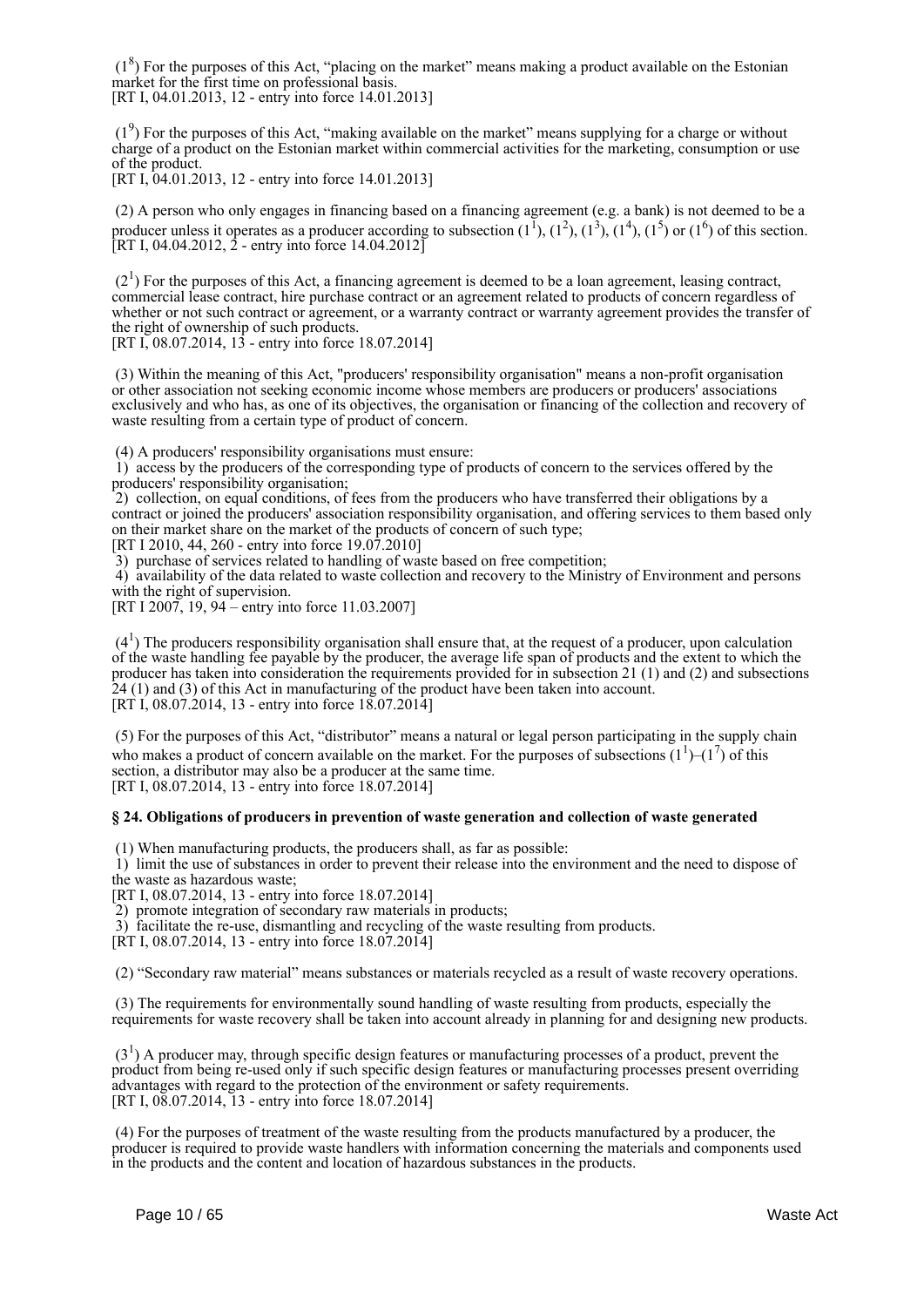$(1<sup>8</sup>)$  For the purposes of this Act, "placing on the market" means making a product available on the Estonian market for the first time on professional basis. [RT I, 04.01.2013, 12 - entry into force 14.01.2013]

 $(1<sup>9</sup>)$  For the purposes of this Act, "making available on the market" means supplying for a charge or without charge of a product on the Estonian market within commercial activities for the marketing, consumption or use of the product.

[RT I, 04.01.2013, 12 - entry into force 14.01.2013]

 (2) A person who only engages in financing based on a financing agreement (e.g. a bank) is not deemed to be a producer unless it operates as a producer according to subsection  $(1^1)$ ,  $(1^2)$ ,  $(1^3)$ ,  $(1^4)$ ,  $(1^5)$  or  $(1^6)$  of this section.  $[RT I, 04.04.2012, 2 - entry into force 14.04.2012]$ 

 $(2<sup>1</sup>)$  For the purposes of this Act, a financing agreement is deemed to be a loan agreement, leasing contract, commercial lease contract, hire purchase contract or an agreement related to products of concern regardless of whether or not such contract or agreement, or a warranty contract or warranty agreement provides the transfer of the right of ownership of such products.

[RT I, 08.07.2014, 13 - entry into force 18.07.2014]

 (3) Within the meaning of this Act, "producers' responsibility organisation" means a non-profit organisation or other association not seeking economic income whose members are producers or producers' associations exclusively and who has, as one of its objectives, the organisation or financing of the collection and recovery of waste resulting from a certain type of product of concern.

(4) A producers' responsibility organisations must ensure:

 1) access by the producers of the corresponding type of products of concern to the services offered by the producers' responsibility organisation;

2) collection, on equal conditions, of fees from the producers who have transferred their obligations by a contract or joined the producers' association responsibility organisation, and offering services to them based only on their market share on the market of the products of concern of such type;

[RT I 2010, 44, 260 - entry into force 19.07.2010]

3) purchase of services related to handling of waste based on free competition;

 4) availability of the data related to waste collection and recovery to the Ministry of Environment and persons with the right of supervision.

[RT I 2007, 19, 94 – entry into force 11.03.2007]

 $(4<sup>1</sup>)$  The producers responsibility organisation shall ensure that, at the request of a producer, upon calculation of the waste handling fee payable by the producer, the average life span of products and the extent to which the producer has taken into consideration the requirements provided for in subsection 21 (1) and (2) and subsections  $24$  (1) and (3) of this Act in manufacturing of the product have been taken into account.  $[RT\ I, 08.07.2014, 13$  - entry into force  $[18.07.2014]$ 

 (5) For the purposes of this Act, "distributor" means a natural or legal person participating in the supply chain who makes a product of concern available on the market. For the purposes of subsections  $(1^1)$ – $(1^7)$  of this section, a distributor may also be a producer at the same time. [RT I, 08.07.2014, 13 - entry into force 18.07.2014]

#### **§ 24. Obligations of producers in prevention of waste generation and collection of waste generated**

(1) When manufacturing products, the producers shall, as far as possible:

 1) limit the use of substances in order to prevent their release into the environment and the need to dispose of the waste as hazardous waste;

[RT I, 08.07.2014, 13 - entry into force 18.07.2014]

2) promote integration of secondary raw materials in products;

3) facilitate the re-use, dismantling and recycling of the waste resulting from products.

[RT I, 08.07.2014, 13 - entry into force 18.07.2014]

(2) "Secondary raw material" means substances or materials recycled as a result of waste recovery operations.

 (3) The requirements for environmentally sound handling of waste resulting from products, especially the requirements for waste recovery shall be taken into account already in planning for and designing new products.

 $(3<sup>1</sup>)$  A producer may, through specific design features or manufacturing processes of a product, prevent the product from being re-used only if such specific design features or manufacturing processes present overriding advantages with regard to the protection of the environment or safety requirements. [RT I, 08.07.2014, 13 - entry into force 18.07.2014]

 (4) For the purposes of treatment of the waste resulting from the products manufactured by a producer, the producer is required to provide waste handlers with information concerning the materials and components used in the products and the content and location of hazardous substances in the products.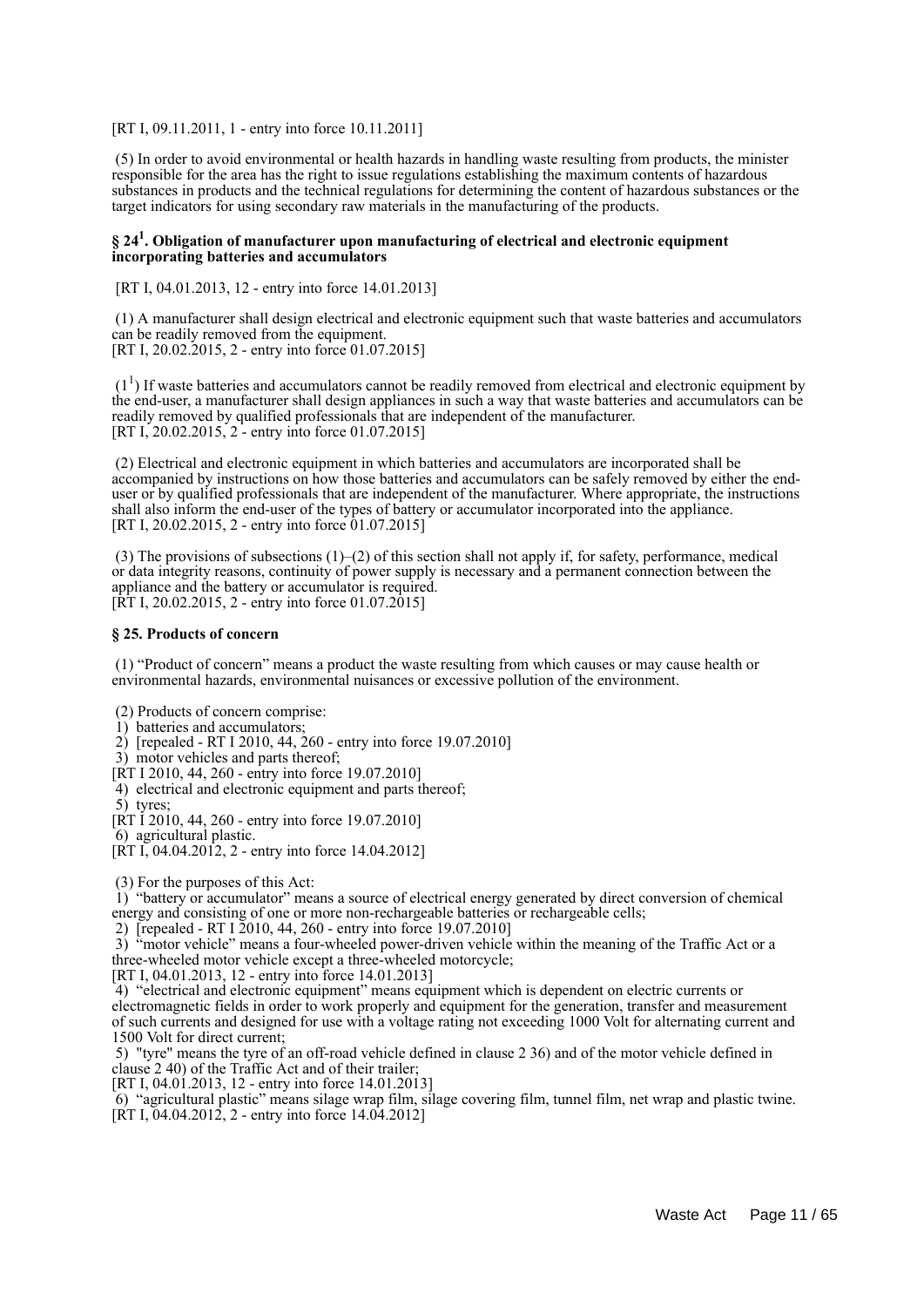[RT I, 09.11.2011, 1 - entry into force 10.11.2011]

 (5) In order to avoid environmental or health hazards in handling waste resulting from products, the minister responsible for the area has the right to issue regulations establishing the maximum contents of hazardous substances in products and the technical regulations for determining the content of hazardous substances or the target indicators for using secondary raw materials in the manufacturing of the products.

#### **§ 24<sup>1</sup> . Obligation of manufacturer upon manufacturing of electrical and electronic equipment incorporating batteries and accumulators**

[RT I, 04.01.2013, 12 - entry into force 14.01.2013]

 (1) A manufacturer shall design electrical and electronic equipment such that waste batteries and accumulators can be readily removed from the equipment. [RT I, 20.02.2015, 2 - entry into force 01.07.2015]

 $(1<sup>1</sup>)$  If waste batteries and accumulators cannot be readily removed from electrical and electronic equipment by the end-user, a manufacturer shall design appliances in such a way that waste batteries and accumulators can be readily removed by qualified professionals that are independent of the manufacturer. [RT I, 20.02.2015, 2 - entry into force 01.07.2015]

 (2) Electrical and electronic equipment in which batteries and accumulators are incorporated shall be accompanied by instructions on how those batteries and accumulators can be safely removed by either the enduser or by qualified professionals that are independent of the manufacturer. Where appropriate, the instructions shall also inform the end-user of the types of battery or accumulator incorporated into the appliance. [RT I, 20.02.2015, 2 - entry into force 01.07.2015]

 (3) The provisions of subsections (1)–(2) of this section shall not apply if, for safety, performance, medical or data integrity reasons, continuity of power supply is necessary and a permanent connection between the appliance and the battery or accumulator is required.  $[\hat{R}T I, 20.02.2015, 2 -$  entry into force 01.07.2015]

#### **§ 25. Products of concern**

 (1) "Product of concern" means a product the waste resulting from which causes or may cause health or environmental hazards, environmental nuisances or excessive pollution of the environment.

(2) Products of concern comprise:

- 1) batteries and accumulators;
- 2) [repealed RT I 2010, 44, 260 entry into force 19.07.2010]
- 3) motor vehicles and parts thereof;
- [RT I 2010, 44, 260 entry into force 19.07.2010]
- 4) electrical and electronic equipment and parts thereof;
- 5) tyres;
- [RT I 2010, 44, 260 entry into force 19.07.2010]
- 6) agricultural plastic.
- $[RT I, 04.04.2012, 2 entry into force 14.04.2012]$
- (3) For the purposes of this Act:

 1) "battery or accumulator" means a source of electrical energy generated by direct conversion of chemical energy and consisting of one or more non-rechargeable batteries or rechargeable cells;

2) [repealed - RT I 2010, 44, 260 - entry into force 19.07.2010]

 3) "motor vehicle" means a four-wheeled power-driven vehicle within the meaning of the Traffic Act or a three-wheeled motor vehicle except a three-wheeled motorcycle;

[RT I, 04.01.2013, 12 - entry into force 14.01.2013]

 4) "electrical and electronic equipment" means equipment which is dependent on electric currents or electromagnetic fields in order to work properly and equipment for the generation, transfer and measurement of such currents and designed for use with a voltage rating not exceeding 1000 Volt for alternating current and 1500 Volt for direct current;

 5) "tyre" means the tyre of an off-road vehicle defined in clause 2 36) and of the motor vehicle defined in clause 2 40) of the Traffic Act and of their trailer;

[RT I, 04.01.2013, 12 - entry into force 14.01.2013]

 6) "agricultural plastic" means silage wrap film, silage covering film, tunnel film, net wrap and plastic twine. [RT I, 04.04.2012, 2 - entry into force 14.04.2012]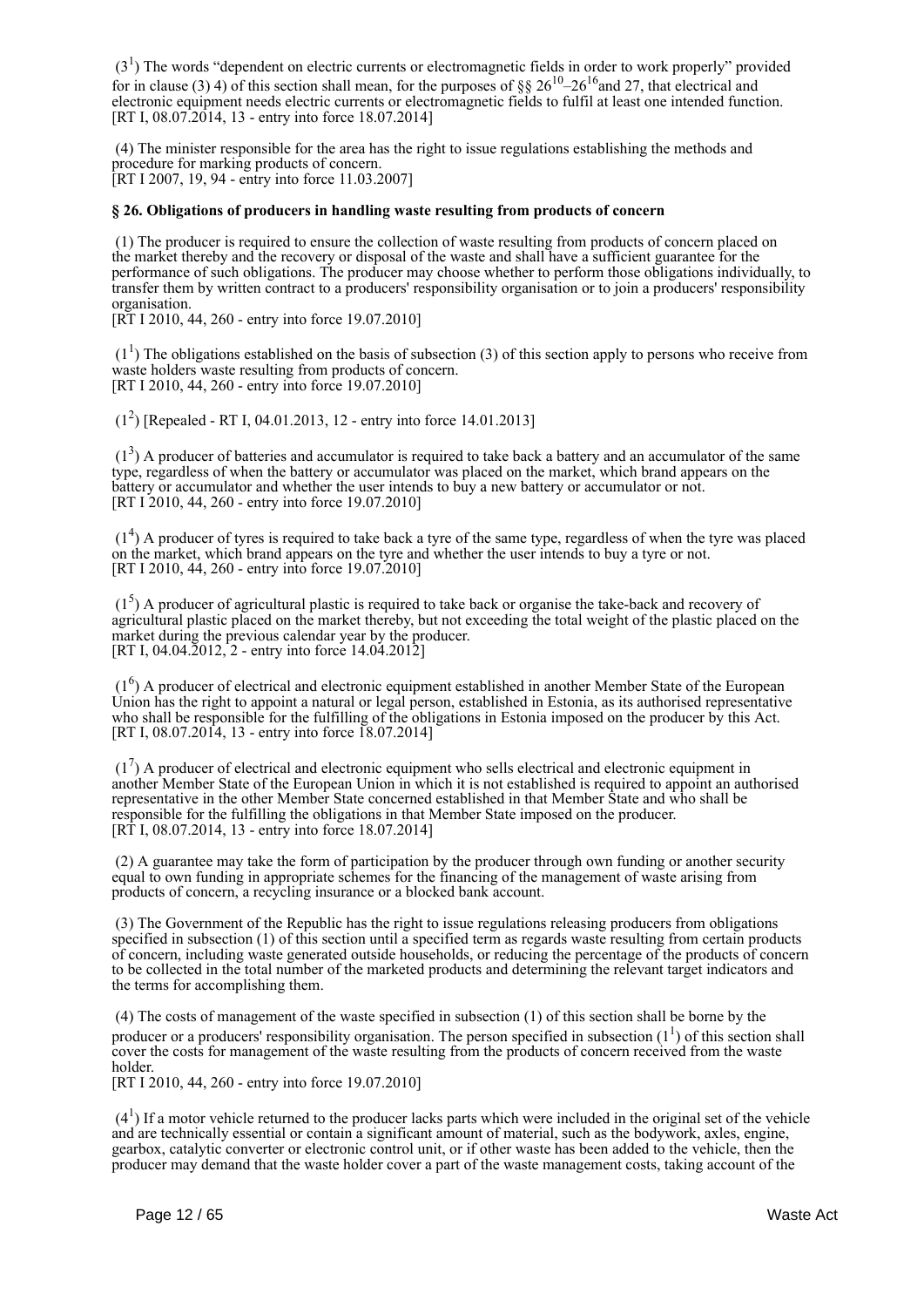$(3<sup>1</sup>)$  The words "dependent on electric currents or electromagnetic fields in order to work properly" provided for in clause (3) 4) of this section shall mean, for the purposes of §§  $26^{10}$ – $26^{16}$  and 27, that electrical and electronic equipment needs electric currents or electromagnetic fields to fulfil at least one intended function. [RT I, 08.07.2014, 13 - entry into force 18.07.2014]

 (4) The minister responsible for the area has the right to issue regulations establishing the methods and procedure for marking products of concern. [RT I 2007, 19, 94 - entry into force 11.03.2007]

#### **§ 26. Obligations of producers in handling waste resulting from products of concern**

 (1) The producer is required to ensure the collection of waste resulting from products of concern placed on the market thereby and the recovery or disposal of the waste and shall have a sufficient guarantee for the performance of such obligations. The producer may choose whether to perform those obligations individually, to transfer them by written contract to a producers' responsibility organisation or to join a producers' responsibility organisation.

[RT I 2010, 44, 260 - entry into force 19.07.2010]

 $(1<sup>1</sup>)$  The obligations established on the basis of subsection (3) of this section apply to persons who receive from waste holders waste resulting from products of concern. [RT I 2010, 44, 260 - entry into force 19.07.2010]

(1<sup>2</sup> ) [Repealed - RT I, 04.01.2013, 12 - entry into force 14.01.2013]

 $(1<sup>3</sup>)$  A producer of batteries and accumulator is required to take back a battery and an accumulator of the same type, regardless of when the battery or accumulator was placed on the market, which brand appears on the battery or accumulator and whether the user intends to buy a new battery or accumulator or not. [RT I 2010, 44, 260 - entry into force 19.07.2010]

 $(1<sup>4</sup>)$  A producer of tyres is required to take back a tyre of the same type, regardless of when the tyre was placed on the market, which brand appears on the tyre and whether the user intends to buy a tyre or not. [RT I 2010, 44, 260 - entry into force 19.07.2010]

 $(1<sup>5</sup>)$  A producer of agricultural plastic is required to take back or organise the take-back and recovery of agricultural plastic placed on the market thereby, but not exceeding the total weight of the plastic placed on the market during the previous calendar year by the producer. [RT I, 04.04.2012,<sup>2</sup> - entry into force 14.04.2012]

 (1<sup>6</sup> ) A producer of electrical and electronic equipment established in another Member State of the European Union has the right to appoint a natural or legal person, established in Estonia, as its authorised representative who shall be responsible for the fulfilling of the obligations in Estonia imposed on the producer by this Act. [RT I, 08.07.2014, 13 - entry into force 18.07.2014]

 $(1<sup>7</sup>)$  A producer of electrical and electronic equipment who sells electrical and electronic equipment in another Member State of the European Union in which it is not established is required to appoint an authorised representative in the other Member State concerned established in that Member State and who shall be responsible for the fulfilling the obligations in that Member State imposed on the producer. [RT I, 08.07.2014, 13 - entry into force 18.07.2014]

 (2) A guarantee may take the form of participation by the producer through own funding or another security equal to own funding in appropriate schemes for the financing of the management of waste arising from products of concern, a recycling insurance or a blocked bank account.

 (3) The Government of the Republic has the right to issue regulations releasing producers from obligations specified in subsection (1) of this section until a specified term as regards waste resulting from certain products of concern, including waste generated outside households, or reducing the percentage of the products of concern to be collected in the total number of the marketed products and determining the relevant target indicators and the terms for accomplishing them.

 (4) The costs of management of the waste specified in subsection (1) of this section shall be borne by the producer or a producers' responsibility organisation. The person specified in subsection  $(1^1)$  of this section shall cover the costs for management of the waste resulting from the products of concern received from the waste holder.

[RT I 2010, 44, 260 - entry into force 19.07.2010]

 $(4<sup>1</sup>)$  If a motor vehicle returned to the producer lacks parts which were included in the original set of the vehicle and are technically essential or contain a significant amount of material, such as the bodywork, axles, engine, gearbox, catalytic converter or electronic control unit, or if other waste has been added to the vehicle, then the producer may demand that the waste holder cover a part of the waste management costs, taking account of the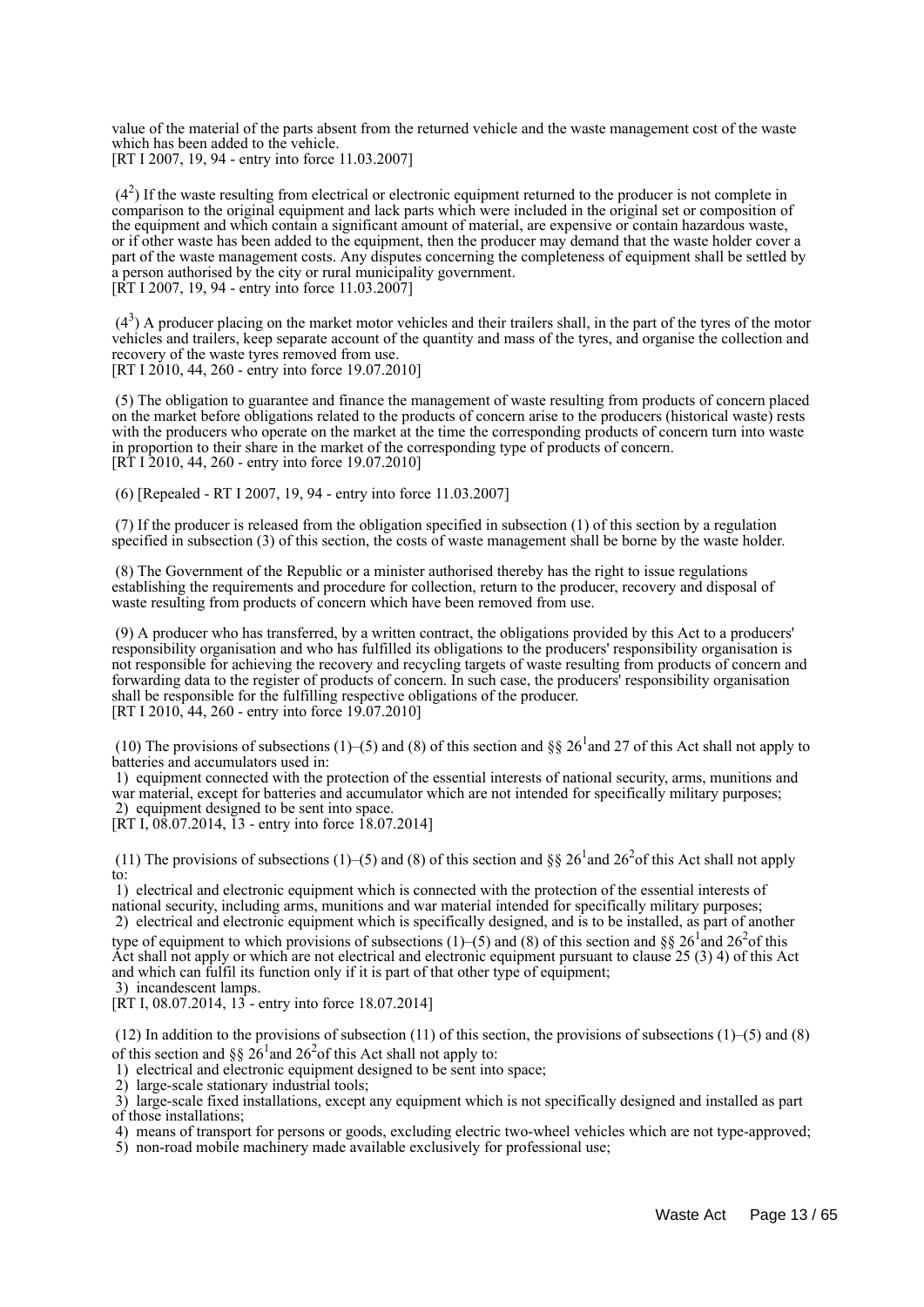value of the material of the parts absent from the returned vehicle and the waste management cost of the waste which has been added to the vehicle. [RT I 2007, 19, 94 - entry into force 11.03.2007]

 $(4<sup>2</sup>)$  If the waste resulting from electrical or electronic equipment returned to the producer is not complete in comparison to the original equipment and lack parts which were included in the original set or composition of the equipment and which contain a significant amount of material, are expensive or contain hazardous waste, or if other waste has been added to the equipment, then the producer may demand that the waste holder cover a part of the waste management costs. Any disputes concerning the completeness of equipment shall be settled by a person authorised by the city or rural municipality government. [RT I 2007, 19, 94 - entry into force 11.03.2007]

 $(4<sup>3</sup>)$  A producer placing on the market motor vehicles and their trailers shall, in the part of the tyres of the motor vehicles and trailers, keep separate account of the quantity and mass of the tyres, and organise the collection and recovery of the waste tyres removed from use. [RT I 2010, 44, 260 - entry into force 19.07.2010]

 (5) The obligation to guarantee and finance the management of waste resulting from products of concern placed on the market before obligations related to the products of concern arise to the producers (historical waste) rests with the producers who operate on the market at the time the corresponding products of concern turn into waste in proportion to their share in the market of the corresponding type of products of concern. [RT I 2010, 44, 260 - entry into force 19.07.2010]

(6) [Repealed - RT I 2007, 19, 94 - entry into force 11.03.2007]

 (7) If the producer is released from the obligation specified in subsection (1) of this section by a regulation specified in subsection (3) of this section, the costs of waste management shall be borne by the waste holder.

 (8) The Government of the Republic or a minister authorised thereby has the right to issue regulations establishing the requirements and procedure for collection, return to the producer, recovery and disposal of waste resulting from products of concern which have been removed from use.

 (9) A producer who has transferred, by a written contract, the obligations provided by this Act to a producers' responsibility organisation and who has fulfilled its obligations to the producers' responsibility organisation is not responsible for achieving the recovery and recycling targets of waste resulting from products of concern and forwarding data to the register of products of concern. In such case, the producers' responsibility organisation shall be responsible for the fulfilling respective obligations of the producer. [RT I 2010, 44, 260 - entry into force 19.07.2010]

(10) The provisions of subsections (1)–(5) and (8) of this section and §§ 26<sup>1</sup> and 27 of this Act shall not apply to batteries and accumulators used in:

 1) equipment connected with the protection of the essential interests of national security, arms, munitions and war material, except for batteries and accumulator which are not intended for specifically military purposes; 2) equipment designed to be sent into space.

[RT I, 08.07.2014, 13 - entry into force 18.07.2014]

(11) The provisions of subsections (1)–(5) and (8) of this section and §§ 26<sup>1</sup> and 26<sup>2</sup> of this Act shall not apply to:

 1) electrical and electronic equipment which is connected with the protection of the essential interests of national security, including arms, munitions and war material intended for specifically military purposes; 2) electrical and electronic equipment which is specifically designed, and is to be installed, as part of another

type of equipment to which provisions of subsections (1)–(5) and (8) of this section and §§ 26<sup>1</sup> and 26<sup>2</sup> of this Act shall not apply or which are not electrical and electronic equipment pursuant to clause 25 (3) 4) of this Act and which can fulfil its function only if it is part of that other type of equipment; 3) incandescent lamps.

 $[\overline{RT} I, 08.07.2014, 13]$  - entry into force 18.07.2014]

(12) In addition to the provisions of subsection (11) of this section, the provisions of subsections  $(1)$ –(5) and (8) of this section and §§ 26<sup>1</sup> and 26<sup>2</sup> of this Act shall not apply to:

1) electrical and electronic equipment designed to be sent into space;

2) large-scale stationary industrial tools;

 3) large-scale fixed installations, except any equipment which is not specifically designed and installed as part of those installations;

4) means of transport for persons or goods, excluding electric two-wheel vehicles which are not type-approved;

5) non-road mobile machinery made available exclusively for professional use;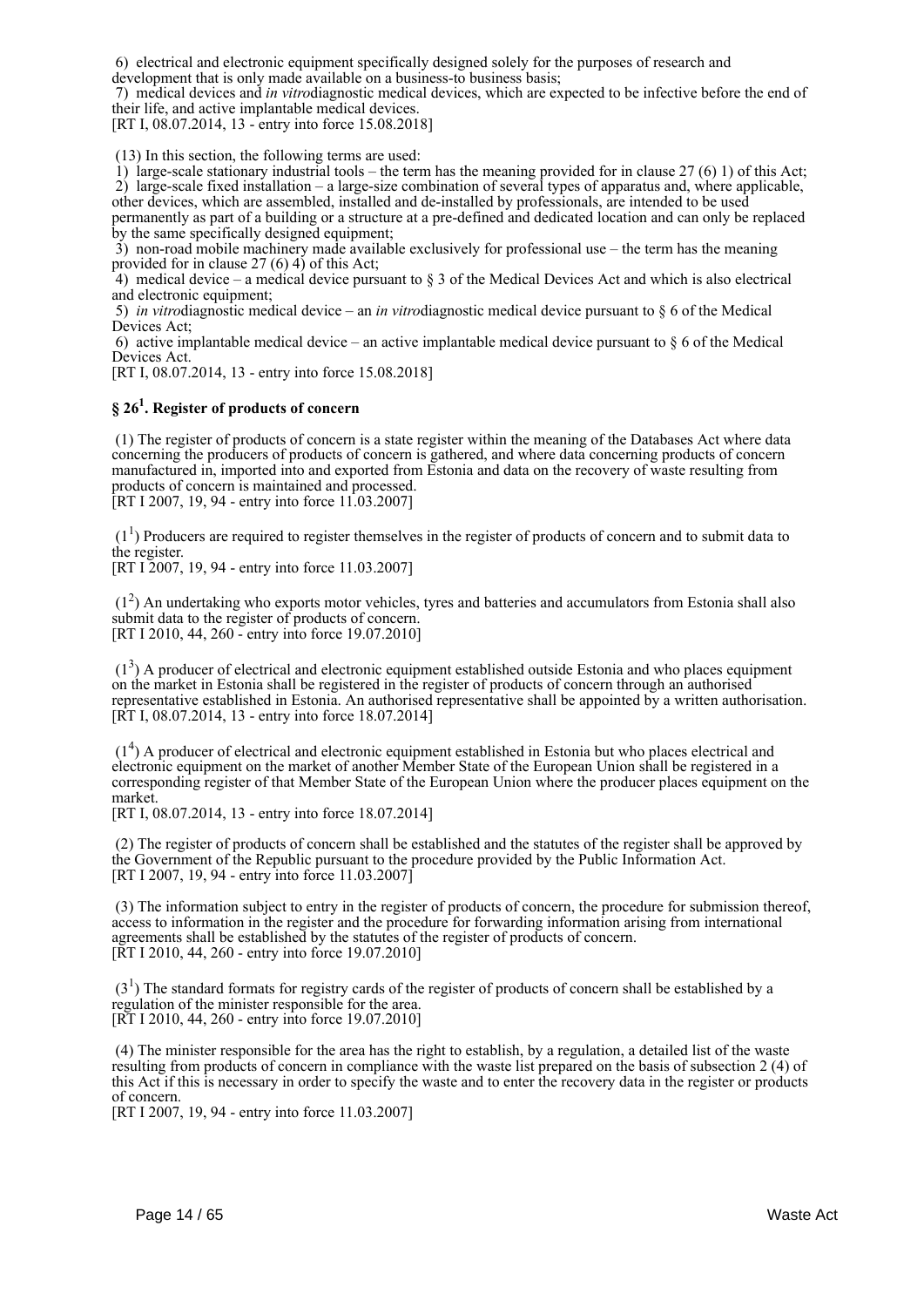6) electrical and electronic equipment specifically designed solely for the purposes of research and development that is only made available on a business-to business basis;

 7) medical devices and *in vitro*diagnostic medical devices, which are expected to be infective before the end of their life, and active implantable medical devices.

[RT I, 08.07.2014, 13 - entry into force 15.08.2018]

(13) In this section, the following terms are used:

1) large-scale stationary industrial tools – the term has the meaning provided for in clause 27 (6) 1) of this Act: 2) large-scale fixed installation – a large-size combination of several types of apparatus and, where applicable, other devices, which are assembled, installed and de-installed by professionals, are intended to be used permanently as part of a building or a structure at a pre-defined and dedicated location and can only be replaced

by the same specifically designed equipment; 3) non-road mobile machinery made available exclusively for professional use – the term has the meaning provided for in clause  $27(6)$  4) of this Act;

4) medical device – a medical device pursuant to  $\S$  3 of the Medical Devices Act and which is also electrical and electronic equipment;

 5) *in vitro*diagnostic medical device – an *in vitro*diagnostic medical device pursuant to § 6 of the Medical Devices Act;

6) active implantable medical device – an active implantable medical device pursuant to  $\S 6$  of the Medical Devices Act.

[RT I, 08.07.2014, 13 - entry into force 15.08.2018]

## **§ 26<sup>1</sup> . Register of products of concern**

 (1) The register of products of concern is a state register within the meaning of the Databases Act where data concerning the producers of products of concern is gathered, and where data concerning products of concern manufactured in, imported into and exported from Estonia and data on the recovery of waste resulting from products of concern is maintained and processed. [RT I 2007, 19, 94 - entry into force 11.03.2007]

 $(1<sup>1</sup>)$  Producers are required to register themselves in the register of products of concern and to submit data to the register.

[RT I 2007, 19, 94 - entry into force 11.03.2007]

 (1<sup>2</sup> ) An undertaking who exports motor vehicles, tyres and batteries and accumulators from Estonia shall also submit data to the register of products of concern. [RT I 2010, 44, 260 - entry into force 19.07.2010]

 (1<sup>3</sup> ) A producer of electrical and electronic equipment established outside Estonia and who places equipment on the market in Estonia shall be registered in the register of products of concern through an authorised representative established in Estonia. An authorised representative shall be appointed by a written authorisation. [RT I, 08.07.2014, 13 - entry into force 18.07.2014]

 (1<sup>4</sup> ) A producer of electrical and electronic equipment established in Estonia but who places electrical and electronic equipment on the market of another Member State of the European Union shall be registered in a corresponding register of that Member State of the European Union where the producer places equipment on the market.

[RT I, 08.07.2014, 13 - entry into force 18.07.2014]

 (2) The register of products of concern shall be established and the statutes of the register shall be approved by the Government of the Republic pursuant to the procedure provided by the Public Information Act. [RT I 2007, 19, 94 - entry into force 11.03.2007]

 (3) The information subject to entry in the register of products of concern, the procedure for submission thereof, access to information in the register and the procedure for forwarding information arising from international agreements shall be established by the statutes of the register of products of concern. [RT I 2010, 44, 260 - entry into force 19.07.2010]

 $(3<sup>1</sup>)$  The standard formats for registry cards of the register of products of concern shall be established by a regulation of the minister responsible for the area. [RT I 2010, 44, 260 - entry into force 19.07.2010]

 (4) The minister responsible for the area has the right to establish, by a regulation, a detailed list of the waste resulting from products of concern in compliance with the waste list prepared on the basis of subsection 2 (4) of this Act if this is necessary in order to specify the waste and to enter the recovery data in the register or products of concern.

[RT I 2007, 19, 94 - entry into force 11.03.2007]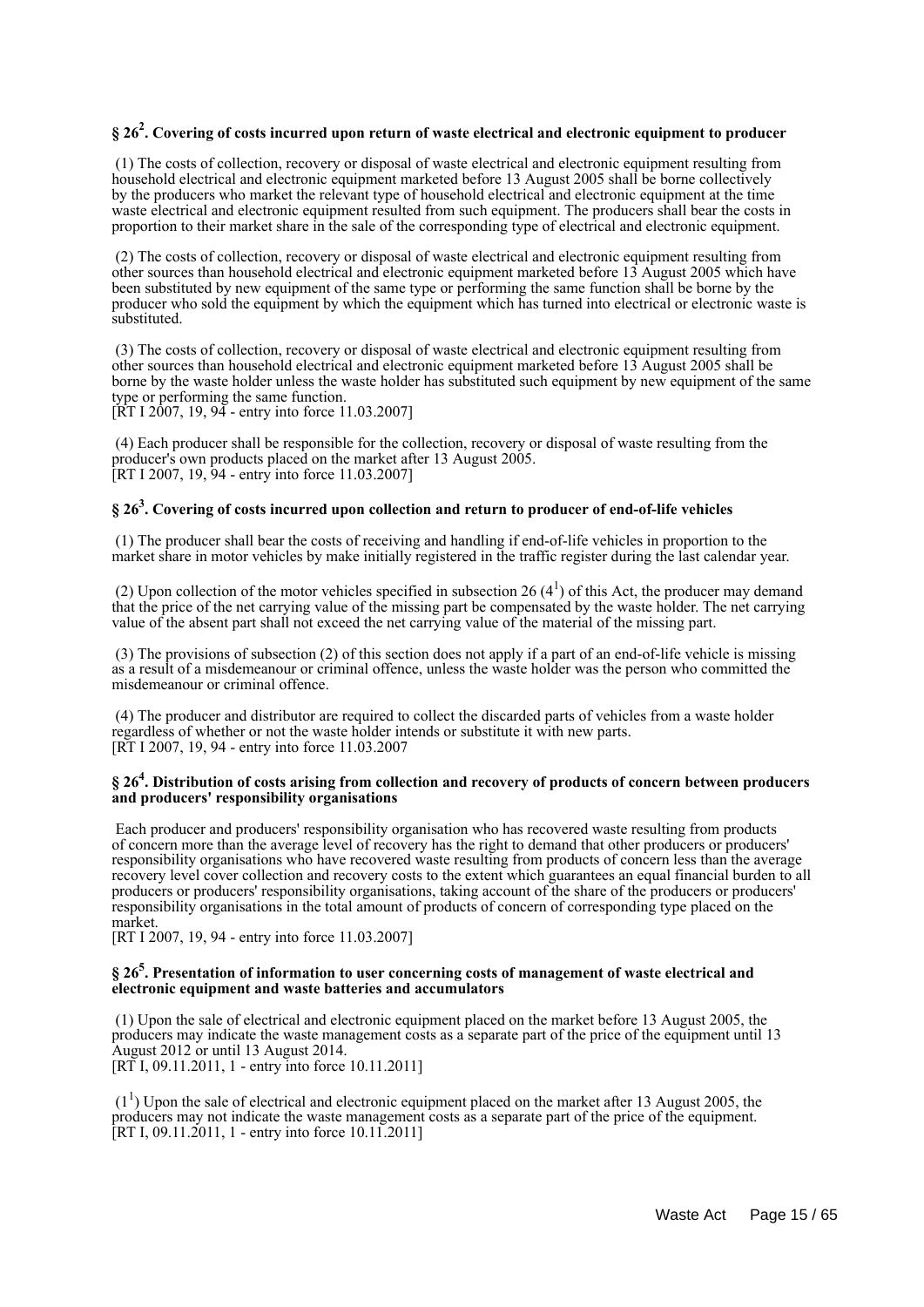## **§ 26<sup>2</sup> . Covering of costs incurred upon return of waste electrical and electronic equipment to producer**

 (1) The costs of collection, recovery or disposal of waste electrical and electronic equipment resulting from household electrical and electronic equipment marketed before 13 August 2005 shall be borne collectively by the producers who market the relevant type of household electrical and electronic equipment at the time waste electrical and electronic equipment resulted from such equipment. The producers shall bear the costs in proportion to their market share in the sale of the corresponding type of electrical and electronic equipment.

 (2) The costs of collection, recovery or disposal of waste electrical and electronic equipment resulting from other sources than household electrical and electronic equipment marketed before 13 August 2005 which have been substituted by new equipment of the same type or performing the same function shall be borne by the producer who sold the equipment by which the equipment which has turned into electrical or electronic waste is substituted.

 (3) The costs of collection, recovery or disposal of waste electrical and electronic equipment resulting from other sources than household electrical and electronic equipment marketed before 13 August 2005 shall be borne by the waste holder unless the waste holder has substituted such equipment by new equipment of the same type or performing the same function.

[RT I 2007, 19, 94 - entry into force 11.03.2007]

 (4) Each producer shall be responsible for the collection, recovery or disposal of waste resulting from the producer's own products placed on the market after 13 August 2005. [RT I 2007, 19, 94 - entry into force 11.03.2007]

## **§ 26<sup>3</sup> . Covering of costs incurred upon collection and return to producer of end-of-life vehicles**

 (1) The producer shall bear the costs of receiving and handling if end-of-life vehicles in proportion to the market share in motor vehicles by make initially registered in the traffic register during the last calendar year.

(2) Upon collection of the motor vehicles specified in subsection 26  $(4<sup>1</sup>)$  of this Act, the producer may demand that the price of the net carrying value of the missing part be compensated by the waste holder. The net carrying value of the absent part shall not exceed the net carrying value of the material of the missing part.

 (3) The provisions of subsection (2) of this section does not apply if a part of an end-of-life vehicle is missing as a result of a misdemeanour or criminal offence, unless the waste holder was the person who committed the misdemeanour or criminal offence.

 (4) The producer and distributor are required to collect the discarded parts of vehicles from a waste holder regardless of whether or not the waste holder intends or substitute it with new parts. [RT I 2007, 19, 94 - entry into force 11.03.2007

#### **§ 26<sup>4</sup> . Distribution of costs arising from collection and recovery of products of concern between producers and producers' responsibility organisations**

 Each producer and producers' responsibility organisation who has recovered waste resulting from products of concern more than the average level of recovery has the right to demand that other producers or producers' responsibility organisations who have recovered waste resulting from products of concern less than the average recovery level cover collection and recovery costs to the extent which guarantees an equal financial burden to all producers or producers' responsibility organisations, taking account of the share of the producers or producers' responsibility organisations in the total amount of products of concern of corresponding type placed on the market.

[RT I 2007, 19, 94 - entry into force 11.03.2007]

#### **§ 26<sup>5</sup> . Presentation of information to user concerning costs of management of waste electrical and electronic equipment and waste batteries and accumulators**

 (1) Upon the sale of electrical and electronic equipment placed on the market before 13 August 2005, the producers may indicate the waste management costs as a separate part of the price of the equipment until 13 August 2012 or until 13 August 2014. [RT I, 09.11.2011, 1 - entry into force 10.11.2011]

 $(1<sup>1</sup>)$  Upon the sale of electrical and electronic equipment placed on the market after 13 August 2005, the producers may not indicate the waste management costs as a separate part of the price of the equipment. [RT I, 09.11.2011, 1 - entry into force 10.11.2011]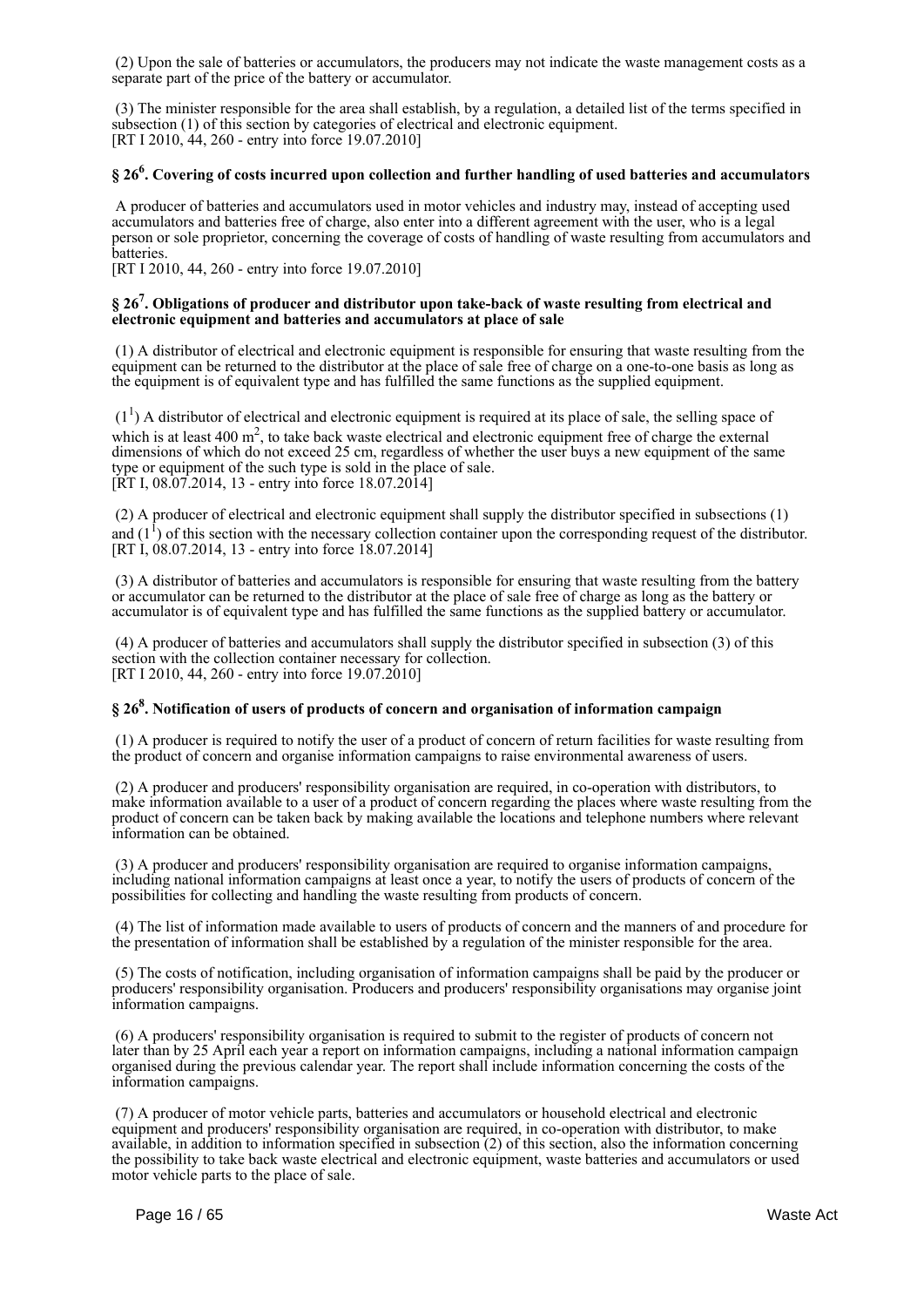(2) Upon the sale of batteries or accumulators, the producers may not indicate the waste management costs as a separate part of the price of the battery or accumulator.

 (3) The minister responsible for the area shall establish, by a regulation, a detailed list of the terms specified in subsection (1) of this section by categories of electrical and electronic equipment. [RT I 2010, 44, 260 - entry into force 19.07.2010]

## **§ 26<sup>6</sup> . Covering of costs incurred upon collection and further handling of used batteries and accumulators**

 A producer of batteries and accumulators used in motor vehicles and industry may, instead of accepting used accumulators and batteries free of charge, also enter into a different agreement with the user, who is a legal person or sole proprietor, concerning the coverage of costs of handling of waste resulting from accumulators and batteries.

[RT I 2010, 44, 260 - entry into force 19.07.2010]

#### **§ 26<sup>7</sup> . Obligations of producer and distributor upon take-back of waste resulting from electrical and electronic equipment and batteries and accumulators at place of sale**

 (1) A distributor of electrical and electronic equipment is responsible for ensuring that waste resulting from the equipment can be returned to the distributor at the place of sale free of charge on a one-to-one basis as long as the equipment is of equivalent type and has fulfilled the same functions as the supplied equipment.

 $(1<sup>1</sup>)$  A distributor of electrical and electronic equipment is required at its place of sale, the selling space of which is at least 400  $m^2$ , to take back waste electrical and electronic equipment free of charge the external dimensions of which do not exceed 25 cm, regardless of whether the user buys a new equipment of the same type or equipment of the such type is sold in the place of sale.  $[\hat{R}T I, 08.07.2014, 13 - entry into force 18.07.2014]$ 

 (2) A producer of electrical and electronic equipment shall supply the distributor specified in subsections (1) and  $(1^1)$  of this section with the necessary collection container upon the corresponding request of the distributor. [RT I, 08.07.2014, 13 - entry into force 18.07.2014]

 (3) A distributor of batteries and accumulators is responsible for ensuring that waste resulting from the battery or accumulator can be returned to the distributor at the place of sale free of charge as long as the battery or accumulator is of equivalent type and has fulfilled the same functions as the supplied battery or accumulator.

 (4) A producer of batteries and accumulators shall supply the distributor specified in subsection (3) of this section with the collection container necessary for collection. [RT I 2010, 44, 260 - entry into force 19.07.2010]

## **§ 26<sup>8</sup> . Notification of users of products of concern and organisation of information campaign**

 (1) A producer is required to notify the user of a product of concern of return facilities for waste resulting from the product of concern and organise information campaigns to raise environmental awareness of users.

 (2) A producer and producers' responsibility organisation are required, in co-operation with distributors, to make information available to a user of a product of concern regarding the places where waste resulting from the product of concern can be taken back by making available the locations and telephone numbers where relevant information can be obtained.

 (3) A producer and producers' responsibility organisation are required to organise information campaigns, including national information campaigns at least once a year, to notify the users of products of concern of the possibilities for collecting and handling the waste resulting from products of concern.

 (4) The list of information made available to users of products of concern and the manners of and procedure for the presentation of information shall be established by a regulation of the minister responsible for the area.

 (5) The costs of notification, including organisation of information campaigns shall be paid by the producer or producers' responsibility organisation. Producers and producers' responsibility organisations may organise joint information campaigns.

 (6) A producers' responsibility organisation is required to submit to the register of products of concern not later than by 25 April each year a report on information campaigns, including a national information campaign organised during the previous calendar year. The report shall include information concerning the costs of the information campaigns.

 (7) A producer of motor vehicle parts, batteries and accumulators or household electrical and electronic equipment and producers' responsibility organisation are required, in co-operation with distributor, to make available, in addition to information specified in subsection (2) of this section, also the information concerning the possibility to take back waste electrical and electronic equipment, waste batteries and accumulators or used motor vehicle parts to the place of sale.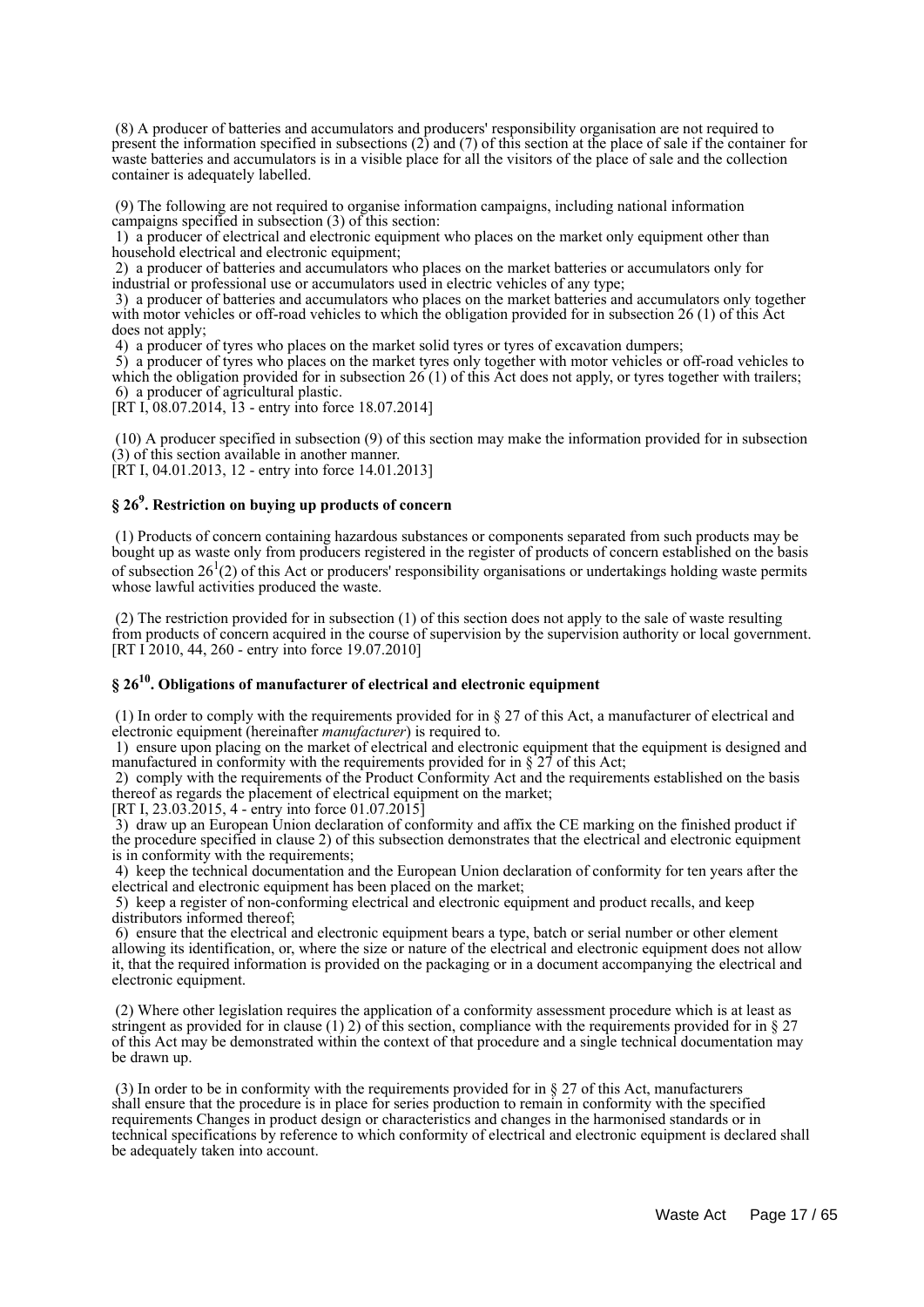(8) A producer of batteries and accumulators and producers' responsibility organisation are not required to present the information specified in subsections (2) and (7) of this section at the place of sale if the container for waste batteries and accumulators is in a visible place for all the visitors of the place of sale and the collection container is adequately labelled.

 (9) The following are not required to organise information campaigns, including national information campaigns specified in subsection (3) of this section:

 1) a producer of electrical and electronic equipment who places on the market only equipment other than household electrical and electronic equipment;

 2) a producer of batteries and accumulators who places on the market batteries or accumulators only for industrial or professional use or accumulators used in electric vehicles of any type;

 3) a producer of batteries and accumulators who places on the market batteries and accumulators only together with motor vehicles or off-road vehicles to which the obligation provided for in subsection 26 (1) of this Act does not apply;

4) a producer of tyres who places on the market solid tyres or tyres of excavation dumpers;

 5) a producer of tyres who places on the market tyres only together with motor vehicles or off-road vehicles to which the obligation provided for in subsection  $26(1)$  of this Act does not apply, or tyres together with trailers; 6) a producer of agricultural plastic.

 $[\hat{R}T \hat{I}]$ , 08.07.2014,  $\hat{I}$ 3 - entry into force 18.07.2014]

 (10) A producer specified in subsection (9) of this section may make the information provided for in subsection (3) of this section available in another manner. [RT I, 04.01.2013, 12 - entry into force 14.01.2013]

## **§ 26<sup>9</sup> . Restriction on buying up products of concern**

 (1) Products of concern containing hazardous substances or components separated from such products may be bought up as waste only from producers registered in the register of products of concern established on the basis of subsection  $26<sup>1</sup>(2)$  of this Act or producers' responsibility organisations or undertakings holding waste permits whose lawful activities produced the waste.

 (2) The restriction provided for in subsection (1) of this section does not apply to the sale of waste resulting from products of concern acquired in the course of supervision by the supervision authority or local government. [RT I 2010, 44, 260 - entry into force 19.07.2010]

## **§ 26<sup>10</sup> . Obligations of manufacturer of electrical and electronic equipment**

 (1) In order to comply with the requirements provided for in § 27 of this Act, a manufacturer of electrical and electronic equipment (hereinafter *manufacturer*) is required to.

 1) ensure upon placing on the market of electrical and electronic equipment that the equipment is designed and manufactured in conformity with the requirements provided for in  $\S 27$  of this Act;

 2) comply with the requirements of the Product Conformity Act and the requirements established on the basis thereof as regards the placement of electrical equipment on the market;

[RT I, 23.03.2015, 4 - entry into force 01.07.2015]

 3) draw up an European Union declaration of conformity and affix the CE marking on the finished product if the procedure specified in clause 2) of this subsection demonstrates that the electrical and electronic equipment is in conformity with the requirements;

 4) keep the technical documentation and the European Union declaration of conformity for ten years after the electrical and electronic equipment has been placed on the market;

 5) keep a register of non-conforming electrical and electronic equipment and product recalls, and keep distributors informed thereof;

 6) ensure that the electrical and electronic equipment bears a type, batch or serial number or other element allowing its identification, or, where the size or nature of the electrical and electronic equipment does not allow it, that the required information is provided on the packaging or in a document accompanying the electrical and electronic equipment.

 (2) Where other legislation requires the application of a conformity assessment procedure which is at least as stringent as provided for in clause (1) 2) of this section, compliance with the requirements provided for in  $\S 27$ of this Act may be demonstrated within the context of that procedure and a single technical documentation may be drawn up.

 (3) In order to be in conformity with the requirements provided for in § 27 of this Act, manufacturers shall ensure that the procedure is in place for series production to remain in conformity with the specified requirements Changes in product design or characteristics and changes in the harmonised standards or in technical specifications by reference to which conformity of electrical and electronic equipment is declared shall be adequately taken into account.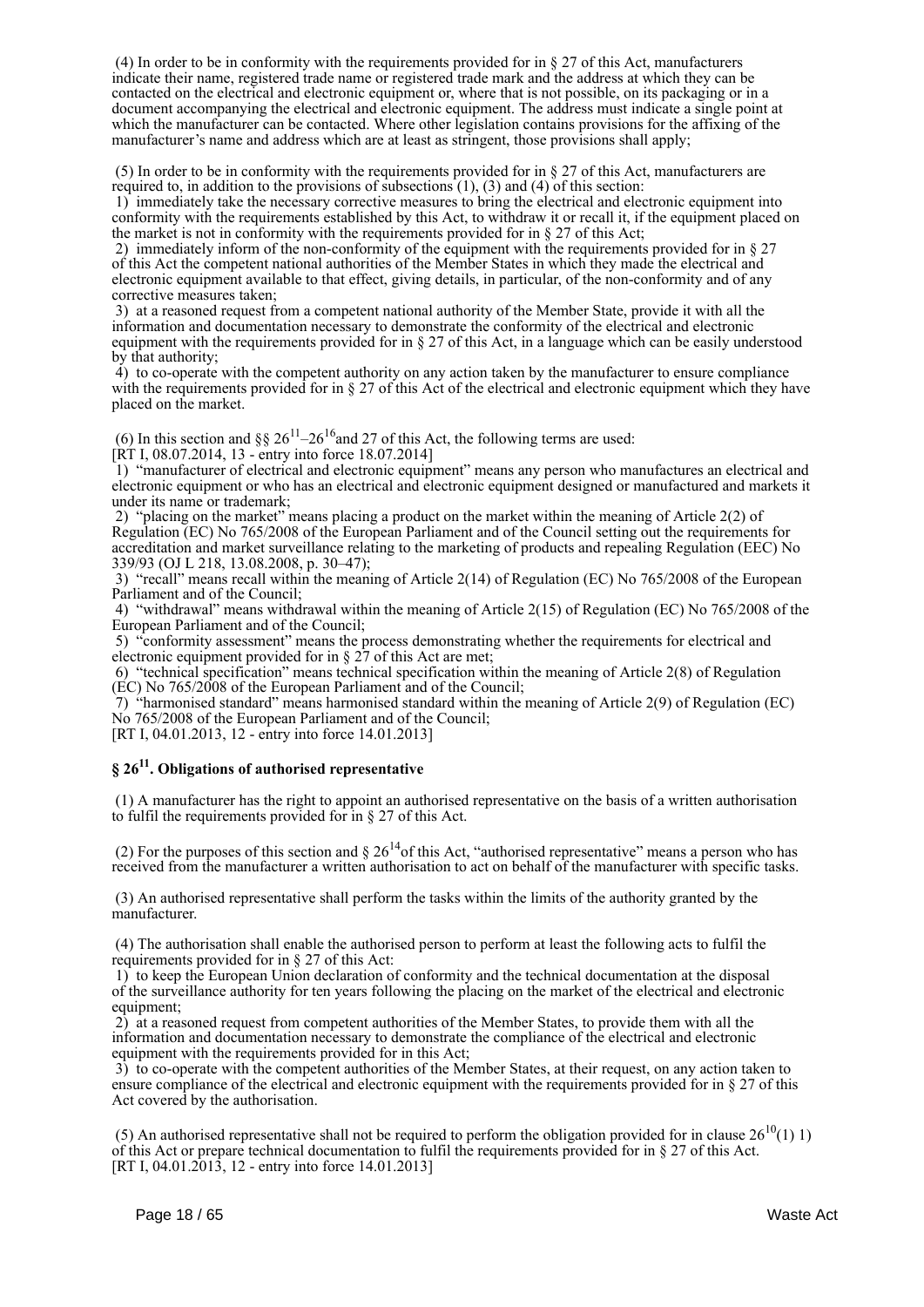(4) In order to be in conformity with the requirements provided for in § 27 of this Act, manufacturers indicate their name, registered trade name or registered trade mark and the address at which they can be contacted on the electrical and electronic equipment or, where that is not possible, on its packaging or in a document accompanying the electrical and electronic equipment. The address must indicate a single point at which the manufacturer can be contacted. Where other legislation contains provisions for the affixing of the manufacturer's name and address which are at least as stringent, those provisions shall apply;

 (5) In order to be in conformity with the requirements provided for in § 27 of this Act, manufacturers are required to, in addition to the provisions of subsections  $(1)$ ,  $(3)$  and  $(4)$  of this section:

 1) immediately take the necessary corrective measures to bring the electrical and electronic equipment into conformity with the requirements established by this Act, to withdraw it or recall it, if the equipment placed on the market is not in conformity with the requirements provided for in § 27 of this Act;

 2) immediately inform of the non-conformity of the equipment with the requirements provided for in § 27 of this Act the competent national authorities of the Member States in which they made the electrical and electronic equipment available to that effect, giving details, in particular, of the non-conformity and of any corrective measures taken;

 3) at a reasoned request from a competent national authority of the Member State, provide it with all the information and documentation necessary to demonstrate the conformity of the electrical and electronic equipment with the requirements provided for in § 27 of this Act, in a language which can be easily understood by that authority;

 4) to co-operate with the competent authority on any action taken by the manufacturer to ensure compliance with the requirements provided for in § 27 of this Act of the electrical and electronic equipment which they have placed on the market.

(6) In this section and §§  $26^{11}$ – $26^{16}$  and 27 of this Act, the following terms are used: [RT I, 08.07.2014, 13 - entry into force 18.07.2014]

 1) "manufacturer of electrical and electronic equipment" means any person who manufactures an electrical and electronic equipment or who has an electrical and electronic equipment designed or manufactured and markets it under its name or trademark;

 2) "placing on the market" means placing a product on the market within the meaning of Article 2(2) of Regulation (EC) No 765/2008 of the European Parliament and of the Council setting out the requirements for accreditation and market surveillance relating to the marketing of products and repealing Regulation (EEC) No 339/93 (OJ L 218, 13.08.2008, p. 30–47);

 3) "recall" means recall within the meaning of Article 2(14) of Regulation (EC) No 765/2008 of the European Parliament and of the Council;

 4) "withdrawal" means withdrawal within the meaning of Article 2(15) of Regulation (EC) No 765/2008 of the European Parliament and of the Council;

 5) "conformity assessment" means the process demonstrating whether the requirements for electrical and electronic equipment provided for in § 27 of this Act are met;

 6) "technical specification" means technical specification within the meaning of Article 2(8) of Regulation (EC) No 765/2008 of the European Parliament and of the Council;

 $7)$  "harmonised standard" means harmonised standard within the meaning of Article 2(9) of Regulation (EC) No 765/2008 of the European Parliament and of the Council;

[RT I, 04.01.2013, 12 - entry into force 14.01.2013]

## **§ 26<sup>11</sup> . Obligations of authorised representative**

 (1) A manufacturer has the right to appoint an authorised representative on the basis of a written authorisation to fulfil the requirements provided for in § 27 of this Act.

(2) For the purposes of this section and  $\S 26^{14}$  of this Act, "authorised representative" means a person who has received from the manufacturer a written authorisation to act on behalf of the manufacturer with specific tasks.

 (3) An authorised representative shall perform the tasks within the limits of the authority granted by the manufacturer.

 (4) The authorisation shall enable the authorised person to perform at least the following acts to fulfil the requirements provided for in § 27 of this Act:

 1) to keep the European Union declaration of conformity and the technical documentation at the disposal of the surveillance authority for ten years following the placing on the market of the electrical and electronic equipment:

 2) at a reasoned request from competent authorities of the Member States, to provide them with all the information and documentation necessary to demonstrate the compliance of the electrical and electronic equipment with the requirements provided for in this Act;

 3) to co-operate with the competent authorities of the Member States, at their request, on any action taken to ensure compliance of the electrical and electronic equipment with the requirements provided for in § 27 of this Act covered by the authorisation.

(5) An authorised representative shall not be required to perform the obligation provided for in clause  $26^{10}(1)$  1) of this Act or prepare technical documentation to fulfil the requirements provided for in § 27 of this Act. [RT I, 04.01.2013, 12 - entry into force 14.01.2013]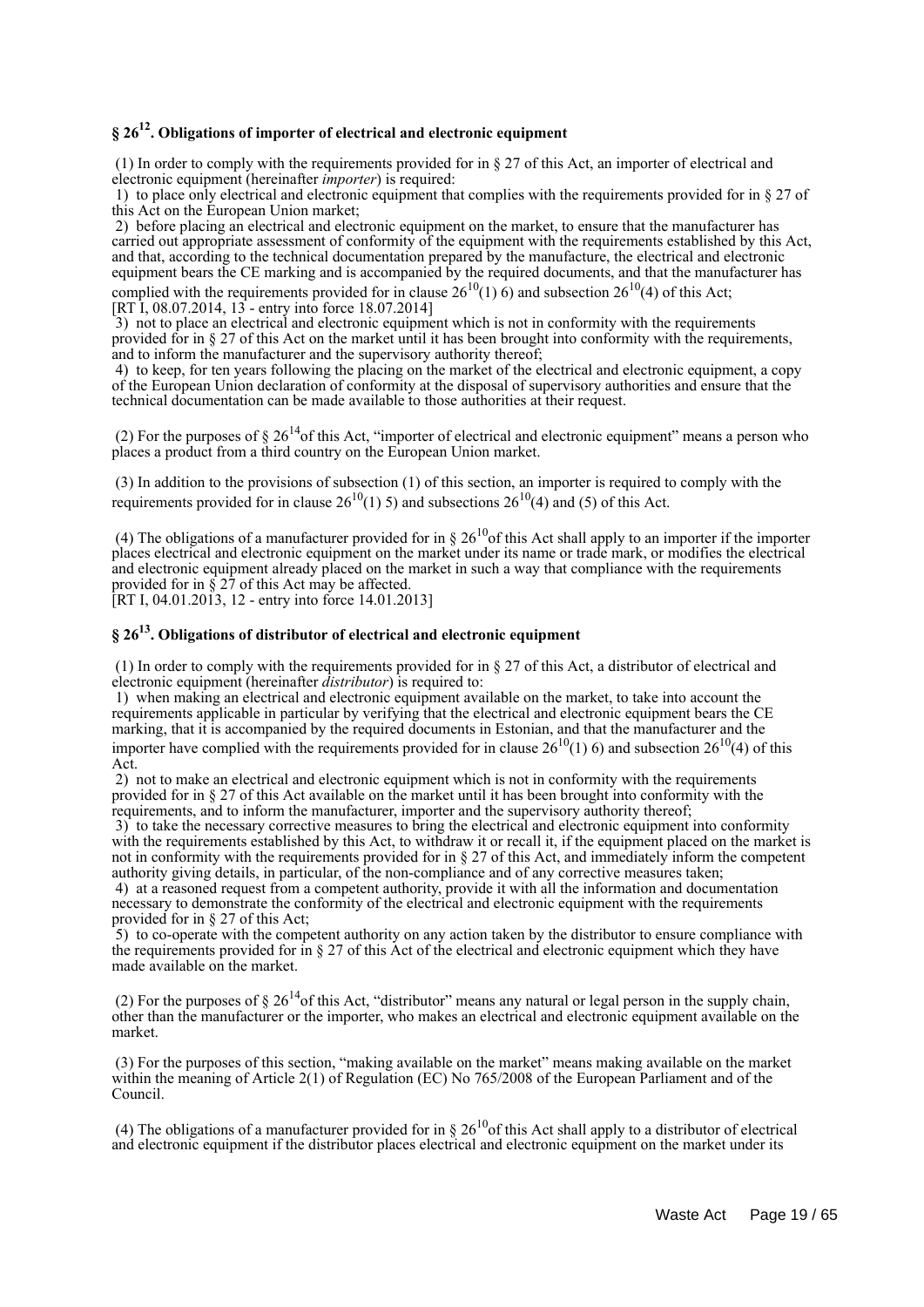## **§ 26<sup>12</sup> . Obligations of importer of electrical and electronic equipment**

 (1) In order to comply with the requirements provided for in § 27 of this Act, an importer of electrical and electronic equipment (hereinafter *importer*) is required:

 1) to place only electrical and electronic equipment that complies with the requirements provided for in § 27 of this Act on the European Union market;

2) before placing an electrical and electronic equipment on the market, to ensure that the manufacturer has carried out appropriate assessment of conformity of the equipment with the requirements established by this Act, and that, according to the technical documentation prepared by the manufacture, the electrical and electronic equipment bears the CE marking and is accompanied by the required documents, and that the manufacturer has complied with the requirements provided for in clause  $26^{10}(1)$  6) and subsection  $26^{10}(4)$  of this Act: [RT I, 08.07.2014, 13 - entry into force 18.07.2014]

 3) not to place an electrical and electronic equipment which is not in conformity with the requirements provided for in § 27 of this Act on the market until it has been brought into conformity with the requirements, and to inform the manufacturer and the supervisory authority thereof;

 4) to keep, for ten years following the placing on the market of the electrical and electronic equipment, a copy of the European Union declaration of conformity at the disposal of supervisory authorities and ensure that the technical documentation can be made available to those authorities at their request.

(2) For the purposes of  $\S 26^{14}$ of this Act, "importer of electrical and electronic equipment" means a person who places a product from a third country on the European Union market.

 (3) In addition to the provisions of subsection (1) of this section, an importer is required to comply with the requirements provided for in clause  $26^{10}(1)$  5) and subsections  $26^{10}(4)$  and (5) of this Act.

(4) The obligations of a manufacturer provided for in §  $26^{10}$  of this Act shall apply to an importer if the importer places electrical and electronic equipment on the market under its name or trade mark, or modifies the electrical and electronic equipment already placed on the market in such a way that compliance with the requirements provided for in § 27 of this Act may be affected.

[RT I, 04.01.2013, 12 - entry into force 14.01.2013]

## **§ 26<sup>13</sup> . Obligations of distributor of electrical and electronic equipment**

 (1) In order to comply with the requirements provided for in § 27 of this Act, a distributor of electrical and electronic equipment (hereinafter *distributor*) is required to:

 1) when making an electrical and electronic equipment available on the market, to take into account the requirements applicable in particular by verifying that the electrical and electronic equipment bears the CE marking, that it is accompanied by the required documents in Estonian, and that the manufacturer and the importer have complied with the requirements provided for in clause  $26^{10}(1)$  6) and subsection  $26^{10}(4)$  of this Act.

 2) not to make an electrical and electronic equipment which is not in conformity with the requirements provided for in § 27 of this Act available on the market until it has been brought into conformity with the requirements, and to inform the manufacturer, importer and the supervisory authority thereof;

 3) to take the necessary corrective measures to bring the electrical and electronic equipment into conformity with the requirements established by this Act, to withdraw it or recall it, if the equipment placed on the market is not in conformity with the requirements provided for in § 27 of this Act, and immediately inform the competent authority giving details, in particular, of the non-compliance and of any corrective measures taken;

 4) at a reasoned request from a competent authority, provide it with all the information and documentation necessary to demonstrate the conformity of the electrical and electronic equipment with the requirements provided for in § 27 of this Act;

 5) to co-operate with the competent authority on any action taken by the distributor to ensure compliance with the requirements provided for in  $\S 27$  of this Act of the electrical and electronic equipment which they have made available on the market.

(2) For the purposes of  $\S 26^{14}$ of this Act, "distributor" means any natural or legal person in the supply chain, other than the manufacturer or the importer, who makes an electrical and electronic equipment available on the market.

 (3) For the purposes of this section, "making available on the market" means making available on the market within the meaning of Article 2(1) of Regulation (EC) No 765/2008 of the European Parliament and of the Council.

(4) The obligations of a manufacturer provided for in §  $26^{10}$  of this Act shall apply to a distributor of electrical and electronic equipment if the distributor places electrical and electronic equipment on the market under its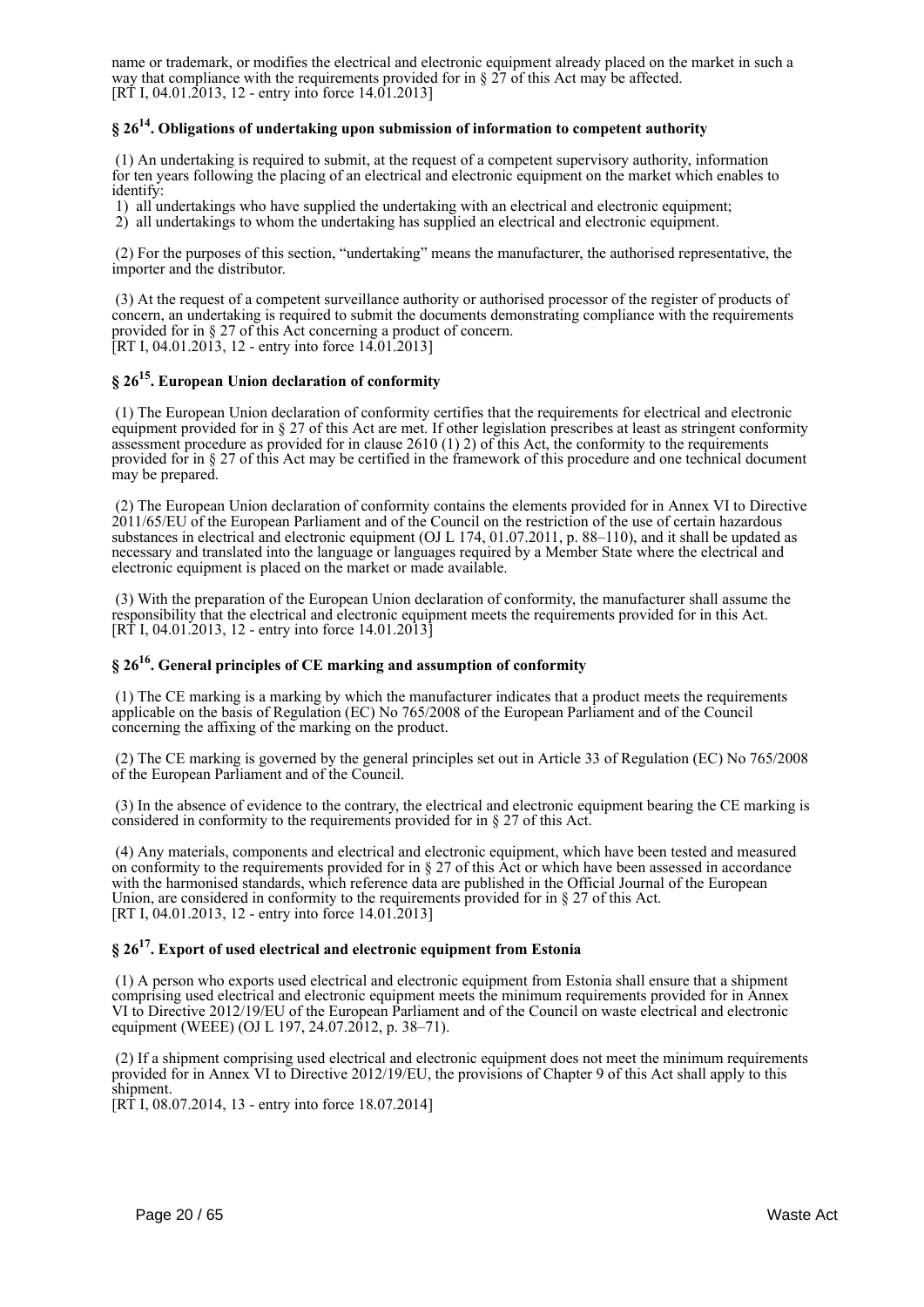name or trademark, or modifies the electrical and electronic equipment already placed on the market in such a way that compliance with the requirements provided for in  $\S 27$  of this Act may be affected. [RT I, 04.01.2013, 12 - entry into force 14.01.2013]

## **§ 26<sup>14</sup> . Obligations of undertaking upon submission of information to competent authority**

 (1) An undertaking is required to submit, at the request of a competent supervisory authority, information for ten years following the placing of an electrical and electronic equipment on the market which enables to identify:

1) all undertakings who have supplied the undertaking with an electrical and electronic equipment;

2) all undertakings to whom the undertaking has supplied an electrical and electronic equipment.

 (2) For the purposes of this section, "undertaking" means the manufacturer, the authorised representative, the importer and the distributor.

 (3) At the request of a competent surveillance authority or authorised processor of the register of products of concern, an undertaking is required to submit the documents demonstrating compliance with the requirements provided for in § 27 of this Act concerning a product of concern. [RT I, 04.01.2013, 12 - entry into force  $14.01.2013$ ]

## **§ 26<sup>15</sup> . European Union declaration of conformity**

 (1) The European Union declaration of conformity certifies that the requirements for electrical and electronic equipment provided for in § 27 of this Act are met. If other legislation prescribes at least as stringent conformity assessment procedure as provided for in clause  $2610 (1) 2$ ) of this Act, the conformity to the requirements provided for in § 27 of this Act may be certified in the framework of this procedure and one technical document may be prepared.

 (2) The European Union declaration of conformity contains the elements provided for in Annex VI to Directive 2011/65/EU of the European Parliament and of the Council on the restriction of the use of certain hazardous substances in electrical and electronic equipment (OJ L 174, 01.07.2011, p. 88–110), and it shall be updated as necessary and translated into the language or languages required by a Member State where the electrical and electronic equipment is placed on the market or made available.

 (3) With the preparation of the European Union declaration of conformity, the manufacturer shall assume the responsibility that the electrical and electronic equipment meets the requirements provided for in this Act. [RT I, 04.01.2013, 12 - entry into force 14.01.2013]

## **§ 26<sup>16</sup> . General principles of CE marking and assumption of conformity**

 (1) The CE marking is a marking by which the manufacturer indicates that a product meets the requirements applicable on the basis of Regulation (EC) No 765/2008 of the European Parliament and of the Council concerning the affixing of the marking on the product.

 (2) The CE marking is governed by the general principles set out in Article 33 of Regulation (EC) No 765/2008 of the European Parliament and of the Council.

 (3) In the absence of evidence to the contrary, the electrical and electronic equipment bearing the CE marking is considered in conformity to the requirements provided for in § 27 of this Act.

 (4) Any materials, components and electrical and electronic equipment, which have been tested and measured on conformity to the requirements provided for in  $\S 27$  of this Act or which have been assessed in accordance with the harmonised standards, which reference data are published in the Official Journal of the European Union, are considered in conformity to the requirements provided for in § 27 of this Act. [RT I, 04.01.2013, 12 - entry into force 14.01.2013]

## **§ 26<sup>17</sup> . Export of used electrical and electronic equipment from Estonia**

 (1) A person who exports used electrical and electronic equipment from Estonia shall ensure that a shipment comprising used electrical and electronic equipment meets the minimum requirements provided for in Annex VI to Directive 2012/19/EU of the European Parliament and of the Council on waste electrical and electronic equipment (WEEE) (OJ L 197, 24.07.2012, p. 38–71).

 (2) If a shipment comprising used electrical and electronic equipment does not meet the minimum requirements provided for in Annex VI to Directive 2012/19/EU, the provisions of Chapter 9 of this Act shall apply to this shipment.

[RT I, 08.07.2014, 13 - entry into force 18.07.2014]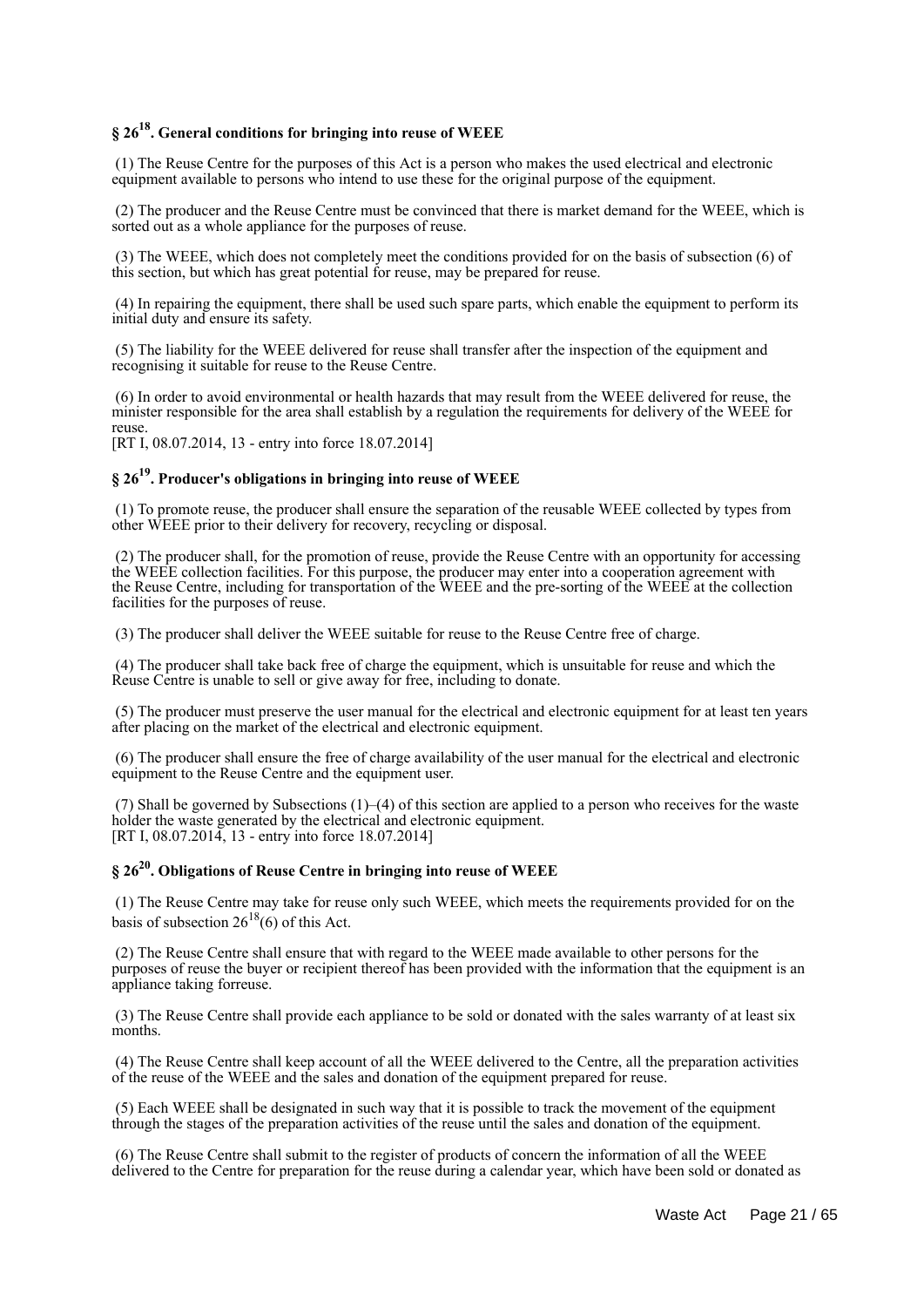## **§ 26<sup>18</sup> . General conditions for bringing into reuse of WEEE**

 (1) The Reuse Centre for the purposes of this Act is a person who makes the used electrical and electronic equipment available to persons who intend to use these for the original purpose of the equipment.

 (2) The producer and the Reuse Centre must be convinced that there is market demand for the WEEE, which is sorted out as a whole appliance for the purposes of reuse.

 (3) The WEEE, which does not completely meet the conditions provided for on the basis of subsection (6) of this section, but which has great potential for reuse, may be prepared for reuse.

 (4) In repairing the equipment, there shall be used such spare parts, which enable the equipment to perform its initial duty and ensure its safety.

 (5) The liability for the WEEE delivered for reuse shall transfer after the inspection of the equipment and recognising it suitable for reuse to the Reuse Centre.

 (6) In order to avoid environmental or health hazards that may result from the WEEE delivered for reuse, the minister responsible for the area shall establish by a regulation the requirements for delivery of the WEEE for reuse.

[RT I, 08.07.2014, 13 - entry into force 18.07.2014]

## **§ 26<sup>19</sup> . Producer's obligations in bringing into reuse of WEEE**

 (1) To promote reuse, the producer shall ensure the separation of the reusable WEEE collected by types from other WEEE prior to their delivery for recovery, recycling or disposal.

 (2) The producer shall, for the promotion of reuse, provide the Reuse Centre with an opportunity for accessing the WEEE collection facilities. For this purpose, the producer may enter into a cooperation agreement with the Reuse Centre, including for transportation of the WEEE and the pre-sorting of the WEEE at the collection facilities for the purposes of reuse.

(3) The producer shall deliver the WEEE suitable for reuse to the Reuse Centre free of charge.

 (4) The producer shall take back free of charge the equipment, which is unsuitable for reuse and which the Reuse Centre is unable to sell or give away for free, including to donate.

 (5) The producer must preserve the user manual for the electrical and electronic equipment for at least ten years after placing on the market of the electrical and electronic equipment.

 (6) The producer shall ensure the free of charge availability of the user manual for the electrical and electronic equipment to the Reuse Centre and the equipment user.

 (7) Shall be governed by Subsections (1)–(4) of this section are applied to a person who receives for the waste holder the waste generated by the electrical and electronic equipment. [RT I, 08.07.2014, 13 - entry into force 18.07.2014]

## **§ 26<sup>20</sup> . Obligations of Reuse Centre in bringing into reuse of WEEE**

 (1) The Reuse Centre may take for reuse only such WEEE, which meets the requirements provided for on the basis of subsection  $26^{18}(6)$  of this Act.

 (2) The Reuse Centre shall ensure that with regard to the WEEE made available to other persons for the purposes of reuse the buyer or recipient thereof has been provided with the information that the equipment is an appliance taking forreuse.

 (3) The Reuse Centre shall provide each appliance to be sold or donated with the sales warranty of at least six months.

 (4) The Reuse Centre shall keep account of all the WEEE delivered to the Centre, all the preparation activities of the reuse of the WEEE and the sales and donation of the equipment prepared for reuse.

 (5) Each WEEE shall be designated in such way that it is possible to track the movement of the equipment through the stages of the preparation activities of the reuse until the sales and donation of the equipment.

 (6) The Reuse Centre shall submit to the register of products of concern the information of all the WEEE delivered to the Centre for preparation for the reuse during a calendar year, which have been sold or donated as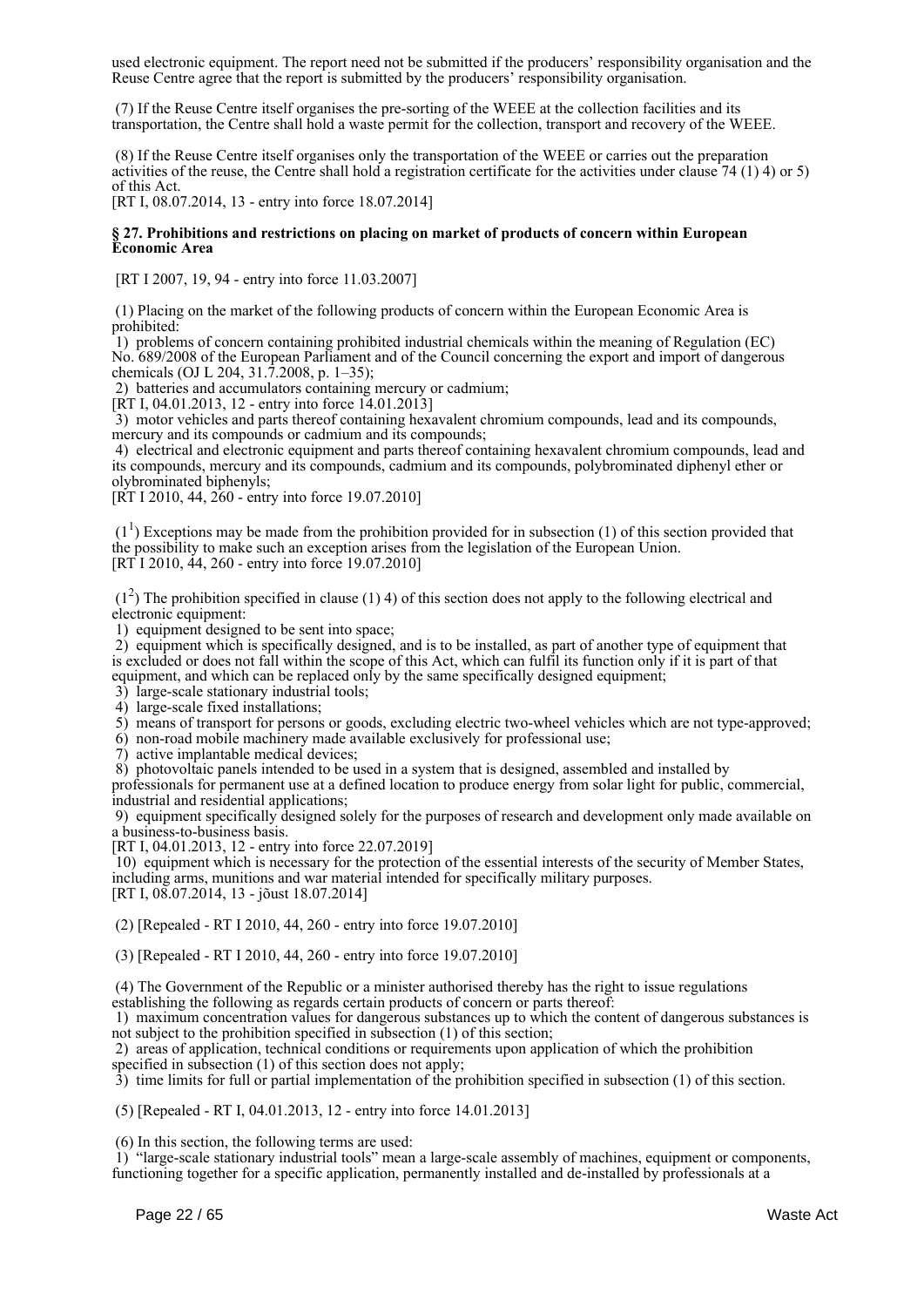used electronic equipment. The report need not be submitted if the producers' responsibility organisation and the Reuse Centre agree that the report is submitted by the producers' responsibility organisation.

 (7) If the Reuse Centre itself organises the pre-sorting of the WEEE at the collection facilities and its transportation, the Centre shall hold a waste permit for the collection, transport and recovery of the WEEE.

 (8) If the Reuse Centre itself organises only the transportation of the WEEE or carries out the preparation activities of the reuse, the Centre shall hold a registration certificate for the activities under clause 74 (1) 4) or 5) of this Act.

[RT I, 08.07.2014, 13 - entry into force 18.07.2014]

#### **§ 27. Prohibitions and restrictions on placing on market of products of concern within European Economic Area**

[RT I 2007, 19, 94 - entry into force 11.03.2007]

 (1) Placing on the market of the following products of concern within the European Economic Area is prohibited:

 1) problems of concern containing prohibited industrial chemicals within the meaning of Regulation (EC) No. 689/2008 of the European Parliament and of the Council concerning the export and import of dangerous chemicals (OJ L 204, 31.7.2008, p. 1–35);

2) batteries and accumulators containing mercury or cadmium;

[RT I, 04.01.2013, 12 - entry into force 14.01.2013]

 3) motor vehicles and parts thereof containing hexavalent chromium compounds, lead and its compounds, mercury and its compounds or cadmium and its compounds;

 4) electrical and electronic equipment and parts thereof containing hexavalent chromium compounds, lead and its compounds, mercury and its compounds, cadmium and its compounds, polybrominated diphenyl ether or olybrominated biphenyls;

[RT I 2010, 44, 260 - entry into force 19.07.2010]

 $(1<sup>1</sup>)$  Exceptions may be made from the prohibition provided for in subsection (1) of this section provided that the possibility to make such an exception arises from the legislation of the European Union. [RT I 2010, 44, 260 - entry into force 19.07.2010]

 $(1<sup>2</sup>)$  The prohibition specified in clause (1) 4) of this section does not apply to the following electrical and electronic equipment:

1) equipment designed to be sent into space;

 2) equipment which is specifically designed, and is to be installed, as part of another type of equipment that is excluded or does not fall within the scope of this Act, which can fulfil its function only if it is part of that equipment, and which can be replaced only by the same specifically designed equipment;

3) large-scale stationary industrial tools;

4) large-scale fixed installations;

5) means of transport for persons or goods, excluding electric two-wheel vehicles which are not type-approved;

6) non-road mobile machinery made available exclusively for professional use;

7) active implantable medical devices;

8) photovoltaic panels intended to be used in a system that is designed, assembled and installed by

professionals for permanent use at a defined location to produce energy from solar light for public, commercial, industrial and residential applications;

 9) equipment specifically designed solely for the purposes of research and development only made available on a business-to-business basis.

[RT I, 04.01.2013, 12 - entry into force 22.07.2019]

 10) equipment which is necessary for the protection of the essential interests of the security of Member States, including arms, munitions and war material intended for specifically military purposes. [RT I, 08.07.2014, 13 - jõust 18.07.2014]

(2) [Repealed - RT I 2010, 44, 260 - entry into force 19.07.2010]

(3) [Repealed - RT I 2010, 44, 260 - entry into force 19.07.2010]

 (4) The Government of the Republic or a minister authorised thereby has the right to issue regulations establishing the following as regards certain products of concern or parts thereof:

 1) maximum concentration values for dangerous substances up to which the content of dangerous substances is not subject to the prohibition specified in subsection (1) of this section;

 2) areas of application, technical conditions or requirements upon application of which the prohibition specified in subsection (1) of this section does not apply;

3) time limits for full or partial implementation of the prohibition specified in subsection (1) of this section.

(5) [Repealed - RT I, 04.01.2013, 12 - entry into force 14.01.2013]

(6) In this section, the following terms are used:

 1) "large-scale stationary industrial tools" mean a large-scale assembly of machines, equipment or components, functioning together for a specific application, permanently installed and de-installed by professionals at a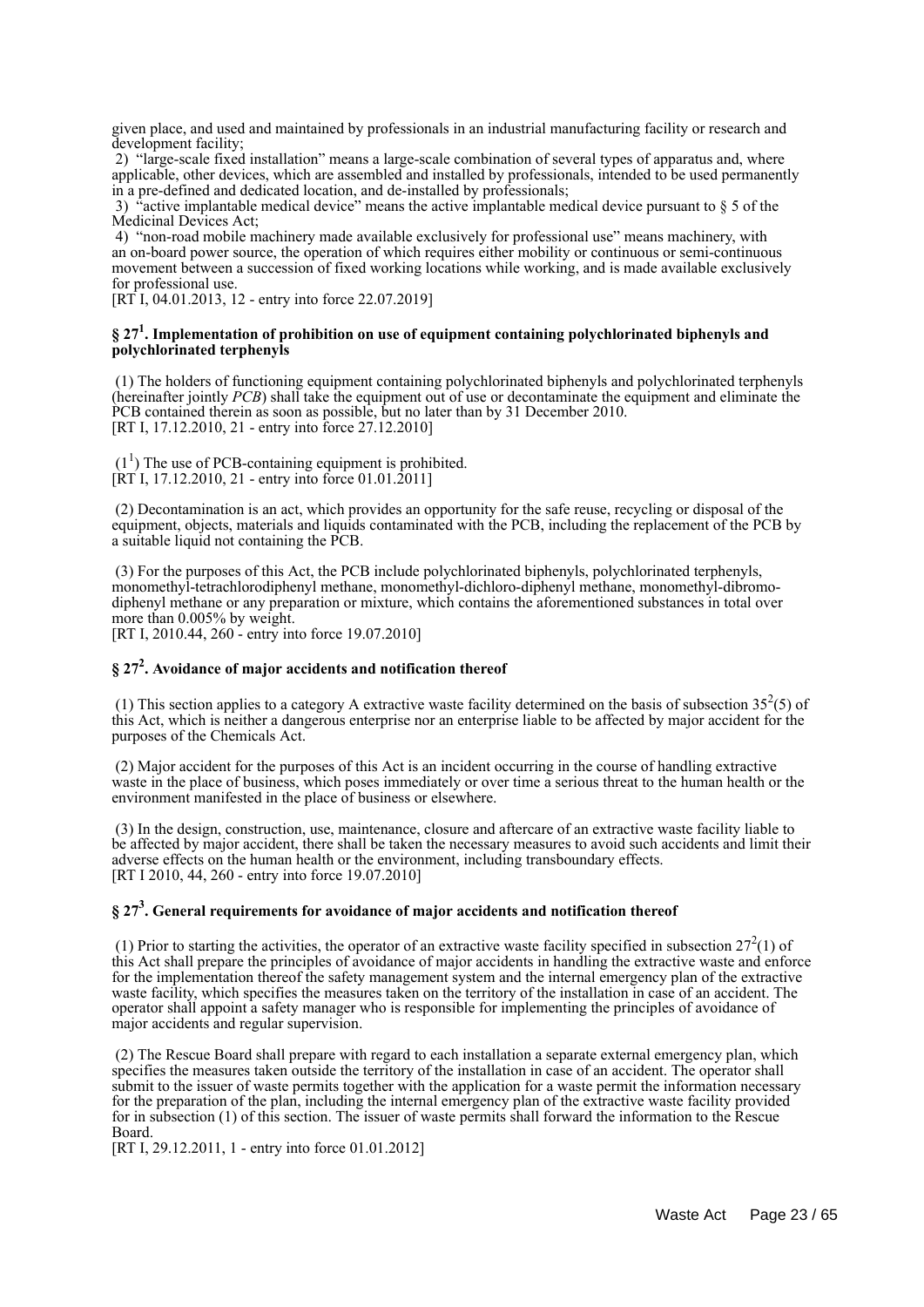given place, and used and maintained by professionals in an industrial manufacturing facility or research and development facility;

 2) "large-scale fixed installation" means a large-scale combination of several types of apparatus and, where applicable, other devices, which are assembled and installed by professionals, intended to be used permanently in a pre-defined and dedicated location, and de-installed by professionals;

 3) "active implantable medical device" means the active implantable medical device pursuant to § 5 of the Medicinal Devices Act;

 4) "non-road mobile machinery made available exclusively for professional use" means machinery, with an on-board power source, the operation of which requires either mobility or continuous or semi-continuous movement between a succession of fixed working locations while working, and is made available exclusively for professional use.

[RT I, 04.01.2013, 12 - entry into force 22.07.2019]

#### **§ 27<sup>1</sup> . Implementation of prohibition on use of equipment containing polychlorinated biphenyls and polychlorinated terphenyls**

 (1) The holders of functioning equipment containing polychlorinated biphenyls and polychlorinated terphenyls (hereinafter jointly *PCB*) shall take the equipment out of use or decontaminate the equipment and eliminate the PCB contained therein as soon as possible, but no later than by 31 December 2010. [RT I, 17.12.2010, 21 - entry into force 27.12.2010]

 $(1<sup>1</sup>)$  The use of PCB-containing equipment is prohibited. [RT I, 17.12.2010, 21 - entry into force 01.01.2011]

 (2) Decontamination is an act, which provides an opportunity for the safe reuse, recycling or disposal of the equipment, objects, materials and liquids contaminated with the PCB, including the replacement of the PCB by a suitable liquid not containing the PCB.

 (3) For the purposes of this Act, the PCB include polychlorinated biphenyls, polychlorinated terphenyls, monomethyl-tetrachlorodiphenyl methane, monomethyl-dichloro-diphenyl methane, monomethyl-dibromodiphenyl methane or any preparation or mixture, which contains the aforementioned substances in total over more than 0.005% by weight.

[RT I, 2010.44, 260 - entry into force 19.07.2010]

## **§ 27<sup>2</sup> . Avoidance of major accidents and notification thereof**

(1) This section applies to a category A extractive waste facility determined on the basis of subsection  $35<sup>2</sup>(5)$  of this Act, which is neither a dangerous enterprise nor an enterprise liable to be affected by major accident for the purposes of the Chemicals Act.

 (2) Major accident for the purposes of this Act is an incident occurring in the course of handling extractive waste in the place of business, which poses immediately or over time a serious threat to the human health or the environment manifested in the place of business or elsewhere.

 (3) In the design, construction, use, maintenance, closure and aftercare of an extractive waste facility liable to be affected by major accident, there shall be taken the necessary measures to avoid such accidents and limit their adverse effects on the human health or the environment, including transboundary effects. [RT I 2010, 44, 260 - entry into force 19.07.2010]

## **§ 27<sup>3</sup> . General requirements for avoidance of major accidents and notification thereof**

(1) Prior to starting the activities, the operator of an extractive waste facility specified in subsection  $27<sup>2</sup>(1)$  of this Act shall prepare the principles of avoidance of major accidents in handling the extractive waste and enforce for the implementation thereof the safety management system and the internal emergency plan of the extractive waste facility, which specifies the measures taken on the territory of the installation in case of an accident. The operator shall appoint a safety manager who is responsible for implementing the principles of avoidance of major accidents and regular supervision.

 (2) The Rescue Board shall prepare with regard to each installation a separate external emergency plan, which specifies the measures taken outside the territory of the installation in case of an accident. The operator shall submit to the issuer of waste permits together with the application for a waste permit the information necessary for the preparation of the plan, including the internal emergency plan of the extractive waste facility provided for in subsection (1) of this section. The issuer of waste permits shall forward the information to the Rescue Board.

[RT I, 29.12.2011, 1 - entry into force 01.01.2012]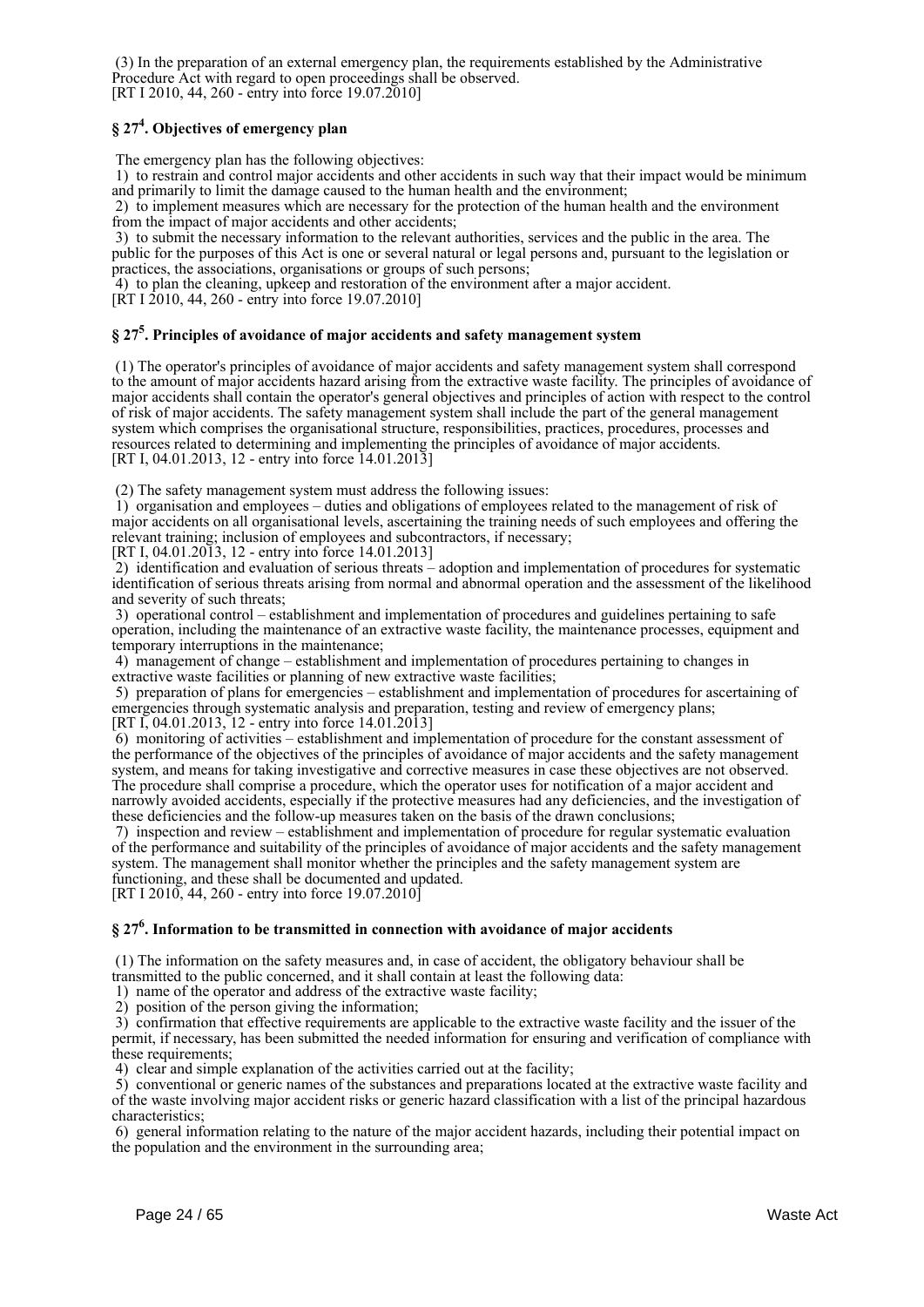(3) In the preparation of an external emergency plan, the requirements established by the Administrative Procedure Act with regard to open proceedings shall be observed. [RT I 2010, 44, 260 - entry into force 19.07.2010]

## **§ 27<sup>4</sup> . Objectives of emergency plan**

The emergency plan has the following objectives:

 1) to restrain and control major accidents and other accidents in such way that their impact would be minimum and primarily to limit the damage caused to the human health and the environment;

 2) to implement measures which are necessary for the protection of the human health and the environment from the impact of major accidents and other accidents;

 3) to submit the necessary information to the relevant authorities, services and the public in the area. The public for the purposes of this Act is one or several natural or legal persons and, pursuant to the legislation or practices, the associations, organisations or groups of such persons;

4) to plan the cleaning, upkeep and restoration of the environment after a major accident.

[RT I 2010, 44, 260 - entry into force 19.07.2010]

## **§ 27<sup>5</sup> . Principles of avoidance of major accidents and safety management system**

 (1) The operator's principles of avoidance of major accidents and safety management system shall correspond to the amount of major accidents hazard arising from the extractive waste facility. The principles of avoidance of major accidents shall contain the operator's general objectives and principles of action with respect to the control of risk of major accidents. The safety management system shall include the part of the general management system which comprises the organisational structure, responsibilities, practices, procedures, processes and resources related to determining and implementing the principles of avoidance of major accidents. [RT I, 04.01.2013, 12 - entry into force 14.01.2013]

(2) The safety management system must address the following issues:

 1) organisation and employees – duties and obligations of employees related to the management of risk of major accidents on all organisational levels, ascertaining the training needs of such employees and offering the relevant training; inclusion of employees and subcontractors, if necessary;

[RT I, 04.01.2013, 12 - entry into force 14.01.2013]

 2) identification and evaluation of serious threats – adoption and implementation of procedures for systematic identification of serious threats arising from normal and abnormal operation and the assessment of the likelihood and severity of such threats;

 3) operational control – establishment and implementation of procedures and guidelines pertaining to safe operation, including the maintenance of an extractive waste facility, the maintenance processes, equipment and temporary interruptions in the maintenance;

 4) management of change – establishment and implementation of procedures pertaining to changes in extractive waste facilities or planning of new extractive waste facilities;

 5) preparation of plans for emergencies – establishment and implementation of procedures for ascertaining of emergencies through systematic analysis and preparation, testing and review of emergency plans; [RT I, 04.01.2013, 12 - entry into force 14.01.2013]

 6) monitoring of activities – establishment and implementation of procedure for the constant assessment of the performance of the objectives of the principles of avoidance of major accidents and the safety management system, and means for taking investigative and corrective measures in case these objectives are not observed. The procedure shall comprise a procedure, which the operator uses for notification of a major accident and narrowly avoided accidents, especially if the protective measures had any deficiencies, and the investigation of these deficiencies and the follow-up measures taken on the basis of the drawn conclusions;

 7) inspection and review – establishment and implementation of procedure for regular systematic evaluation of the performance and suitability of the principles of avoidance of major accidents and the safety management system. The management shall monitor whether the principles and the safety management system are functioning, and these shall be documented and updated. [RT I 2010, 44, 260 - entry into force 19.07.2010]

## **§ 27<sup>6</sup> . Information to be transmitted in connection with avoidance of major accidents**

 (1) The information on the safety measures and, in case of accident, the obligatory behaviour shall be transmitted to the public concerned, and it shall contain at least the following data:

1) name of the operator and address of the extractive waste facility;

2) position of the person giving the information;

 3) confirmation that effective requirements are applicable to the extractive waste facility and the issuer of the permit, if necessary, has been submitted the needed information for ensuring and verification of compliance with these requirements;

4) clear and simple explanation of the activities carried out at the facility;

 5) conventional or generic names of the substances and preparations located at the extractive waste facility and of the waste involving major accident risks or generic hazard classification with a list of the principal hazardous characteristics;

 6) general information relating to the nature of the major accident hazards, including their potential impact on the population and the environment in the surrounding area;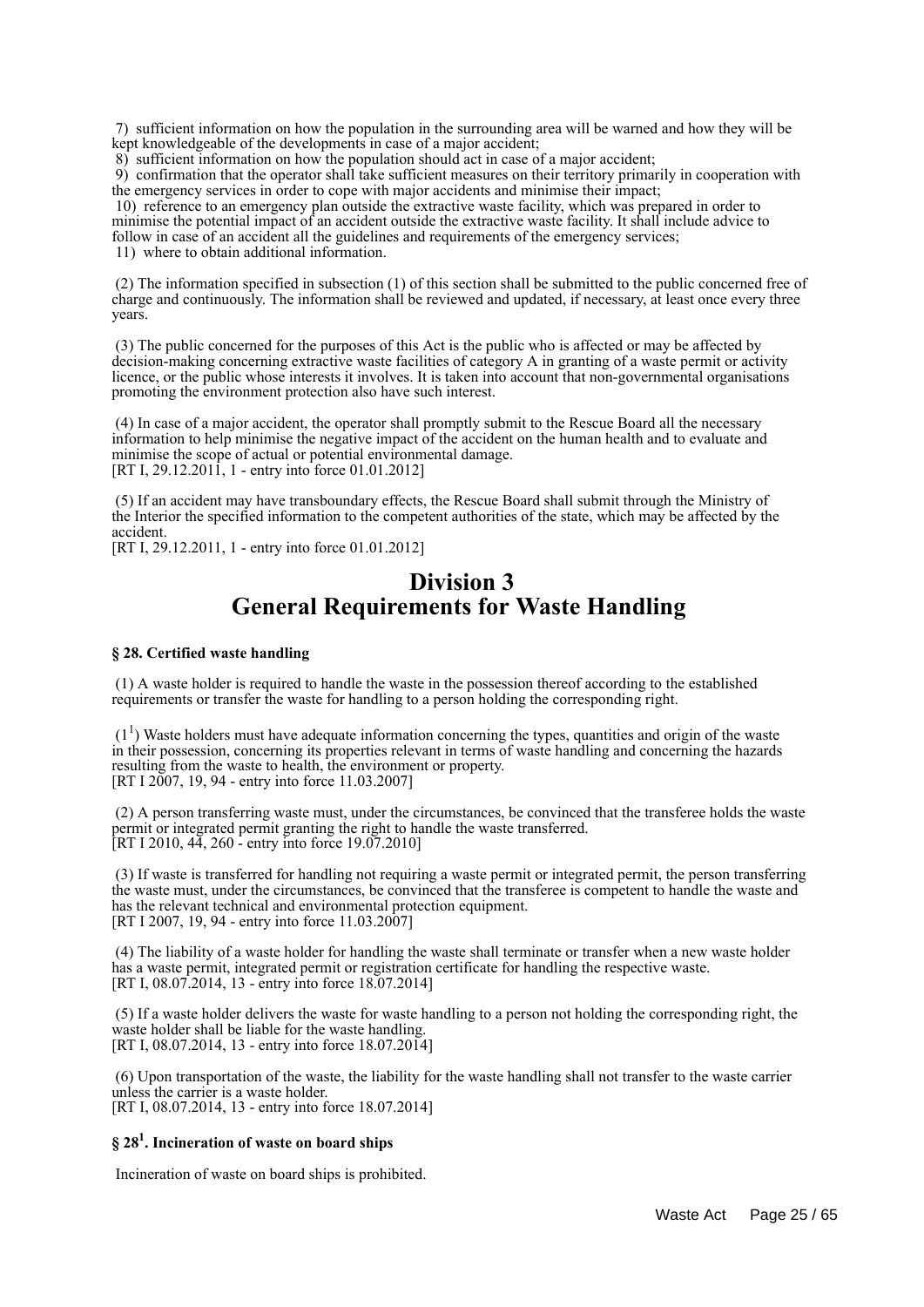7) sufficient information on how the population in the surrounding area will be warned and how they will be kept knowledgeable of the developments in case of a major accident;

8) sufficient information on how the population should act in case of a major accident;

 9) confirmation that the operator shall take sufficient measures on their territory primarily in cooperation with the emergency services in order to cope with major accidents and minimise their impact;

 10) reference to an emergency plan outside the extractive waste facility, which was prepared in order to minimise the potential impact of an accident outside the extractive waste facility. It shall include advice to follow in case of an accident all the guidelines and requirements of the emergency services;

11) where to obtain additional information.

 (2) The information specified in subsection (1) of this section shall be submitted to the public concerned free of charge and continuously. The information shall be reviewed and updated, if necessary, at least once every three years.

 (3) The public concerned for the purposes of this Act is the public who is affected or may be affected by decision-making concerning extractive waste facilities of category A in granting of a waste permit or activity licence, or the public whose interests it involves. It is taken into account that non-governmental organisations promoting the environment protection also have such interest.

 (4) In case of a major accident, the operator shall promptly submit to the Rescue Board all the necessary information to help minimise the negative impact of the accident on the human health and to evaluate and minimise the scope of actual or potential environmental damage. [RT I, 29.12.2011, 1 - entry into force 01.01.2012]

 (5) If an accident may have transboundary effects, the Rescue Board shall submit through the Ministry of the Interior the specified information to the competent authorities of the state, which may be affected by the accident.

[RT I, 29.12.2011, 1 - entry into force 01.01.2012]

## **Division 3 General Requirements for Waste Handling**

#### **§ 28. Certified waste handling**

 (1) A waste holder is required to handle the waste in the possession thereof according to the established requirements or transfer the waste for handling to a person holding the corresponding right.

 $(1<sup>1</sup>)$  Waste holders must have adequate information concerning the types, quantities and origin of the waste in their possession, concerning its properties relevant in terms of waste handling and concerning the hazards resulting from the waste to health, the environment or property. [RT I 2007, 19, 94 - entry into force 11.03.2007]

 (2) A person transferring waste must, under the circumstances, be convinced that the transferee holds the waste permit or integrated permit granting the right to handle the waste transferred. [RT I 2010, 44, 260 - entry into force 19.07.2010]

 (3) If waste is transferred for handling not requiring a waste permit or integrated permit, the person transferring the waste must, under the circumstances, be convinced that the transferee is competent to handle the waste and has the relevant technical and environmental protection equipment. [RT I 2007, 19, 94 - entry into force 11.03.2007]

 (4) The liability of a waste holder for handling the waste shall terminate or transfer when a new waste holder has a waste permit, integrated permit or registration certificate for handling the respective waste. [RT I, 08.07.2014, 13 - entry into force 18.07.2014]

 (5) If a waste holder delivers the waste for waste handling to a person not holding the corresponding right, the waste holder shall be liable for the waste handling. [RT I, 08.07.2014, 13 - entry into force 18.07.2014]

 (6) Upon transportation of the waste, the liability for the waste handling shall not transfer to the waste carrier unless the carrier is a waste holder. [RT I, 08.07.2014, 13 - entry into force 18.07.2014]

## **§ 28<sup>1</sup> . Incineration of waste on board ships**

Incineration of waste on board ships is prohibited.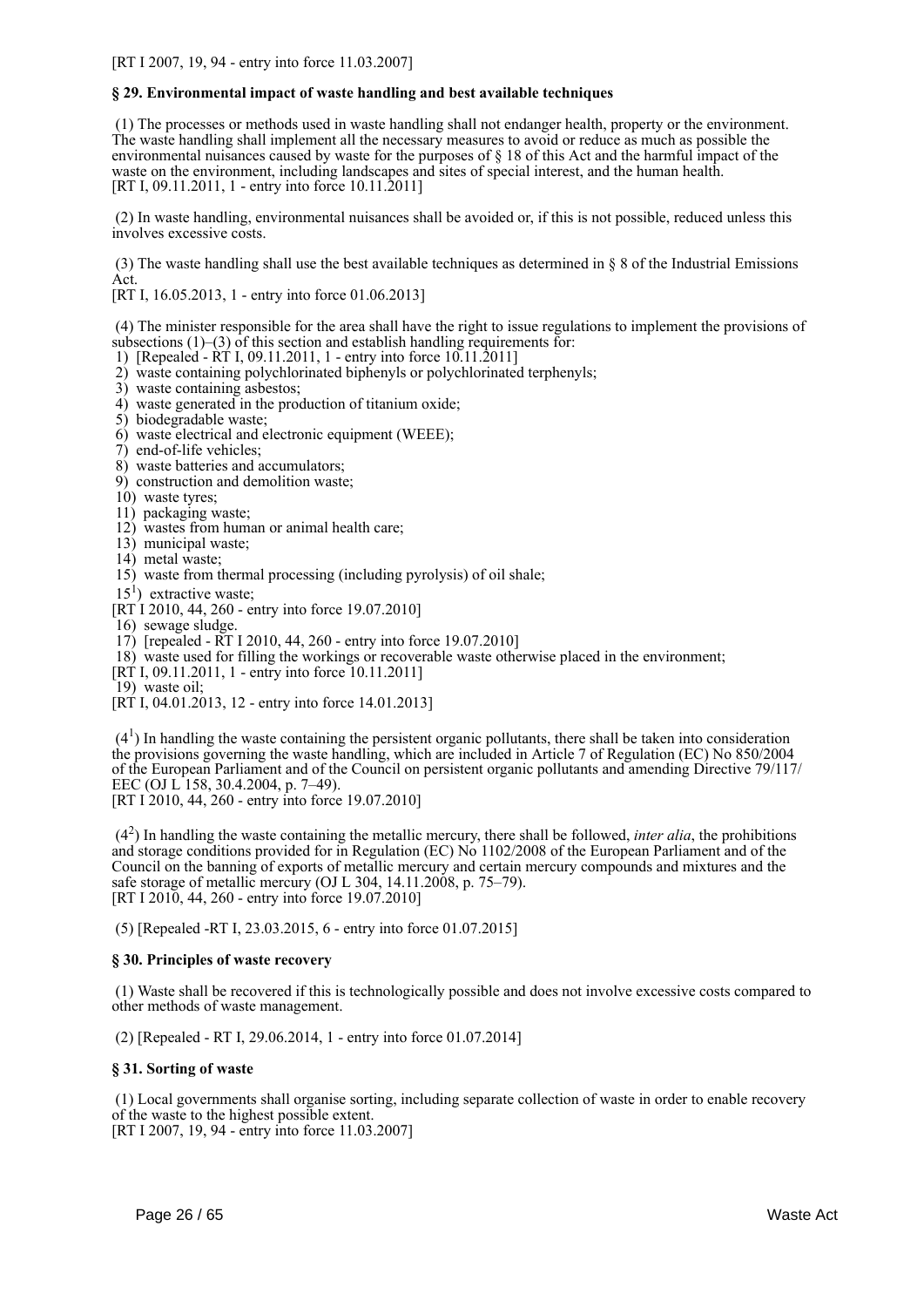#### **§ 29. Environmental impact of waste handling and best available techniques**

 (1) The processes or methods used in waste handling shall not endanger health, property or the environment. The waste handling shall implement all the necessary measures to avoid or reduce as much as possible the environmental nuisances caused by waste for the purposes of § 18 of this Act and the harmful impact of the waste on the environment, including landscapes and sites of special interest, and the human health. [RT I, 09.11.2011, 1 - entry into force 10.11.2011]

 (2) In waste handling, environmental nuisances shall be avoided or, if this is not possible, reduced unless this involves excessive costs.

 (3) The waste handling shall use the best available techniques as determined in § 8 of the Industrial Emissions Act.

[RT I, 16.05.2013, 1 - entry into force 01.06.2013]

 (4) The minister responsible for the area shall have the right to issue regulations to implement the provisions of subsections (1)–(3) of this section and establish handling requirements for:

- 1) [Repealed RT I, 09.11.2011, 1 entry into force 10.11.2011]
- 2) waste containing polychlorinated biphenyls or polychlorinated terphenyls;
- 3) waste containing asbestos;
- 4) waste generated in the production of titanium oxide;
- 5) biodegradable waste;
- 6) waste electrical and electronic equipment (WEEE);
- 7) end-of-life vehicles;
- 8) waste batteries and accumulators;
- 9) construction and demolition waste;
- 10) waste tyres;
- 11) packaging waste;
- 12) wastes from human or animal health care;
- 13) municipal waste;
- 14) metal waste;
- 15) waste from thermal processing (including pyrolysis) of oil shale;
- $15<sup>1</sup>$ ) extractive waste;
- [RT I 2010, 44, 260 entry into force 19.07.2010]
- 16) sewage sludge.
- 17) [repealed RT I 2010, 44, 260 entry into force 19.07.2010]
- 18) waste used for filling the workings or recoverable waste otherwise placed in the environment;
- [RT I, 09.11.2011, 1 entry into force 10.11.2011]
- 19) waste oil;
- [RT I, 04.01.2013, 12 entry into force 14.01.2013]

 $(4<sup>1</sup>)$  In handling the waste containing the persistent organic pollutants, there shall be taken into consideration the provisions governing the waste handling, which are included in Article 7 of Regulation (EC) No 850/2004 of the European Parliament and of the Council on persistent organic pollutants and amending Directive 79/117/ EEC (OJ L 158, 30.4.2004, p. 7–49).

[RT I 2010, 44, 260 - entry into force 19.07.2010]

 $(4<sup>2</sup>)$  In handling the waste containing the metallic mercury, there shall be followed, *inter alia*, the prohibitions and storage conditions provided for in Regulation (EC) No 1102/2008 of the European Parliament and of the Council on the banning of exports of metallic mercury and certain mercury compounds and mixtures and the safe storage of metallic mercury (OJ L 304,  $14.11.2008$ , p. 75–79). [RT I 2010, 44, 260 - entry into force 19.07.2010]

(5) [Repealed -RT I, 23.03.2015, 6 - entry into force 01.07.2015]

#### **§ 30. Principles of waste recovery**

 (1) Waste shall be recovered if this is technologically possible and does not involve excessive costs compared to other methods of waste management.

(2) [Repealed - RT I, 29.06.2014, 1 - entry into force 01.07.2014]

#### **§ 31. Sorting of waste**

 (1) Local governments shall organise sorting, including separate collection of waste in order to enable recovery of the waste to the highest possible extent.

[RT I 2007, 19, 94 - entry into force 11.03.2007]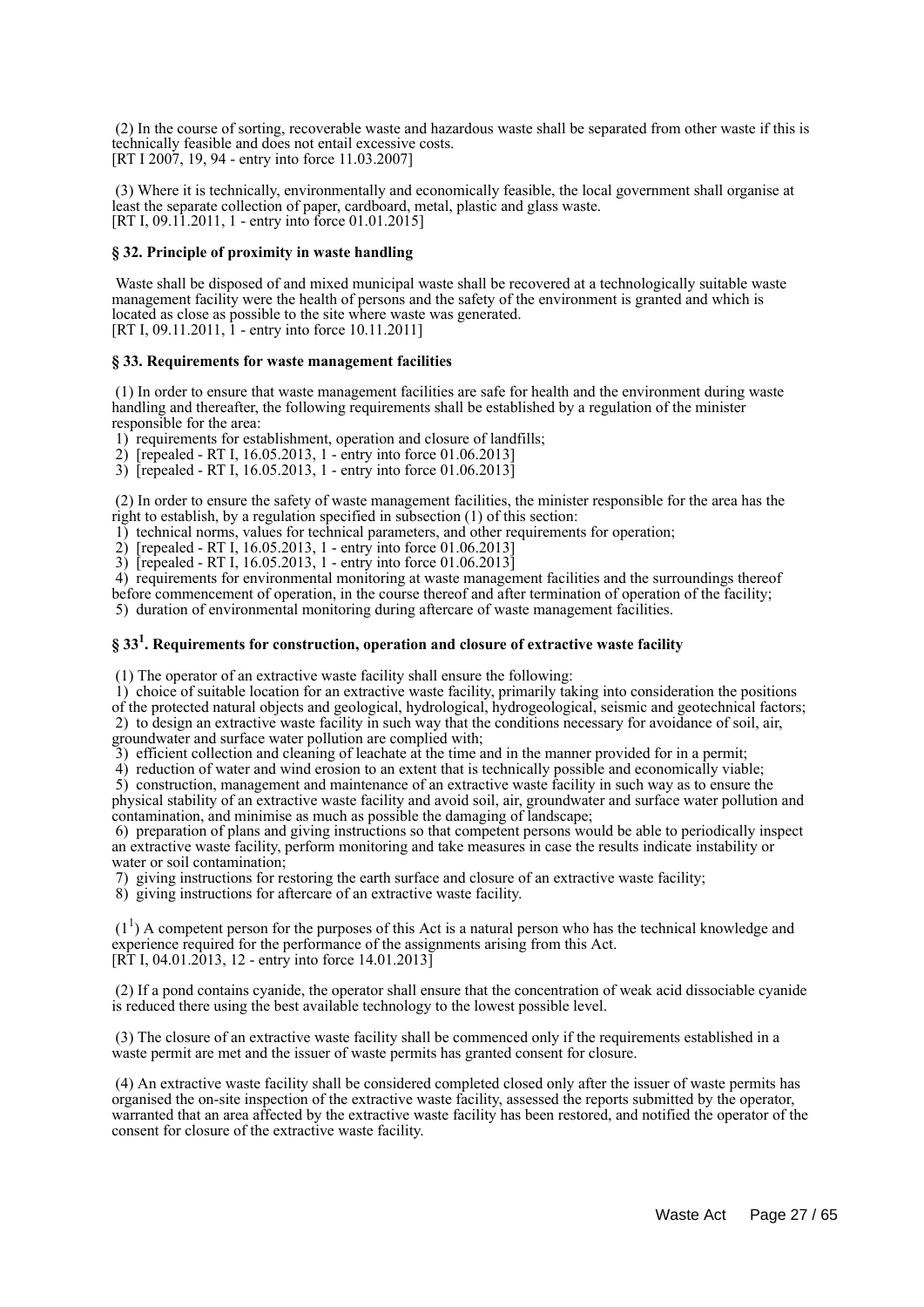(2) In the course of sorting, recoverable waste and hazardous waste shall be separated from other waste if this is technically feasible and does not entail excessive costs. [RT I 2007, 19, 94 - entry into force 11.03.2007]

 (3) Where it is technically, environmentally and economically feasible, the local government shall organise at least the separate collection of paper, cardboard, metal, plastic and glass waste. [RT I, 09.11.2011, 1 - entry into force 01.01.2015]

#### **§ 32. Principle of proximity in waste handling**

 Waste shall be disposed of and mixed municipal waste shall be recovered at a technologically suitable waste management facility were the health of persons and the safety of the environment is granted and which is located as close as possible to the site where waste was generated. [RT I, 09.11.2011, 1 - entry into force 10.11.2011]

#### **§ 33. Requirements for waste management facilities**

 (1) In order to ensure that waste management facilities are safe for health and the environment during waste handling and thereafter, the following requirements shall be established by a regulation of the minister responsible for the area:

1) requirements for establishment, operation and closure of landfills;

2) [repealed - RT I, 16.05.2013, 1 - entry into force 01.06.2013]

3) [repealed - RT I, 16.05.2013, 1 - entry into force 01.06.2013]

 (2) In order to ensure the safety of waste management facilities, the minister responsible for the area has the right to establish, by a regulation specified in subsection (1) of this section:

1) technical norms, values for technical parameters, and other requirements for operation;

2) [repealed - RT I, 16.05.2013, 1 - entry into force 01.06.2013]

3) [repealed - RT I, 16.05.2013, 1 - entry into force 01.06.2013]

 4) requirements for environmental monitoring at waste management facilities and the surroundings thereof before commencement of operation, in the course thereof and after termination of operation of the facility;

5) duration of environmental monitoring during aftercare of waste management facilities.

## **§ 33<sup>1</sup> . Requirements for construction, operation and closure of extractive waste facility**

(1) The operator of an extractive waste facility shall ensure the following:

1) choice of suitable location for an extractive waste facility, primarily taking into consideration the positions

of the protected natural objects and geological, hydrological, hydrogeological, seismic and geotechnical factors; 2) to design an extractive waste facility in such way that the conditions necessary for avoidance of soil, air, groundwater and surface water pollution are complied with;

3) efficient collection and cleaning of leachate at the time and in the manner provided for in a permit;

4) reduction of water and wind erosion to an extent that is technically possible and economically viable;

 5) construction, management and maintenance of an extractive waste facility in such way as to ensure the physical stability of an extractive waste facility and avoid soil, air, groundwater and surface water pollution and contamination, and minimise as much as possible the damaging of landscape;

 6) preparation of plans and giving instructions so that competent persons would be able to periodically inspect an extractive waste facility, perform monitoring and take measures in case the results indicate instability or water or soil contamination;

7) giving instructions for restoring the earth surface and closure of an extractive waste facility;

8) giving instructions for aftercare of an extractive waste facility.

 $(1<sup>1</sup>)$  A competent person for the purposes of this Act is a natural person who has the technical knowledge and experience required for the performance of the assignments arising from this Act.  $[R\bar{T}]$  I, 04.01.2013, 12 - entry into force 14.01.2013 $\bar{]}$ 

 (2) If a pond contains cyanide, the operator shall ensure that the concentration of weak acid dissociable cyanide is reduced there using the best available technology to the lowest possible level.

 (3) The closure of an extractive waste facility shall be commenced only if the requirements established in a waste permit are met and the issuer of waste permits has granted consent for closure.

 (4) An extractive waste facility shall be considered completed closed only after the issuer of waste permits has organised the on-site inspection of the extractive waste facility, assessed the reports submitted by the operator, warranted that an area affected by the extractive waste facility has been restored, and notified the operator of the consent for closure of the extractive waste facility.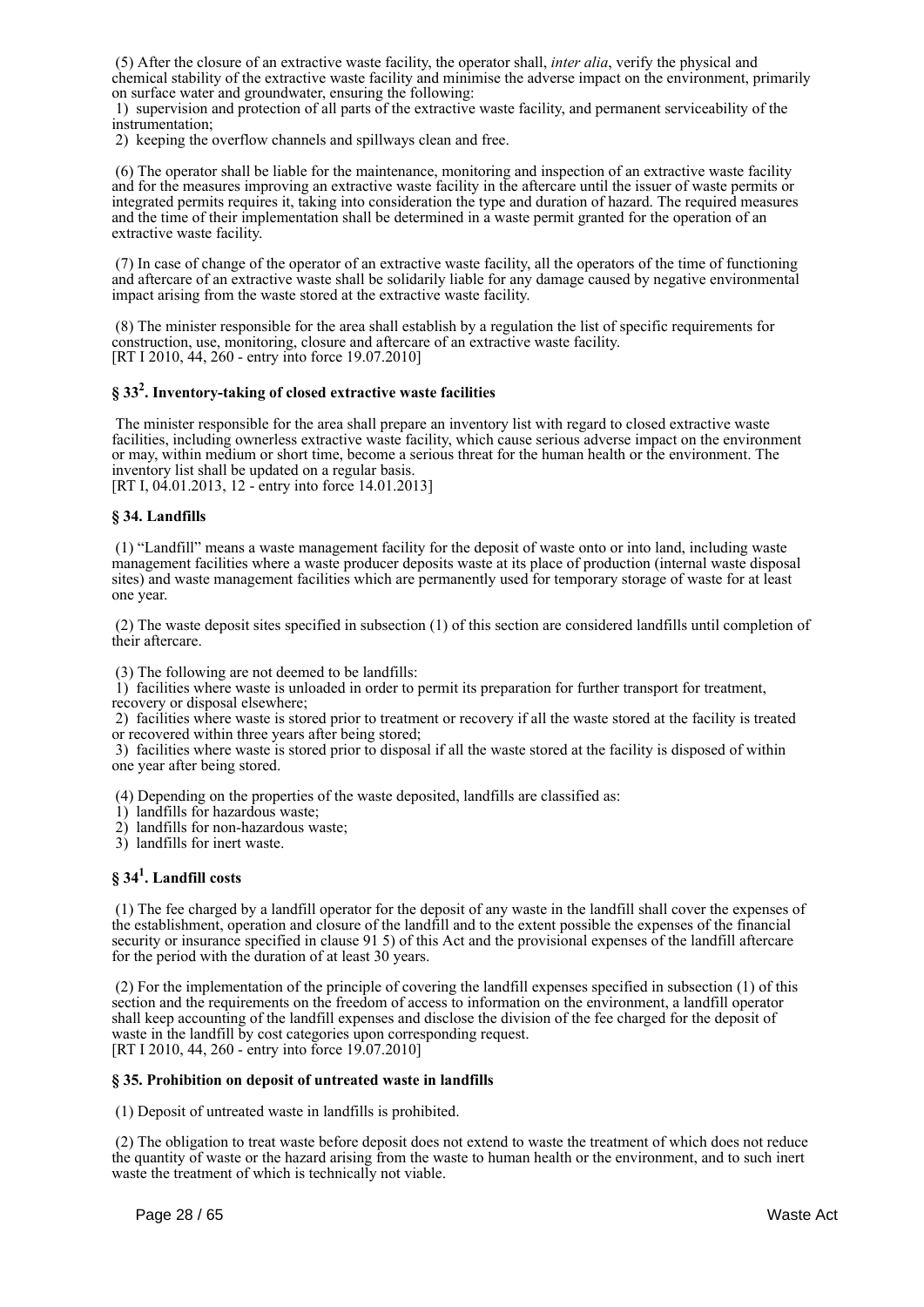(5) After the closure of an extractive waste facility, the operator shall, *inter alia*, verify the physical and chemical stability of the extractive waste facility and minimise the adverse impact on the environment, primarily on surface water and groundwater, ensuring the following:

 1) supervision and protection of all parts of the extractive waste facility, and permanent serviceability of the instrumentation;

2) keeping the overflow channels and spillways clean and free.

 (6) The operator shall be liable for the maintenance, monitoring and inspection of an extractive waste facility and for the measures improving an extractive waste facility in the aftercare until the issuer of waste permits or integrated permits requires it, taking into consideration the type and duration of hazard. The required measures and the time of their implementation shall be determined in a waste permit granted for the operation of an extractive waste facility.

 (7) In case of change of the operator of an extractive waste facility, all the operators of the time of functioning and aftercare of an extractive waste shall be solidarily liable for any damage caused by negative environmental impact arising from the waste stored at the extractive waste facility.

 (8) The minister responsible for the area shall establish by a regulation the list of specific requirements for construction, use, monitoring, closure and aftercare of an extractive waste facility. [RT I 2010, 44, 260 - entry into force 19.07.2010]

## **§ 33<sup>2</sup> . Inventory-taking of closed extractive waste facilities**

 The minister responsible for the area shall prepare an inventory list with regard to closed extractive waste facilities, including ownerless extractive waste facility, which cause serious adverse impact on the environment or may, within medium or short time, become a serious threat for the human health or the environment. The inventory list shall be updated on a regular basis.

[RT I, 04.01.2013, 12 - entry into force 14.01.2013]

#### **§ 34. Landfills**

 (1) "Landfill" means a waste management facility for the deposit of waste onto or into land, including waste management facilities where a waste producer deposits waste at its place of production (internal waste disposal sites) and waste management facilities which are permanently used for temporary storage of waste for at least one year.

 (2) The waste deposit sites specified in subsection (1) of this section are considered landfills until completion of their aftercare.

(3) The following are not deemed to be landfills:

 1) facilities where waste is unloaded in order to permit its preparation for further transport for treatment, recovery or disposal elsewhere;

 2) facilities where waste is stored prior to treatment or recovery if all the waste stored at the facility is treated or recovered within three years after being stored;

 3) facilities where waste is stored prior to disposal if all the waste stored at the facility is disposed of within one year after being stored.

(4) Depending on the properties of the waste deposited, landfills are classified as:

1) landfills for hazardous waste;

2) landfills for non-hazardous waste;

3) landfills for inert waste.

## **§ 34<sup>1</sup> . Landfill costs**

 (1) The fee charged by a landfill operator for the deposit of any waste in the landfill shall cover the expenses of the establishment, operation and closure of the landfill and to the extent possible the expenses of the financial security or insurance specified in clause 91 5) of this Act and the provisional expenses of the landfill aftercare for the period with the duration of at least 30 years.

 (2) For the implementation of the principle of covering the landfill expenses specified in subsection (1) of this section and the requirements on the freedom of access to information on the environment, a landfill operator shall keep accounting of the landfill expenses and disclose the division of the fee charged for the deposit of waste in the landfill by cost categories upon corresponding request. [RT I 2010, 44, 260 - entry into force 19.07.2010]

#### **§ 35. Prohibition on deposit of untreated waste in landfills**

(1) Deposit of untreated waste in landfills is prohibited.

 (2) The obligation to treat waste before deposit does not extend to waste the treatment of which does not reduce the quantity of waste or the hazard arising from the waste to human health or the environment, and to such inert waste the treatment of which is technically not viable.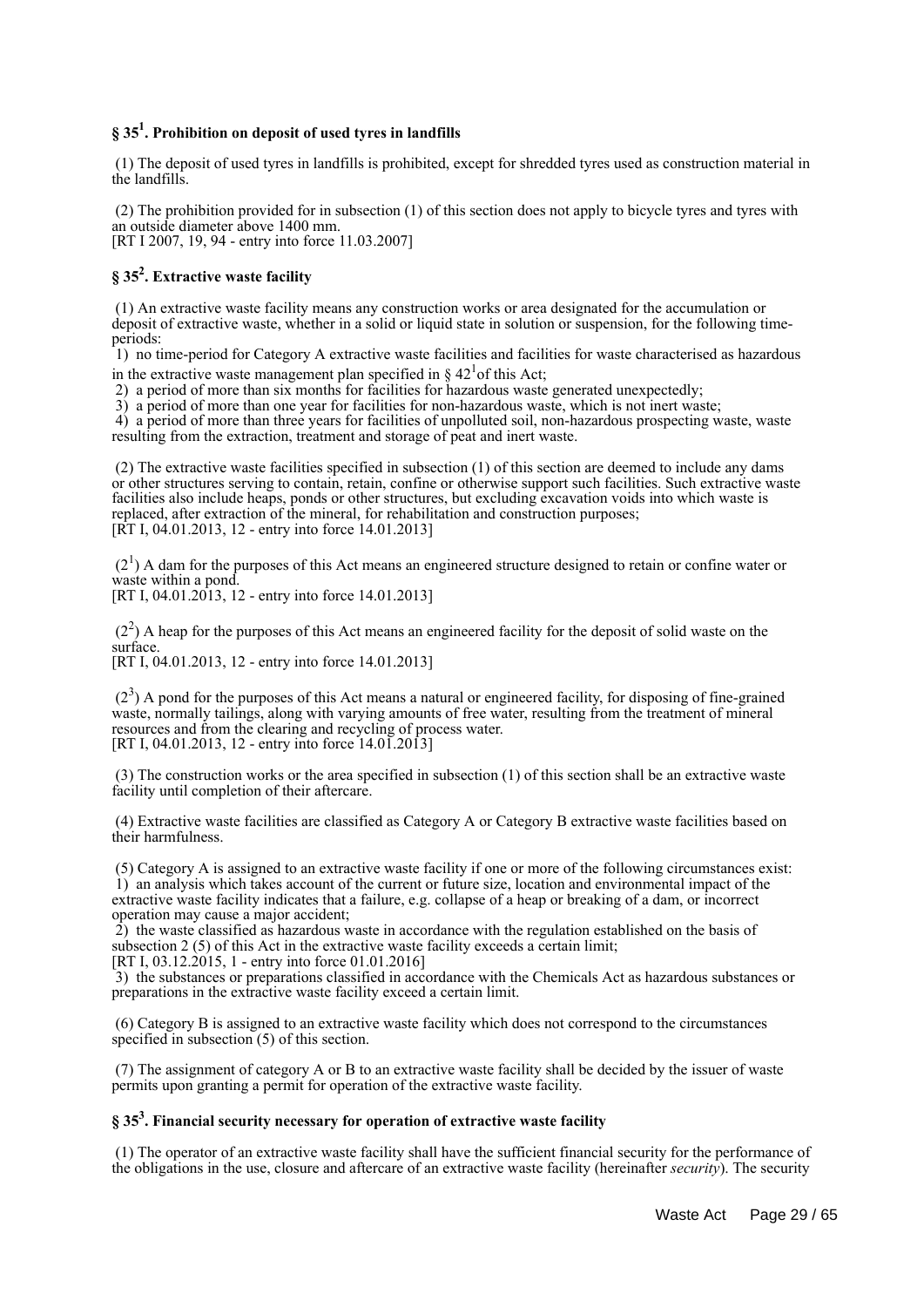## **§ 35<sup>1</sup> . Prohibition on deposit of used tyres in landfills**

 (1) The deposit of used tyres in landfills is prohibited, except for shredded tyres used as construction material in the landfills.

 (2) The prohibition provided for in subsection (1) of this section does not apply to bicycle tyres and tyres with an outside diameter above 1400 mm. [RT I 2007, 19, 94 - entry into force 11.03.2007]

## **§ 35<sup>2</sup> . Extractive waste facility**

 (1) An extractive waste facility means any construction works or area designated for the accumulation or deposit of extractive waste, whether in a solid or liquid state in solution or suspension, for the following timeperiods:

 1) no time-period for Category A extractive waste facilities and facilities for waste characterised as hazardous in the extractive waste management plan specified in  $\S 42<sup>1</sup>$  of this Act;

2) a period of more than six months for facilities for hazardous waste generated unexpectedly;

3) a period of more than one year for facilities for non-hazardous waste, which is not inert waste;

4) a period of more than three years for facilities of unpolluted soil, non-hazardous prospecting waste, waste resulting from the extraction, treatment and storage of peat and inert waste.

 (2) The extractive waste facilities specified in subsection (1) of this section are deemed to include any dams or other structures serving to contain, retain, confine or otherwise support such facilities. Such extractive waste facilities also include heaps, ponds or other structures, but excluding excavation voids into which waste is replaced, after extraction of the mineral, for rehabilitation and construction purposes; [RT I, 04.01.2013, 12 - entry into force 14.01.2013]

 $(2<sup>1</sup>)$  A dam for the purposes of this Act means an engineered structure designed to retain or confine water or waste within a pond.

[RT I, 04.01.2013, 12 - entry into force 14.01.2013]

 $(2<sup>2</sup>)$  A heap for the purposes of this Act means an engineered facility for the deposit of solid waste on the surface.

[RT I, 04.01.2013, 12 - entry into force 14.01.2013]

(2<sup>3</sup>) A pond for the purposes of this Act means a natural or engineered facility, for disposing of fine-grained waste, normally tailings, along with varying amounts of free water, resulting from the treatment of mineral resources and from the clearing and recycling of process water. [RT I, 04.01.2013, 12 - entry into force 14.01.2013]

 (3) The construction works or the area specified in subsection (1) of this section shall be an extractive waste facility until completion of their aftercare.

 (4) Extractive waste facilities are classified as Category A or Category B extractive waste facilities based on their harmfulness.

 (5) Category A is assigned to an extractive waste facility if one or more of the following circumstances exist: 1) an analysis which takes account of the current or future size, location and environmental impact of the extractive waste facility indicates that a failure, e.g. collapse of a heap or breaking of a dam, or incorrect operation may cause a major accident;

 2) the waste classified as hazardous waste in accordance with the regulation established on the basis of subsection 2 (5) of this Act in the extractive waste facility exceeds a certain limit; [RT I,  $03.12.\overline{2015}$ , 1 - entry into force 01.01.2016]

 3) the substances or preparations classified in accordance with the Chemicals Act as hazardous substances or preparations in the extractive waste facility exceed a certain limit.

 (6) Category B is assigned to an extractive waste facility which does not correspond to the circumstances specified in subsection (5) of this section.

 (7) The assignment of category A or B to an extractive waste facility shall be decided by the issuer of waste permits upon granting a permit for operation of the extractive waste facility.

## **§ 35<sup>3</sup> . Financial security necessary for operation of extractive waste facility**

 (1) The operator of an extractive waste facility shall have the sufficient financial security for the performance of the obligations in the use, closure and aftercare of an extractive waste facility (hereinafter *security*). The security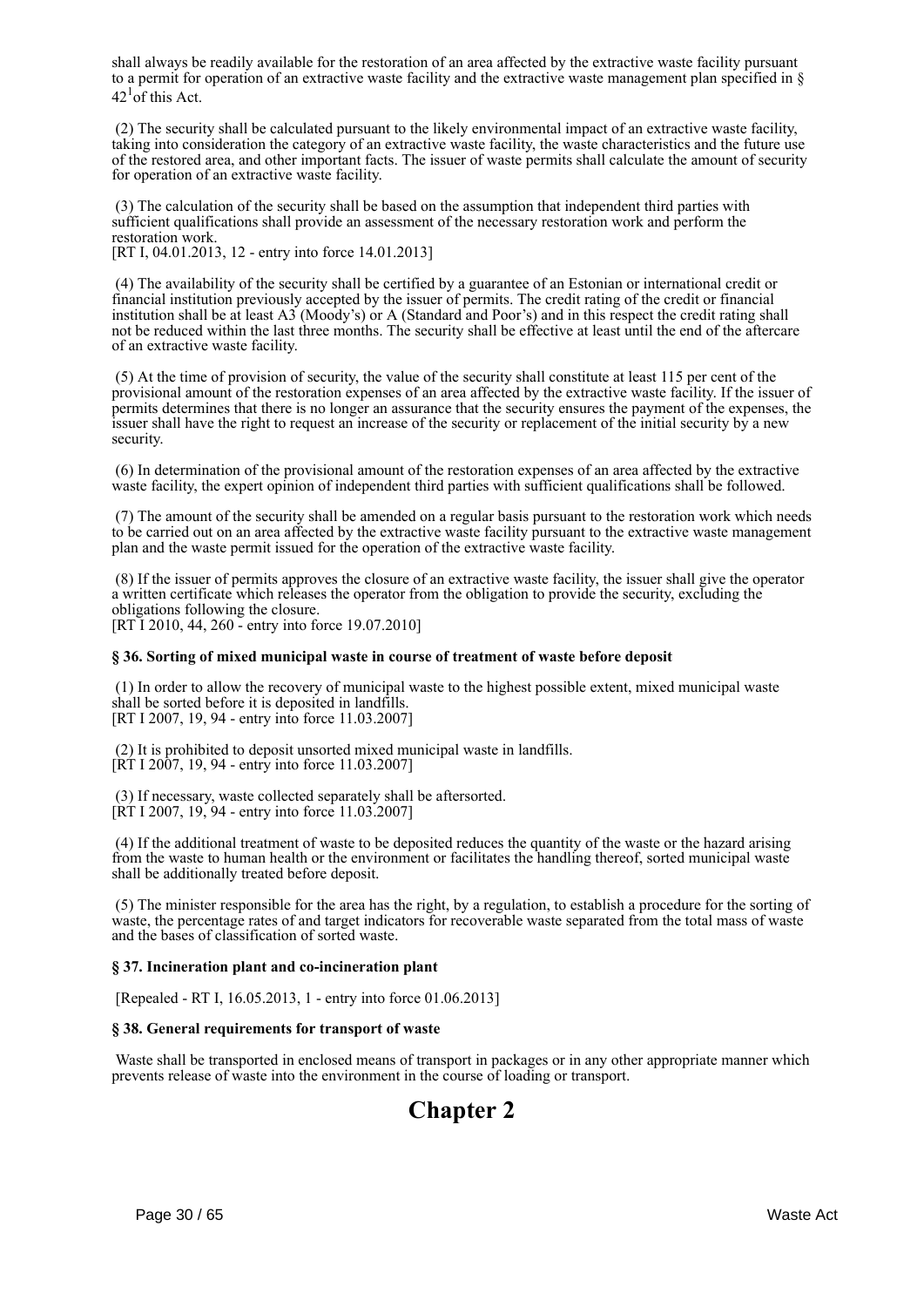shall always be readily available for the restoration of an area affected by the extractive waste facility pursuant to a permit for operation of an extractive waste facility and the extractive waste management plan specified in  $\S$  $42^1$ of this Act.

 (2) The security shall be calculated pursuant to the likely environmental impact of an extractive waste facility, taking into consideration the category of an extractive waste facility, the waste characteristics and the future use of the restored area, and other important facts. The issuer of waste permits shall calculate the amount of security for operation of an extractive waste facility.

 (3) The calculation of the security shall be based on the assumption that independent third parties with sufficient qualifications shall provide an assessment of the necessary restoration work and perform the restoration work.

[RT I, 04.01.2013, 12 - entry into force 14.01.2013]

 (4) The availability of the security shall be certified by a guarantee of an Estonian or international credit or financial institution previously accepted by the issuer of permits. The credit rating of the credit or financial institution shall be at least A3 (Moody's) or A (Standard and Poor's) and in this respect the credit rating shall not be reduced within the last three months. The security shall be effective at least until the end of the aftercare of an extractive waste facility.

 (5) At the time of provision of security, the value of the security shall constitute at least 115 per cent of the provisional amount of the restoration expenses of an area affected by the extractive waste facility. If the issuer of permits determines that there is no longer an assurance that the security ensures the payment of the expenses, the issuer shall have the right to request an increase of the security or replacement of the initial security by a new security.

 (6) In determination of the provisional amount of the restoration expenses of an area affected by the extractive waste facility, the expert opinion of independent third parties with sufficient qualifications shall be followed.

 (7) The amount of the security shall be amended on a regular basis pursuant to the restoration work which needs to be carried out on an area affected by the extractive waste facility pursuant to the extractive waste management plan and the waste permit issued for the operation of the extractive waste facility.

 (8) If the issuer of permits approves the closure of an extractive waste facility, the issuer shall give the operator a written certificate which releases the operator from the obligation to provide the security, excluding the obligations following the closure. [RT I 2010, 44, 260 - entry into force 19.07.2010]

#### **§ 36. Sorting of mixed municipal waste in course of treatment of waste before deposit**

 (1) In order to allow the recovery of municipal waste to the highest possible extent, mixed municipal waste shall be sorted before it is deposited in landfills. [RT I 2007, 19, 94 - entry into force 11.03.2007]

 (2) It is prohibited to deposit unsorted mixed municipal waste in landfills. [RT I 2007, 19, 94 - entry into force 11.03.2007]

 (3) If necessary, waste collected separately shall be aftersorted. [RT I 2007, 19, 94 - entry into force 11.03.2007]

 (4) If the additional treatment of waste to be deposited reduces the quantity of the waste or the hazard arising from the waste to human health or the environment or facilitates the handling thereof, sorted municipal waste shall be additionally treated before deposit.

 (5) The minister responsible for the area has the right, by a regulation, to establish a procedure for the sorting of waste, the percentage rates of and target indicators for recoverable waste separated from the total mass of waste and the bases of classification of sorted waste.

#### **§ 37. Incineration plant and co-incineration plant**

[Repealed - RT I, 16.05.2013, 1 - entry into force 01.06.2013]

#### **§ 38. General requirements for transport of waste**

 Waste shall be transported in enclosed means of transport in packages or in any other appropriate manner which prevents release of waste into the environment in the course of loading or transport.

## **Chapter 2**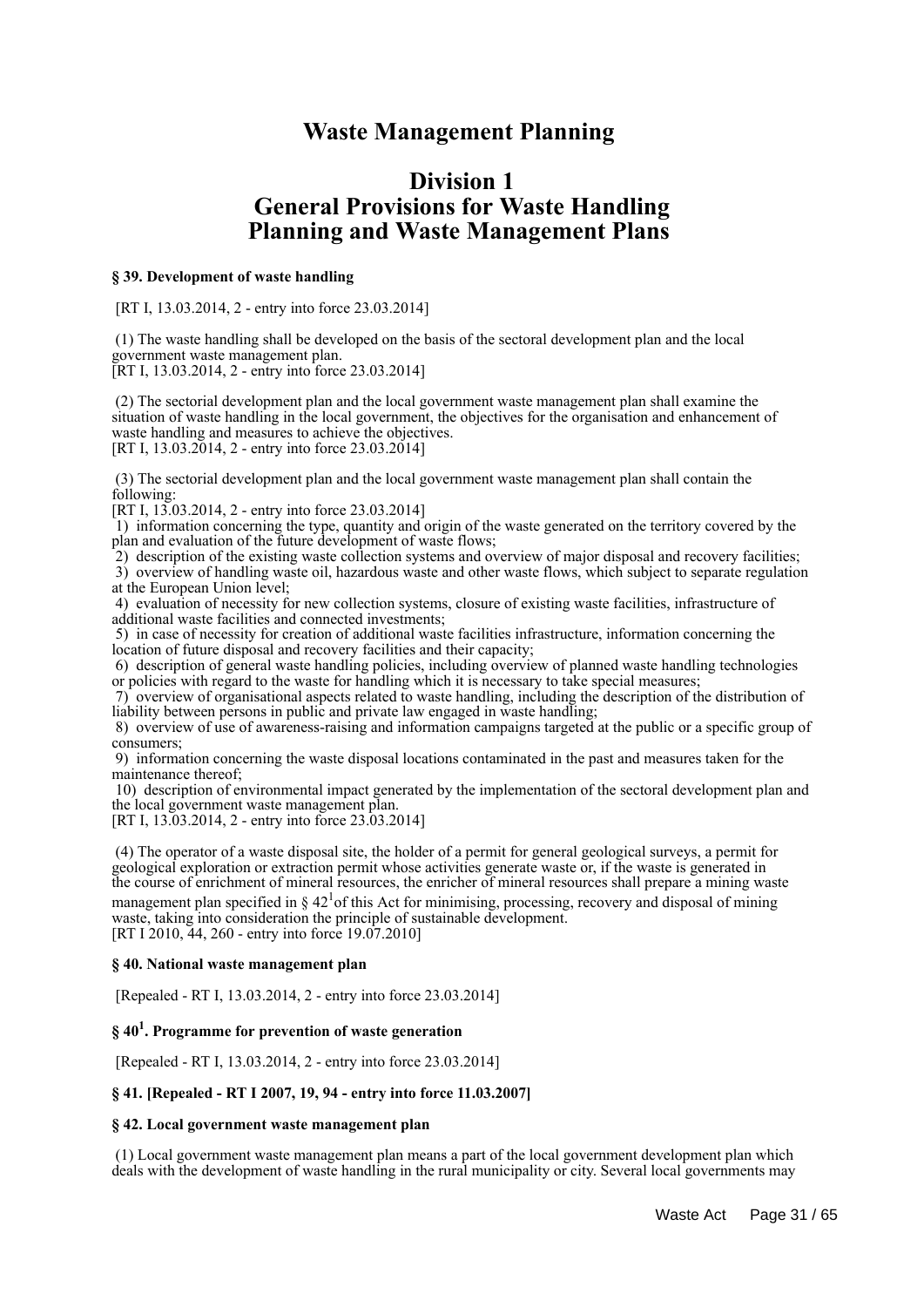## **Waste Management Planning**

## **Division 1 General Provisions for Waste Handling Planning and Waste Management Plans**

#### **§ 39. Development of waste handling**

[RT I, 13.03.2014, 2 - entry into force 23.03.2014]

 (1) The waste handling shall be developed on the basis of the sectoral development plan and the local government waste management plan.

[RT I, 13.03.2014, 2 - entry into force 23.03.2014]

 (2) The sectorial development plan and the local government waste management plan shall examine the situation of waste handling in the local government, the objectives for the organisation and enhancement of waste handling and measures to achieve the objectives. [RT I,  $13.03.2014$ , 2 - entry into force  $23.03.2014$ ]

 (3) The sectorial development plan and the local government waste management plan shall contain the following:

[RT I, 13.03.2014, 2 - entry into force 23.03.2014]

 1) information concerning the type, quantity and origin of the waste generated on the territory covered by the plan and evaluation of the future development of waste flows;

 2) description of the existing waste collection systems and overview of major disposal and recovery facilities; 3) overview of handling waste oil, hazardous waste and other waste flows, which subject to separate regulation at the European Union level;

 4) evaluation of necessity for new collection systems, closure of existing waste facilities, infrastructure of additional waste facilities and connected investments;

 5) in case of necessity for creation of additional waste facilities infrastructure, information concerning the location of future disposal and recovery facilities and their capacity;

 6) description of general waste handling policies, including overview of planned waste handling technologies or policies with regard to the waste for handling which it is necessary to take special measures;

 7) overview of organisational aspects related to waste handling, including the description of the distribution of liability between persons in public and private law engaged in waste handling;

 8) overview of use of awareness-raising and information campaigns targeted at the public or a specific group of consumers;

 9) information concerning the waste disposal locations contaminated in the past and measures taken for the maintenance thereof;

 10) description of environmental impact generated by the implementation of the sectoral development plan and the local government waste management plan.

[RT I, 13.03.2014, 2 - entry into force 23.03.2014]

 (4) The operator of a waste disposal site, the holder of a permit for general geological surveys, a permit for geological exploration or extraction permit whose activities generate waste or, if the waste is generated in the course of enrichment of mineral resources, the enricher of mineral resources shall prepare a mining waste management plan specified in  $\S 42<sup>1</sup>$  of this Act for minimising, processing, recovery and disposal of mining waste, taking into consideration the principle of sustainable development. [RT I 2010, 44, 260 - entry into force 19.07.2010]

#### **§ 40. National waste management plan**

[Repealed - RT I, 13.03.2014, 2 - entry into force 23.03.2014]

## **§ 40<sup>1</sup> . Programme for prevention of waste generation**

[Repealed - RT I, 13.03.2014, 2 - entry into force 23.03.2014]

#### **§ 41. [Repealed - RT I 2007, 19, 94 - entry into force 11.03.2007]**

#### **§ 42. Local government waste management plan**

 (1) Local government waste management plan means a part of the local government development plan which deals with the development of waste handling in the rural municipality or city. Several local governments may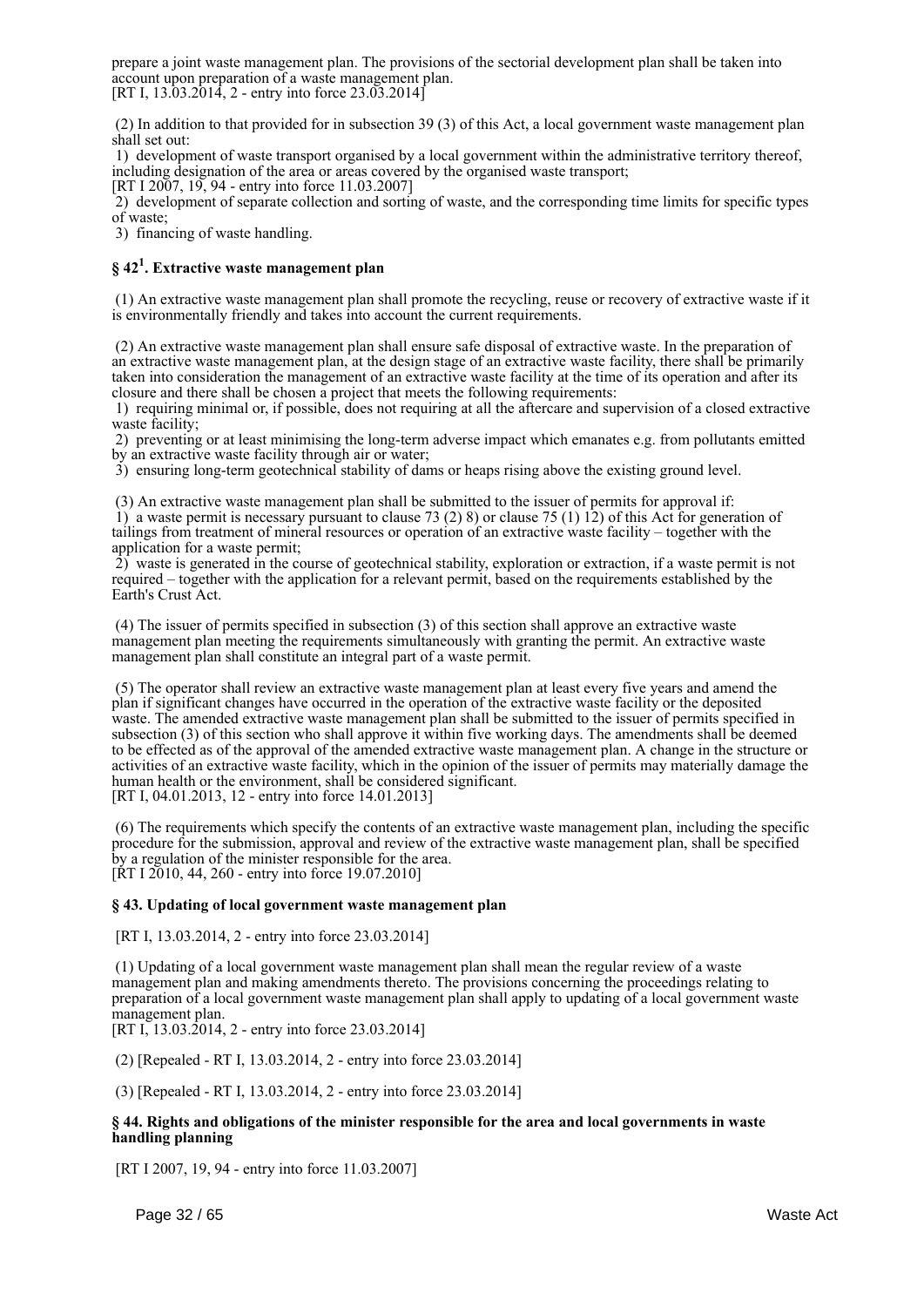prepare a joint waste management plan. The provisions of the sectorial development plan shall be taken into account upon preparation of a waste management plan. [RT I, 13.03.2014, 2 - entry into force  $23.03.2014$ ]

 (2) In addition to that provided for in subsection 39 (3) of this Act, a local government waste management plan shall set out:

 1) development of waste transport organised by a local government within the administrative territory thereof, including designation of the area or areas covered by the organised waste transport;

[RT I 2007, 19, 94 - entry into force 11.03.2007]

 2) development of separate collection and sorting of waste, and the corresponding time limits for specific types of waste;

3) financing of waste handling.

## **§ 42<sup>1</sup> . Extractive waste management plan**

 (1) An extractive waste management plan shall promote the recycling, reuse or recovery of extractive waste if it is environmentally friendly and takes into account the current requirements.

 (2) An extractive waste management plan shall ensure safe disposal of extractive waste. In the preparation of an extractive waste management plan, at the design stage of an extractive waste facility, there shall be primarily taken into consideration the management of an extractive waste facility at the time of its operation and after its closure and there shall be chosen a project that meets the following requirements:

 1) requiring minimal or, if possible, does not requiring at all the aftercare and supervision of a closed extractive waste facility;

 2) preventing or at least minimising the long-term adverse impact which emanates e.g. from pollutants emitted by an extractive waste facility through air or water;

3) ensuring long-term geotechnical stability of dams or heaps rising above the existing ground level.

(3) An extractive waste management plan shall be submitted to the issuer of permits for approval if:

 1) a waste permit is necessary pursuant to clause 73 (2) 8) or clause 75 (1) 12) of this Act for generation of tailings from treatment of mineral resources or operation of an extractive waste facility – together with the application for a waste permit;

 2) waste is generated in the course of geotechnical stability, exploration or extraction, if a waste permit is not required – together with the application for a relevant permit, based on the requirements established by the Earth's Crust Act.

 (4) The issuer of permits specified in subsection (3) of this section shall approve an extractive waste management plan meeting the requirements simultaneously with granting the permit. An extractive waste management plan shall constitute an integral part of a waste permit.

 (5) The operator shall review an extractive waste management plan at least every five years and amend the plan if significant changes have occurred in the operation of the extractive waste facility or the deposited waste. The amended extractive waste management plan shall be submitted to the issuer of permits specified in subsection (3) of this section who shall approve it within five working days. The amendments shall be deemed to be effected as of the approval of the amended extractive waste management plan. A change in the structure or activities of an extractive waste facility, which in the opinion of the issuer of permits may materially damage the human health or the environment, shall be considered significant. [RT I, 04.01.2013, 12 - entry into force 14.01.2013]

 (6) The requirements which specify the contents of an extractive waste management plan, including the specific procedure for the submission, approval and review of the extractive waste management plan, shall be specified by a regulation of the minister responsible for the area.  $[\text{RT } I \ 2010, 44, 260 - \text{entry} \text{ into force } 19.07.2010]$ 

#### **§ 43. Updating of local government waste management plan**

[RT I, 13.03.2014, 2 - entry into force 23.03.2014]

 (1) Updating of a local government waste management plan shall mean the regular review of a waste management plan and making amendments thereto. The provisions concerning the proceedings relating to preparation of a local government waste management plan shall apply to updating of a local government waste management plan.

[RT I, 13.03.2014, 2 - entry into force 23.03.2014]

(2) [Repealed - RT I, 13.03.2014, 2 - entry into force 23.03.2014]

(3) [Repealed - RT I, 13.03.2014, 2 - entry into force 23.03.2014]

#### **§ 44. Rights and obligations of the minister responsible for the area and local governments in waste handling planning**

[RT I 2007, 19, 94 - entry into force 11.03.2007]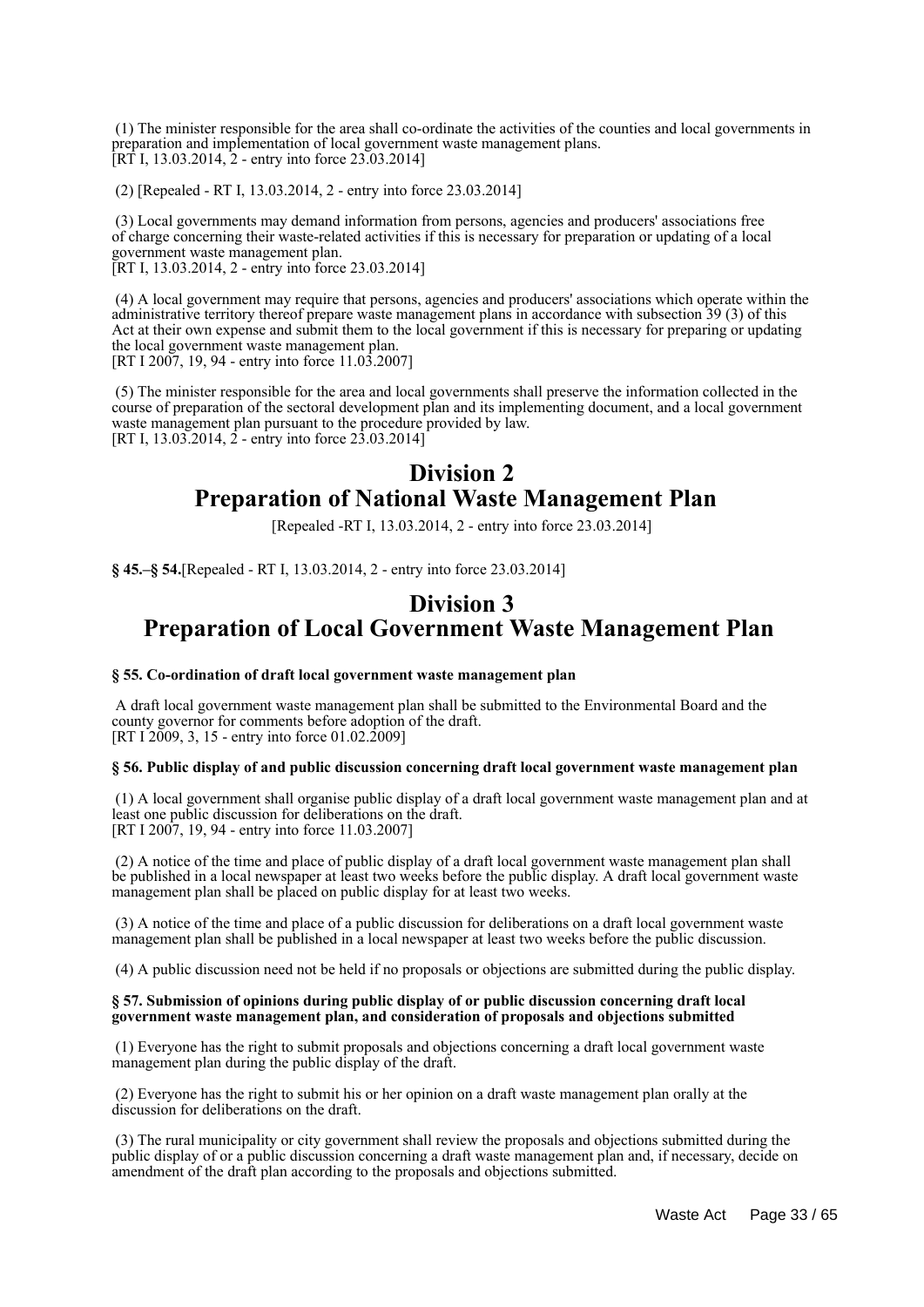(1) The minister responsible for the area shall co-ordinate the activities of the counties and local governments in preparation and implementation of local government waste management plans. [RT I, 13.03.2014, 2 - entry into force 23.03.2014]

(2) [Repealed - RT I, 13.03.2014, 2 - entry into force 23.03.2014]

 (3) Local governments may demand information from persons, agencies and producers' associations free of charge concerning their waste-related activities if this is necessary for preparation or updating of a local government waste management plan.

[RT I, 13.03.2014, 2 - entry into force 23.03.2014]

 (4) A local government may require that persons, agencies and producers' associations which operate within the administrative territory thereof prepare waste management plans in accordance with subsection 39 (3) of this Act at their own expense and submit them to the local government if this is necessary for preparing or updating the local government waste management plan. [RT I 2007, 19, 94 - entry into force 11.03.2007]

 (5) The minister responsible for the area and local governments shall preserve the information collected in the course of preparation of the sectoral development plan and its implementing document, and a local government waste management plan pursuant to the procedure provided by law. [RT I, 13.03.2014, 2 - entry into force 23.03.2014]

## **Division 2 Preparation of National Waste Management Plan**

[Repealed -RT I, 13.03.2014, 2 - entry into force 23.03.2014]

**§ 45.–§ 54.**[Repealed - RT I, 13.03.2014, 2 - entry into force 23.03.2014]

## **Division 3 Preparation of Local Government Waste Management Plan**

#### **§ 55. Co-ordination of draft local government waste management plan**

 A draft local government waste management plan shall be submitted to the Environmental Board and the county governor for comments before adoption of the draft. [RT  $1\overline{2009}$ , 3, 15 - entry into force 01.02.2009]

#### **§ 56. Public display of and public discussion concerning draft local government waste management plan**

 (1) A local government shall organise public display of a draft local government waste management plan and at least one public discussion for deliberations on the draft. [RT I 2007, 19, 94 - entry into force 11.03.2007]

 (2) A notice of the time and place of public display of a draft local government waste management plan shall be published in a local newspaper at least two weeks before the public display. A draft local government waste management plan shall be placed on public display for at least two weeks.

 (3) A notice of the time and place of a public discussion for deliberations on a draft local government waste management plan shall be published in a local newspaper at least two weeks before the public discussion.

(4) A public discussion need not be held if no proposals or objections are submitted during the public display.

#### **§ 57. Submission of opinions during public display of or public discussion concerning draft local government waste management plan, and consideration of proposals and objections submitted**

 (1) Everyone has the right to submit proposals and objections concerning a draft local government waste management plan during the public display of the draft.

 (2) Everyone has the right to submit his or her opinion on a draft waste management plan orally at the discussion for deliberations on the draft.

 (3) The rural municipality or city government shall review the proposals and objections submitted during the public display of or a public discussion concerning a draft waste management plan and, if necessary, decide on amendment of the draft plan according to the proposals and objections submitted.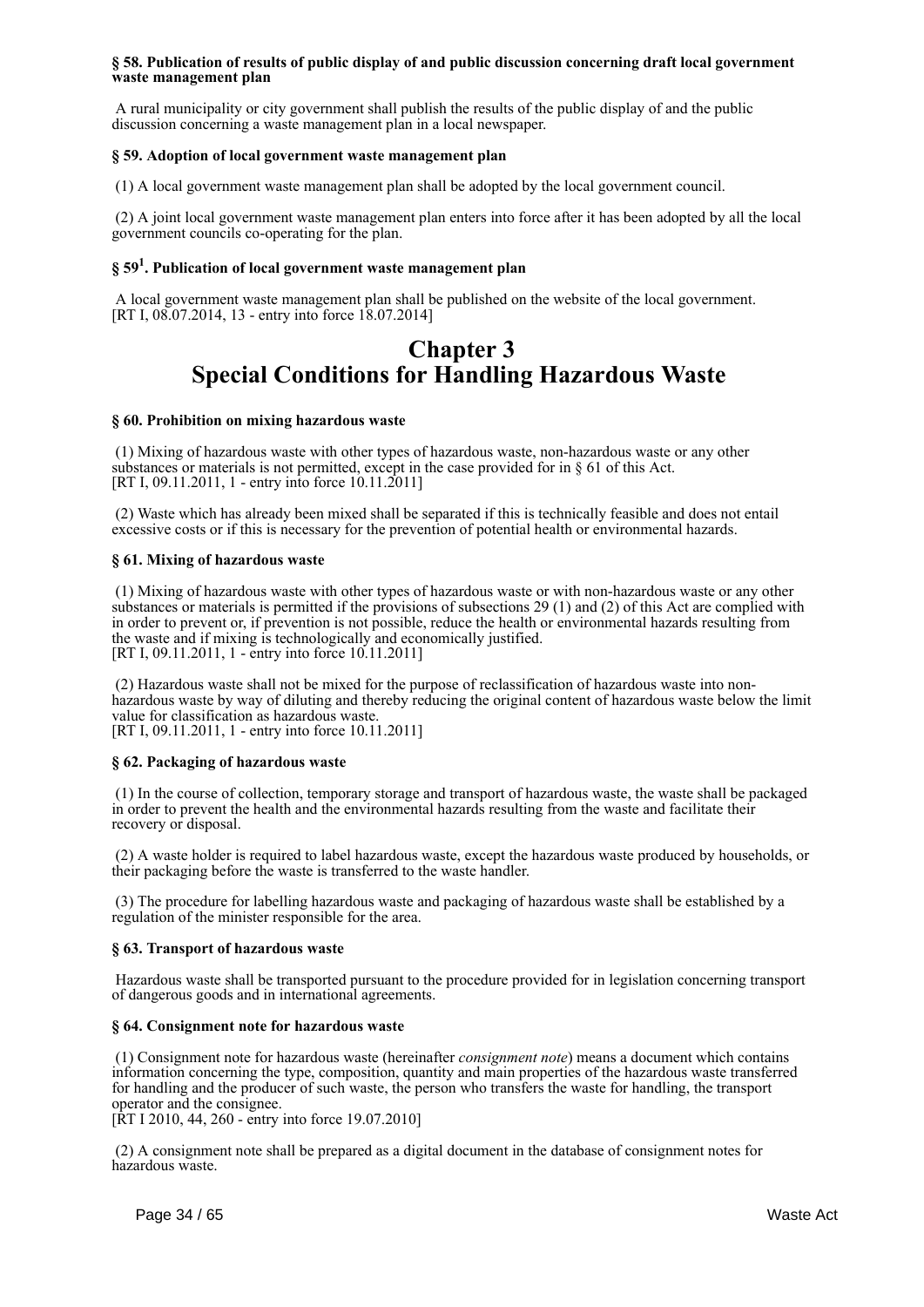#### **§ 58. Publication of results of public display of and public discussion concerning draft local government waste management plan**

 A rural municipality or city government shall publish the results of the public display of and the public discussion concerning a waste management plan in a local newspaper.

#### **§ 59. Adoption of local government waste management plan**

(1) A local government waste management plan shall be adopted by the local government council.

 (2) A joint local government waste management plan enters into force after it has been adopted by all the local government councils co-operating for the plan.

## **§ 59<sup>1</sup> . Publication of local government waste management plan**

 A local government waste management plan shall be published on the website of the local government. [RT I, 08.07.2014, 13 - entry into force 18.07.2014]

## **Chapter 3 Special Conditions for Handling Hazardous Waste**

#### **§ 60. Prohibition on mixing hazardous waste**

 (1) Mixing of hazardous waste with other types of hazardous waste, non-hazardous waste or any other substances or materials is not permitted, except in the case provided for in § 61 of this Act. [RT I, 09.11.2011, 1 - entry into force 10.11.2011]

 (2) Waste which has already been mixed shall be separated if this is technically feasible and does not entail excessive costs or if this is necessary for the prevention of potential health or environmental hazards.

#### **§ 61. Mixing of hazardous waste**

 (1) Mixing of hazardous waste with other types of hazardous waste or with non-hazardous waste or any other substances or materials is permitted if the provisions of subsections 29 (1) and (2) of this Act are complied with in order to prevent or, if prevention is not possible, reduce the health or environmental hazards resulting from the waste and if mixing is technologically and economically justified. [RT I, 09.11.2011, 1 - entry into force 10.11.2011]

 (2) Hazardous waste shall not be mixed for the purpose of reclassification of hazardous waste into nonhazardous waste by way of diluting and thereby reducing the original content of hazardous waste below the limit value for classification as hazardous waste. [RT I, 09.11.2011, 1 - entry into force 10.11.2011]

#### **§ 62. Packaging of hazardous waste**

 (1) In the course of collection, temporary storage and transport of hazardous waste, the waste shall be packaged in order to prevent the health and the environmental hazards resulting from the waste and facilitate their recovery or disposal.

 (2) A waste holder is required to label hazardous waste, except the hazardous waste produced by households, or their packaging before the waste is transferred to the waste handler.

 (3) The procedure for labelling hazardous waste and packaging of hazardous waste shall be established by a regulation of the minister responsible for the area.

#### **§ 63. Transport of hazardous waste**

 Hazardous waste shall be transported pursuant to the procedure provided for in legislation concerning transport of dangerous goods and in international agreements.

#### **§ 64. Consignment note for hazardous waste**

 (1) Consignment note for hazardous waste (hereinafter *consignment note*) means a document which contains information concerning the type, composition, quantity and main properties of the hazardous waste transferred for handling and the producer of such waste, the person who transfers the waste for handling, the transport operator and the consignee.

[RT I 2010, 44, 260 - entry into force 19.07.2010]

 (2) A consignment note shall be prepared as a digital document in the database of consignment notes for hazardous waste.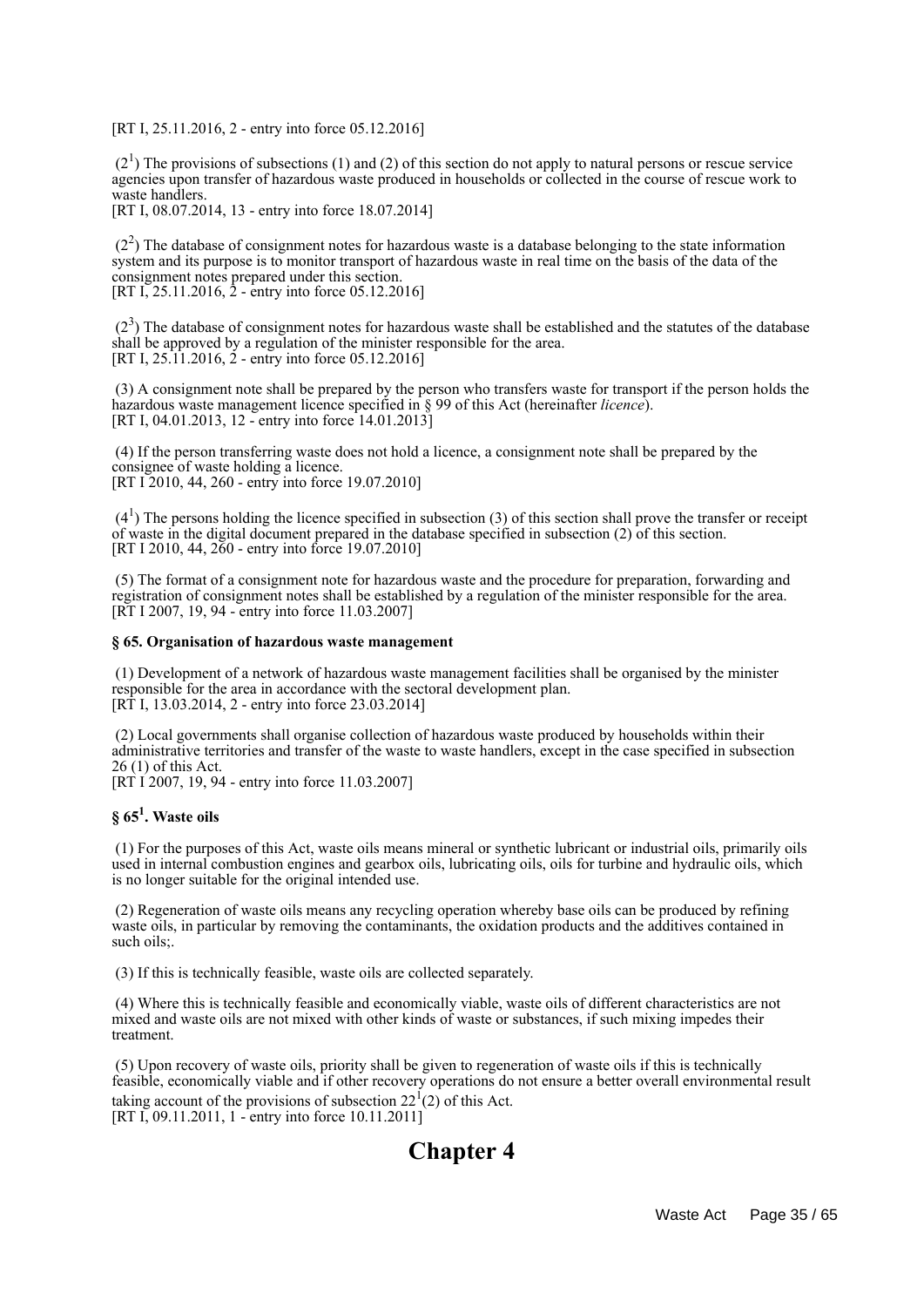[RT I, 25.11.2016, 2 - entry into force 05.12.2016]

 $(2<sup>1</sup>)$  The provisions of subsections (1) and (2) of this section do not apply to natural persons or rescue service agencies upon transfer of hazardous waste produced in households or collected in the course of rescue work to waste handlers.

[RT I, 08.07.2014, 13 - entry into force 18.07.2014]

 $(2<sup>2</sup>)$  The database of consignment notes for hazardous waste is a database belonging to the state information system and its purpose is to monitor transport of hazardous waste in real time on the basis of the data of the consignment notes prepared under this section. [RT I, 25.11.2016, 2 - entry into force 05.12.2016]

 $(2<sup>3</sup>)$  The database of consignment notes for hazardous waste shall be established and the statutes of the database shall be approved by a regulation of the minister responsible for the area. [RT I, 25.11.2016, 2 - entry into force 05.12.2016]

 (3) A consignment note shall be prepared by the person who transfers waste for transport if the person holds the hazardous waste management licence specified in § 99 of this Act (hereinafter *licence*). [RT I, 04.01.2013, 12 - entry into force 14.01.2013]

 (4) If the person transferring waste does not hold a licence, a consignment note shall be prepared by the consignee of waste holding a licence. [RT I 2010, 44, 260 - entry into force 19.07.2010]

 $(4<sup>1</sup>)$  The persons holding the licence specified in subsection (3) of this section shall prove the transfer or receipt of waste in the digital document prepared in the database specified in subsection (2) of this section. [RT I 2010, 44, 260 - entry into force 19.07.2010]

 (5) The format of a consignment note for hazardous waste and the procedure for preparation, forwarding and registration of consignment notes shall be established by a regulation of the minister responsible for the area. [RT I 2007, 19, 94 - entry into force 11.03.2007]

#### **§ 65. Organisation of hazardous waste management**

 (1) Development of a network of hazardous waste management facilities shall be organised by the minister responsible for the area in accordance with the sectoral development plan. [RT I, 13.03.2014, 2 - entry into force 23.03.2014]

 (2) Local governments shall organise collection of hazardous waste produced by households within their administrative territories and transfer of the waste to waste handlers, except in the case specified in subsection 26 (1) of this Act. [RT I 2007, 19, 94 - entry into force 11.03.2007]

## **§ 65<sup>1</sup> . Waste oils**

 (1) For the purposes of this Act, waste oils means mineral or synthetic lubricant or industrial oils, primarily oils used in internal combustion engines and gearbox oils, lubricating oils, oils for turbine and hydraulic oils, which is no longer suitable for the original intended use.

 (2) Regeneration of waste oils means any recycling operation whereby base oils can be produced by refining waste oils, in particular by removing the contaminants, the oxidation products and the additives contained in such oils:

(3) If this is technically feasible, waste oils are collected separately.

 (4) Where this is technically feasible and economically viable, waste oils of different characteristics are not mixed and waste oils are not mixed with other kinds of waste or substances, if such mixing impedes their treatment.

 (5) Upon recovery of waste oils, priority shall be given to regeneration of waste oils if this is technically feasible, economically viable and if other recovery operations do not ensure a better overall environmental result taking account of the provisions of subsection  $22<sup>1</sup>(2)$  of this Act. [RT I, 09.11.2011, 1 - entry into force 10.11.2011]

# **Chapter 4**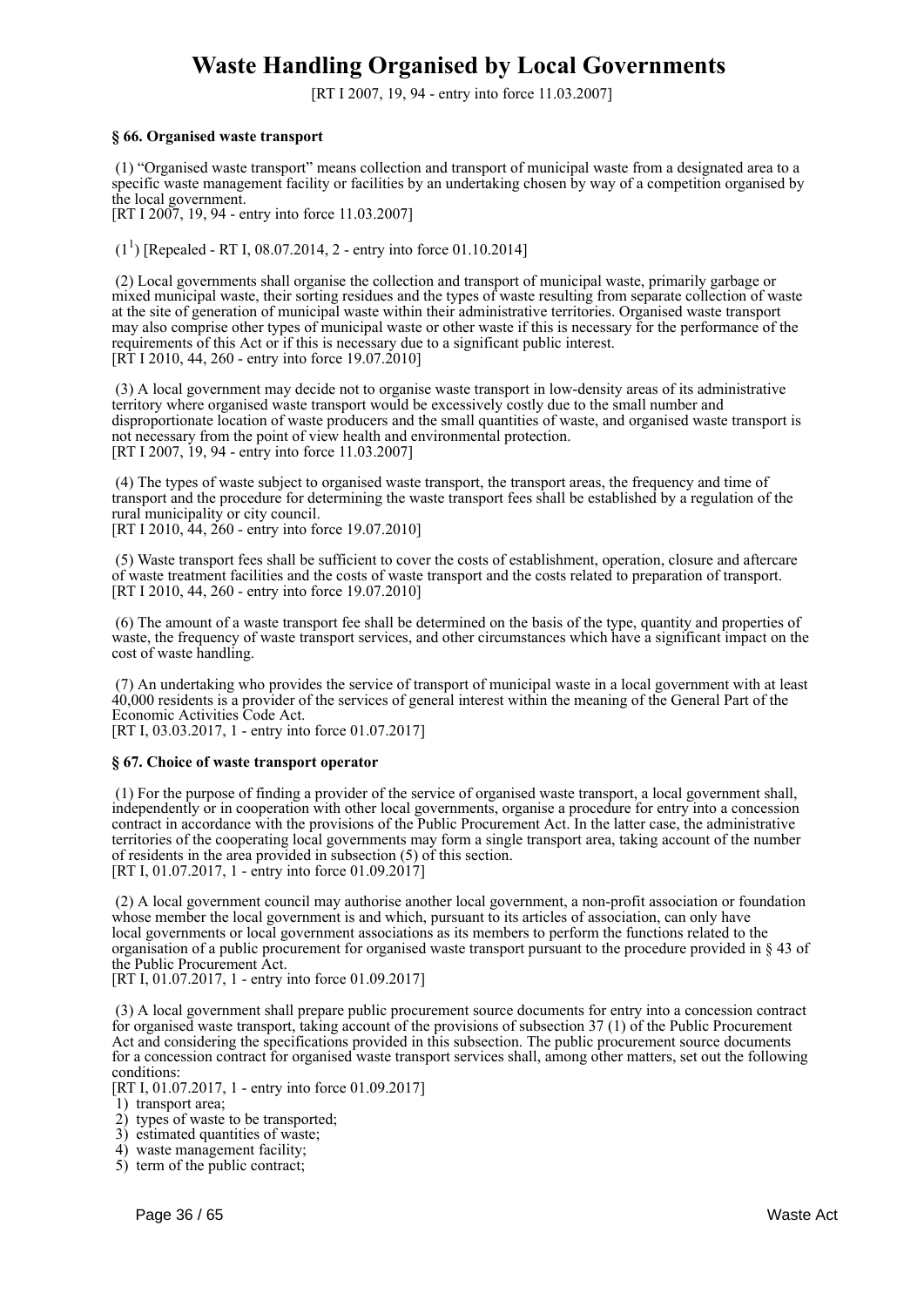# **Waste Handling Organised by Local Governments**

[RT I 2007, 19, 94 - entry into force 11.03.2007]

#### **§ 66. Organised waste transport**

 (1) "Organised waste transport" means collection and transport of municipal waste from a designated area to a specific waste management facility or facilities by an undertaking chosen by way of a competition organised by the local government.

[RT I 2007, 19, 94 - entry into force 11.03.2007]

 $(1^1)$  [Repealed - RT I, 08.07.2014, 2 - entry into force 01.10.2014]

 (2) Local governments shall organise the collection and transport of municipal waste, primarily garbage or mixed municipal waste, their sorting residues and the types of waste resulting from separate collection of waste at the site of generation of municipal waste within their administrative territories. Organised waste transport may also comprise other types of municipal waste or other waste if this is necessary for the performance of the requirements of this Act or if this is necessary due to a significant public interest.  $[R\dot{T}]$  I 2010, 44, 260 - entry into force 19.07.2010]

 (3) A local government may decide not to organise waste transport in low-density areas of its administrative territory where organised waste transport would be excessively costly due to the small number and disproportionate location of waste producers and the small quantities of waste, and organised waste transport is not necessary from the point of view health and environmental protection. [RT I 2007, 19, 94 - entry into force 11.03.2007]

 (4) The types of waste subject to organised waste transport, the transport areas, the frequency and time of transport and the procedure for determining the waste transport fees shall be established by a regulation of the rural municipality or city council.

[RT I 2010, 44, 260 - entry into force 19.07.2010]

 (5) Waste transport fees shall be sufficient to cover the costs of establishment, operation, closure and aftercare of waste treatment facilities and the costs of waste transport and the costs related to preparation of transport. [RT I 2010, 44, 260 - entry into force 19.07.2010]

 (6) The amount of a waste transport fee shall be determined on the basis of the type, quantity and properties of waste, the frequency of waste transport services, and other circumstances which have a significant impact on the cost of waste handling.

 (7) An undertaking who provides the service of transport of municipal waste in a local government with at least 40,000 residents is a provider of the services of general interest within the meaning of the General Part of the Economic Activities Code Act.

[RT I, 03.03.2017, 1 - entry into force 01.07.2017]

#### **§ 67. Choice of waste transport operator**

 (1) For the purpose of finding a provider of the service of organised waste transport, a local government shall, independently or in cooperation with other local governments, organise a procedure for entry into a concession contract in accordance with the provisions of the Public Procurement Act. In the latter case, the administrative territories of the cooperating local governments may form a single transport area, taking account of the number of residents in the area provided in subsection (5) of this section. [RT I, 01.07.2017, 1 - entry into force 01.09.2017]

 (2) A local government council may authorise another local government, a non-profit association or foundation whose member the local government is and which, pursuant to its articles of association, can only have local governments or local government associations as its members to perform the functions related to the organisation of a public procurement for organised waste transport pursuant to the procedure provided in § 43 of the Public Procurement Act.

[RT I, 01.07.2017, 1 - entry into force 01.09.2017]

 (3) A local government shall prepare public procurement source documents for entry into a concession contract for organised waste transport, taking account of the provisions of subsection 37 (1) of the Public Procurement Act and considering the specifications provided in this subsection. The public procurement source documents for a concession contract for organised waste transport services shall, among other matters, set out the following conditions:

[RT I, 01.07.2017, 1 - entry into force 01.09.2017]

1) transport area;

- 2) types of waste to be transported;
- 3) estimated quantities of waste;
- 4) waste management facility;
- 5) term of the public contract;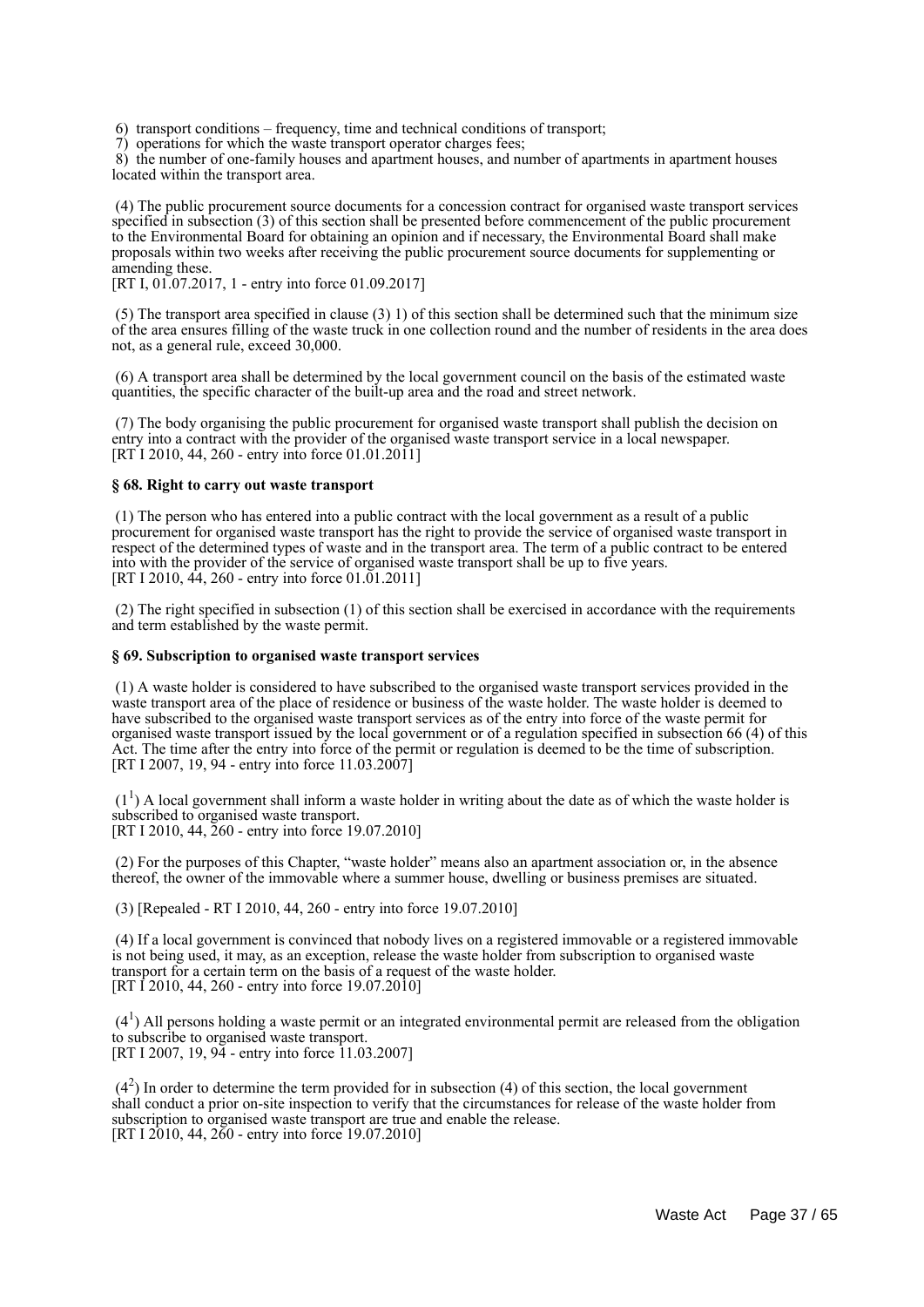6) transport conditions – frequency, time and technical conditions of transport;

7) operations for which the waste transport operator charges fees;

 8) the number of one-family houses and apartment houses, and number of apartments in apartment houses located within the transport area.

 (4) The public procurement source documents for a concession contract for organised waste transport services specified in subsection (3) of this section shall be presented before commencement of the public procurement to the Environmental Board for obtaining an opinion and if necessary, the Environmental Board shall make proposals within two weeks after receiving the public procurement source documents for supplementing or amending these.

[RT I, 01.07.2017, 1 - entry into force 01.09.2017]

 (5) The transport area specified in clause (3) 1) of this section shall be determined such that the minimum size of the area ensures filling of the waste truck in one collection round and the number of residents in the area does not, as a general rule, exceed 30,000.

 (6) A transport area shall be determined by the local government council on the basis of the estimated waste quantities, the specific character of the built-up area and the road and street network.

 (7) The body organising the public procurement for organised waste transport shall publish the decision on entry into a contract with the provider of the organised waste transport service in a local newspaper. [RT I 2010, 44, 260 - entry into force 01.01.2011]

#### **§ 68. Right to carry out waste transport**

 (1) The person who has entered into a public contract with the local government as a result of a public procurement for organised waste transport has the right to provide the service of organised waste transport in respect of the determined types of waste and in the transport area. The term of a public contract to be entered into with the provider of the service of organised waste transport shall be up to five years. [RT I 2010, 44, 260 - entry into force 01.01.2011]

 (2) The right specified in subsection (1) of this section shall be exercised in accordance with the requirements and term established by the waste permit.

#### **§ 69. Subscription to organised waste transport services**

 (1) A waste holder is considered to have subscribed to the organised waste transport services provided in the waste transport area of the place of residence or business of the waste holder. The waste holder is deemed to have subscribed to the organised waste transport services as of the entry into force of the waste permit for organised waste transport issued by the local government or of a regulation specified in subsection 66 (4) of this Act. The time after the entry into force of the permit or regulation is deemed to be the time of subscription. [RT I 2007, 19, 94 - entry into force 11.03.2007]

 $(1<sup>1</sup>)$  A local government shall inform a waste holder in writing about the date as of which the waste holder is subscribed to organised waste transport. [RT I 2010, 44, 260 - entry into force 19.07.2010]

 (2) For the purposes of this Chapter, "waste holder" means also an apartment association or, in the absence thereof, the owner of the immovable where a summer house, dwelling or business premises are situated.

(3) [Repealed - RT I 2010, 44, 260 - entry into force 19.07.2010]

 (4) If a local government is convinced that nobody lives on a registered immovable or a registered immovable is not being used, it may, as an exception, release the waste holder from subscription to organised waste transport for a certain term on the basis of a request of the waste holder. [RT I 2010, 44, 260 - entry into force 19.07.2010]

 (4<sup>1</sup> ) All persons holding a waste permit or an integrated environmental permit are released from the obligation to subscribe to organised waste transport. [RT I 2007, 19, 94 - entry into force 11.03.2007]

 $(4<sup>2</sup>)$  In order to determine the term provided for in subsection (4) of this section, the local government shall conduct a prior on-site inspection to verify that the circumstances for release of the waste holder from subscription to organised waste transport are true and enable the release. [RT I 2010, 44, 260 - entry into force 19.07.2010]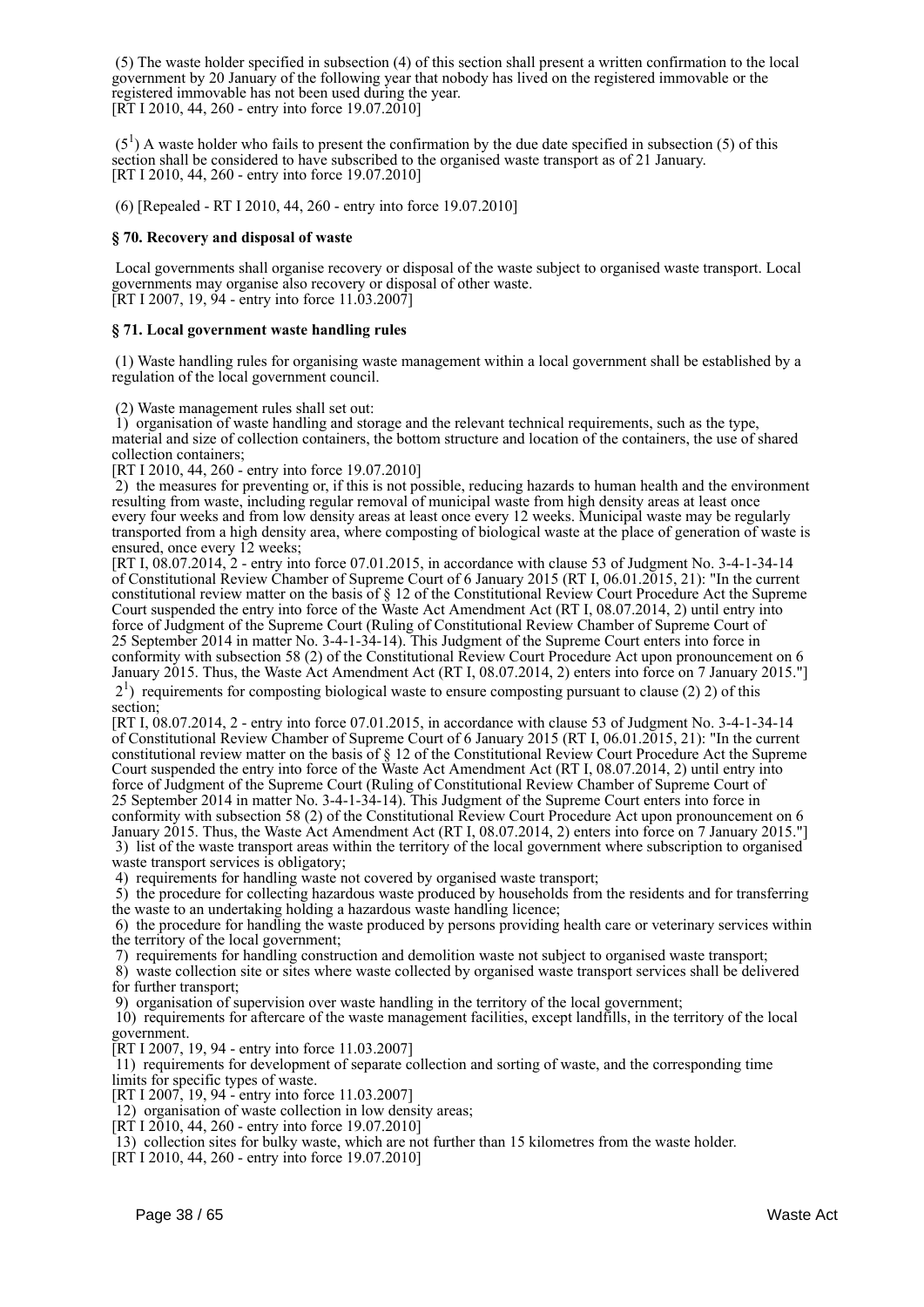(5) The waste holder specified in subsection (4) of this section shall present a written confirmation to the local government by 20 January of the following year that nobody has lived on the registered immovable or the registered immovable has not been used during the year. [RT I 2010, 44, 260 - entry into force 19.07.2010]

 $(5<sup>1</sup>)$  A waste holder who fails to present the confirmation by the due date specified in subsection (5) of this section shall be considered to have subscribed to the organised waste transport as of 21 January. [RT I 2010, 44, 260 - entry into force 19.07.2010]

(6) [Repealed - RT I 2010, 44, 260 - entry into force 19.07.2010]

#### **§ 70. Recovery and disposal of waste**

 Local governments shall organise recovery or disposal of the waste subject to organised waste transport. Local governments may organise also recovery or disposal of other waste. [RT I 2007, 19, 94 - entry into force 11.03.2007]

#### **§ 71. Local government waste handling rules**

 (1) Waste handling rules for organising waste management within a local government shall be established by a regulation of the local government council.

(2) Waste management rules shall set out:

 1) organisation of waste handling and storage and the relevant technical requirements, such as the type, material and size of collection containers, the bottom structure and location of the containers, the use of shared collection containers;

[RT I 2010, 44, 260 - entry into force 19.07.2010]

 2) the measures for preventing or, if this is not possible, reducing hazards to human health and the environment resulting from waste, including regular removal of municipal waste from high density areas at least once every four weeks and from low density areas at least once every 12 weeks. Municipal waste may be regularly transported from a high density area, where composting of biological waste at the place of generation of waste is ensured, once every 12 weeks;

[RT I, 08.07.2014, 2 - entry into force 07.01.2015, in accordance with clause 53 of Judgment No. 3-4-1-34-14 of Constitutional Review Chamber of Supreme Court of 6 January 2015 (RT I, 06.01.2015, 21): "In the current constitutional review matter on the basis of § 12 of the Constitutional Review Court Procedure Act the Supreme Court suspended the entry into force of the Waste Act Amendment Act (RT I, 08.07.2014, 2) until entry into force of Judgment of the Supreme Court (Ruling of Constitutional Review Chamber of Supreme Court of 25 September 2014 in matter No. 3-4-1-34-14). This Judgment of the Supreme Court enters into force in conformity with subsection 58 (2) of the Constitutional Review Court Procedure Act upon pronouncement on 6 January 2015. Thus, the Waste Act Amendment Act (RT I, 08.07.2014, 2) enters into force on 7 January 2015."]

 21 ) requirements for composting biological waste to ensure composting pursuant to clause (2) 2) of this section;

[RT I, 08.07.2014, 2 - entry into force 07.01.2015, in accordance with clause 53 of Judgment No. 3-4-1-34-14 of Constitutional Review Chamber of Supreme Court of 6 January 2015 (RT I, 06.01.2015, 21): "In the current constitutional review matter on the basis of § 12 of the Constitutional Review Court Procedure Act the Supreme Court suspended the entry into force of the Waste Act Amendment Act (RT I, 08.07.2014, 2) until entry into force of Judgment of the Supreme Court (Ruling of Constitutional Review Chamber of Supreme Court of 25 September 2014 in matter No. 3-4-1-34-14). This Judgment of the Supreme Court enters into force in conformity with subsection 58 (2) of the Constitutional Review Court Procedure Act upon pronouncement on 6 January 2015. Thus, the Waste Act Amendment Act (RT I, 08.07.2014, 2) enters into force on 7 January 2015."] 3) list of the waste transport areas within the territory of the local government where subscription to organised waste transport services is obligatory:

4) requirements for handling waste not covered by organised waste transport;

 5) the procedure for collecting hazardous waste produced by households from the residents and for transferring the waste to an undertaking holding a hazardous waste handling licence;

 6) the procedure for handling the waste produced by persons providing health care or veterinary services within the territory of the local government;

7) requirements for handling construction and demolition waste not subject to organised waste transport;

 8) waste collection site or sites where waste collected by organised waste transport services shall be delivered for further transport;

9) organisation of supervision over waste handling in the territory of the local government;

 10) requirements for aftercare of the waste management facilities, except landfills, in the territory of the local government.

[RT I 2007, 19, 94 - entry into force 11.03.2007]

 11) requirements for development of separate collection and sorting of waste, and the corresponding time limits for specific types of waste.

[RT I 2007, 19, 94 - entry into force 11.03.2007]

12) organisation of waste collection in low density areas;

 $[RT 1 2010, 44, 260 - entry into force 19.07.2010]$ 

13) collection sites for bulky waste, which are not further than 15 kilometres from the waste holder.

[RT I 2010, 44, 260 - entry into force 19.07.2010]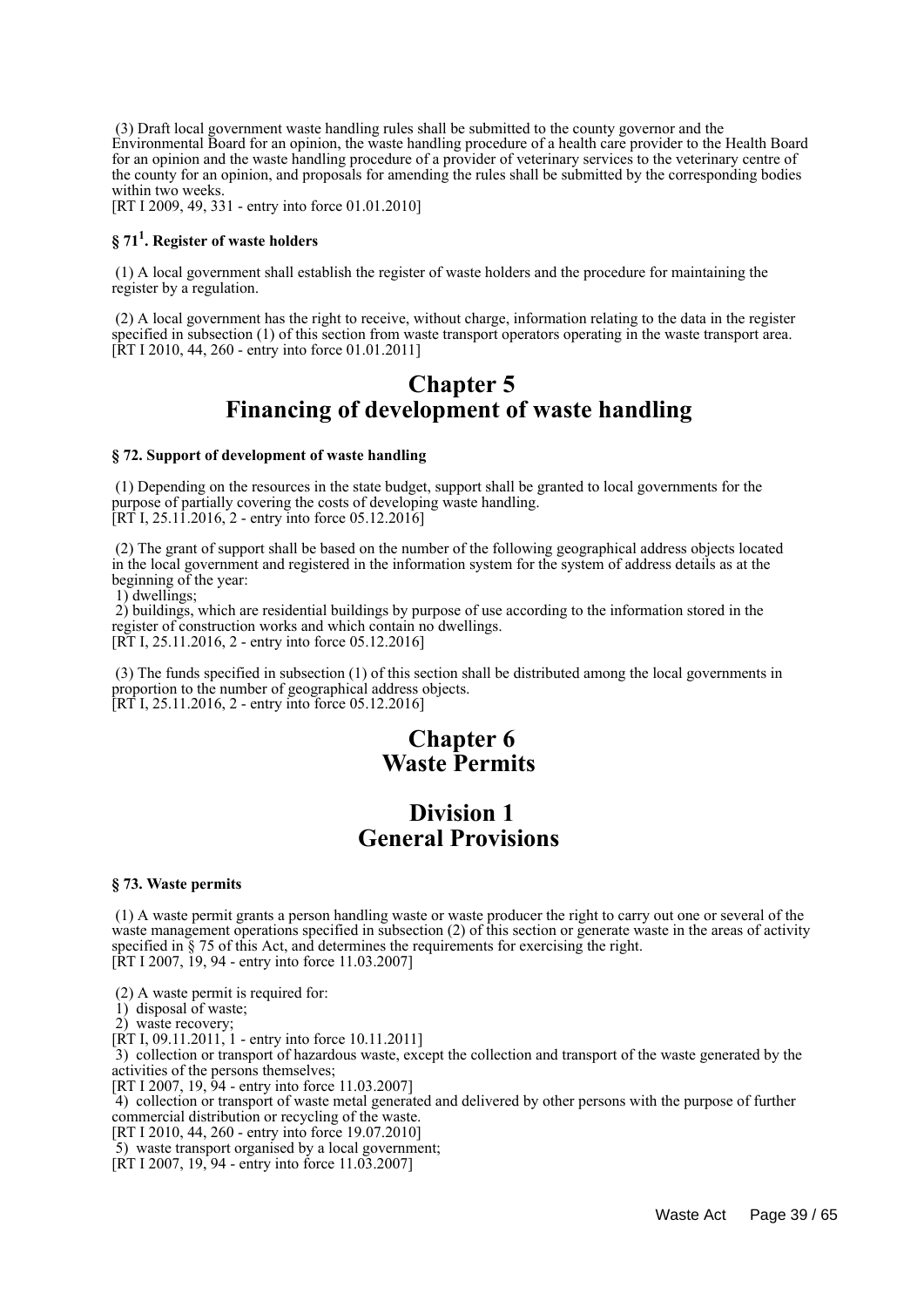(3) Draft local government waste handling rules shall be submitted to the county governor and the Environmental Board for an opinion, the waste handling procedure of a health care provider to the Health Board for an opinion and the waste handling procedure of a provider of veterinary services to the veterinary centre of the county for an opinion, and proposals for amending the rules shall be submitted by the corresponding bodies within two weeks.

[RT I 2009, 49, 331 - entry into force 01.01.2010]

## **§ 71<sup>1</sup> . Register of waste holders**

 (1) A local government shall establish the register of waste holders and the procedure for maintaining the register by a regulation.

 (2) A local government has the right to receive, without charge, information relating to the data in the register specified in subsection (1) of this section from waste transport operators operating in the waste transport area. [RT I 2010, 44, 260 - entry into force 01.01.2011]

## **Chapter 5 Financing of development of waste handling**

#### **§ 72. Support of development of waste handling**

 (1) Depending on the resources in the state budget, support shall be granted to local governments for the purpose of partially covering the costs of developing waste handling.  $[RT\ I, 25.1\ \ 1.2016, 2 - entry\$  into force 05.12.2016]

 (2) The grant of support shall be based on the number of the following geographical address objects located in the local government and registered in the information system for the system of address details as at the beginning of the year:

1) dwellings;

 2) buildings, which are residential buildings by purpose of use according to the information stored in the register of construction works and which contain no dwellings. [RT I, 25.11.2016, 2 - entry into force 05.12.2016]

 (3) The funds specified in subsection (1) of this section shall be distributed among the local governments in proportion to the number of geographical address objects. [RT I, 25.11.2016, 2 - entry into force 05.12.2016]

## **Chapter 6 Waste Permits**

## **Division 1 General Provisions**

#### **§ 73. Waste permits**

 (1) A waste permit grants a person handling waste or waste producer the right to carry out one or several of the waste management operations specified in subsection (2) of this section or generate waste in the areas of activity specified in § 75 of this Act, and determines the requirements for exercising the right. [RT I 2007, 19, 94 - entry into force 11.03.2007]

(2) A waste permit is required for:

1) disposal of waste;

2) waste recovery;

[RT I, 09.11.2011, 1 - entry into force 10.11.2011]

 3) collection or transport of hazardous waste, except the collection and transport of the waste generated by the activities of the persons themselves;

[RT I 2007, 19, 94 - entry into force 11.03.2007]

 4) collection or transport of waste metal generated and delivered by other persons with the purpose of further commercial distribution or recycling of the waste.

[RT I 2010, 44, 260 - entry into force 19.07.2010]

5) waste transport organised by a local government;

 $[\hat{RT} I 2007, 19, 94 - \hat{entry} \]$  into force 11.03.2007]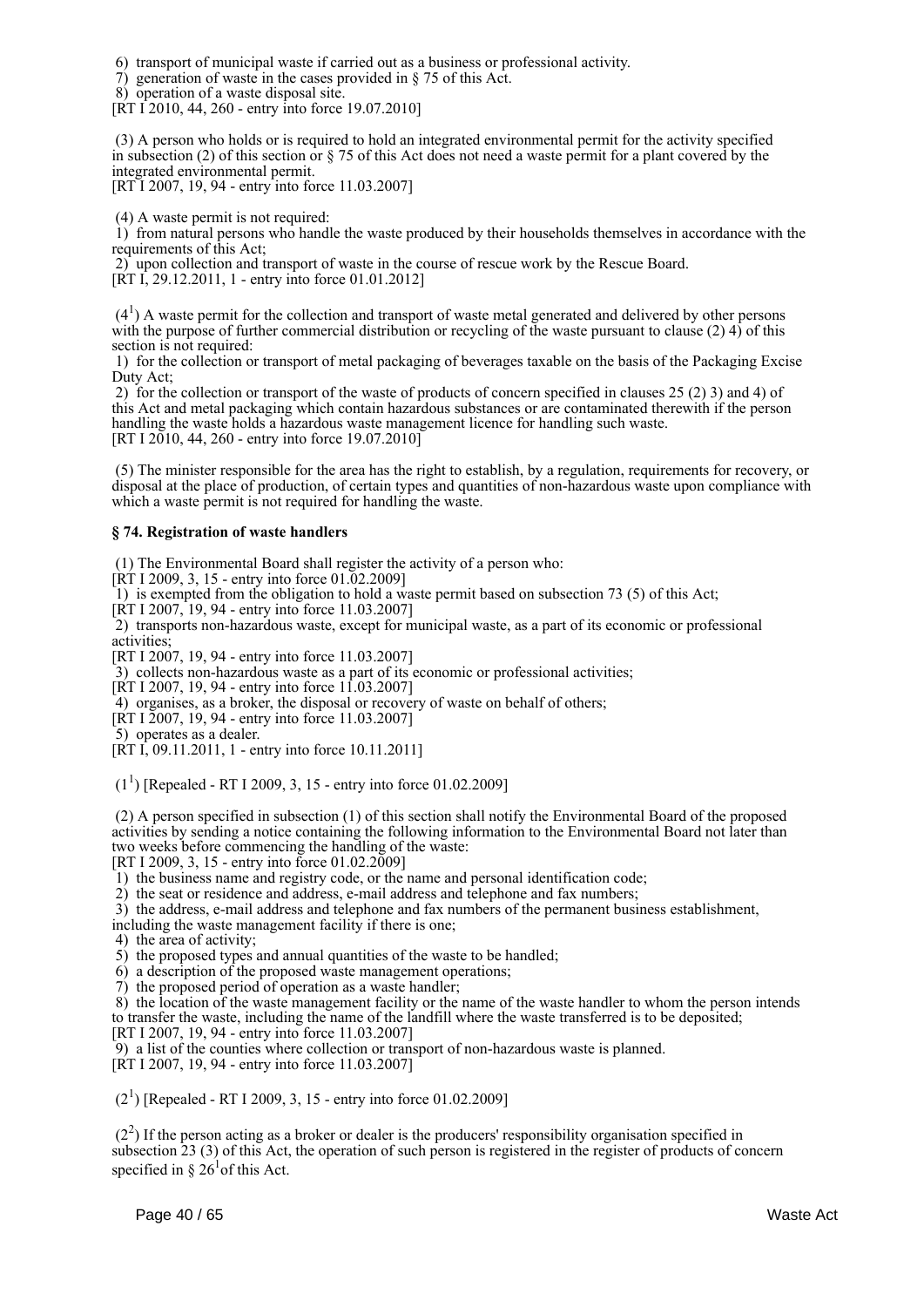6) transport of municipal waste if carried out as a business or professional activity.

- 7) generation of waste in the cases provided in § 75 of this Act.
- 8) operation of a waste disposal site.

[RT I 2010, 44, 260 - entry into force 19.07.2010]

 (3) A person who holds or is required to hold an integrated environmental permit for the activity specified in subsection (2) of this section or  $\S$  75 of this Act does not need a waste permit for a plant covered by the integrated environmental permit.

[RT I 2007, 19, 94 - entry into force 11.03.2007]

(4) A waste permit is not required:

 1) from natural persons who handle the waste produced by their households themselves in accordance with the requirements of this Act:

2) upon collection and transport of waste in the course of rescue work by the Rescue Board.

[RT I, 29.12.2011, 1 - entry into force 01.01.2012]

 $(4<sup>1</sup>)$  A waste permit for the collection and transport of waste metal generated and delivered by other persons with the purpose of further commercial distribution or recycling of the waste pursuant to clause (2) 4) of this section is not required:

 1) for the collection or transport of metal packaging of beverages taxable on the basis of the Packaging Excise Duty Act;

 2) for the collection or transport of the waste of products of concern specified in clauses 25 (2) 3) and 4) of this Act and metal packaging which contain hazardous substances or are contaminated therewith if the person handling the waste holds a hazardous waste management licence for handling such waste. [RT I 2010, 44, 260 - entry into force 19.07.2010]

 (5) The minister responsible for the area has the right to establish, by a regulation, requirements for recovery, or disposal at the place of production, of certain types and quantities of non-hazardous waste upon compliance with which a waste permit is not required for handling the waste.

#### **§ 74. Registration of waste handlers**

(1) The Environmental Board shall register the activity of a person who:

[RT I 2009, 3, 15 - entry into force 01.02.2009]

1) is exempted from the obligation to hold a waste permit based on subsection 73 (5) of this Act;

[RT I 2007, 19, 94 - entry into force 11.03.2007]

 2) transports non-hazardous waste, except for municipal waste, as a part of its economic or professional activities;

[RT I 2007, 19, 94 - entry into force 11.03.2007]

3) collects non-hazardous waste as a part of its economic or professional activities;

[RT I 2007, 19, 94 - entry into force 11.03.2007]

4) organises, as a broker, the disposal or recovery of waste on behalf of others;

[RT I 2007, 19, 94 - entry into force 11.03.2007]

5) operates as a dealer.

[RT I, 09.11.2011, 1 - entry into force 10.11.2011]

 $(1^1)$  [Repealed - RT I 2009, 3, 15 - entry into force 01.02.2009]

 (2) A person specified in subsection (1) of this section shall notify the Environmental Board of the proposed activities by sending a notice containing the following information to the Environmental Board not later than two weeks before commencing the handling of the waste:

[RT I 2009, 3, 15 - entry into force 01.02.2009]

1) the business name and registry code, or the name and personal identification code;

2) the seat or residence and address, e-mail address and telephone and fax numbers;

 3) the address, e-mail address and telephone and fax numbers of the permanent business establishment, including the waste management facility if there is one;

4) the area of activity;

5) the proposed types and annual quantities of the waste to be handled;

6) a description of the proposed waste management operations;

7) the proposed period of operation as a waste handler;

 8) the location of the waste management facility or the name of the waste handler to whom the person intends to transfer the waste, including the name of the landfill where the waste transferred is to be deposited;

[RT I 2007, 19, 94 - entry into force 11.03.2007]

9) a list of the counties where collection or transport of non-hazardous waste is planned.

[RT I 2007, 19, 94 - entry into force 11.03.2007]

 $(2<sup>1</sup>)$  [Repealed - RT I 2009, 3, 15 - entry into force 01.02.2009]

 $(2<sup>2</sup>)$  If the person acting as a broker or dealer is the producers' responsibility organisation specified in subsection 23 (3) of this Act, the operation of such person is registered in the register of products of concern specified in  $\S 26^{\circ}$  of this Act.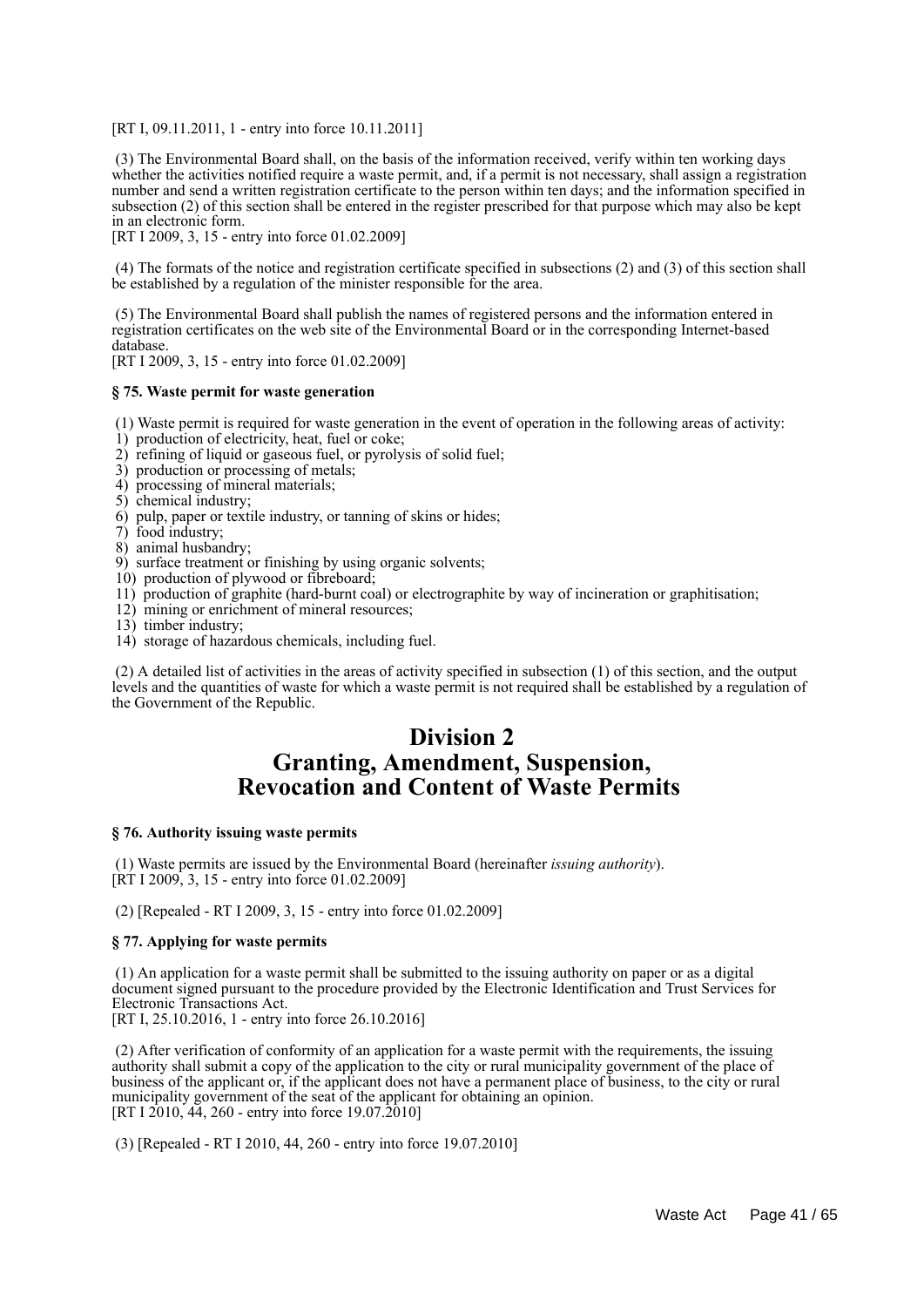[RT I, 09.11.2011, 1 - entry into force 10.11.2011]

 (3) The Environmental Board shall, on the basis of the information received, verify within ten working days whether the activities notified require a waste permit, and, if a permit is not necessary, shall assign a registration number and send a written registration certificate to the person within ten days; and the information specified in subsection (2) of this section shall be entered in the register prescribed for that purpose which may also be kept in an electronic form.

[RT I 2009, 3, 15 - entry into force 01.02.2009]

 (4) The formats of the notice and registration certificate specified in subsections (2) and (3) of this section shall be established by a regulation of the minister responsible for the area.

 (5) The Environmental Board shall publish the names of registered persons and the information entered in registration certificates on the web site of the Environmental Board or in the corresponding Internet-based database.

[RT I 2009, 3, 15 - entry into force 01.02.2009]

#### **§ 75. Waste permit for waste generation**

(1) Waste permit is required for waste generation in the event of operation in the following areas of activity:

- 1) production of electricity, heat, fuel or coke;
- 2) refining of liquid or gaseous fuel, or pyrolysis of solid fuel;
- 3) production or processing of metals;
- 4) processing of mineral materials;
- 5) chemical industry;
- 6) pulp, paper or textile industry, or tanning of skins or hides;
- 7) food industry;
- 8) animal husbandry;
- 9) surface treatment or finishing by using organic solvents;
- 10) production of plywood or fibreboard;
- 11) production of graphite (hard-burnt coal) or electrographite by way of incineration or graphitisation;
- 12) mining or enrichment of mineral resources;
- 13) timber industry;
- 14) storage of hazardous chemicals, including fuel.

 (2) A detailed list of activities in the areas of activity specified in subsection (1) of this section, and the output levels and the quantities of waste for which a waste permit is not required shall be established by a regulation of the Government of the Republic.

## **Division 2 Granting, Amendment, Suspension, Revocation and Content of Waste Permits**

#### **§ 76. Authority issuing waste permits**

 (1) Waste permits are issued by the Environmental Board (hereinafter *issuing authority*). [RT I 2009, 3, 15 - entry into force 01.02.2009]

(2) [Repealed - RT I 2009, 3, 15 - entry into force 01.02.2009]

#### **§ 77. Applying for waste permits**

 (1) An application for a waste permit shall be submitted to the issuing authority on paper or as a digital document signed pursuant to the procedure provided by the Electronic Identification and Trust Services for Electronic Transactions Act.

[RT I, 25.10.2016, 1 - entry into force 26.10.2016]

 (2) After verification of conformity of an application for a waste permit with the requirements, the issuing authority shall submit a copy of the application to the city or rural municipality government of the place of business of the applicant or, if the applicant does not have a permanent place of business, to the city or rural municipality government of the seat of the applicant for obtaining an opinion. [RT I  $2010, 44, 260$  - entry into force 19.07.2010]

(3) [Repealed - RT I 2010, 44, 260 - entry into force 19.07.2010]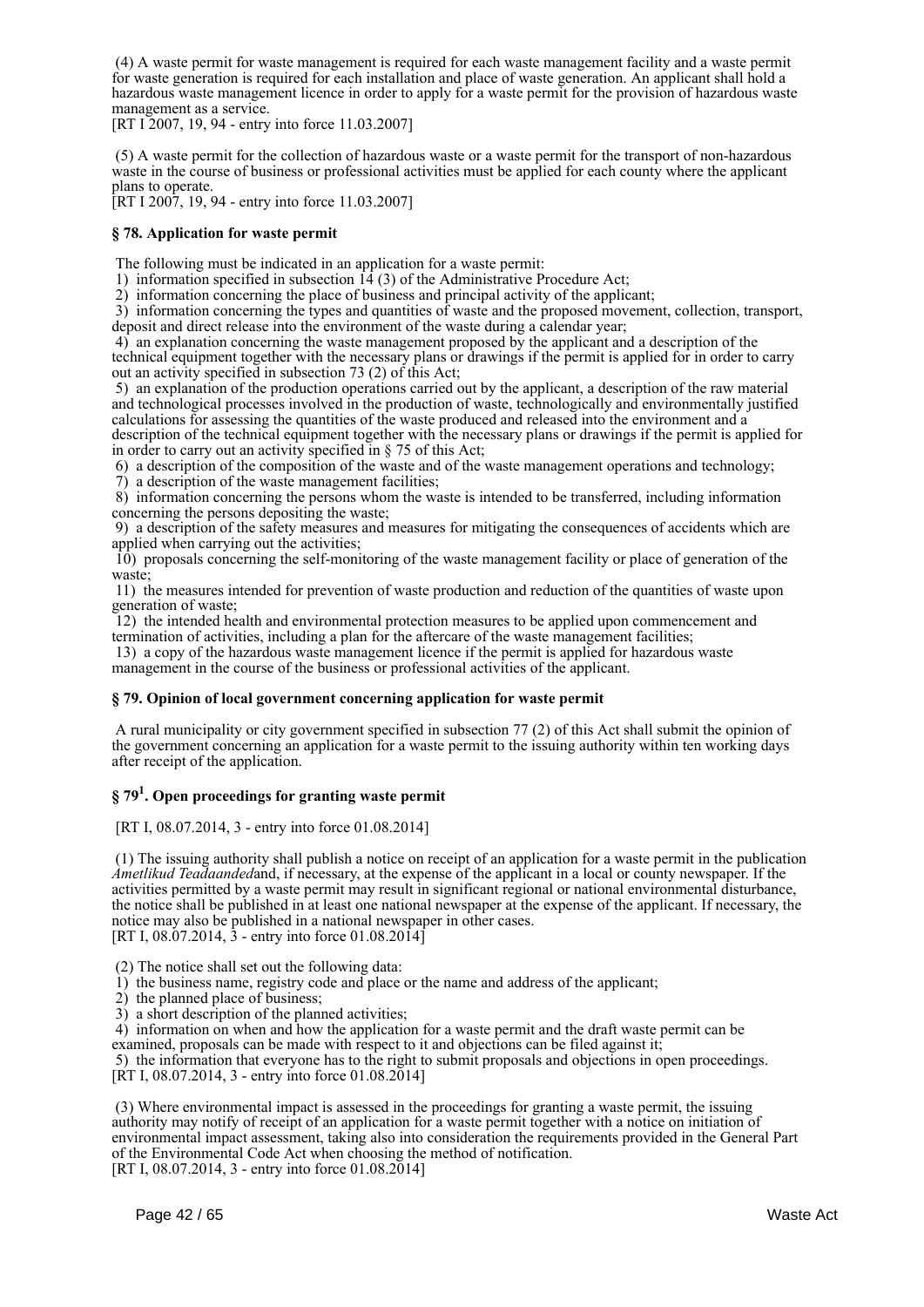(4) A waste permit for waste management is required for each waste management facility and a waste permit for waste generation is required for each installation and place of waste generation. An applicant shall hold a hazardous waste management licence in order to apply for a waste permit for the provision of hazardous waste management as a service.

[RT I 2007, 19, 94 - entry into force 11.03.2007]

 (5) A waste permit for the collection of hazardous waste or a waste permit for the transport of non-hazardous waste in the course of business or professional activities must be applied for each county where the applicant plans to operate.

[RT I 2007, 19, 94 - entry into force 11.03.2007]

#### **§ 78. Application for waste permit**

The following must be indicated in an application for a waste permit:

1) information specified in subsection  $14(3)$  of the Administrative Procedure Act;

2) information concerning the place of business and principal activity of the applicant;

 3) information concerning the types and quantities of waste and the proposed movement, collection, transport, deposit and direct release into the environment of the waste during a calendar year;

 4) an explanation concerning the waste management proposed by the applicant and a description of the technical equipment together with the necessary plans or drawings if the permit is applied for in order to carry out an activity specified in subsection 73 (2) of this Act;

 5) an explanation of the production operations carried out by the applicant, a description of the raw material and technological processes involved in the production of waste, technologically and environmentally justified calculations for assessing the quantities of the waste produced and released into the environment and a description of the technical equipment together with the necessary plans or drawings if the permit is applied for in order to carry out an activity specified in § 75 of this Act;

6) a description of the composition of the waste and of the waste management operations and technology;

7) a description of the waste management facilities;

 8) information concerning the persons whom the waste is intended to be transferred, including information concerning the persons depositing the waste;

 9) a description of the safety measures and measures for mitigating the consequences of accidents which are applied when carrying out the activities;

 10) proposals concerning the self-monitoring of the waste management facility or place of generation of the waste;

 11) the measures intended for prevention of waste production and reduction of the quantities of waste upon generation of waste;

 12) the intended health and environmental protection measures to be applied upon commencement and termination of activities, including a plan for the aftercare of the waste management facilities;

 13) a copy of the hazardous waste management licence if the permit is applied for hazardous waste management in the course of the business or professional activities of the applicant.

#### **§ 79. Opinion of local government concerning application for waste permit**

 A rural municipality or city government specified in subsection 77 (2) of this Act shall submit the opinion of the government concerning an application for a waste permit to the issuing authority within ten working days after receipt of the application.

## **§ 79<sup>1</sup> . Open proceedings for granting waste permit**

[RT I, 08.07.2014, 3 - entry into force 01.08.2014]

 (1) The issuing authority shall publish a notice on receipt of an application for a waste permit in the publication *Ametlikud Teadaanded*and, if necessary, at the expense of the applicant in a local or county newspaper. If the activities permitted by a waste permit may result in significant regional or national environmental disturbance, the notice shall be published in at least one national newspaper at the expense of the applicant. If necessary, the notice may also be published in a national newspaper in other cases. [RT I, 08.07.2014,  $\bar{3}$  - entry into force 01.08.2014]

(2) The notice shall set out the following data:

1) the business name, registry code and place or the name and address of the applicant;

2) the planned place of business;

3) a short description of the planned activities;

 4) information on when and how the application for a waste permit and the draft waste permit can be examined, proposals can be made with respect to it and objections can be filed against it;

 5) the information that everyone has to the right to submit proposals and objections in open proceedings. [RT I, 08.07.2014, 3 - entry into force 01.08.2014]

 (3) Where environmental impact is assessed in the proceedings for granting a waste permit, the issuing authority may notify of receipt of an application for a waste permit together with a notice on initiation of environmental impact assessment, taking also into consideration the requirements provided in the General Part of the Environmental Code Act when choosing the method of notification. [RT I, 08.07.2014, 3 - entry into force 01.08.2014]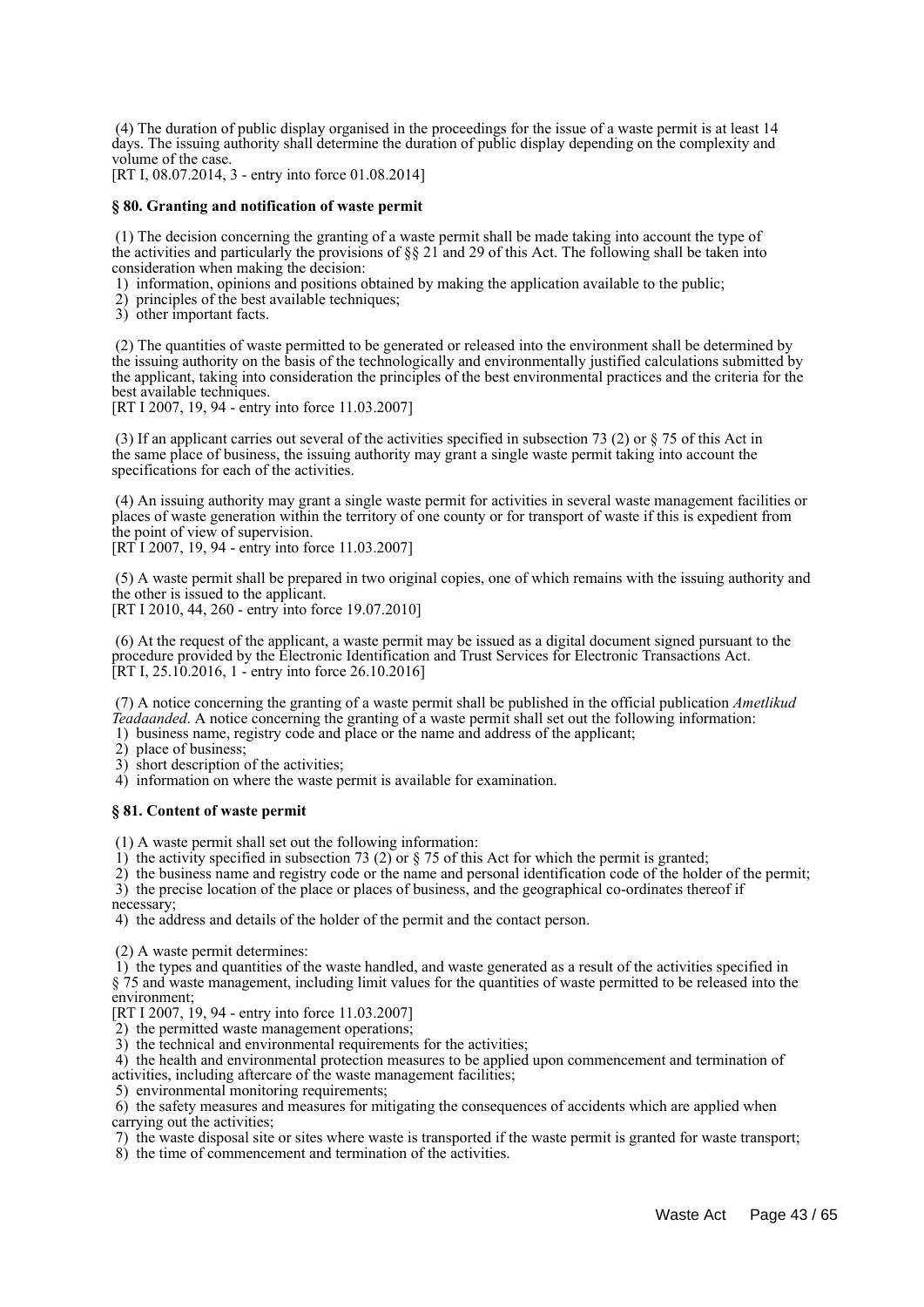(4) The duration of public display organised in the proceedings for the issue of a waste permit is at least 14 days. The issuing authority shall determine the duration of public display depending on the complexity and volume of the case.

[RT I, 08.07.2014, 3 - entry into force 01.08.2014]

#### **§ 80. Granting and notification of waste permit**

 (1) The decision concerning the granting of a waste permit shall be made taking into account the type of the activities and particularly the provisions of  $\S$  21 and 29 of this Act. The following shall be taken into consideration when making the decision:

1) information, opinions and positions obtained by making the application available to the public;

2) principles of the best available techniques;

3) other important facts.

 (2) The quantities of waste permitted to be generated or released into the environment shall be determined by the issuing authority on the basis of the technologically and environmentally justified calculations submitted by the applicant, taking into consideration the principles of the best environmental practices and the criteria for the best available techniques.

[RT I 2007, 19, 94 - entry into force 11.03.2007]

 (3) If an applicant carries out several of the activities specified in subsection 73 (2) or § 75 of this Act in the same place of business, the issuing authority may grant a single waste permit taking into account the specifications for each of the activities.

 (4) An issuing authority may grant a single waste permit for activities in several waste management facilities or places of waste generation within the territory of one county or for transport of waste if this is expedient from the point of view of supervision.

[RT I 2007, 19, 94 - entry into force 11.03.2007]

 (5) A waste permit shall be prepared in two original copies, one of which remains with the issuing authority and the other is issued to the applicant.

[RT I 2010, 44, 260 - entry into force 19.07.2010]

 (6) At the request of the applicant, a waste permit may be issued as a digital document signed pursuant to the procedure provided by the Electronic Identification and Trust Services for Electronic Transactions Act.  $[RT I, 25.10.2016, 1 - entry into force 26.10.2016]$ 

 (7) A notice concerning the granting of a waste permit shall be published in the official publication *Ametlikud Teadaanded*. A notice concerning the granting of a waste permit shall set out the following information:

1) business name, registry code and place or the name and address of the applicant;

2) place of business;

3) short description of the activities;

4) information on where the waste permit is available for examination.

#### **§ 81. Content of waste permit**

(1) A waste permit shall set out the following information:

1) the activity specified in subsection 73 (2) or  $\S$  75 of this Act for which the permit is granted;

2) the business name and registry code or the name and personal identification code of the holder of the permit;

 3) the precise location of the place or places of business, and the geographical co-ordinates thereof if necessary;

4) the address and details of the holder of the permit and the contact person.

(2) A waste permit determines:

 1) the types and quantities of the waste handled, and waste generated as a result of the activities specified in § 75 and waste management, including limit values for the quantities of waste permitted to be released into the environment;

[RT I 2007, 19, 94 - entry into force 11.03.2007]

- 2) the permitted waste management operations;
- 3) the technical and environmental requirements for the activities;

 4) the health and environmental protection measures to be applied upon commencement and termination of activities, including aftercare of the waste management facilities;

5) environmental monitoring requirements;

 6) the safety measures and measures for mitigating the consequences of accidents which are applied when carrying out the activities;

7) the waste disposal site or sites where waste is transported if the waste permit is granted for waste transport;

8) the time of commencement and termination of the activities.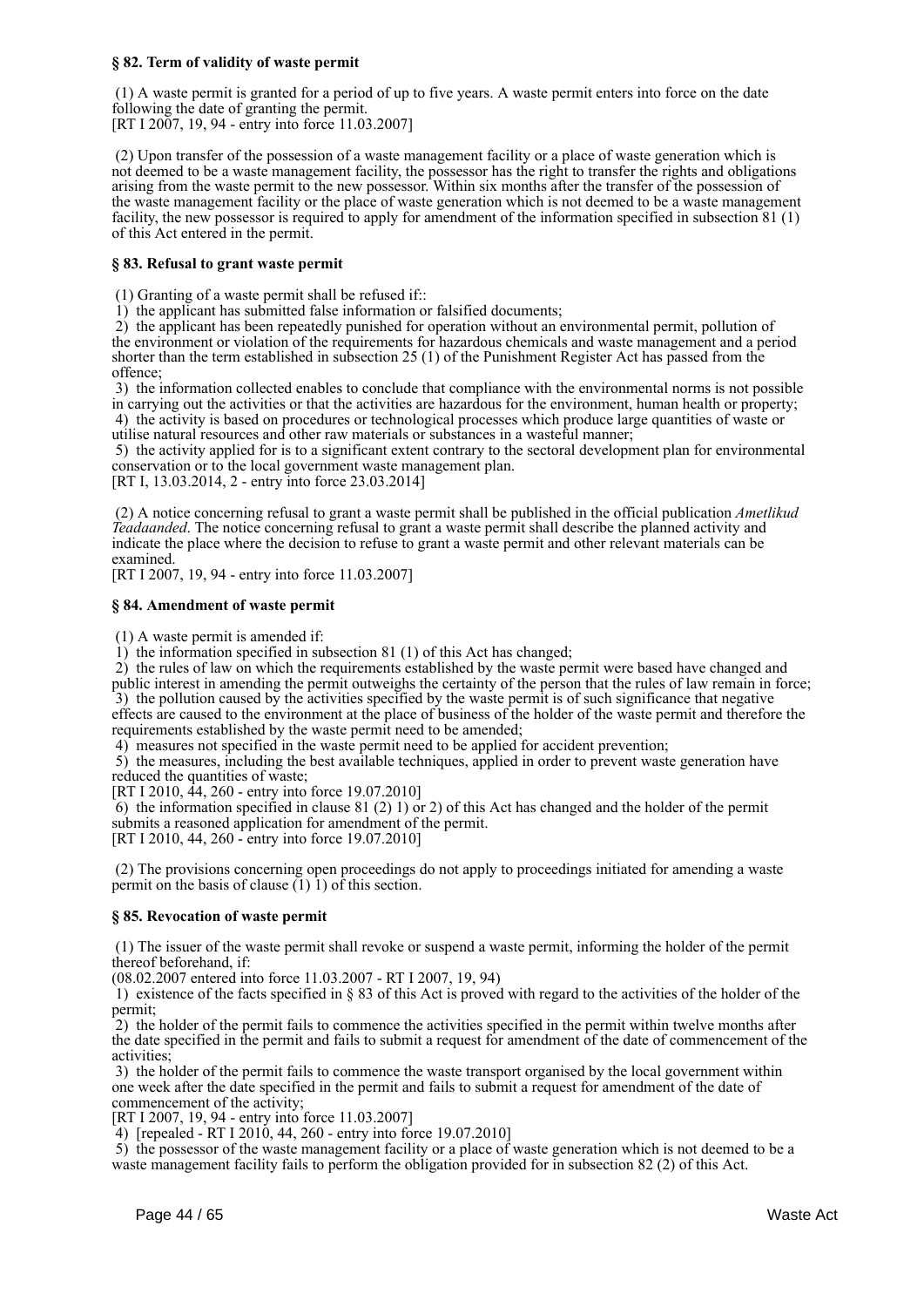#### **§ 82. Term of validity of waste permit**

 (1) A waste permit is granted for a period of up to five years. A waste permit enters into force on the date following the date of granting the permit. [RT I 2007, 19, 94 - entry into force 11.03.2007]

 (2) Upon transfer of the possession of a waste management facility or a place of waste generation which is not deemed to be a waste management facility, the possessor has the right to transfer the rights and obligations arising from the waste permit to the new possessor. Within six months after the transfer of the possession of the waste management facility or the place of waste generation which is not deemed to be a waste management facility, the new possessor is required to apply for amendment of the information specified in subsection 81 (1) of this Act entered in the permit.

#### **§ 83. Refusal to grant waste permit**

(1) Granting of a waste permit shall be refused if::

1) the applicant has submitted false information or falsified documents;

 2) the applicant has been repeatedly punished for operation without an environmental permit, pollution of the environment or violation of the requirements for hazardous chemicals and waste management and a period shorter than the term established in subsection 25 (1) of the Punishment Register Act has passed from the offence;

 3) the information collected enables to conclude that compliance with the environmental norms is not possible in carrying out the activities or that the activities are hazardous for the environment, human health or property;

 4) the activity is based on procedures or technological processes which produce large quantities of waste or utilise natural resources and other raw materials or substances in a wasteful manner;

 5) the activity applied for is to a significant extent contrary to the sectoral development plan for environmental conservation or to the local government waste management plan.

[RT I, 13.03.2014, 2 - entry into force 23.03.2014]

 (2) A notice concerning refusal to grant a waste permit shall be published in the official publication *Ametlikud Teadaanded*. The notice concerning refusal to grant a waste permit shall describe the planned activity and indicate the place where the decision to refuse to grant a waste permit and other relevant materials can be examined.

[RT I 2007, 19, 94 - entry into force 11.03.2007]

#### **§ 84. Amendment of waste permit**

(1) A waste permit is amended if:

1) the information specified in subsection 81 (1) of this Act has changed;

 2) the rules of law on which the requirements established by the waste permit were based have changed and public interest in amending the permit outweighs the certainty of the person that the rules of law remain in force;  $3)$  the pollution caused by the activities specified by the waste permit is of such significance that negative

effects are caused to the environment at the place of business of the holder of the waste permit and therefore the requirements established by the waste permit need to be amended;

4) measures not specified in the waste permit need to be applied for accident prevention;

 5) the measures, including the best available techniques, applied in order to prevent waste generation have reduced the quantities of waste;

[RT I 2010, 44, 260 - entry into force 19.07.2010]

6) the information specified in clause  $81$  (2) 1) or 2) of this Act has changed and the holder of the permit submits a reasoned application for amendment of the permit.

[RT I 2010, 44, 260 - entry into force 19.07.2010]

 (2) The provisions concerning open proceedings do not apply to proceedings initiated for amending a waste permit on the basis of clause  $(1)$  1) of this section.

#### **§ 85. Revocation of waste permit**

 (1) The issuer of the waste permit shall revoke or suspend a waste permit, informing the holder of the permit thereof beforehand, if:

(08.02.2007 entered into force 11.03.2007 - RT I 2007, 19, 94)

1) existence of the facts specified in  $\S 83$  of this Act is proved with regard to the activities of the holder of the permit;

 2) the holder of the permit fails to commence the activities specified in the permit within twelve months after the date specified in the permit and fails to submit a request for amendment of the date of commencement of the activities;

 3) the holder of the permit fails to commence the waste transport organised by the local government within one week after the date specified in the permit and fails to submit a request for amendment of the date of commencement of the activity;

[RT I 2007, 19, 94 - entry into force 11.03.2007]

4) [repealed - RT I 2010, 44, 260 - entry into force 19.07.2010]

 5) the possessor of the waste management facility or a place of waste generation which is not deemed to be a waste management facility fails to perform the obligation provided for in subsection 82 (2) of this Act.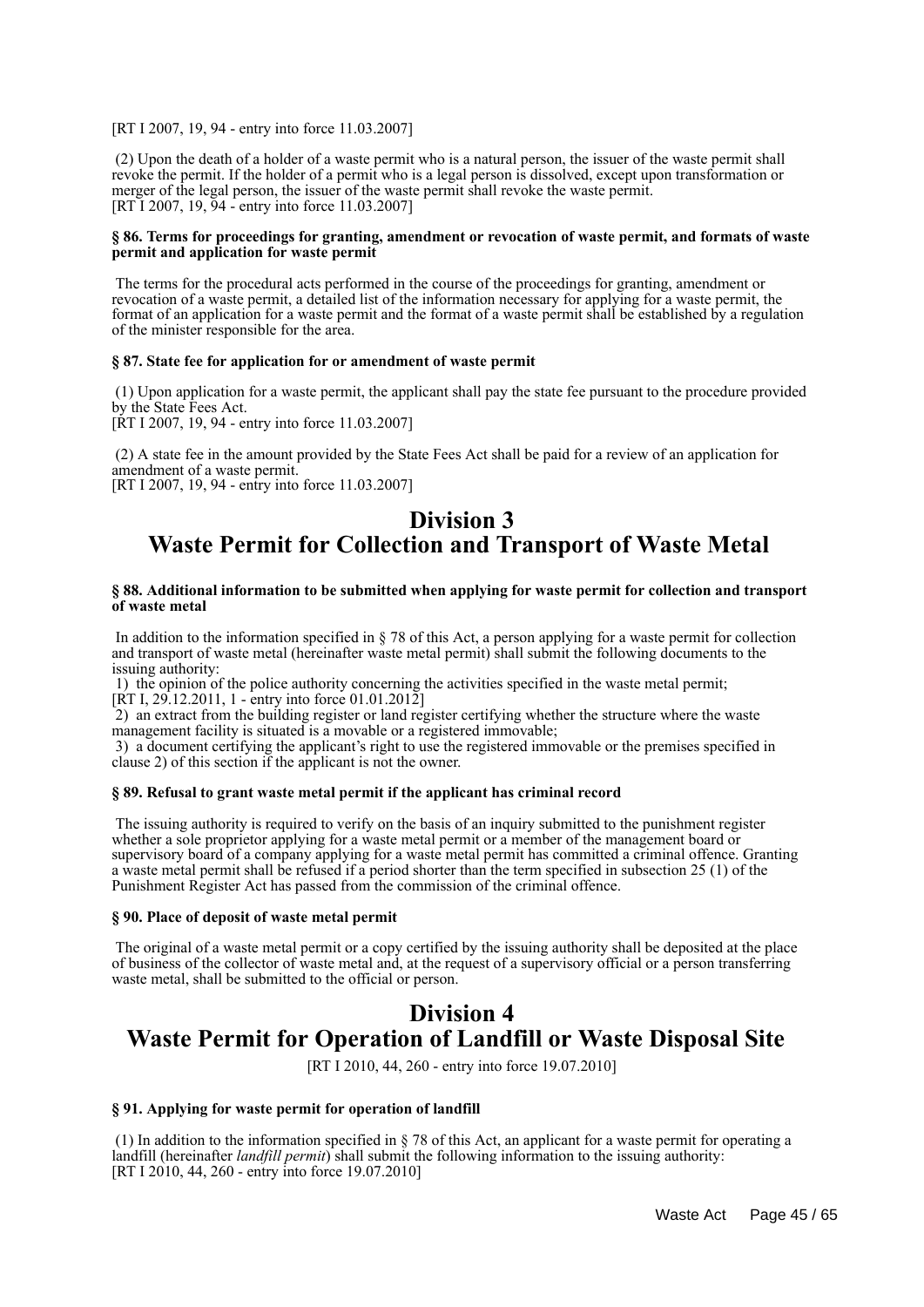[RT I 2007, 19, 94 - entry into force 11.03.2007]

 (2) Upon the death of a holder of a waste permit who is a natural person, the issuer of the waste permit shall revoke the permit. If the holder of a permit who is a legal person is dissolved, except upon transformation or merger of the legal person, the issuer of the waste permit shall revoke the waste permit. [RT I 2007, 19, 94 - entry into force 11.03.2007]

#### **§ 86. Terms for proceedings for granting, amendment or revocation of waste permit, and formats of waste permit and application for waste permit**

 The terms for the procedural acts performed in the course of the proceedings for granting, amendment or revocation of a waste permit, a detailed list of the information necessary for applying for a waste permit, the format of an application for a waste permit and the format of a waste permit shall be established by a regulation of the minister responsible for the area.

#### **§ 87. State fee for application for or amendment of waste permit**

 (1) Upon application for a waste permit, the applicant shall pay the state fee pursuant to the procedure provided by the State Fees Act. [RT I 2007, 19, 94 - entry into force 11.03.2007]

 (2) A state fee in the amount provided by the State Fees Act shall be paid for a review of an application for amendment of a waste permit. [RT I 2007, 19, 94 - entry into force 11.03.2007]

## **Division 3 Waste Permit for Collection and Transport of Waste Metal**

#### **§ 88. Additional information to be submitted when applying for waste permit for collection and transport of waste metal**

 In addition to the information specified in § 78 of this Act, a person applying for a waste permit for collection and transport of waste metal (hereinafter waste metal permit) shall submit the following documents to the issuing authority:

 1) the opinion of the police authority concerning the activities specified in the waste metal permit; [RT I, 29.12.2011, 1 - entry into force 01.01.2012]

 2) an extract from the building register or land register certifying whether the structure where the waste management facility is situated is a movable or a registered immovable;

 3) a document certifying the applicant's right to use the registered immovable or the premises specified in clause 2) of this section if the applicant is not the owner.

#### **§ 89. Refusal to grant waste metal permit if the applicant has criminal record**

 The issuing authority is required to verify on the basis of an inquiry submitted to the punishment register whether a sole proprietor applying for a waste metal permit or a member of the management board or supervisory board of a company applying for a waste metal permit has committed a criminal offence. Granting a waste metal permit shall be refused if a period shorter than the term specified in subsection 25 (1) of the Punishment Register Act has passed from the commission of the criminal offence.

#### **§ 90. Place of deposit of waste metal permit**

 The original of a waste metal permit or a copy certified by the issuing authority shall be deposited at the place of business of the collector of waste metal and, at the request of a supervisory official or a person transferring waste metal, shall be submitted to the official or person.

## **Division 4 Waste Permit for Operation of Landfill or Waste Disposal Site**

[RT I 2010, 44, 260 - entry into force 19.07.2010]

#### **§ 91. Applying for waste permit for operation of landfill**

 (1) In addition to the information specified in § 78 of this Act, an applicant for a waste permit for operating a landfill (hereinafter *landfill permit*) shall submit the following information to the issuing authority: [RT I 2010, 44, 260 - entry into force 19.07.2010]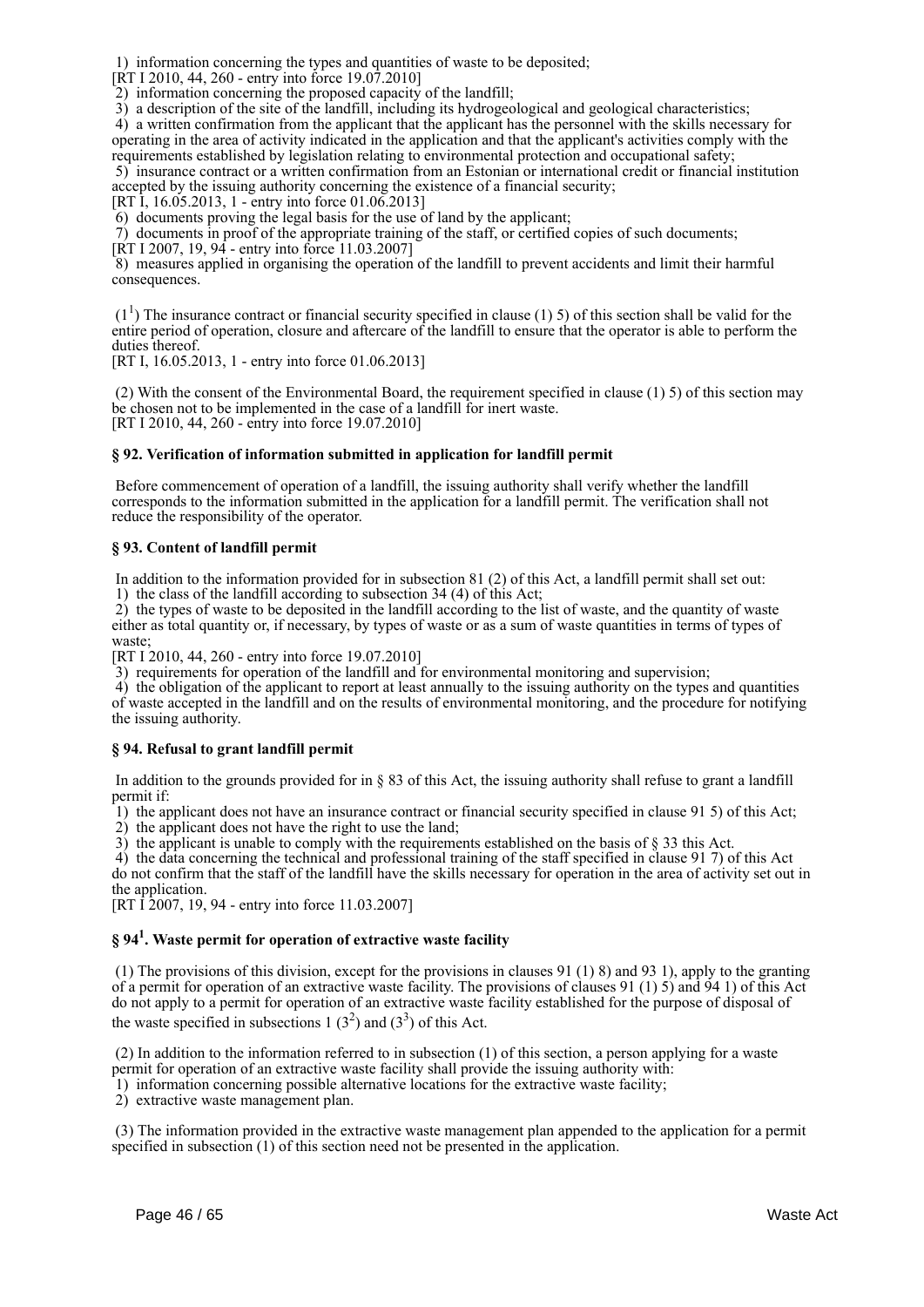1) information concerning the types and quantities of waste to be deposited;

[RT I 2010, 44, 260 - entry into force 19.07.2010]

2) information concerning the proposed capacity of the landfill;

3) a description of the site of the landfill, including its hydrogeological and geological characteristics;

 4) a written confirmation from the applicant that the applicant has the personnel with the skills necessary for operating in the area of activity indicated in the application and that the applicant's activities comply with the requirements established by legislation relating to environmental protection and occupational safety;

 5) insurance contract or a written confirmation from an Estonian or international credit or financial institution accepted by the issuing authority concerning the existence of a financial security;

[RT I, 16.05.2013, 1 - entry into force 01.06.2013]

6) documents proving the legal basis for the use of land by the applicant;

7) documents in proof of the appropriate training of the staff, or certified copies of such documents;

[RT I 2007, 19, 94 - entry into force 11.03.2007]

 8) measures applied in organising the operation of the landfill to prevent accidents and limit their harmful consequences.

 $(1<sup>1</sup>)$  The insurance contract or financial security specified in clause (1) 5) of this section shall be valid for the entire period of operation, closure and aftercare of the landfill to ensure that the operator is able to perform the duties thereof.

[RT I, 16.05.2013, 1 - entry into force 01.06.2013]

 (2) With the consent of the Environmental Board, the requirement specified in clause (1) 5) of this section may be chosen not to be implemented in the case of a landfill for inert waste. [RT I 2010, 44, 260 - entry into force 19.07.2010]

#### **§ 92. Verification of information submitted in application for landfill permit**

 Before commencement of operation of a landfill, the issuing authority shall verify whether the landfill corresponds to the information submitted in the application for a landfill permit. The verification shall not reduce the responsibility of the operator.

#### **§ 93. Content of landfill permit**

 In addition to the information provided for in subsection 81 (2) of this Act, a landfill permit shall set out: 1) the class of the landfill according to subsection 34 (4) of this Act;

 2) the types of waste to be deposited in the landfill according to the list of waste, and the quantity of waste either as total quantity or, if necessary, by types of waste or as a sum of waste quantities in terms of types of waste;

[RT I 2010, 44, 260 - entry into force 19.07.2010]

3) requirements for operation of the landfill and for environmental monitoring and supervision;

 4) the obligation of the applicant to report at least annually to the issuing authority on the types and quantities of waste accepted in the landfill and on the results of environmental monitoring, and the procedure for notifying the issuing authority.

#### **§ 94. Refusal to grant landfill permit**

 In addition to the grounds provided for in § 83 of this Act, the issuing authority shall refuse to grant a landfill permit if:

 1) the applicant does not have an insurance contract or financial security specified in clause 91 5) of this Act; 2) the applicant does not have the right to use the land;

 $\overline{3}$ ) the applicant is unable to comply with the requirements established on the basis of § 33 this Act.

 4) the data concerning the technical and professional training of the staff specified in clause 91 7) of this Act do not confirm that the staff of the landfill have the skills necessary for operation in the area of activity set out in the application.

[RT I 2007, 19, 94 - entry into force 11.03.2007]

## **§ 94<sup>1</sup> . Waste permit for operation of extractive waste facility**

 (1) The provisions of this division, except for the provisions in clauses 91 (1) 8) and 93 1), apply to the granting of a permit for operation of an extractive waste facility. The provisions of clauses 91 (1) 5) and 94 1) of this Act do not apply to a permit for operation of an extractive waste facility established for the purpose of disposal of the waste specified in subsections  $1(3^2)$  and  $(3^3)$  of this Act.

 (2) In addition to the information referred to in subsection (1) of this section, a person applying for a waste permit for operation of an extractive waste facility shall provide the issuing authority with:

1) information concerning possible alternative locations for the extractive waste facility;

2) extractive waste management plan.

 (3) The information provided in the extractive waste management plan appended to the application for a permit specified in subsection (1) of this section need not be presented in the application.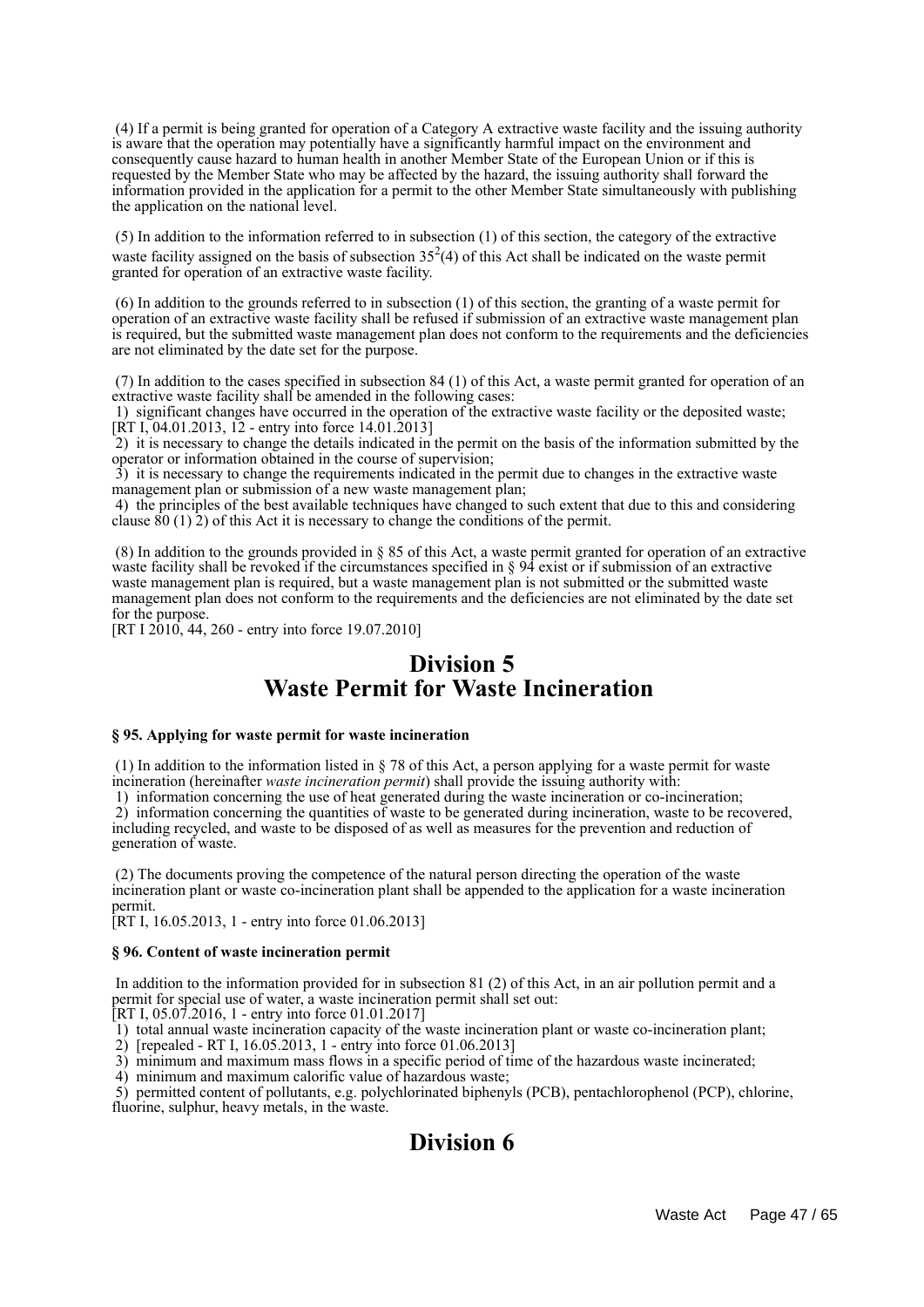(4) If a permit is being granted for operation of a Category A extractive waste facility and the issuing authority is aware that the operation may potentially have a significantly harmful impact on the environment and consequently cause hazard to human health in another Member State of the European Union or if this is requested by the Member State who may be affected by the hazard, the issuing authority shall forward the information provided in the application for a permit to the other Member State simultaneously with publishing the application on the national level.

 (5) In addition to the information referred to in subsection (1) of this section, the category of the extractive waste facility assigned on the basis of subsection  $35<sup>2</sup>(4)$  of this Act shall be indicated on the waste permit granted for operation of an extractive waste facility.

 (6) In addition to the grounds referred to in subsection (1) of this section, the granting of a waste permit for operation of an extractive waste facility shall be refused if submission of an extractive waste management plan is required, but the submitted waste management plan does not conform to the requirements and the deficiencies are not eliminated by the date set for the purpose.

 (7) In addition to the cases specified in subsection 84 (1) of this Act, a waste permit granted for operation of an extractive waste facility shall be amended in the following cases:

 1) significant changes have occurred in the operation of the extractive waste facility or the deposited waste;  $[KT I, 04.01.2013, 12$  - entry into force 14.01.2013]

 2) it is necessary to change the details indicated in the permit on the basis of the information submitted by the operator or information obtained in the course of supervision;

 3) it is necessary to change the requirements indicated in the permit due to changes in the extractive waste management plan or submission of a new waste management plan;

 4) the principles of the best available techniques have changed to such extent that due to this and considering clause  $80(1)$  2) of this Act it is necessary to change the conditions of the permit.

 (8) In addition to the grounds provided in § 85 of this Act, a waste permit granted for operation of an extractive waste facility shall be revoked if the circumstances specified in § 94 exist or if submission of an extractive waste management plan is required, but a waste management plan is not submitted or the submitted waste management plan does not conform to the requirements and the deficiencies are not eliminated by the date set for the purpose.

[RT I 2010, 44, 260 - entry into force 19.07.2010]

## **Division 5 Waste Permit for Waste Incineration**

#### **§ 95. Applying for waste permit for waste incineration**

 (1) In addition to the information listed in § 78 of this Act, a person applying for a waste permit for waste incineration (hereinafter *waste incineration permit*) shall provide the issuing authority with:

1) information concerning the use of heat generated during the waste incineration or co-incineration;

 2) information concerning the quantities of waste to be generated during incineration, waste to be recovered, including recycled, and waste to be disposed of as well as measures for the prevention and reduction of generation of waste.

 (2) The documents proving the competence of the natural person directing the operation of the waste incineration plant or waste co-incineration plant shall be appended to the application for a waste incineration permit.

[RT I, 16.05.2013, 1 - entry into force 01.06.2013]

#### **§ 96. Content of waste incineration permit**

 In addition to the information provided for in subsection 81 (2) of this Act, in an air pollution permit and a permit for special use of water, a waste incineration permit shall set out:

[RT I, 05.07.2016, 1 - entry into force 01.01.2017]

1) total annual waste incineration capacity of the waste incineration plant or waste co-incineration plant;

2) [repealed - RT I, 16.05.2013, 1 - entry into force 01.06.2013]

3) minimum and maximum mass flows in a specific period of time of the hazardous waste incinerated;

4) minimum and maximum calorific value of hazardous waste;

 5) permitted content of pollutants, e.g. polychlorinated biphenyls (PCB), pentachlorophenol (PCP), chlorine, fluorine, sulphur, heavy metals, in the waste.

# **Division 6**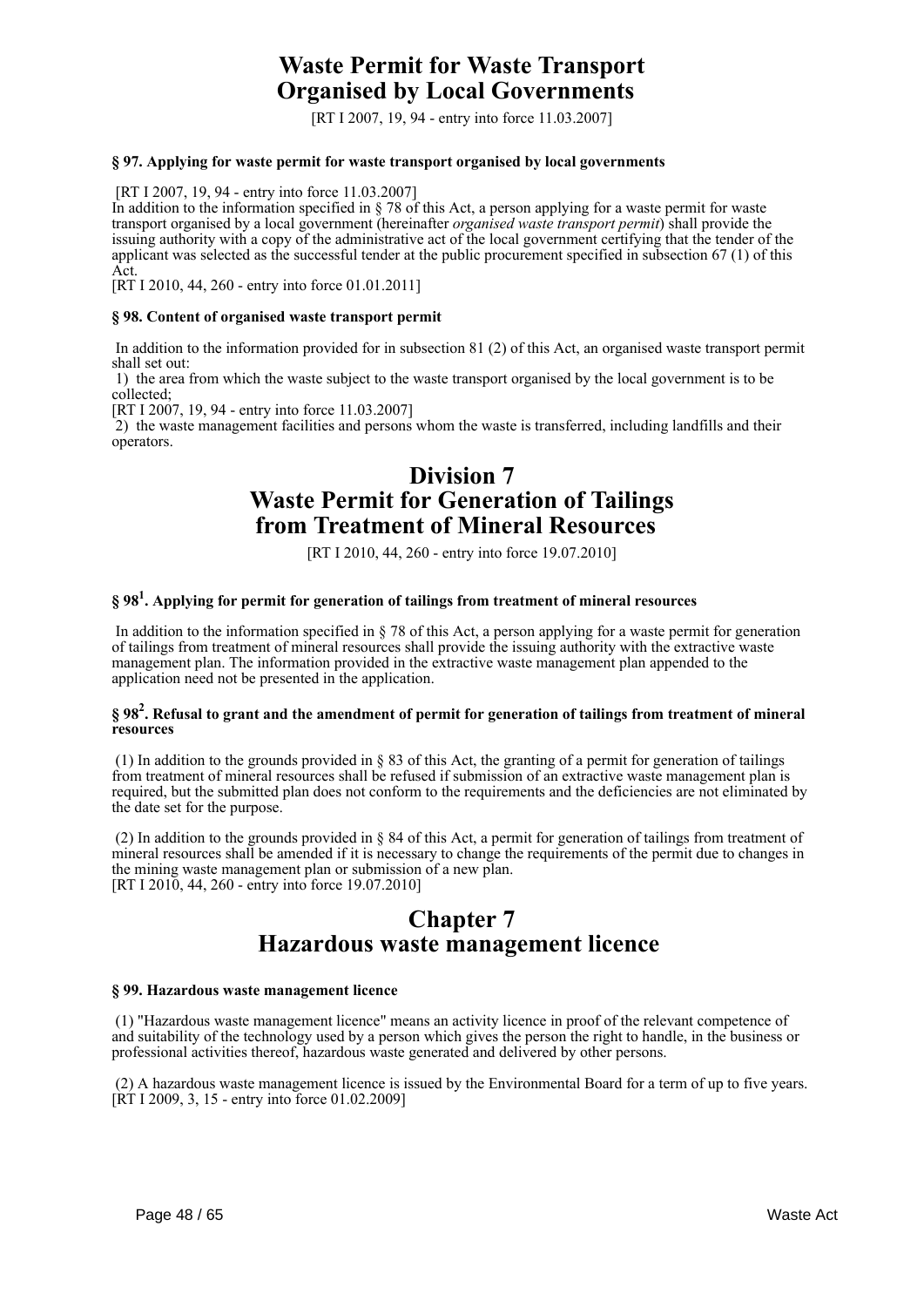## **Waste Permit for Waste Transport Organised by Local Governments**

[RT I 2007, 19, 94 - entry into force 11.03.2007]

#### **§ 97. Applying for waste permit for waste transport organised by local governments**

[RT I 2007, 19, 94 - entry into force 11.03.2007]

In addition to the information specified in § 78 of this Act, a person applying for a waste permit for waste transport organised by a local government (hereinafter *organised waste transport permit*) shall provide the issuing authority with a copy of the administrative act of the local government certifying that the tender of the applicant was selected as the successful tender at the public procurement specified in subsection 67 (1) of this Act.

[RT I 2010, 44, 260 - entry into force 01.01.2011]

#### **§ 98. Content of organised waste transport permit**

 In addition to the information provided for in subsection 81 (2) of this Act, an organised waste transport permit shall set out:

 1) the area from which the waste subject to the waste transport organised by the local government is to be collected;

[RT I 2007, 19, 94 - entry into force 11.03.2007]

 2) the waste management facilities and persons whom the waste is transferred, including landfills and their operators.

## **Division 7 Waste Permit for Generation of Tailings from Treatment of Mineral Resources**

[RT I 2010, 44, 260 - entry into force 19.07.2010]

## **§ 98<sup>1</sup> . Applying for permit for generation of tailings from treatment of mineral resources**

 In addition to the information specified in § 78 of this Act, a person applying for a waste permit for generation of tailings from treatment of mineral resources shall provide the issuing authority with the extractive waste management plan. The information provided in the extractive waste management plan appended to the application need not be presented in the application.

#### **§ 98<sup>2</sup> . Refusal to grant and the amendment of permit for generation of tailings from treatment of mineral resources**

 (1) In addition to the grounds provided in § 83 of this Act, the granting of a permit for generation of tailings from treatment of mineral resources shall be refused if submission of an extractive waste management plan is required, but the submitted plan does not conform to the requirements and the deficiencies are not eliminated by the date set for the purpose.

 (2) In addition to the grounds provided in § 84 of this Act, a permit for generation of tailings from treatment of mineral resources shall be amended if it is necessary to change the requirements of the permit due to changes in the mining waste management plan or submission of a new plan. [RT I 2010, 44, 260 - entry into force 19.07.2010]

## **Chapter 7 Hazardous waste management licence**

#### **§ 99. Hazardous waste management licence**

 (1) "Hazardous waste management licence" means an activity licence in proof of the relevant competence of and suitability of the technology used by a person which gives the person the right to handle, in the business or professional activities thereof, hazardous waste generated and delivered by other persons.

 (2) A hazardous waste management licence is issued by the Environmental Board for a term of up to five years. [RT I 2009, 3, 15 - entry into force 01.02.2009]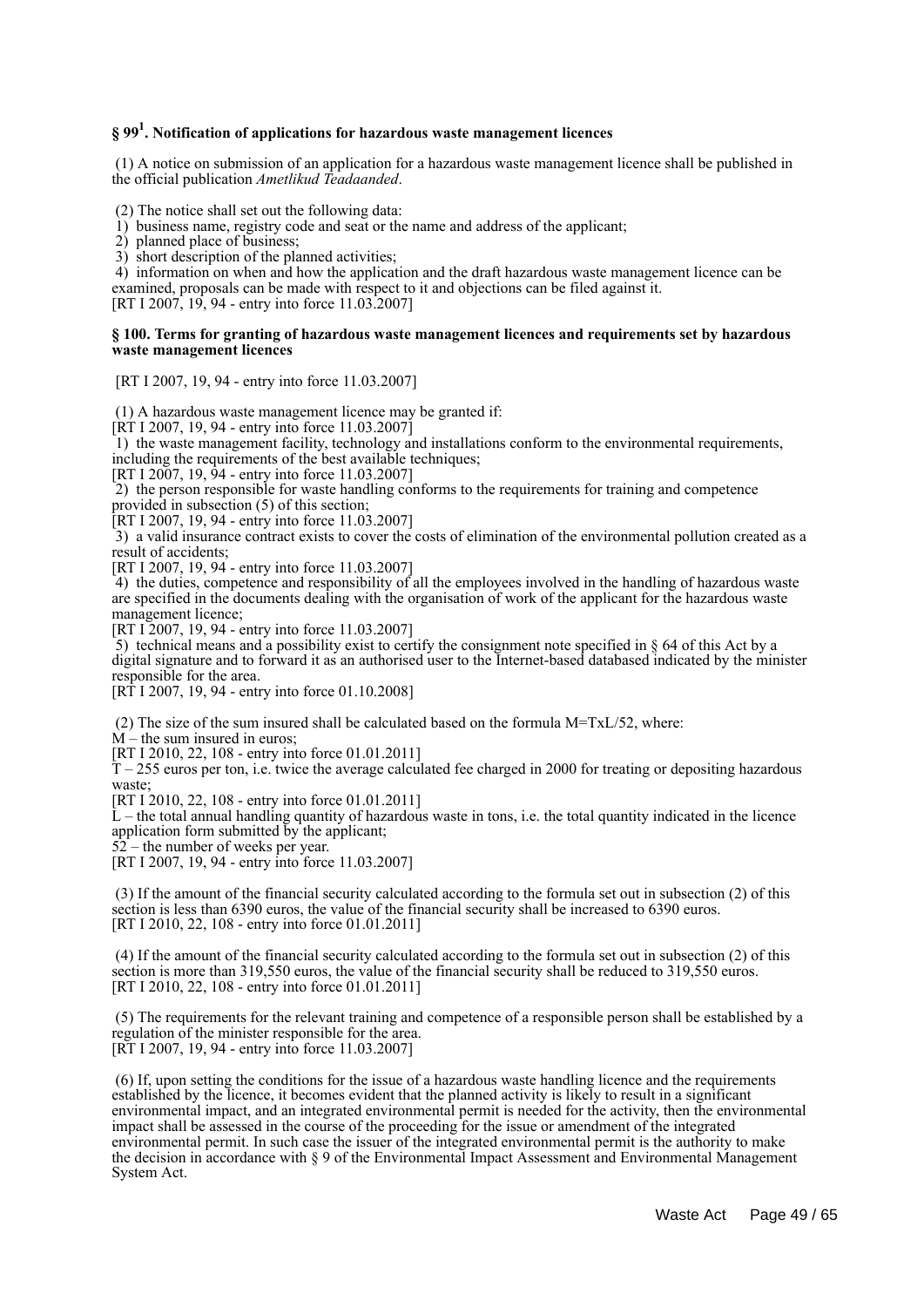## **§ 99<sup>1</sup> . Notification of applications for hazardous waste management licences**

 (1) A notice on submission of an application for a hazardous waste management licence shall be published in the official publication *Ametlikud Teadaanded*.

(2) The notice shall set out the following data:

1) business name, registry code and seat or the name and address of the applicant;

2) planned place of business;

3) short description of the planned activities;

 4) information on when and how the application and the draft hazardous waste management licence can be examined, proposals can be made with respect to it and objections can be filed against it.

[RT I 2007, 19, 94 - entry into force 11.03.2007]

#### **§ 100. Terms for granting of hazardous waste management licences and requirements set by hazardous waste management licences**

[RT I 2007, 19, 94 - entry into force 11.03.2007]

(1) A hazardous waste management licence may be granted if:

[RT I 2007, 19, 94 - entry into force 11.03.2007]

 1) the waste management facility, technology and installations conform to the environmental requirements, including the requirements of the best available techniques;

[RT I 2007, 19, 94 - entry into force 11.03.2007]

 2) the person responsible for waste handling conforms to the requirements for training and competence provided in subsection (5) of this section;

[RT I 2007, 19, 94 - entry into force 11.03.2007]

 3) a valid insurance contract exists to cover the costs of elimination of the environmental pollution created as a result of accidents;

[RT I 2007, 19, 94 - entry into force 11.03.2007]

4) the duties, competence and responsibility of all the employees involved in the handling of hazardous waste are specified in the documents dealing with the organisation of work of the applicant for the hazardous waste management licence;

[RT I 2007, 19, 94 - entry into force 11.03.2007]

 5) technical means and a possibility exist to certify the consignment note specified in § 64 of this Act by a digital signature and to forward it as an authorised user to the Internet-based databased indicated by the minister responsible for the area.

[RT I 2007, 19, 94 - entry into force 01.10.2008]

(2) The size of the sum insured shall be calculated based on the formula M=TxL/52, where:

M – the sum insured in euros;

[RT I 2010, 22, 108 - entry into force 01.01.2011]

 $T - 255$  euros per ton, i.e. twice the average calculated fee charged in 2000 for treating or depositing hazardous waste;

[RT I 2010, 22, 108 - entry into force 01.01.2011]

 $\tilde{L}$  – the total annual handling quantity of hazardous waste in tons, i.e. the total quantity indicated in the licence application form submitted by the applicant;

 $52$  – the number of weeks per year.

[RT I 2007, 19, 94 - entry into force 11.03.2007]

 (3) If the amount of the financial security calculated according to the formula set out in subsection (2) of this section is less than 6390 euros, the value of the financial security shall be increased to 6390 euros. [RT I 2010, 22, 108 - entry into force 01.01.2011]

 (4) If the amount of the financial security calculated according to the formula set out in subsection (2) of this section is more than 319,550 euros, the value of the financial security shall be reduced to 319,550 euros. [RT I 2010, 22, 108 - entry into force 01.01.2011]

 (5) The requirements for the relevant training and competence of a responsible person shall be established by a regulation of the minister responsible for the area. [RT I 2007, 19, 94 - entry into force 11.03.2007]

 (6) If, upon setting the conditions for the issue of a hazardous waste handling licence and the requirements established by the licence, it becomes evident that the planned activity is likely to result in a significant environmental impact, and an integrated environmental permit is needed for the activity, then the environmental impact shall be assessed in the course of the proceeding for the issue or amendment of the integrated environmental permit. In such case the issuer of the integrated environmental permit is the authority to make the decision in accordance with § 9 of the Environmental Impact Assessment and Environmental Management System Act.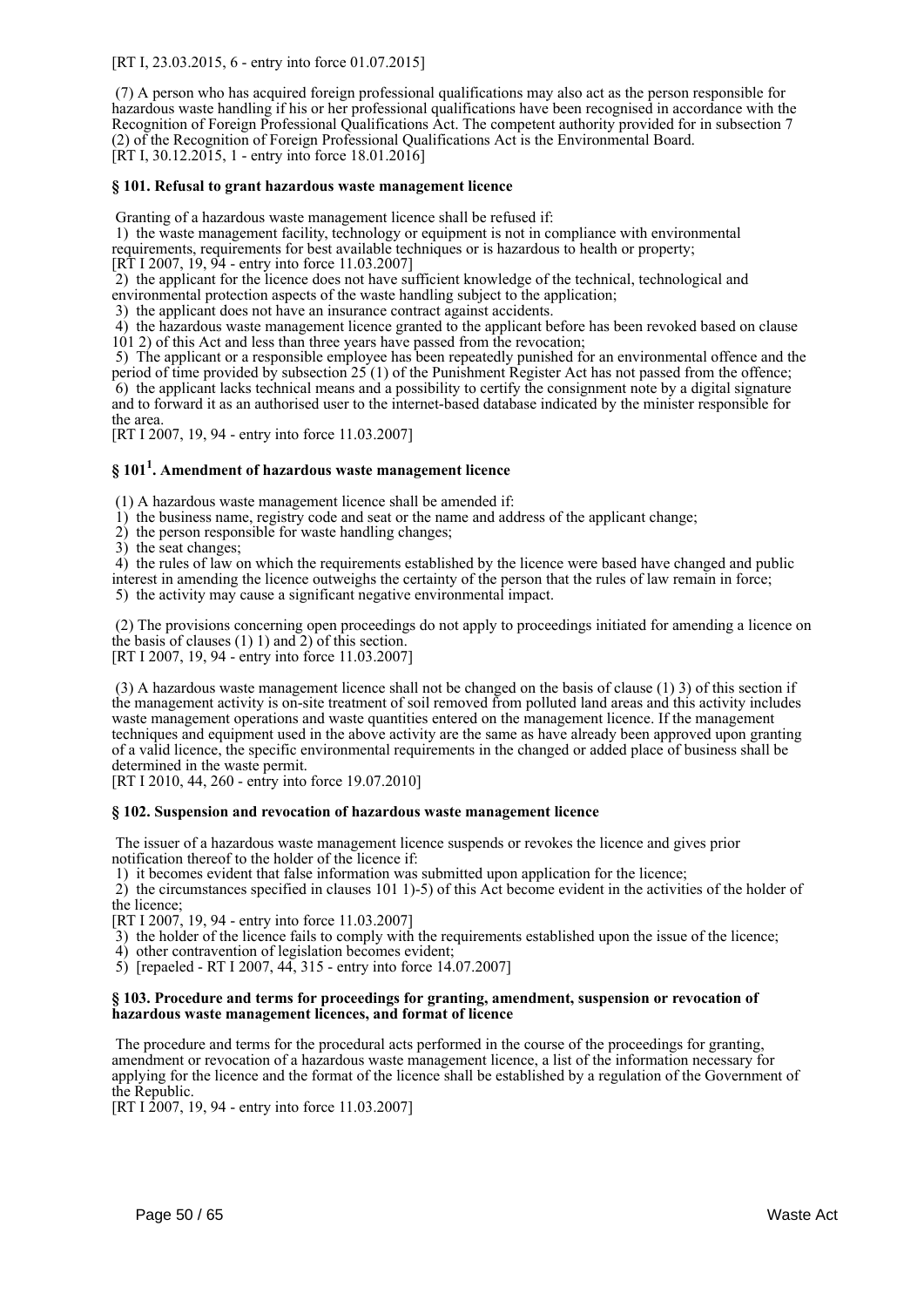[RT I, 23.03.2015, 6 - entry into force 01.07.2015]

 (7) A person who has acquired foreign professional qualifications may also act as the person responsible for hazardous waste handling if his or her professional qualifications have been recognised in accordance with the Recognition of Foreign Professional Qualifications Act. The competent authority provided for in subsection 7 (2) of the Recognition of Foreign Professional Qualifications Act is the Environmental Board. [RT I, 30.12.2015, 1 - entry into force 18.01.2016]

### **§ 101. Refusal to grant hazardous waste management licence**

Granting of a hazardous waste management licence shall be refused if:

 1) the waste management facility, technology or equipment is not in compliance with environmental requirements, requirements for best available techniques or is hazardous to health or property;

[RT I 2007, 19, 94 - entry into force 11.03.2007]

2) the applicant for the licence does not have sufficient knowledge of the technical, technological and

environmental protection aspects of the waste handling subject to the application;

3) the applicant does not have an insurance contract against accidents.

 4) the hazardous waste management licence granted to the applicant before has been revoked based on clause 101 2) of this Act and less than three years have passed from the revocation;

 5) The applicant or a responsible employee has been repeatedly punished for an environmental offence and the period of time provided by subsection  $25(1)$  of the Punishment Register Act has not passed from the offence; 6) the applicant lacks technical means and a possibility to certify the consignment note by a digital signature and to forward it as an authorised user to the internet-based database indicated by the minister responsible for the area.

[RT I 2007, 19, 94 - entry into force 11.03.2007]

## **§ 101<sup>1</sup> . Amendment of hazardous waste management licence**

(1) A hazardous waste management licence shall be amended if:

1) the business name, registry code and seat or the name and address of the applicant change;

2) the person responsible for waste handling changes;

3) the seat changes;

 4) the rules of law on which the requirements established by the licence were based have changed and public interest in amending the licence outweighs the certainty of the person that the rules of law remain in force;

5) the activity may cause a significant negative environmental impact.

 (2) The provisions concerning open proceedings do not apply to proceedings initiated for amending a licence on the basis of clauses  $(1)$  1) and  $2)$  of this section.

[RT I 2007, 19, 94 - entry into force 11.03.2007]

 (3) A hazardous waste management licence shall not be changed on the basis of clause (1) 3) of this section if the management activity is on-site treatment of soil removed from polluted land areas and this activity includes waste management operations and waste quantities entered on the management licence. If the management techniques and equipment used in the above activity are the same as have already been approved upon granting of a valid licence, the specific environmental requirements in the changed or added place of business shall be determined in the waste permit.

[RT I 2010, 44, 260 - entry into force 19.07.2010]

#### **§ 102. Suspension and revocation of hazardous waste management licence**

 The issuer of a hazardous waste management licence suspends or revokes the licence and gives prior notification thereof to the holder of the licence if:

1) it becomes evident that false information was submitted upon application for the licence;

 2) the circumstances specified in clauses 101 1)-5) of this Act become evident in the activities of the holder of the licence;

[RT I 2007, 19, 94 - entry into force 11.03.2007]

3) the holder of the licence fails to comply with the requirements established upon the issue of the licence;

4) other contravention of legislation becomes evident;

5) [repaeled - RT I 2007, 44, 315 - entry into force 14.07.2007]

#### **§ 103. Procedure and terms for proceedings for granting, amendment, suspension or revocation of hazardous waste management licences, and format of licence**

 The procedure and terms for the procedural acts performed in the course of the proceedings for granting, amendment or revocation of a hazardous waste management licence, a list of the information necessary for applying for the licence and the format of the licence shall be established by a regulation of the Government of the Republic.

[RT I 2007, 19, 94 - entry into force 11.03.2007]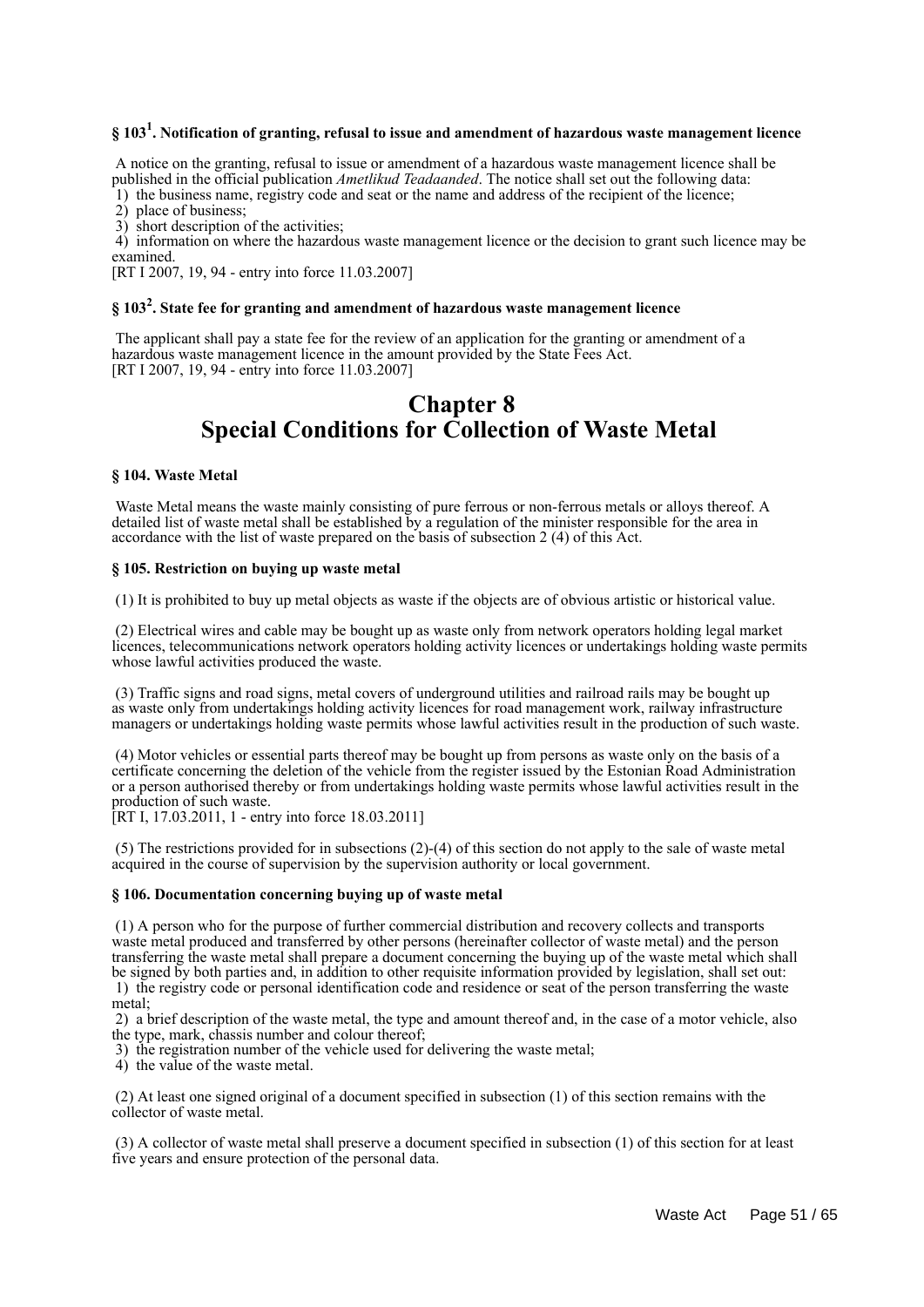## **§ 103<sup>1</sup> . Notification of granting, refusal to issue and amendment of hazardous waste management licence**

 A notice on the granting, refusal to issue or amendment of a hazardous waste management licence shall be published in the official publication *Ametlikud Teadaanded*. The notice shall set out the following data:

1) the business name, registry code and seat or the name and address of the recipient of the licence;

2) place of business;

3) short description of the activities;

 4) information on where the hazardous waste management licence or the decision to grant such licence may be examined.

[RT I 2007, 19, 94 - entry into force 11.03.2007]

## **§ 103<sup>2</sup> . State fee for granting and amendment of hazardous waste management licence**

 The applicant shall pay a state fee for the review of an application for the granting or amendment of a hazardous waste management licence in the amount provided by the State Fees Act. [RT I 2007, 19, 94 - entry into force 11.03.2007]

## **Chapter 8 Special Conditions for Collection of Waste Metal**

#### **§ 104. Waste Metal**

 Waste Metal means the waste mainly consisting of pure ferrous or non-ferrous metals or alloys thereof. A detailed list of waste metal shall be established by a regulation of the minister responsible for the area in accordance with the list of waste prepared on the basis of subsection 2 (4) of this Act.

#### **§ 105. Restriction on buying up waste metal**

(1) It is prohibited to buy up metal objects as waste if the objects are of obvious artistic or historical value.

 (2) Electrical wires and cable may be bought up as waste only from network operators holding legal market licences, telecommunications network operators holding activity licences or undertakings holding waste permits whose lawful activities produced the waste.

 (3) Traffic signs and road signs, metal covers of underground utilities and railroad rails may be bought up as waste only from undertakings holding activity licences for road management work, railway infrastructure managers or undertakings holding waste permits whose lawful activities result in the production of such waste.

 (4) Motor vehicles or essential parts thereof may be bought up from persons as waste only on the basis of a certificate concerning the deletion of the vehicle from the register issued by the Estonian Road Administration or a person authorised thereby or from undertakings holding waste permits whose lawful activities result in the production of such waste.

[RT I, 17.03.2011, 1 - entry into force 18.03.2011]

 (5) The restrictions provided for in subsections (2)-(4) of this section do not apply to the sale of waste metal acquired in the course of supervision by the supervision authority or local government.

#### **§ 106. Documentation concerning buying up of waste metal**

 (1) A person who for the purpose of further commercial distribution and recovery collects and transports waste metal produced and transferred by other persons (hereinafter collector of waste metal) and the person transferring the waste metal shall prepare a document concerning the buying up of the waste metal which shall be signed by both parties and, in addition to other requisite information provided by legislation, shall set out: 1) the registry code or personal identification code and residence or seat of the person transferring the waste metal;

 2) a brief description of the waste metal, the type and amount thereof and, in the case of a motor vehicle, also the type, mark, chassis number and colour thereof;

3) the registration number of the vehicle used for delivering the waste metal;

4) the value of the waste metal.

 (2) At least one signed original of a document specified in subsection (1) of this section remains with the collector of waste metal.

 (3) A collector of waste metal shall preserve a document specified in subsection (1) of this section for at least five years and ensure protection of the personal data.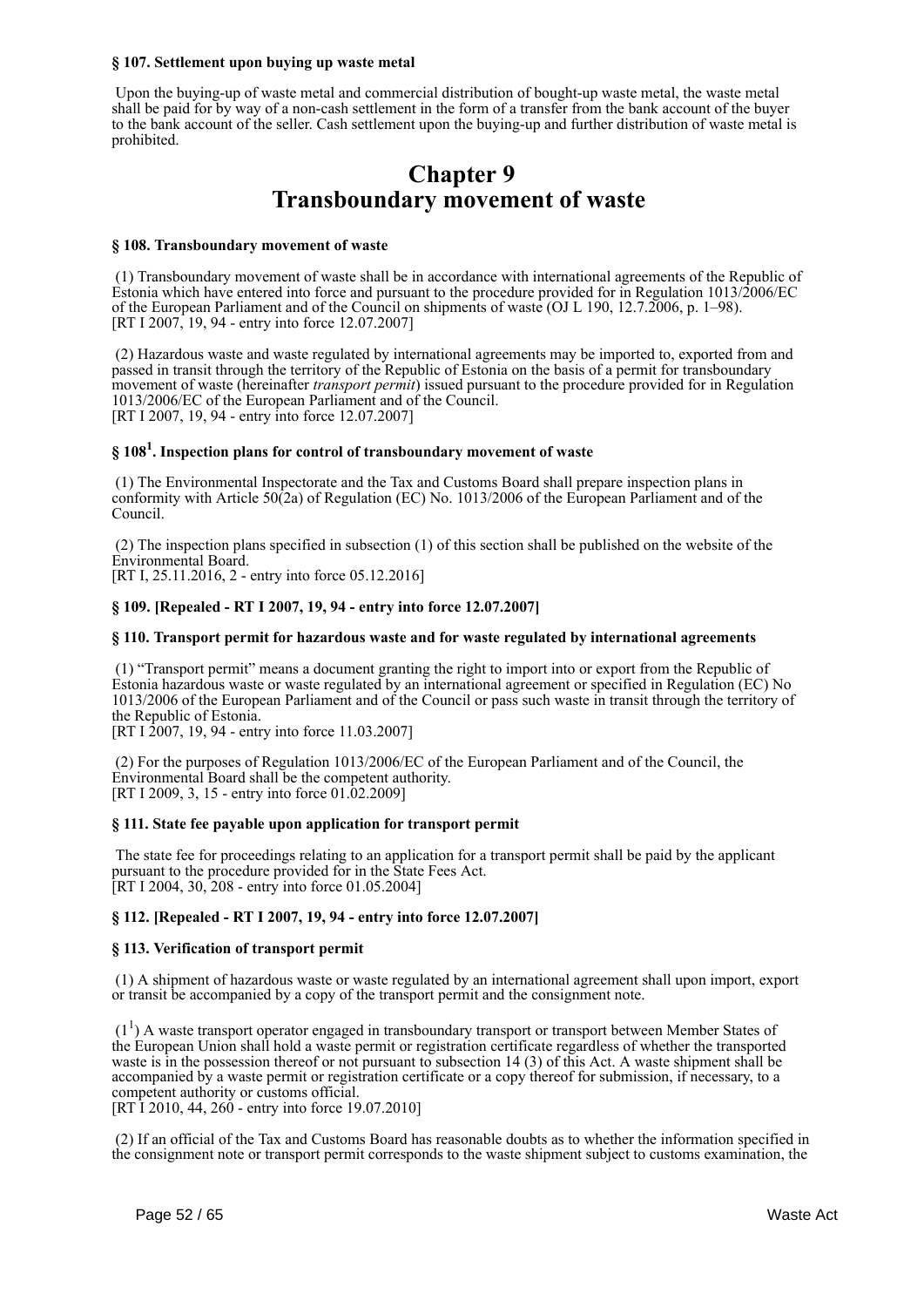#### **§ 107. Settlement upon buying up waste metal**

 Upon the buying-up of waste metal and commercial distribution of bought-up waste metal, the waste metal shall be paid for by way of a non-cash settlement in the form of a transfer from the bank account of the buyer to the bank account of the seller. Cash settlement upon the buying-up and further distribution of waste metal is prohibited.

## **Chapter 9 Transboundary movement of waste**

#### **§ 108. Transboundary movement of waste**

 (1) Transboundary movement of waste shall be in accordance with international agreements of the Republic of Estonia which have entered into force and pursuant to the procedure provided for in Regulation 1013/2006/EC of the European Parliament and of the Council on shipments of waste (OJ L 190, 12.7.2006, p. 1–98). [RT I 2007, 19, 94 - entry into force 12.07.2007]

 (2) Hazardous waste and waste regulated by international agreements may be imported to, exported from and passed in transit through the territory of the Republic of Estonia on the basis of a permit for transboundary movement of waste (hereinafter *transport permit*) issued pursuant to the procedure provided for in Regulation 1013/2006/EC of the European Parliament and of the Council. [RT I 2007, 19, 94 - entry into force 12.07.2007]

## **§ 108<sup>1</sup> . Inspection plans for control of transboundary movement of waste**

 (1) The Environmental Inspectorate and the Tax and Customs Board shall prepare inspection plans in conformity with Article 50(2a) of Regulation (EC) No. 1013/2006 of the European Parliament and of the Council.

 (2) The inspection plans specified in subsection (1) of this section shall be published on the website of the Environmental Board. [RT I, 25.11.2016, 2 - entry into force 05.12.2016]

### **§ 109. [Repealed - RT I 2007, 19, 94 - entry into force 12.07.2007]**

#### **§ 110. Transport permit for hazardous waste and for waste regulated by international agreements**

 (1) "Transport permit" means a document granting the right to import into or export from the Republic of Estonia hazardous waste or waste regulated by an international agreement or specified in Regulation (EC) No 1013/2006 of the European Parliament and of the Council or pass such waste in transit through the territory of the Republic of Estonia.

[RT I 2007, 19, 94 - entry into force 11.03.2007]

 (2) For the purposes of Regulation 1013/2006/EC of the European Parliament and of the Council, the Environmental Board shall be the competent authority. [RT I 2009, 3, 15 - entry into force 01.02.2009]

#### **§ 111. State fee payable upon application for transport permit**

 The state fee for proceedings relating to an application for a transport permit shall be paid by the applicant pursuant to the procedure provided for in the State Fees Act. [RT I 2004, 30, 208 - entry into force 01.05.2004]

#### **§ 112. [Repealed - RT I 2007, 19, 94 - entry into force 12.07.2007]**

#### **§ 113. Verification of transport permit**

 (1) A shipment of hazardous waste or waste regulated by an international agreement shall upon import, export or transit be accompanied by a copy of the transport permit and the consignment note.

 (1<sup>1</sup> ) A waste transport operator engaged in transboundary transport or transport between Member States of the European Union shall hold a waste permit or registration certificate regardless of whether the transported waste is in the possession thereof or not pursuant to subsection 14 (3) of this Act. A waste shipment shall be accompanied by a waste permit or registration certificate or a copy thereof for submission, if necessary, to a competent authority or customs official. [RT I 2010, 44, 260 - entry into force 19.07.2010]

 (2) If an official of the Tax and Customs Board has reasonable doubts as to whether the information specified in the consignment note or transport permit corresponds to the waste shipment subject to customs examination, the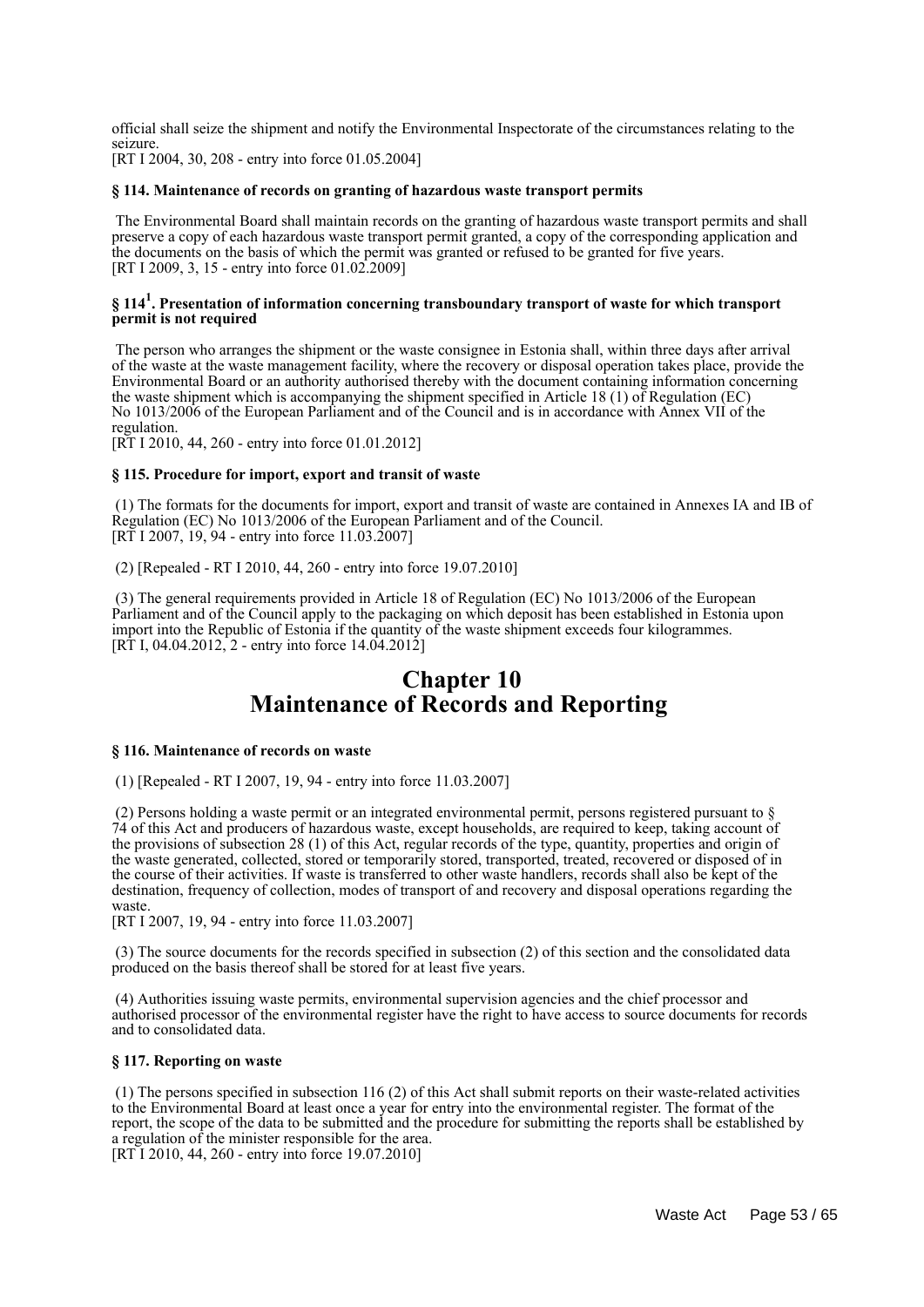official shall seize the shipment and notify the Environmental Inspectorate of the circumstances relating to the seizure.

[RT I 2004, 30, 208 - entry into force 01.05.2004]

#### **§ 114. Maintenance of records on granting of hazardous waste transport permits**

 The Environmental Board shall maintain records on the granting of hazardous waste transport permits and shall preserve a copy of each hazardous waste transport permit granted, a copy of the corresponding application and the documents on the basis of which the permit was granted or refused to be granted for five years. [RT I 2009, 3, 15 - entry into force 01.02.2009]

#### **§ 114<sup>1</sup> . Presentation of information concerning transboundary transport of waste for which transport permit is not required**

 The person who arranges the shipment or the waste consignee in Estonia shall, within three days after arrival of the waste at the waste management facility, where the recovery or disposal operation takes place, provide the Environmental Board or an authority authorised thereby with the document containing information concerning the waste shipment which is accompanying the shipment specified in Article 18 (1) of Regulation (EC) No 1013/2006 of the European Parliament and of the Council and is in accordance with Annex VII of the regulation.

[RT I 2010, 44, 260 - entry into force 01.01.2012]

#### **§ 115. Procedure for import, export and transit of waste**

 (1) The formats for the documents for import, export and transit of waste are contained in Annexes IA and IB of Regulation (EC) No 1013/2006 of the European Parliament and of the Council. [RT I 2007, 19, 94 - entry into force 11.03.2007]

(2) [Repealed - RT I 2010, 44, 260 - entry into force 19.07.2010]

 (3) The general requirements provided in Article 18 of Regulation (EC) No 1013/2006 of the European Parliament and of the Council apply to the packaging on which deposit has been established in Estonia upon import into the Republic of Estonia if the quantity of the waste shipment exceeds four kilogrammes. [RT I, 04.04.2012, 2 - entry into force  $14.04.2012$ ]

## **Chapter 10 Maintenance of Records and Reporting**

#### **§ 116. Maintenance of records on waste**

(1) [Repealed - RT I 2007, 19, 94 - entry into force 11.03.2007]

 (2) Persons holding a waste permit or an integrated environmental permit, persons registered pursuant to § 74 of this Act and producers of hazardous waste, except households, are required to keep, taking account of the provisions of subsection 28 (1) of this Act, regular records of the type, quantity, properties and origin of the waste generated, collected, stored or temporarily stored, transported, treated, recovered or disposed of in the course of their activities. If waste is transferred to other waste handlers, records shall also be kept of the destination, frequency of collection, modes of transport of and recovery and disposal operations regarding the waste.

[RT I 2007, 19, 94 - entry into force 11.03.2007]

 (3) The source documents for the records specified in subsection (2) of this section and the consolidated data produced on the basis thereof shall be stored for at least five years.

 (4) Authorities issuing waste permits, environmental supervision agencies and the chief processor and authorised processor of the environmental register have the right to have access to source documents for records and to consolidated data.

#### **§ 117. Reporting on waste**

 (1) The persons specified in subsection 116 (2) of this Act shall submit reports on their waste-related activities to the Environmental Board at least once a year for entry into the environmental register. The format of the report, the scope of the data to be submitted and the procedure for submitting the reports shall be established by a regulation of the minister responsible for the area. [RT I 2010, 44, 260 - entry into force 19.07.2010]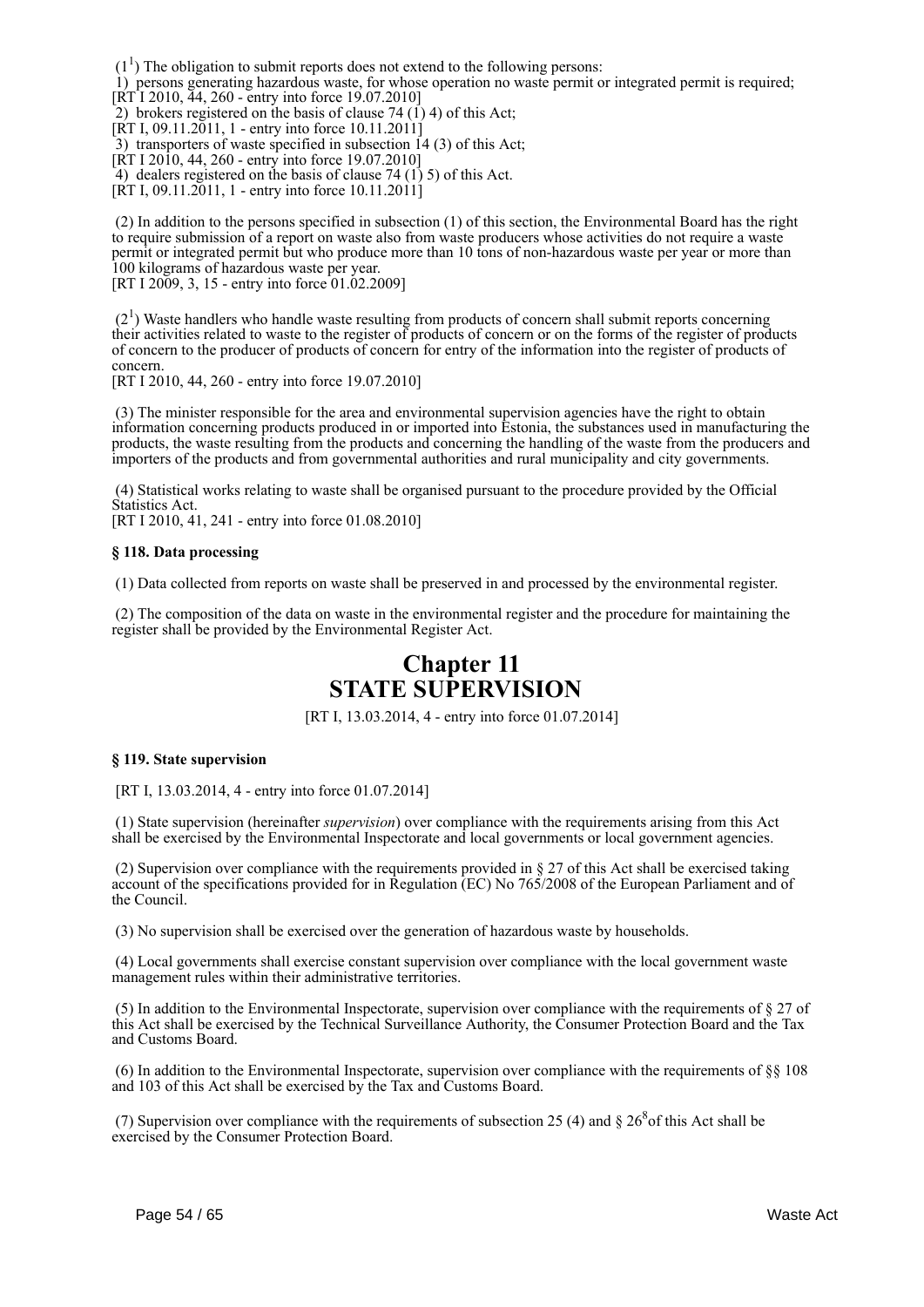$(1<sup>1</sup>)$  The obligation to submit reports does not extend to the following persons:

 1) persons generating hazardous waste, for whose operation no waste permit or integrated permit is required; [RT I 2010, 44, 260 - entry into force 19.07.2010]

2) brokers registered on the basis of clause 74 (1) 4) of this Act;

 $[\text{RT I}, 09.11.2011, 1 -$  entry into force  $10.11.2011]$ 

 $\overline{3}$ ) transporters of waste specified in subsection  $\overline{1}4$  (3) of this Act;

[RT I 2010, 44, 260 - entry into force 19.07.2010]

4) dealers registered on the basis of clause 74 (1) 5) of this Act.

[RT I, 09.11.2011, 1 - entry into force 10.11.2011]

 (2) In addition to the persons specified in subsection (1) of this section, the Environmental Board has the right to require submission of a report on waste also from waste producers whose activities do not require a waste permit or integrated permit but who produce more than 10 tons of non-hazardous waste per year or more than 100 kilograms of hazardous waste per year.

[RT I 2009, 3, 15 - entry into force 01.02.2009]

 $(2<sup>1</sup>)$  Waste handlers who handle waste resulting from products of concern shall submit reports concerning their activities related to waste to the register of products of concern or on the forms of the register of products of concern to the producer of products of concern for entry of the information into the register of products of concern.

[RT I 2010, 44, 260 - entry into force 19.07.2010]

 (3) The minister responsible for the area and environmental supervision agencies have the right to obtain information concerning products produced in or imported into Estonia, the substances used in manufacturing the products, the waste resulting from the products and concerning the handling of the waste from the producers and importers of the products and from governmental authorities and rural municipality and city governments.

 (4) Statistical works relating to waste shall be organised pursuant to the procedure provided by the Official Statistics Act.

[RT I 2010, 41, 241 - entry into force 01.08.2010]

#### **§ 118. Data processing**

(1) Data collected from reports on waste shall be preserved in and processed by the environmental register.

 (2) The composition of the data on waste in the environmental register and the procedure for maintaining the register shall be provided by the Environmental Register Act.

## **Chapter 11 STATE SUPERVISION**

[RT I, 13.03.2014, 4 - entry into force 01.07.2014]

#### **§ 119. State supervision**

[RT I, 13.03.2014, 4 - entry into force 01.07.2014]

 (1) State supervision (hereinafter *supervision*) over compliance with the requirements arising from this Act shall be exercised by the Environmental Inspectorate and local governments or local government agencies.

 (2) Supervision over compliance with the requirements provided in § 27 of this Act shall be exercised taking account of the specifications provided for in Regulation (EC) No 765/2008 of the European Parliament and of the Council.

(3) No supervision shall be exercised over the generation of hazardous waste by households.

 (4) Local governments shall exercise constant supervision over compliance with the local government waste management rules within their administrative territories.

 (5) In addition to the Environmental Inspectorate, supervision over compliance with the requirements of § 27 of this Act shall be exercised by the Technical Surveillance Authority, the Consumer Protection Board and the Tax and Customs Board.

(6) In addition to the Environmental Inspectorate, supervision over compliance with the requirements of  $\S$ § 108 and 103 of this Act shall be exercised by the Tax and Customs Board.

(7) Supervision over compliance with the requirements of subsection 25 (4) and  $\S 26<sup>8</sup>$  of this Act shall be exercised by the Consumer Protection Board.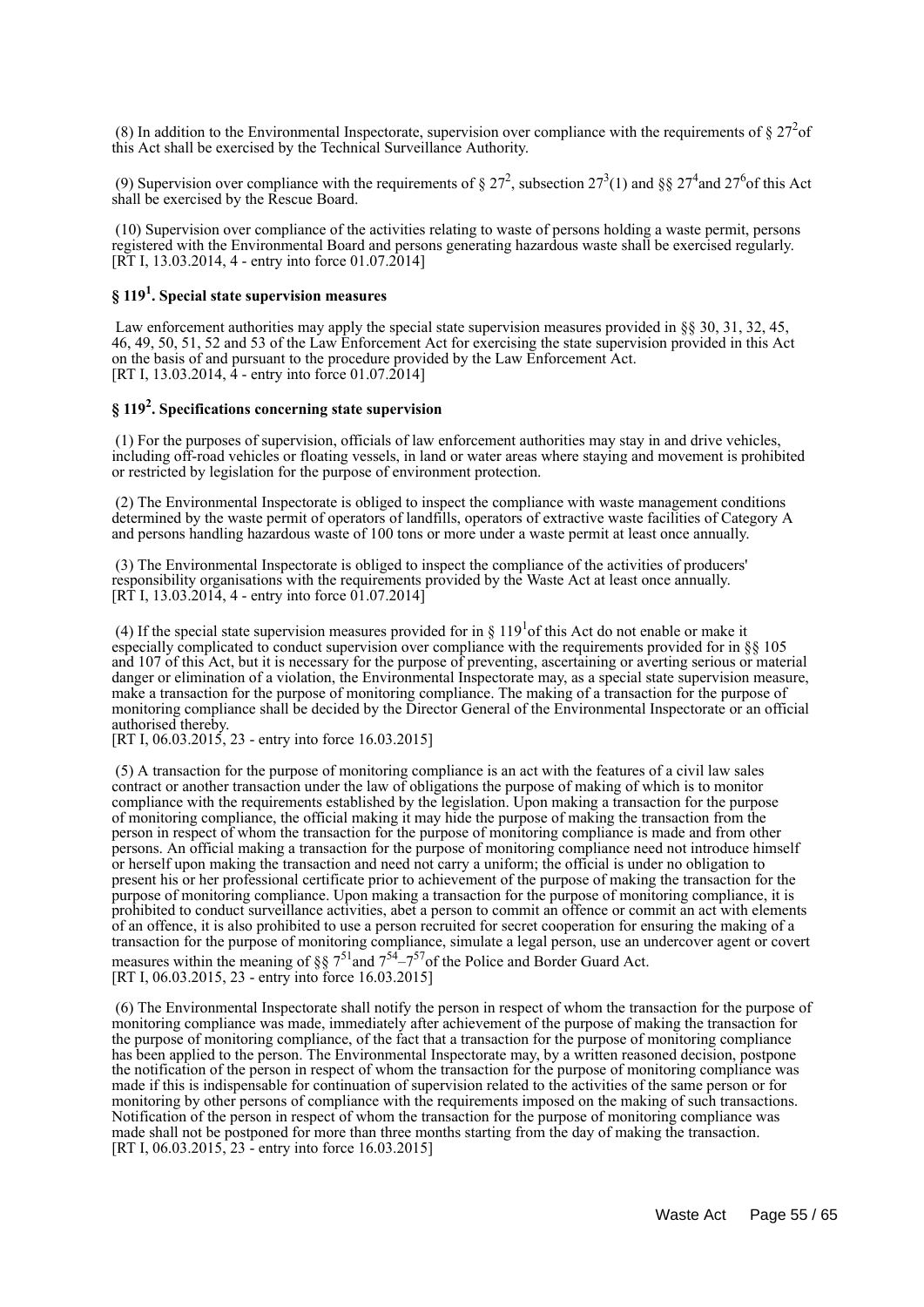(8) In addition to the Environmental Inspectorate, supervision over compliance with the requirements of  $\S 27<sup>2</sup>$  of this Act shall be exercised by the Technical Surveillance Authority.

(9) Supervision over compliance with the requirements of § 27<sup>2</sup>, subsection 27<sup>3</sup>(1) and §§ 27<sup>4</sup> and 27<sup>6</sup> of this Act shall be exercised by the Rescue Board.

 (10) Supervision over compliance of the activities relating to waste of persons holding a waste permit, persons registered with the Environmental Board and persons generating hazardous waste shall be exercised regularly. [RT I, 13.03.2014, 4 - entry into force 01.07.2014]

## **§ 119<sup>1</sup> . Special state supervision measures**

Law enforcement authorities may apply the special state supervision measures provided in §§ 30, 31, 32, 45, 46, 49, 50, 51, 52 and 53 of the Law Enforcement Act for exercising the state supervision provided in this Act on the basis of and pursuant to the procedure provided by the Law Enforcement Act. [RT I, 13.03.2014, 4 - entry into force 01.07.2014]

## **§ 119<sup>2</sup> . Specifications concerning state supervision**

 (1) For the purposes of supervision, officials of law enforcement authorities may stay in and drive vehicles, including off-road vehicles or floating vessels, in land or water areas where staying and movement is prohibited or restricted by legislation for the purpose of environment protection.

 (2) The Environmental Inspectorate is obliged to inspect the compliance with waste management conditions determined by the waste permit of operators of landfills, operators of extractive waste facilities of Category A and persons handling hazardous waste of 100 tons or more under a waste permit at least once annually.

 (3) The Environmental Inspectorate is obliged to inspect the compliance of the activities of producers' responsibility organisations with the requirements provided by the Waste Act at least once annually. [RT I, 13.03.2014, 4 - entry into force  $01.07.2014$ ]

(4) If the special state supervision measures provided for in  $\S 119<sup>1</sup>$  of this Act do not enable or make it especially complicated to conduct supervision over compliance with the requirements provided for in §§ 105 and 107 of this Act, but it is necessary for the purpose of preventing, ascertaining or averting serious or material danger or elimination of a violation, the Environmental Inspectorate may, as a special state supervision measure, make a transaction for the purpose of monitoring compliance. The making of a transaction for the purpose of monitoring compliance shall be decided by the Director General of the Environmental Inspectorate or an official authorised thereby.

[RT I, 06.03.2015, 23 - entry into force 16.03.2015]

 (5) A transaction for the purpose of monitoring compliance is an act with the features of a civil law sales contract or another transaction under the law of obligations the purpose of making of which is to monitor compliance with the requirements established by the legislation. Upon making a transaction for the purpose of monitoring compliance, the official making it may hide the purpose of making the transaction from the person in respect of whom the transaction for the purpose of monitoring compliance is made and from other persons. An official making a transaction for the purpose of monitoring compliance need not introduce himself or herself upon making the transaction and need not carry a uniform; the official is under no obligation to present his or her professional certificate prior to achievement of the purpose of making the transaction for the purpose of monitoring compliance. Upon making a transaction for the purpose of monitoring compliance, it is prohibited to conduct surveillance activities, abet a person to commit an offence or commit an act with elements of an offence, it is also prohibited to use a person recruited for secret cooperation for ensuring the making of a transaction for the purpose of monitoring compliance, simulate a legal person, use an undercover agent or covert measures within the meaning of  $887^{51}$  and  $7^{54} - 7^{57}$  of the Police and Border Guard Act. [RT I, 06.03.2015, 23 - entry into force 16.03.2015]

 (6) The Environmental Inspectorate shall notify the person in respect of whom the transaction for the purpose of monitoring compliance was made, immediately after achievement of the purpose of making the transaction for the purpose of monitoring compliance, of the fact that a transaction for the purpose of monitoring compliance has been applied to the person. The Environmental Inspectorate may, by a written reasoned decision, postpone the notification of the person in respect of whom the transaction for the purpose of monitoring compliance was made if this is indispensable for continuation of supervision related to the activities of the same person or for monitoring by other persons of compliance with the requirements imposed on the making of such transactions. Notification of the person in respect of whom the transaction for the purpose of monitoring compliance was made shall not be postponed for more than three months starting from the day of making the transaction. [RT I, 06.03.2015, 23 - entry into force 16.03.2015]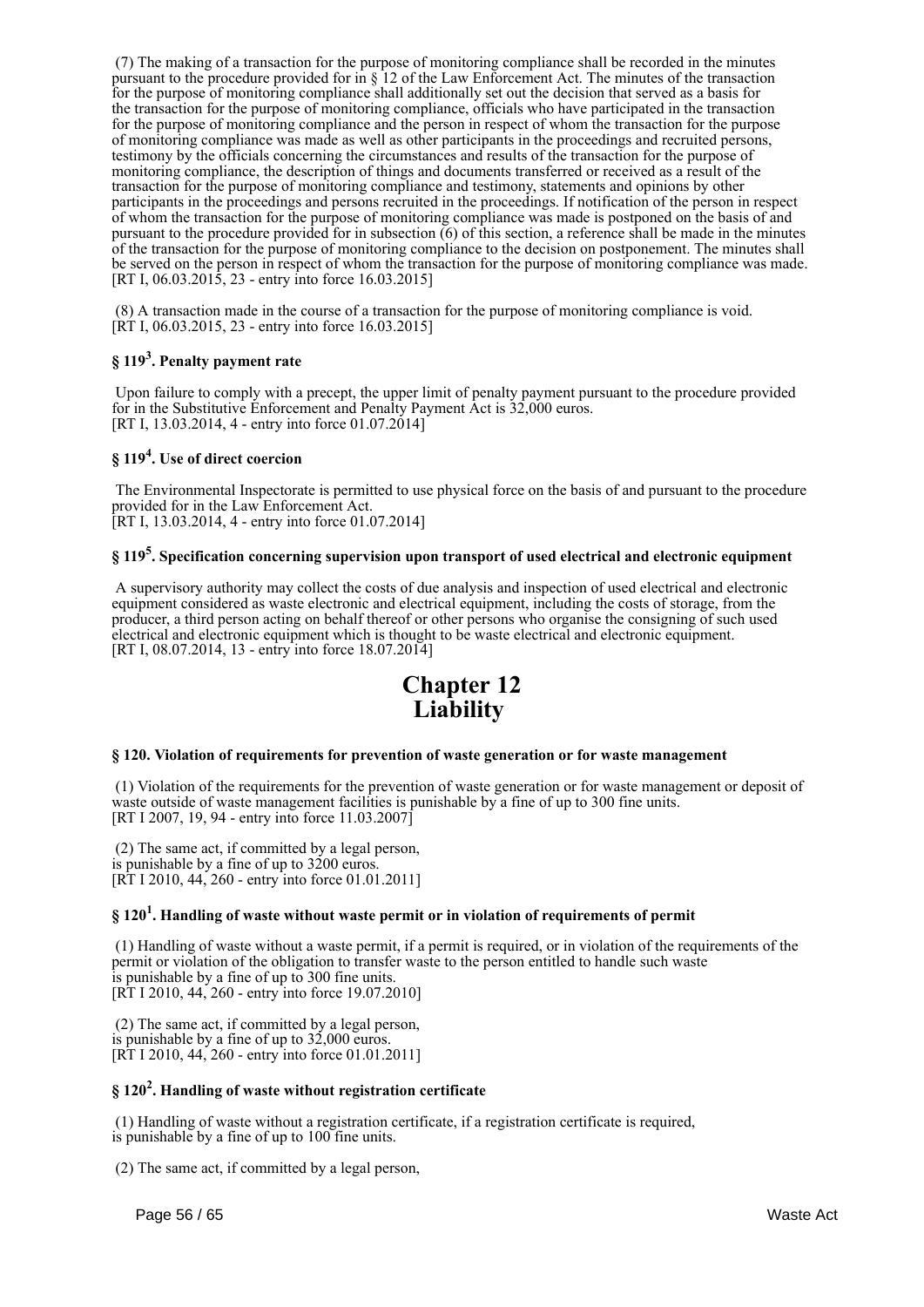(7) The making of a transaction for the purpose of monitoring compliance shall be recorded in the minutes pursuant to the procedure provided for in § 12 of the Law Enforcement Act. The minutes of the transaction for the purpose of monitoring compliance shall additionally set out the decision that served as a basis for the transaction for the purpose of monitoring compliance, officials who have participated in the transaction for the purpose of monitoring compliance and the person in respect of whom the transaction for the purpose of monitoring compliance was made as well as other participants in the proceedings and recruited persons, testimony by the officials concerning the circumstances and results of the transaction for the purpose of monitoring compliance, the description of things and documents transferred or received as a result of the transaction for the purpose of monitoring compliance and testimony, statements and opinions by other participants in the proceedings and persons recruited in the proceedings. If notification of the person in respect of whom the transaction for the purpose of monitoring compliance was made is postponed on the basis of and pursuant to the procedure provided for in subsection (6) of this section, a reference shall be made in the minutes of the transaction for the purpose of monitoring compliance to the decision on postponement. The minutes shall be served on the person in respect of whom the transaction for the purpose of monitoring compliance was made. [RT I, 06.03.2015, 23 - entry into force 16.03.2015]

 (8) A transaction made in the course of a transaction for the purpose of monitoring compliance is void. [RT I, 06.03.2015, 23 - entry into force 16.03.2015]

## **§ 119<sup>3</sup> . Penalty payment rate**

 Upon failure to comply with a precept, the upper limit of penalty payment pursuant to the procedure provided for in the Substitutive Enforcement and Penalty Payment Act is 32,000 euros. [RT I, 13.03.2014, 4 - entry into force  $01.07.2014$ ]

## **§ 119<sup>4</sup> . Use of direct coercion**

 The Environmental Inspectorate is permitted to use physical force on the basis of and pursuant to the procedure provided for in the Law Enforcement Act. [RT I, 13.03.2014, 4 - entry into force 01.07.2014]

## **§ 119<sup>5</sup> . Specification concerning supervision upon transport of used electrical and electronic equipment**

 A supervisory authority may collect the costs of due analysis and inspection of used electrical and electronic equipment considered as waste electronic and electrical equipment, including the costs of storage, from the producer, a third person acting on behalf thereof or other persons who organise the consigning of such used electrical and electronic equipment which is thought to be waste electrical and electronic equipment. [RT I, 08.07.2014, 13 - entry into force 18.07.2014]



#### **§ 120. Violation of requirements for prevention of waste generation or for waste management**

 (1) Violation of the requirements for the prevention of waste generation or for waste management or deposit of waste outside of waste management facilities is punishable by a fine of up to 300 fine units. [RT I 2007, 19, 94 - entry into force 11.03.2007]

 (2) The same act, if committed by a legal person, is punishable by a fine of up to  $3200$  euros. [RT I 2010, 44, 260 - entry into force 01.01.2011]

## **§ 120<sup>1</sup> . Handling of waste without waste permit or in violation of requirements of permit**

 (1) Handling of waste without a waste permit, if a permit is required, or in violation of the requirements of the permit or violation of the obligation to transfer waste to the person entitled to handle such waste is punishable by a fine of up to 300 fine units. [RT I 2010, 44, 260 - entry into force 19.07.2010]

 (2) The same act, if committed by a legal person, is punishable by a fine of up to 32,000 euros. [RT I 2010, 44, 260 - entry into force 01.01.2011]

## **§ 120<sup>2</sup> . Handling of waste without registration certificate**

 (1) Handling of waste without a registration certificate, if a registration certificate is required, is punishable by a fine of up to 100 fine units.

(2) The same act, if committed by a legal person,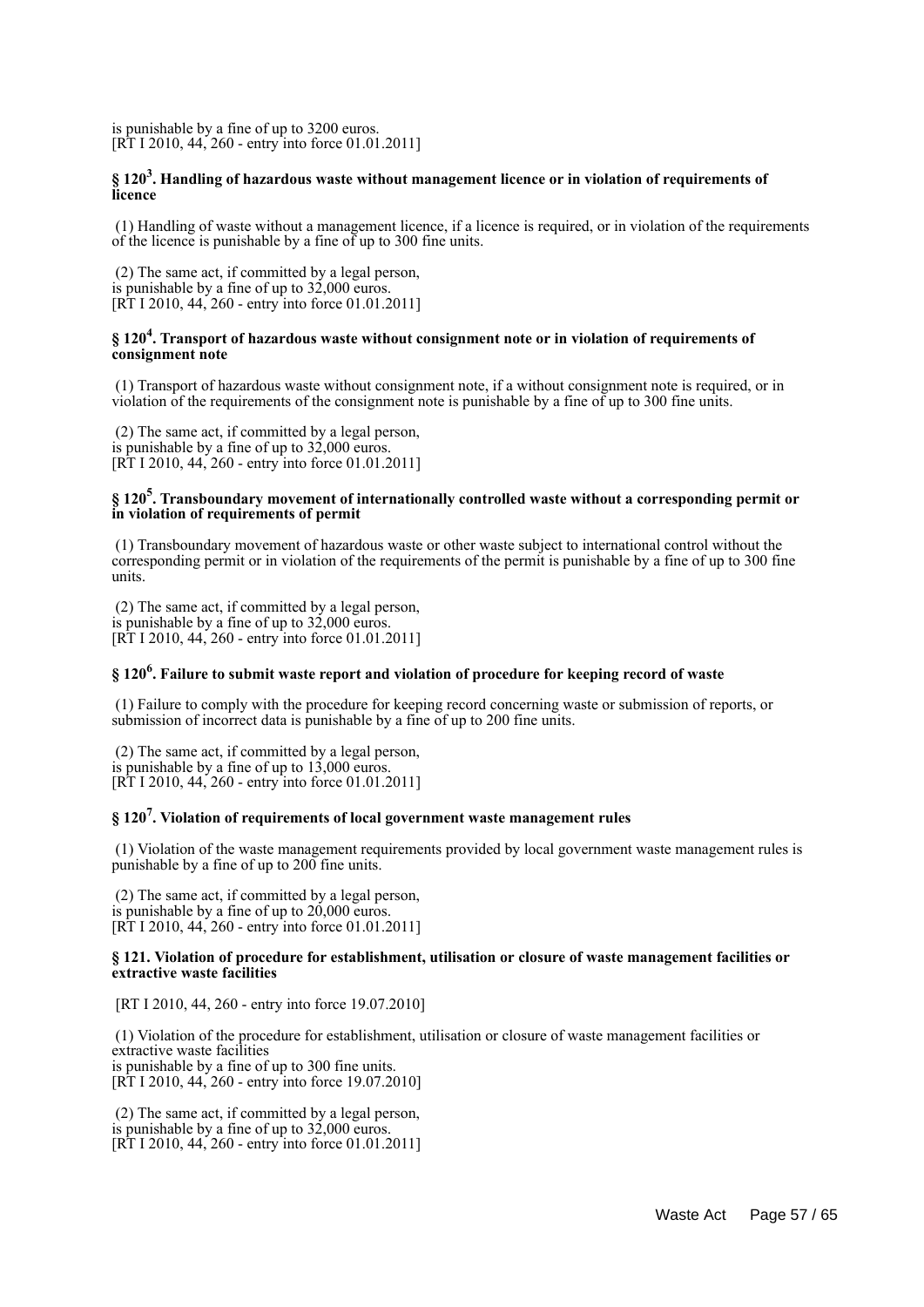is punishable by a fine of up to 3200 euros. [RT I 2010, 44, 260 - entry into force 01.01.2011]

#### **§ 120<sup>3</sup> . Handling of hazardous waste without management licence or in violation of requirements of licence**

 (1) Handling of waste without a management licence, if a licence is required, or in violation of the requirements of the licence is punishable by a fine of up to 300 fine units.

 (2) The same act, if committed by a legal person, is punishable by a fine of up to  $32,000$  euros. [RT I 2010, 44, 260 - entry into force 01.01.2011]

#### **§ 120<sup>4</sup> . Transport of hazardous waste without consignment note or in violation of requirements of consignment note**

 (1) Transport of hazardous waste without consignment note, if a without consignment note is required, or in violation of the requirements of the consignment note is punishable by a fine of up to 300 fine units.

 (2) The same act, if committed by a legal person, is punishable by a fine of up to 32,000 euros. [RT I 2010, 44, 260 - entry into force 01.01.2011]

#### **§ 120<sup>5</sup> . Transboundary movement of internationally controlled waste without a corresponding permit or in violation of requirements of permit**

 (1) Transboundary movement of hazardous waste or other waste subject to international control without the corresponding permit or in violation of the requirements of the permit is punishable by a fine of up to 300 fine units.

 (2) The same act, if committed by a legal person, is punishable by a fine of up to 32,000 euros. [RT I 2010, 44, 260 - entry into force 01.01.2011]

## **§ 120<sup>6</sup> . Failure to submit waste report and violation of procedure for keeping record of waste**

 (1) Failure to comply with the procedure for keeping record concerning waste or submission of reports, or submission of incorrect data is punishable by a fine of up to 200 fine units.

 (2) The same act, if committed by a legal person, is punishable by a fine of up to 13,000 euros. [RT I 2010, 44, 260 - entry into force 01.01.2011]

## **§ 120<sup>7</sup> . Violation of requirements of local government waste management rules**

 (1) Violation of the waste management requirements provided by local government waste management rules is punishable by a fine of up to 200 fine units.

 (2) The same act, if committed by a legal person, is punishable by a fine of up to  $20,000$  euros. [RT I 2010, 44, 260 - entry into force 01.01.2011]

#### **§ 121. Violation of procedure for establishment, utilisation or closure of waste management facilities or extractive waste facilities**

[RT I 2010, 44, 260 - entry into force 19.07.2010]

 (1) Violation of the procedure for establishment, utilisation or closure of waste management facilities or extractive waste facilities is punishable by a fine of up to 300 fine units. [RT I 2010, 44, 260 - entry into force 19.07.2010]

 (2) The same act, if committed by a legal person, is punishable by a fine of up to  $32,000$  euros. [RT I 2010, 44, 260 - entry into force 01.01.2011]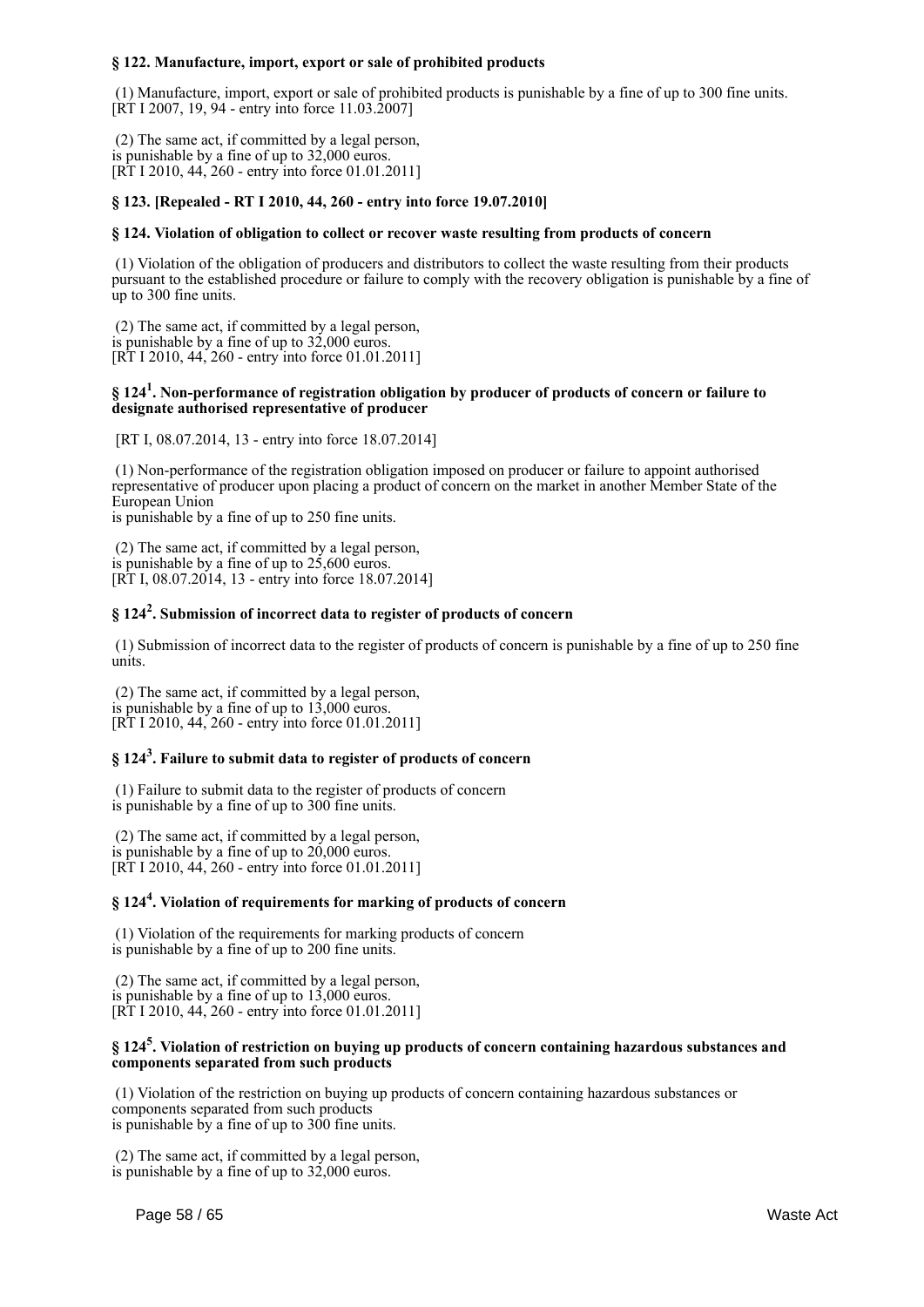#### **§ 122. Manufacture, import, export or sale of prohibited products**

 (1) Manufacture, import, export or sale of prohibited products is punishable by a fine of up to 300 fine units. [RT I 2007, 19, 94 - entry into force 11.03.2007]

 (2) The same act, if committed by a legal person, is punishable by a fine of up to 32,000 euros. [RT I 2010, 44, 260 - entry into force 01.01.2011]

#### **§ 123. [Repealed - RT I 2010, 44, 260 - entry into force 19.07.2010]**

#### **§ 124. Violation of obligation to collect or recover waste resulting from products of concern**

 (1) Violation of the obligation of producers and distributors to collect the waste resulting from their products pursuant to the established procedure or failure to comply with the recovery obligation is punishable by a fine of up to 300 fine units.

 (2) The same act, if committed by a legal person, is punishable by a fine of up to 32,000 euros. [RT I 2010, 44, 260 - entry into force 01.01.2011]

#### **§ 124<sup>1</sup> . Non-performance of registration obligation by producer of products of concern or failure to designate authorised representative of producer**

[RT I, 08.07.2014, 13 - entry into force 18.07.2014]

 (1) Non-performance of the registration obligation imposed on producer or failure to appoint authorised representative of producer upon placing a product of concern on the market in another Member State of the European Union

is punishable by a fine of up to 250 fine units.

 (2) The same act, if committed by a legal person, is punishable by a fine of up to 25,600 euros. [RT I, 08.07.2014, 13 - entry into force 18.07.2014]

## **§ 124<sup>2</sup> . Submission of incorrect data to register of products of concern**

 (1) Submission of incorrect data to the register of products of concern is punishable by a fine of up to 250 fine units.

 (2) The same act, if committed by a legal person, is punishable by a fine of up to  $13,000$  euros. [RT I 2010, 44, 260 - entry into force 01.01.2011]

## **§ 124<sup>3</sup> . Failure to submit data to register of products of concern**

 (1) Failure to submit data to the register of products of concern is punishable by a fine of up to 300 fine units.

 (2) The same act, if committed by a legal person, is punishable by a fine of up to 20,000 euros. [RT I 2010, 44, 260 - entry into force 01.01.2011]

## **§ 124<sup>4</sup> . Violation of requirements for marking of products of concern**

 (1) Violation of the requirements for marking products of concern is punishable by a fine of up to 200 fine units.

 (2) The same act, if committed by a legal person, is punishable by a fine of up to 13,000 euros. [RT I 2010, 44, 260 - entry into force 01.01.2011]

#### **§ 124<sup>5</sup> . Violation of restriction on buying up products of concern containing hazardous substances and components separated from such products**

 (1) Violation of the restriction on buying up products of concern containing hazardous substances or components separated from such products is punishable by a fine of up to 300 fine units.

 (2) The same act, if committed by a legal person, is punishable by a fine of up to 32,000 euros.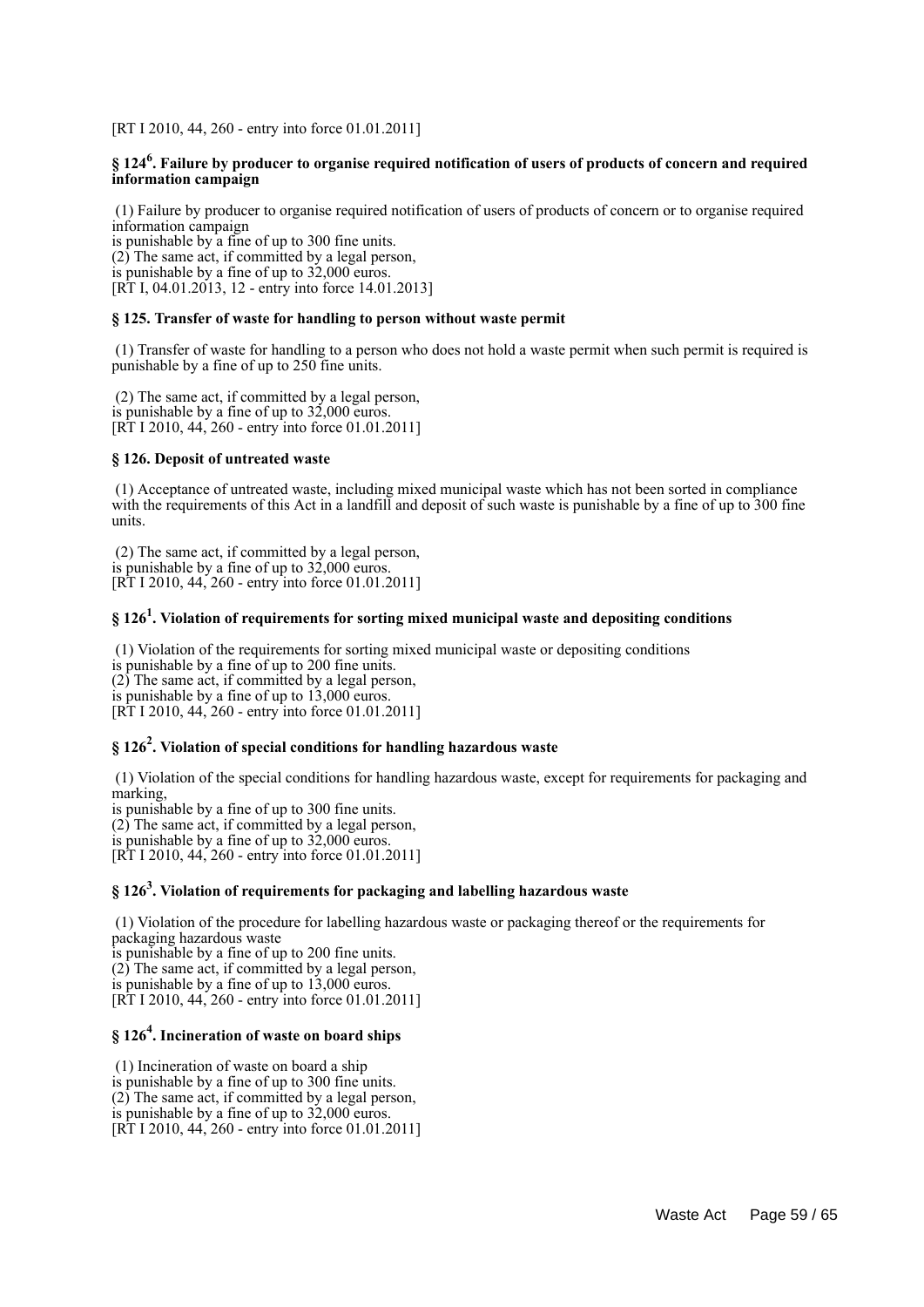[RT I 2010, 44, 260 - entry into force 01.01.2011]

#### **§ 124<sup>6</sup> . Failure by producer to organise required notification of users of products of concern and required information campaign**

 (1) Failure by producer to organise required notification of users of products of concern or to organise required information campaign

is punishable by a fine of up to 300 fine units. (2) The same act, if committed by a legal person, is punishable by a fine of up to 32,000 euros. [RT I, 04.01.2013, 12 - entry into force 14.01.2013]

#### **§ 125. Transfer of waste for handling to person without waste permit**

 (1) Transfer of waste for handling to a person who does not hold a waste permit when such permit is required is punishable by a fine of up to 250 fine units.

 (2) The same act, if committed by a legal person, is punishable by a fine of up to 32,000 euros. [RT I 2010, 44, 260 - entry into force 01.01.2011]

#### **§ 126. Deposit of untreated waste**

 (1) Acceptance of untreated waste, including mixed municipal waste which has not been sorted in compliance with the requirements of this Act in a landfill and deposit of such waste is punishable by a fine of up to 300 fine units.

 (2) The same act, if committed by a legal person, is punishable by a fine of up to 32,000 euros. [RT I 2010, 44, 260 - entry into force 01.01.2011]

## **§ 126<sup>1</sup> . Violation of requirements for sorting mixed municipal waste and depositing conditions**

 (1) Violation of the requirements for sorting mixed municipal waste or depositing conditions is punishable by a fine of up to 200 fine units. (2) The same act, if committed by a legal person, is punishable by a fine of up to 13,000 euros. [RT I 2010, 44, 260 - entry into force 01.01.2011]

## **§ 126<sup>2</sup> . Violation of special conditions for handling hazardous waste**

 (1) Violation of the special conditions for handling hazardous waste, except for requirements for packaging and marking,

is punishable by a fine of up to 300 fine units. (2) The same act, if committed by a legal person, is punishable by a fine of up to 32,000 euros. [RT I 2010, 44, 260 - entry into force 01.01.2011]

## **§ 126<sup>3</sup> . Violation of requirements for packaging and labelling hazardous waste**

 (1) Violation of the procedure for labelling hazardous waste or packaging thereof or the requirements for packaging hazardous waste

is punishable by a fine of up to 200 fine units. (2) The same act, if committed by a legal person, is punishable by a fine of up to 13,000 euros. [RT I 2010, 44, 260 - entry into force 01.01.2011]

## **§ 126<sup>4</sup> . Incineration of waste on board ships**

 (1) Incineration of waste on board a ship is punishable by a fine of up to 300 fine units. (2) The same act, if committed by a legal person, is punishable by a fine of up to 32,000 euros. [RT I 2010, 44, 260 - entry into force 01.01.2011]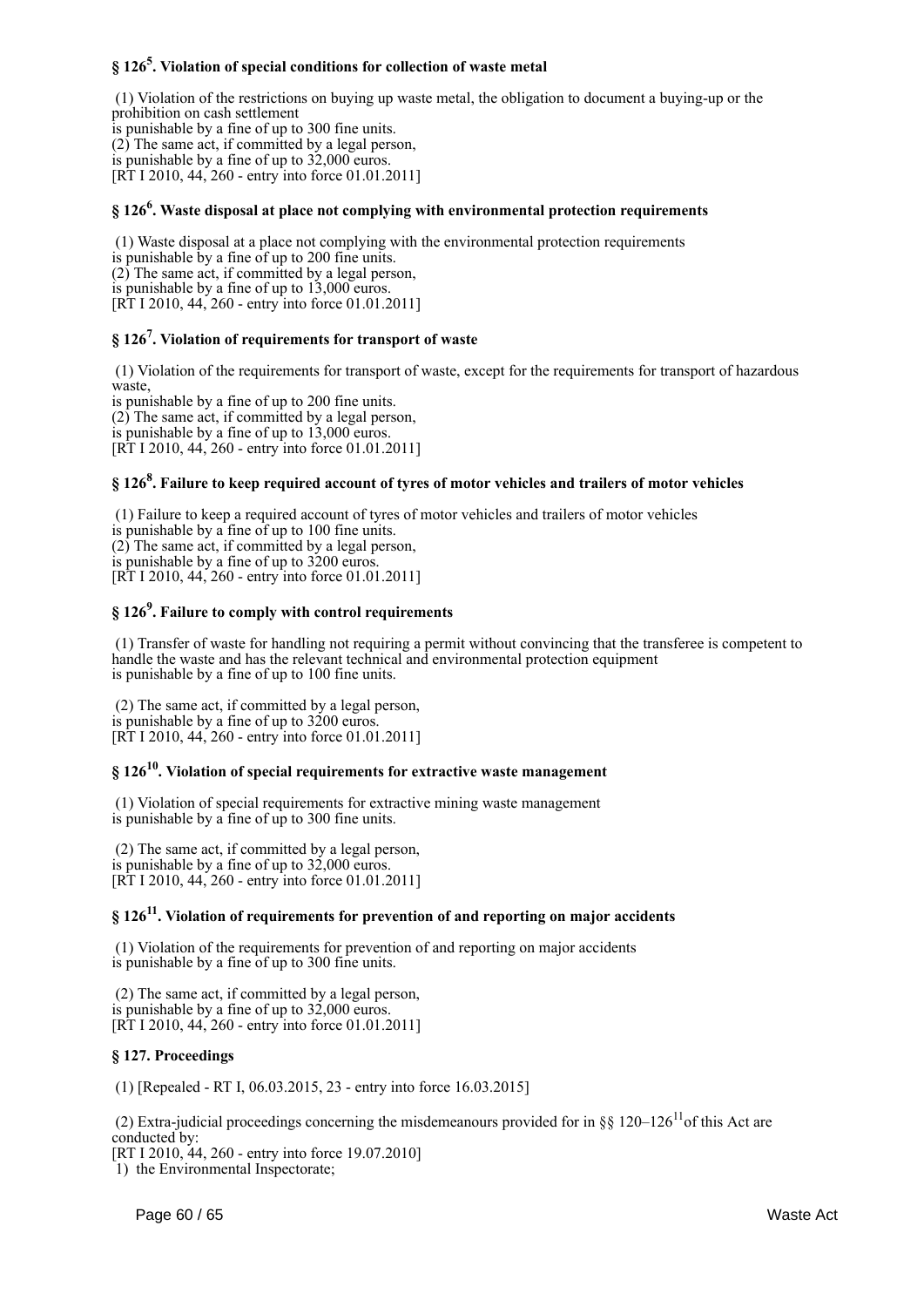## **§ 126<sup>5</sup> . Violation of special conditions for collection of waste metal**

 (1) Violation of the restrictions on buying up waste metal, the obligation to document a buying-up or the prohibition on cash settlement is punishable by a fine of up to 300 fine units.

(2) The same act, if committed by a legal person,

is punishable by a fine of up to 32,000 euros. [RT I 2010, 44, 260 - entry into force 01.01.2011]

## **§ 126<sup>6</sup> . Waste disposal at place not complying with environmental protection requirements**

 (1) Waste disposal at a place not complying with the environmental protection requirements is punishable by a fine of up to 200 fine units. (2) The same act, if committed by a legal person, is punishable by a fine of up to 13,000 euros. [RT I 2010, 44, 260 - entry into force 01.01.2011]

## **§ 126<sup>7</sup> . Violation of requirements for transport of waste**

 (1) Violation of the requirements for transport of waste, except for the requirements for transport of hazardous waste, is punishable by a fine of up to 200 fine units.

(2) The same act, if committed by a legal person, is punishable by a fine of up to 13,000 euros. [RT I 2010, 44, 260 - entry into force 01.01.2011]

## **§ 126<sup>8</sup> . Failure to keep required account of tyres of motor vehicles and trailers of motor vehicles**

 (1) Failure to keep a required account of tyres of motor vehicles and trailers of motor vehicles is punishable by a fine of up to 100 fine units. (2) The same act, if committed by a legal person, is punishable by a fine of up to 3200 euros. [RT I 2010, 44, 260 - entry into force 01.01.2011]

## **§ 126<sup>9</sup> . Failure to comply with control requirements**

 (1) Transfer of waste for handling not requiring a permit without convincing that the transferee is competent to handle the waste and has the relevant technical and environmental protection equipment is punishable by a fine of up to 100 fine units.

 (2) The same act, if committed by a legal person, is punishable by a fine of up to 3200 euros. [RT I 2010, 44, 260 - entry into force 01.01.2011]

## **§ 126<sup>10</sup> . Violation of special requirements for extractive waste management**

 (1) Violation of special requirements for extractive mining waste management is punishable by a fine of up to 300 fine units.

 (2) The same act, if committed by a legal person, is punishable by a fine of up to 32,000 euros. [RT I 2010, 44, 260 - entry into force 01.01.2011]

## **§ 126<sup>11</sup> . Violation of requirements for prevention of and reporting on major accidents**

 (1) Violation of the requirements for prevention of and reporting on major accidents is punishable by a fine of up to 300 fine units.

 (2) The same act, if committed by a legal person, is punishable by a fine of up to 32,000 euros. [RT I 2010, 44, 260 - entry into force 01.01.2011]

#### **§ 127. Proceedings**

(1) [Repealed - RT I, 06.03.2015, 23 - entry into force 16.03.2015]

(2) Extra-judicial proceedings concerning the misdemeanours provided for in §§ 120–126<sup>11</sup>of this Act are conducted by:

[RT I 2010, 44, 260 - entry into force 19.07.2010]

1) the Environmental Inspectorate;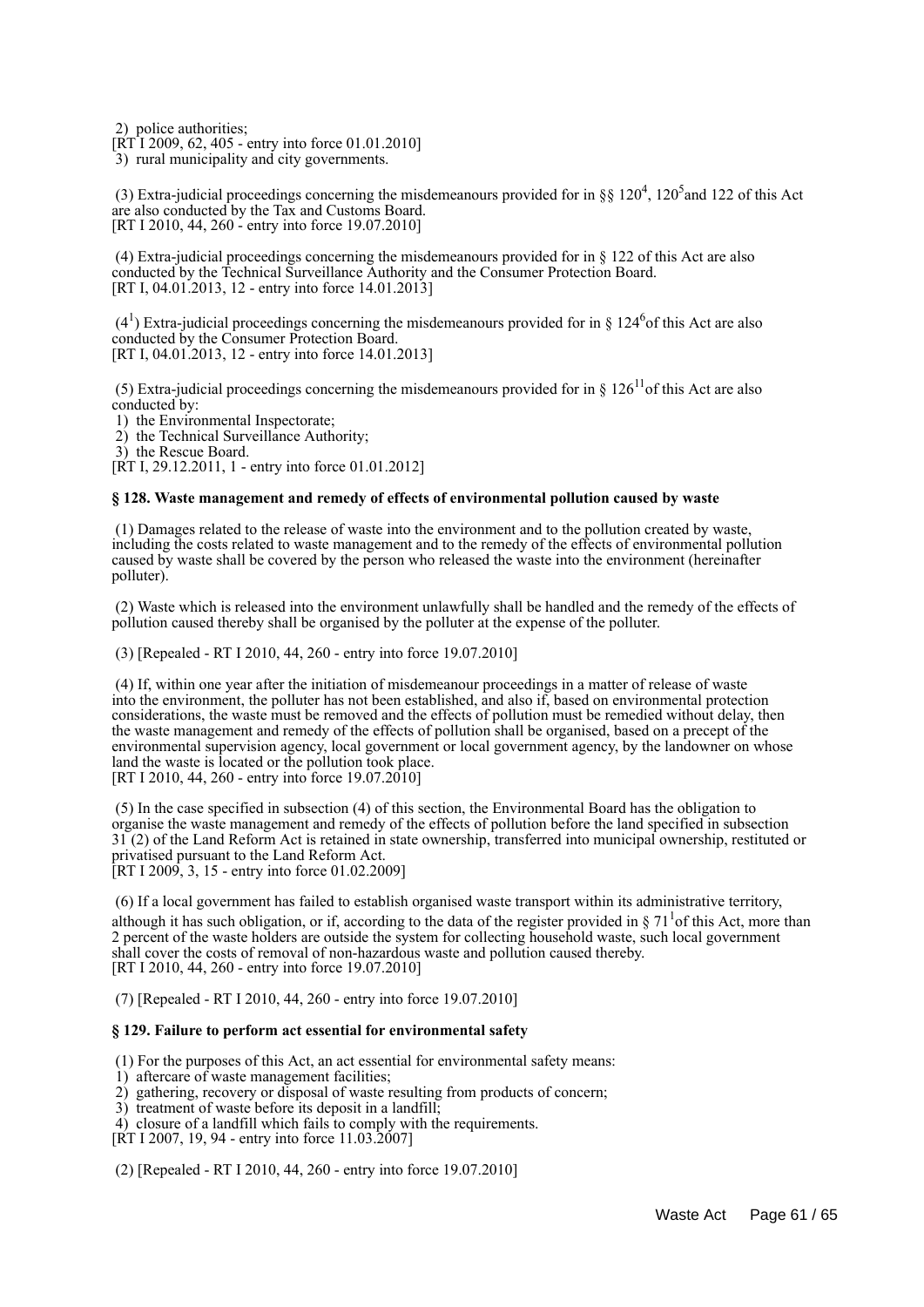2) police authorities;

[RT I 2009, 62, 405 - entry into force 01.01.2010]

3) rural municipality and city governments.

(3) Extra-judicial proceedings concerning the misdemeanours provided for in §§  $120^4$ ,  $120^5$  and  $122$  of this Act are also conducted by the Tax and Customs Board. [RT I 2010, 44, 260 - entry into force 19.07.2010]

 (4) Extra-judicial proceedings concerning the misdemeanours provided for in § 122 of this Act are also conducted by the Technical Surveillance Authority and the Consumer Protection Board. [RT I, 04.01.2013, 12 - entry into force 14.01.2013]

 $(4<sup>1</sup>)$  Extra-judicial proceedings concerning the misdemeanours provided for in § 124<sup>6</sup> of this Act are also conducted by the Consumer Protection Board. [RT I, 04.01.2013, 12 - entry into force 14.01.2013]

(5) Extra-judicial proceedings concerning the misdemeanours provided for in  $\S 126^{11}$ of this Act are also conducted by:

1) the Environmental Inspectorate;

2) the Technical Surveillance Authority;

3) the Rescue Board.

[RT I, 29.12.2011, 1 - entry into force 01.01.2012]

#### **§ 128. Waste management and remedy of effects of environmental pollution caused by waste**

 (1) Damages related to the release of waste into the environment and to the pollution created by waste, including the costs related to waste management and to the remedy of the effects of environmental pollution caused by waste shall be covered by the person who released the waste into the environment (hereinafter polluter).

 (2) Waste which is released into the environment unlawfully shall be handled and the remedy of the effects of pollution caused thereby shall be organised by the polluter at the expense of the polluter.

(3) [Repealed - RT I 2010, 44, 260 - entry into force 19.07.2010]

 (4) If, within one year after the initiation of misdemeanour proceedings in a matter of release of waste into the environment, the polluter has not been established, and also if, based on environmental protection considerations, the waste must be removed and the effects of pollution must be remedied without delay, then the waste management and remedy of the effects of pollution shall be organised, based on a precept of the environmental supervision agency, local government or local government agency, by the landowner on whose land the waste is located or the pollution took place. [RT I 2010, 44, 260 - entry into force 19.07.2010]

 (5) In the case specified in subsection (4) of this section, the Environmental Board has the obligation to organise the waste management and remedy of the effects of pollution before the land specified in subsection 31 (2) of the Land Reform Act is retained in state ownership, transferred into municipal ownership, restituted or privatised pursuant to the Land Reform Act. [RT I 2009, 3, 15 - entry into force 01.02.2009]

 (6) If a local government has failed to establish organised waste transport within its administrative territory, although it has such obligation, or if, according to the data of the register provided in  $\S 71<sup>1</sup>$  of this Act, more than 2 percent of the waste holders are outside the system for collecting household waste, such local government shall cover the costs of removal of non-hazardous waste and pollution caused thereby. [RT I 2010, 44, 260 - entry into force 19.07.2010]

(7) [Repealed - RT I 2010, 44, 260 - entry into force 19.07.2010]

#### **§ 129. Failure to perform act essential for environmental safety**

(1) For the purposes of this Act, an act essential for environmental safety means:

- 1) aftercare of waste management facilities;
- 2) gathering, recovery or disposal of waste resulting from products of concern;
- 3) treatment of waste before its deposit in a landfill;
- 4) closure of a landfill which fails to comply with the requirements.
- [RT I 2007, 19, 94 entry into force 11.03.2007]

(2) [Repealed - RT I 2010, 44, 260 - entry into force 19.07.2010]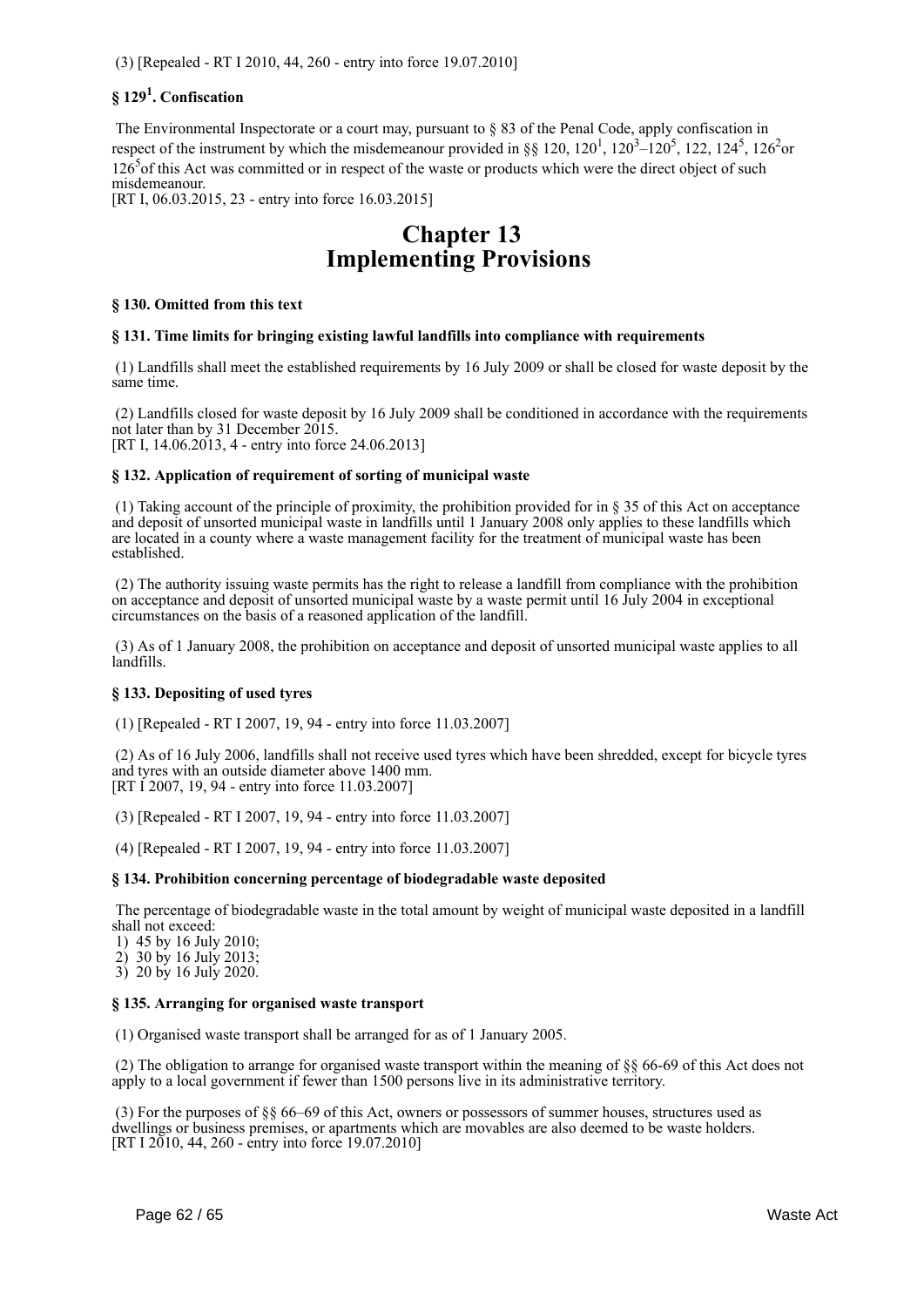## **§ 129<sup>1</sup> . Confiscation**

 The Environmental Inspectorate or a court may, pursuant to § 83 of the Penal Code, apply confiscation in respect of the instrument by which the misdemeanour provided in §§ 120, 120<sup>1</sup>, 120<sup>3</sup>–120<sup>5</sup>, 122, 124<sup>5</sup>, 126<sup>2</sup>or 126<sup>5</sup> of this Act was committed or in respect of the waste or products which were the direct object of such misdemeanour. [RT I, 06.03.2015, 23 - entry into force 16.03.2015]

## **Chapter 13 Implementing Provisions**

#### **§ 130. Omitted from this text**

#### **§ 131. Time limits for bringing existing lawful landfills into compliance with requirements**

 (1) Landfills shall meet the established requirements by 16 July 2009 or shall be closed for waste deposit by the same time.

 (2) Landfills closed for waste deposit by 16 July 2009 shall be conditioned in accordance with the requirements not later than by 31 December 2015. [RT I, 14.06.2013, 4 - entry into force 24.06.2013]

#### **§ 132. Application of requirement of sorting of municipal waste**

 (1) Taking account of the principle of proximity, the prohibition provided for in § 35 of this Act on acceptance and deposit of unsorted municipal waste in landfills until 1 January 2008 only applies to these landfills which are located in a county where a waste management facility for the treatment of municipal waste has been established.

 (2) The authority issuing waste permits has the right to release a landfill from compliance with the prohibition on acceptance and deposit of unsorted municipal waste by a waste permit until 16 July 2004 in exceptional circumstances on the basis of a reasoned application of the landfill.

 (3) As of 1 January 2008, the prohibition on acceptance and deposit of unsorted municipal waste applies to all landfills.

#### **§ 133. Depositing of used tyres**

(1) [Repealed - RT I 2007, 19, 94 - entry into force 11.03.2007]

 (2) As of 16 July 2006, landfills shall not receive used tyres which have been shredded, except for bicycle tyres and tyres with an outside diameter above 1400 mm. [RT I 2007, 19, 94 - entry into force 11.03.2007]

(3) [Repealed - RT I 2007, 19, 94 - entry into force 11.03.2007]

(4) [Repealed - RT I 2007, 19, 94 - entry into force 11.03.2007]

#### **§ 134. Prohibition concerning percentage of biodegradable waste deposited**

 The percentage of biodegradable waste in the total amount by weight of municipal waste deposited in a landfill shall not exceed:

1) 45 by 16 July 2010;

2) 30 by 16 July 2013;

3) 20 by 16 July 2020.

#### **§ 135. Arranging for organised waste transport**

(1) Organised waste transport shall be arranged for as of 1 January 2005.

 (2) The obligation to arrange for organised waste transport within the meaning of §§ 66-69 of this Act does not apply to a local government if fewer than 1500 persons live in its administrative territory.

 (3) For the purposes of §§ 66–69 of this Act, owners or possessors of summer houses, structures used as dwellings or business premises, or apartments which are movables are also deemed to be waste holders. [RT I 2010, 44, 260 - entry into force 19.07.2010]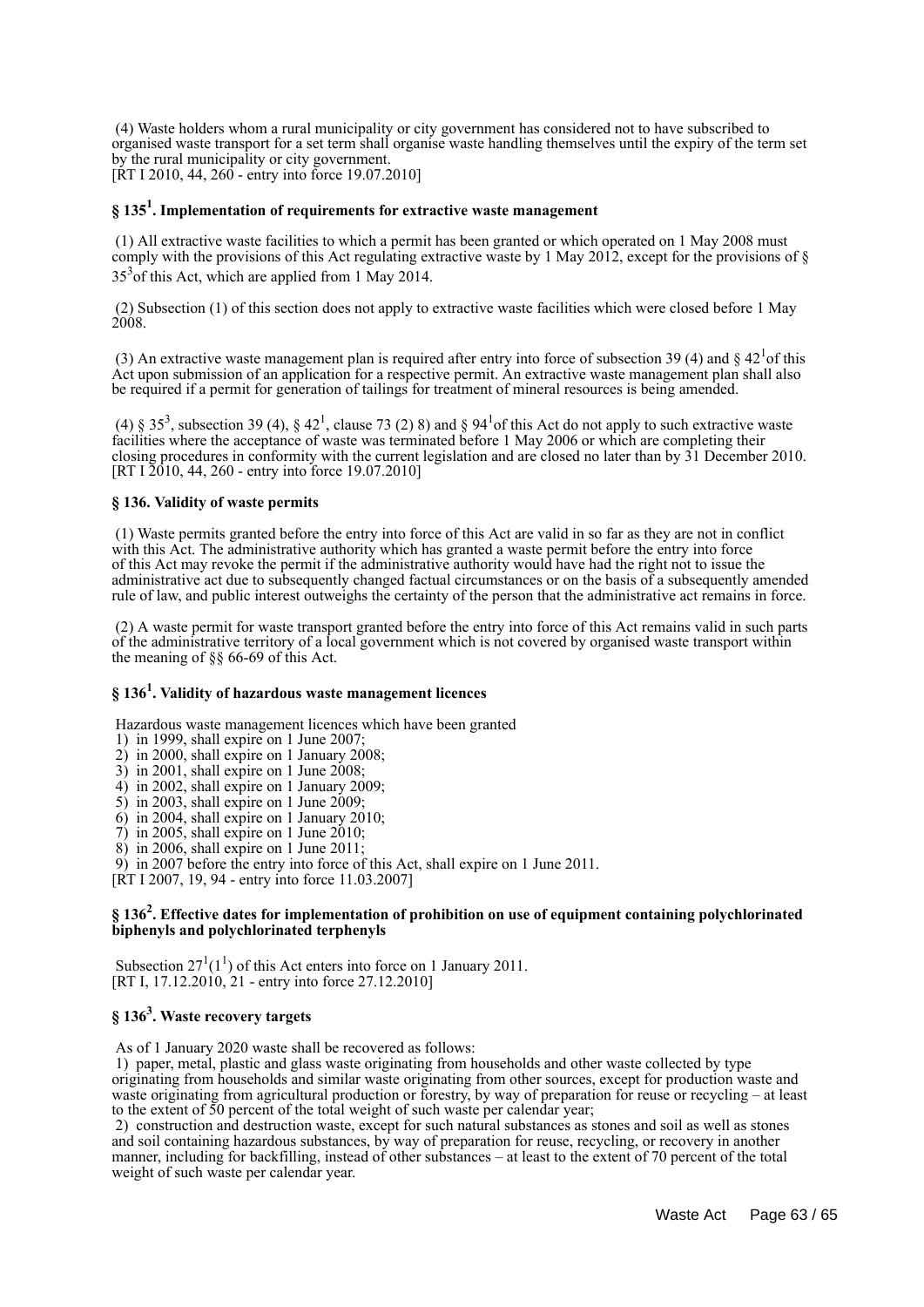(4) Waste holders whom a rural municipality or city government has considered not to have subscribed to organised waste transport for a set term shall organise waste handling themselves until the expiry of the term set by the rural municipality or city government. [ $\bar{R}$ T I 2010, 44, 260 - entry into force 19.07.2010]

## **§ 135<sup>1</sup> . Implementation of requirements for extractive waste management**

 (1) All extractive waste facilities to which a permit has been granted or which operated on 1 May 2008 must comply with the provisions of this Act regulating extractive waste by 1 May 2012, except for the provisions of  $\S$  $35<sup>3</sup>$  of this Act, which are applied from 1 May 2014.

 (2) Subsection (1) of this section does not apply to extractive waste facilities which were closed before 1 May 2008.

(3) An extractive waste management plan is required after entry into force of subsection 39 (4) and  $\S 42^{1}$  of this Act upon submission of an application for a respective permit. An extractive waste management plan shall also be required if a permit for generation of tailings for treatment of mineral resources is being amended.

(4) §  $35^3$ , subsection 39 (4), §  $42^1$ , clause 73 (2) 8) and §  $94^1$ of this Act do not apply to such extractive waste facilities where the acceptance of waste was terminated before 1 May 2006 or which are completing their closing procedures in conformity with the current legislation and are closed no later than by 31 December 2010. [RT I  $2010$ , 44, 260 - entry into force 19.07.2010]

#### **§ 136. Validity of waste permits**

 (1) Waste permits granted before the entry into force of this Act are valid in so far as they are not in conflict with this Act. The administrative authority which has granted a waste permit before the entry into force of this Act may revoke the permit if the administrative authority would have had the right not to issue the administrative act due to subsequently changed factual circumstances or on the basis of a subsequently amended rule of law, and public interest outweighs the certainty of the person that the administrative act remains in force.

 (2) A waste permit for waste transport granted before the entry into force of this Act remains valid in such parts of the administrative territory of a local government which is not covered by organised waste transport within the meaning of §§ 66-69 of this Act.

## **§ 136<sup>1</sup> . Validity of hazardous waste management licences**

Hazardous waste management licences which have been granted

- 1) in 1999, shall expire on 1 June 2007;
- 2) in 2000, shall expire on 1 January 2008;
- 3) in 2001, shall expire on 1 June 2008;
- 4) in 2002, shall expire on 1 January 2009;
- 5) in 2003, shall expire on 1 June 2009;
- 6) in 2004, shall expire on 1 January 2010;
- $7$ ) in 2005, shall expire on 1 June 2010;
- 8) in 2006, shall expire on 1 June 2011;
- 9) in 2007 before the entry into force of this Act, shall expire on 1 June 2011.
- [RT I 2007, 19, 94 entry into force 11.03.2007]

#### **§ 136<sup>2</sup> . Effective dates for implementation of prohibition on use of equipment containing polychlorinated biphenyls and polychlorinated terphenyls**

Subsection  $27^1(1^1)$  of this Act enters into force on 1 January 2011. [RT I, 17.12.2010, 21 - entry into force 27.12.2010]

## **§ 136<sup>3</sup> . Waste recovery targets**

As of 1 January 2020 waste shall be recovered as follows:

 1) paper, metal, plastic and glass waste originating from households and other waste collected by type originating from households and similar waste originating from other sources, except for production waste and waste originating from agricultural production or forestry, by way of preparation for reuse or recycling – at least to the extent of 50 percent of the total weight of such waste per calendar year;

 2) construction and destruction waste, except for such natural substances as stones and soil as well as stones and soil containing hazardous substances, by way of preparation for reuse, recycling, or recovery in another manner, including for backfilling, instead of other substances – at least to the extent of 70 percent of the total weight of such waste per calendar year.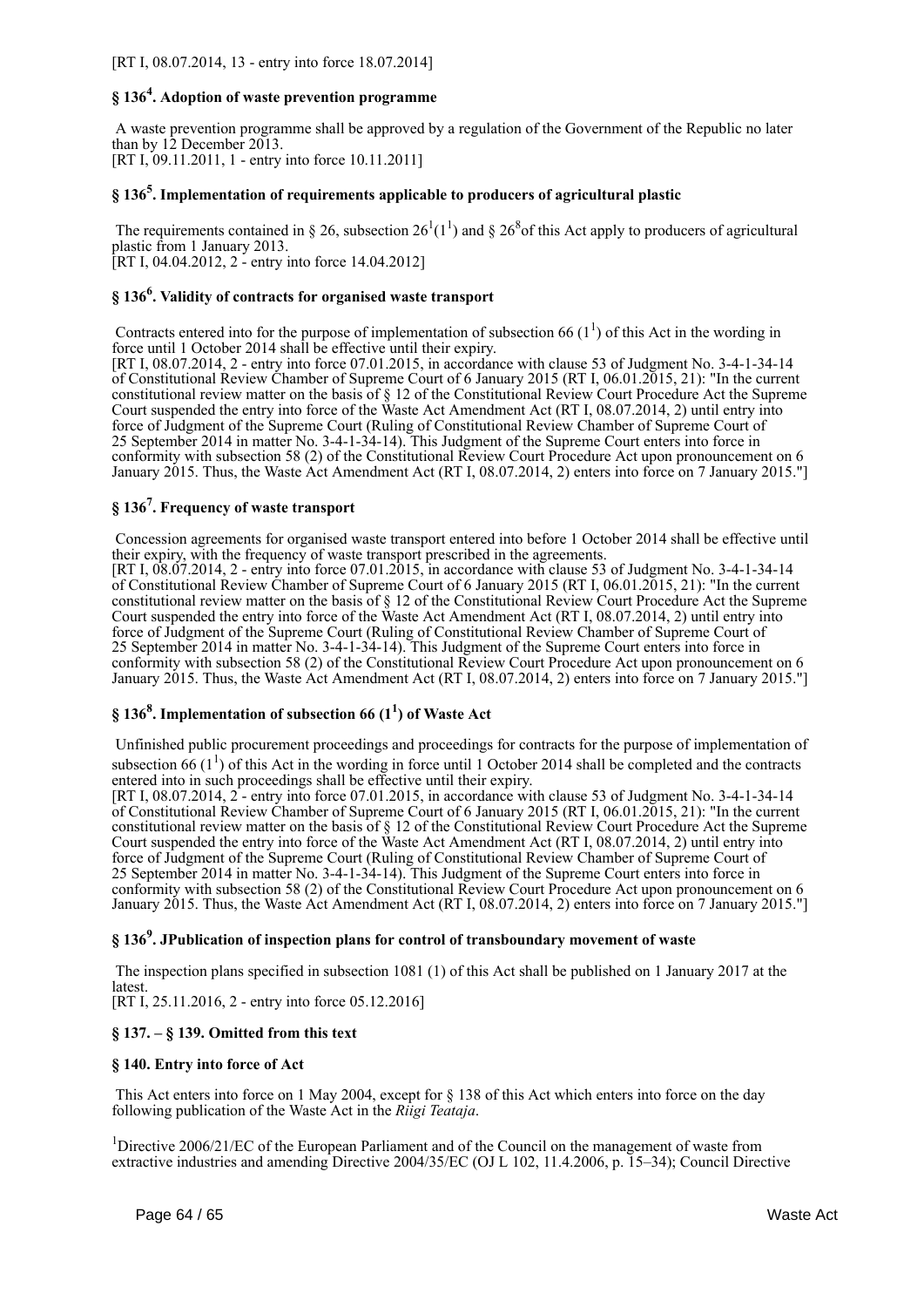## **§ 136<sup>4</sup> . Adoption of waste prevention programme**

 A waste prevention programme shall be approved by a regulation of the Government of the Republic no later than by  $12$  December 2013. [RT I, 09.11.2011, 1 - entry into force 10.11.2011]

## **§ 136<sup>5</sup> . Implementation of requirements applicable to producers of agricultural plastic**

The requirements contained in § 26, subsection  $26<sup>1</sup>(1<sup>1</sup>)$  and §  $26<sup>8</sup>$  of this Act apply to producers of agricultural plastic from 1 January 2013. [RT I, 04.04.2012, 2 - entry into force 14.04.2012]

## **§ 136<sup>6</sup> . Validity of contracts for organised waste transport**

Contracts entered into for the purpose of implementation of subsection 66  $(1^1)$  of this Act in the wording in force until 1 October 2014 shall be effective until their expiry.

[RT I, 08.07.2014, 2 - entry into force 07.01.2015, in accordance with clause 53 of Judgment No. 3-4-1-34-14 of Constitutional Review Chamber of Supreme Court of 6 January 2015 (RT I, 06.01.2015, 21): "In the current constitutional review matter on the basis of § 12 of the Constitutional Review Court Procedure Act the Supreme Court suspended the entry into force of the Waste Act Amendment Act (RT I, 08.07.2014, 2) until entry into force of Judgment of the Supreme Court (Ruling of Constitutional Review Chamber of Supreme Court of 25 September 2014 in matter No. 3-4-1-34-14). This Judgment of the Supreme Court enters into force in conformity with subsection 58 (2) of the Constitutional Review Court Procedure Act upon pronouncement on 6 January 2015. Thus, the Waste Act Amendment Act (RT I, 08.07.2014, 2) enters into force on 7 January 2015."]

## **§ 136<sup>7</sup> . Frequency of waste transport**

 Concession agreements for organised waste transport entered into before 1 October 2014 shall be effective until their expiry, with the frequency of waste transport prescribed in the agreements.

[RT I, 08.07.2014, 2 - entry into force 07.01.2015, in accordance with clause 53 of Judgment No. 3-4-1-34-14 of Constitutional Review Chamber of Supreme Court of 6 January 2015 (RT I, 06.01.2015, 21): "In the current constitutional review matter on the basis of § 12 of the Constitutional Review Court Procedure Act the Supreme Court suspended the entry into force of the Waste Act Amendment Act (RT I, 08.07.2014, 2) until entry into force of Judgment of the Supreme Court (Ruling of Constitutional Review Chamber of Supreme Court of 25 September 2014 in matter No. 3-4-1-34-14). This Judgment of the Supreme Court enters into force in conformity with subsection 58 (2) of the Constitutional Review Court Procedure Act upon pronouncement on 6 January 2015. Thus, the Waste Act Amendment Act (RT I, 08.07.2014, 2) enters into force on 7 January 2015."]

## **§ 136<sup>8</sup> . Implementation of subsection 66 (1<sup>1</sup> ) of Waste Act**

 Unfinished public procurement proceedings and proceedings for contracts for the purpose of implementation of subsection 66  $(1^1)$  of this Act in the wording in force until 1 October 2014 shall be completed and the contracts entered into in such proceedings shall be effective until their expiry.

[RT I, 08.07.2014, 2 - entry into force 07.01.2015, in accordance with clause 53 of Judgment No. 3-4-1-34-14 of Constitutional Review Chamber of Supreme Court of 6 January 2015 (RT I, 06.01.2015, 21): "In the current constitutional review matter on the basis of § 12 of the Constitutional Review Court Procedure Act the Supreme Court suspended the entry into force of the Waste Act Amendment Act (RT I, 08.07.2014, 2) until entry into force of Judgment of the Supreme Court (Ruling of Constitutional Review Chamber of Supreme Court of 25 September 2014 in matter No. 3-4-1-34-14). This Judgment of the Supreme Court enters into force in conformity with subsection 58 (2) of the Constitutional Review Court Procedure Act upon pronouncement on 6 January 2015. Thus, the Waste Act Amendment Act (RT I, 08.07.2014, 2) enters into force on 7 January 2015."]

## **§ 136<sup>9</sup> . JPublication of inspection plans for control of transboundary movement of waste**

 The inspection plans specified in subsection 1081 (1) of this Act shall be published on 1 January 2017 at the **latest** 

[RT I, 25.11.2016, 2 - entry into force 05.12.2016]

#### **§ 137. – § 139. Omitted from this text**

#### **§ 140. Entry into force of Act**

 This Act enters into force on 1 May 2004, except for § 138 of this Act which enters into force on the day following publication of the Waste Act in the *Riigi Teataja*.

<sup>1</sup>Directive 2006/21/EC of the European Parliament and of the Council on the management of waste from extractive industries and amending Directive 2004/35/EC (OJ L 102, 11.4.2006, p. 15–34); Council Directive